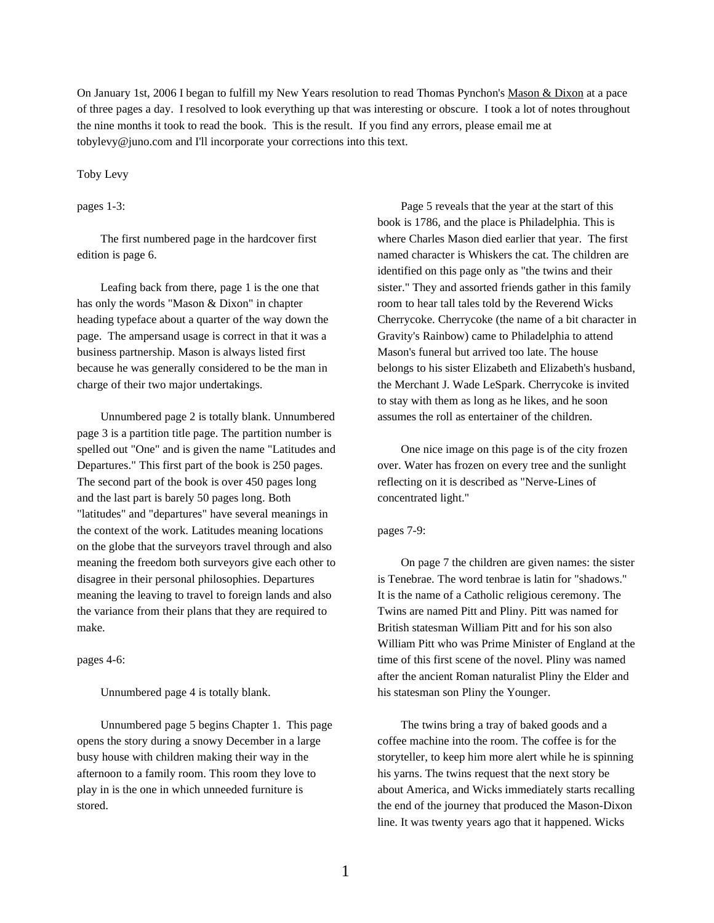On January 1st, 2006 I began to fulfill my New Years resolution to read Thomas Pynchon's Mason & Dixon at a pace of three pages a day. I resolved to look everything up that was interesting or obscure. I took a lot of notes throughout the nine months it took to read the book. This is the result. If you find any errors, please email me at tobylevy@juno.com and I'll incorporate your corrections into this text.

## Toby Levy

# pages 1-3:

The first numbered page in the hardcover first edition is page 6.

Leafing back from there, page 1 is the one that has only the words "Mason & Dixon" in chapter heading typeface about a quarter of the way down the page. The ampersand usage is correct in that it was a business partnership. Mason is always listed first because he was generally considered to be the man in charge of their two major undertakings.

Unnumbered page 2 is totally blank. Unnumbered page 3 is a partition title page. The partition number is spelled out "One" and is given the name "Latitudes and Departures." This first part of the book is 250 pages. The second part of the book is over 450 pages long and the last part is barely 50 pages long. Both "latitudes" and "departures" have several meanings in the context of the work. Latitudes meaning locations on the globe that the surveyors travel through and also meaning the freedom both surveyors give each other to disagree in their personal philosophies. Departures meaning the leaving to travel to foreign lands and also the variance from their plans that they are required to make.

pages 4-6:

Unnumbered page 4 is totally blank.

Unnumbered page 5 begins Chapter 1. This page opens the story during a snowy December in a large busy house with children making their way in the afternoon to a family room. This room they love to play in is the one in which unneeded furniture is stored.

Page 5 reveals that the year at the start of this book is 1786, and the place is Philadelphia. This is where Charles Mason died earlier that year. The first named character is Whiskers the cat. The children are identified on this page only as "the twins and their sister." They and assorted friends gather in this family room to hear tall tales told by the Reverend Wicks Cherrycoke. Cherrycoke (the name of a bit character in Gravity's Rainbow) came to Philadelphia to attend Mason's funeral but arrived too late. The house belongs to his sister Elizabeth and Elizabeth's husband, the Merchant J. Wade LeSpark. Cherrycoke is invited to stay with them as long as he likes, and he soon assumes the roll as entertainer of the children.

One nice image on this page is of the city frozen over. Water has frozen on every tree and the sunlight reflecting on it is described as "Nerve-Lines of concentrated light."

# pages 7-9:

On page 7 the children are given names: the sister is Tenebrae. The word tenbrae is latin for "shadows." It is the name of a Catholic religious ceremony. The Twins are named Pitt and Pliny. Pitt was named for British statesman William Pitt and for his son also William Pitt who was Prime Minister of England at the time of this first scene of the novel. Pliny was named after the ancient Roman naturalist Pliny the Elder and his statesman son Pliny the Younger.

The twins bring a tray of baked goods and a coffee machine into the room. The coffee is for the storyteller, to keep him more alert while he is spinning his yarns. The twins request that the next story be about America, and Wicks immediately starts recalling the end of the journey that produced the Mason-Dixon line. It was twenty years ago that it happened. Wicks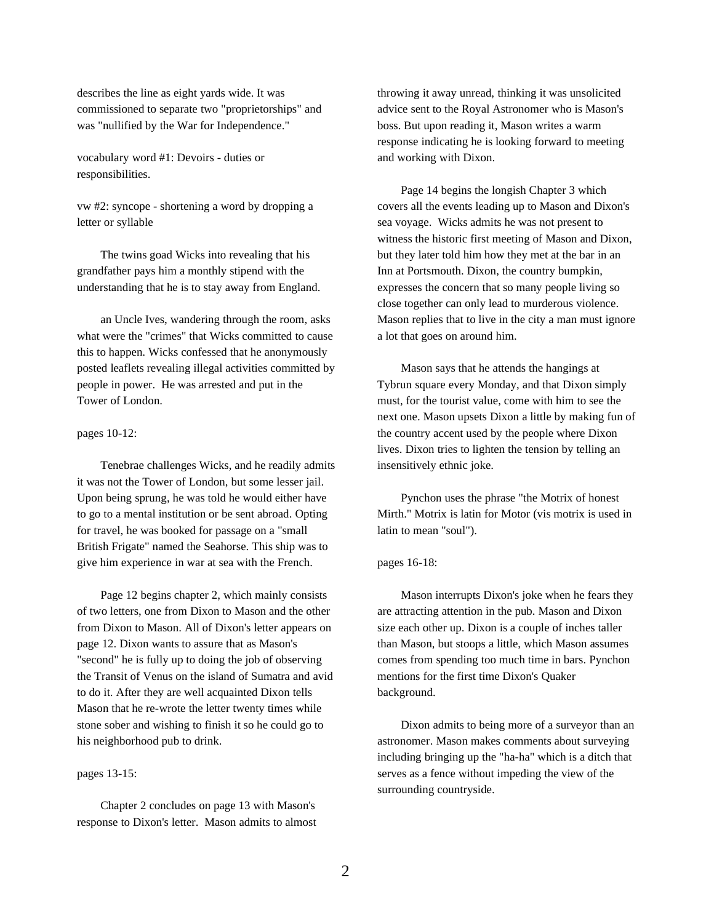describes the line as eight yards wide. It was commissioned to separate two "proprietorships" and was "nullified by the War for Independence."

vocabulary word #1: Devoirs - duties or responsibilities.

vw #2: syncope - shortening a word by dropping a letter or syllable

The twins goad Wicks into revealing that his grandfather pays him a monthly stipend with the understanding that he is to stay away from England.

an Uncle Ives, wandering through the room, asks what were the "crimes" that Wicks committed to cause this to happen. Wicks confessed that he anonymously posted leaflets revealing illegal activities committed by people in power. He was arrested and put in the Tower of London.

## pages 10-12:

Tenebrae challenges Wicks, and he readily admits it was not the Tower of London, but some lesser jail. Upon being sprung, he was told he would either have to go to a mental institution or be sent abroad. Opting for travel, he was booked for passage on a "small British Frigate" named the Seahorse. This ship was to give him experience in war at sea with the French.

Page 12 begins chapter 2, which mainly consists of two letters, one from Dixon to Mason and the other from Dixon to Mason. All of Dixon's letter appears on page 12. Dixon wants to assure that as Mason's "second" he is fully up to doing the job of observing the Transit of Venus on the island of Sumatra and avid to do it. After they are well acquainted Dixon tells Mason that he re-wrote the letter twenty times while stone sober and wishing to finish it so he could go to his neighborhood pub to drink.

# pages 13-15:

Chapter 2 concludes on page 13 with Mason's response to Dixon's letter. Mason admits to almost

throwing it away unread, thinking it was unsolicited advice sent to the Royal Astronomer who is Mason's boss. But upon reading it, Mason writes a warm response indicating he is looking forward to meeting and working with Dixon.

Page 14 begins the longish Chapter 3 which covers all the events leading up to Mason and Dixon's sea voyage. Wicks admits he was not present to witness the historic first meeting of Mason and Dixon, but they later told him how they met at the bar in an Inn at Portsmouth. Dixon, the country bumpkin, expresses the concern that so many people living so close together can only lead to murderous violence. Mason replies that to live in the city a man must ignore a lot that goes on around him.

Mason says that he attends the hangings at Tybrun square every Monday, and that Dixon simply must, for the tourist value, come with him to see the next one. Mason upsets Dixon a little by making fun of the country accent used by the people where Dixon lives. Dixon tries to lighten the tension by telling an insensitively ethnic joke.

Pynchon uses the phrase "the Motrix of honest Mirth." Motrix is latin for Motor (vis motrix is used in latin to mean "soul").

# pages 16-18:

Mason interrupts Dixon's joke when he fears they are attracting attention in the pub. Mason and Dixon size each other up. Dixon is a couple of inches taller than Mason, but stoops a little, which Mason assumes comes from spending too much time in bars. Pynchon mentions for the first time Dixon's Quaker background.

Dixon admits to being more of a surveyor than an astronomer. Mason makes comments about surveying including bringing up the "ha-ha" which is a ditch that serves as a fence without impeding the view of the surrounding countryside.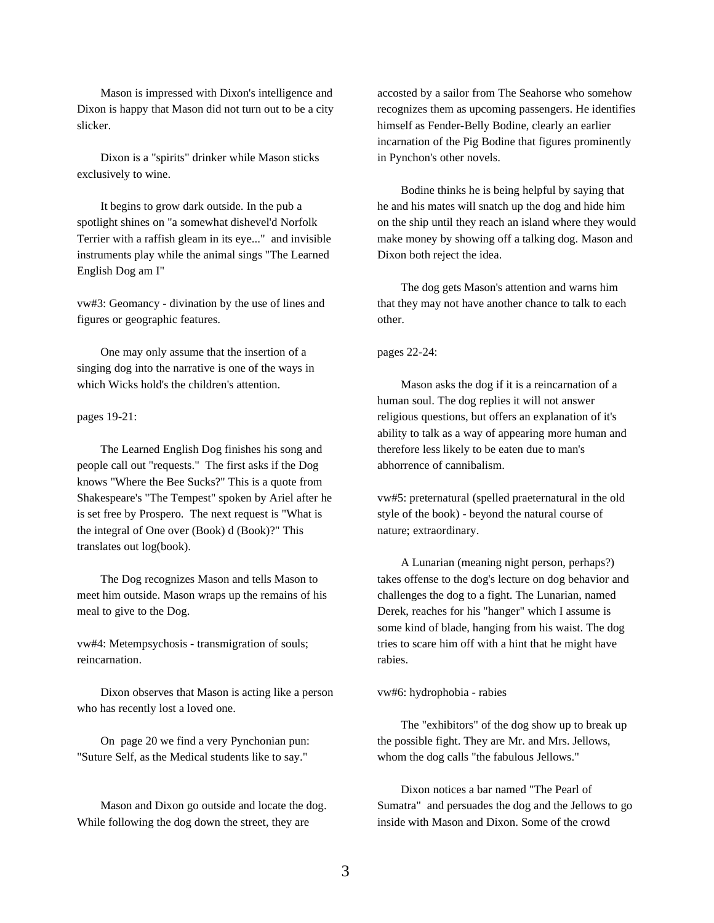Mason is impressed with Dixon's intelligence and Dixon is happy that Mason did not turn out to be a city slicker.

Dixon is a "spirits" drinker while Mason sticks exclusively to wine.

It begins to grow dark outside. In the pub a spotlight shines on "a somewhat dishevel'd Norfolk Terrier with a raffish gleam in its eye..." and invisible instruments play while the animal sings "The Learned English Dog am I"

vw#3: Geomancy - divination by the use of lines and figures or geographic features.

One may only assume that the insertion of a singing dog into the narrative is one of the ways in which Wicks hold's the children's attention.

pages 19-21:

The Learned English Dog finishes his song and people call out "requests." The first asks if the Dog knows "Where the Bee Sucks?" This is a quote from Shakespeare's "The Tempest" spoken by Ariel after he is set free by Prospero. The next request is "What is the integral of One over (Book) d (Book)?" This translates out log(book).

The Dog recognizes Mason and tells Mason to meet him outside. Mason wraps up the remains of his meal to give to the Dog.

vw#4: Metempsychosis - transmigration of souls; reincarnation.

Dixon observes that Mason is acting like a person who has recently lost a loved one.

On page 20 we find a very Pynchonian pun: "Suture Self, as the Medical students like to say."

Mason and Dixon go outside and locate the dog. While following the dog down the street, they are

accosted by a sailor from The Seahorse who somehow recognizes them as upcoming passengers. He identifies himself as Fender-Belly Bodine, clearly an earlier incarnation of the Pig Bodine that figures prominently in Pynchon's other novels.

Bodine thinks he is being helpful by saying that he and his mates will snatch up the dog and hide him on the ship until they reach an island where they would make money by showing off a talking dog. Mason and Dixon both reject the idea.

The dog gets Mason's attention and warns him that they may not have another chance to talk to each other.

pages 22-24:

Mason asks the dog if it is a reincarnation of a human soul. The dog replies it will not answer religious questions, but offers an explanation of it's ability to talk as a way of appearing more human and therefore less likely to be eaten due to man's abhorrence of cannibalism.

vw#5: preternatural (spelled praeternatural in the old style of the book) - beyond the natural course of nature; extraordinary.

A Lunarian (meaning night person, perhaps?) takes offense to the dog's lecture on dog behavior and challenges the dog to a fight. The Lunarian, named Derek, reaches for his "hanger" which I assume is some kind of blade, hanging from his waist. The dog tries to scare him off with a hint that he might have rabies.

vw#6: hydrophobia - rabies

The "exhibitors" of the dog show up to break up the possible fight. They are Mr. and Mrs. Jellows, whom the dog calls "the fabulous Jellows."

Dixon notices a bar named "The Pearl of Sumatra" and persuades the dog and the Jellows to go inside with Mason and Dixon. Some of the crowd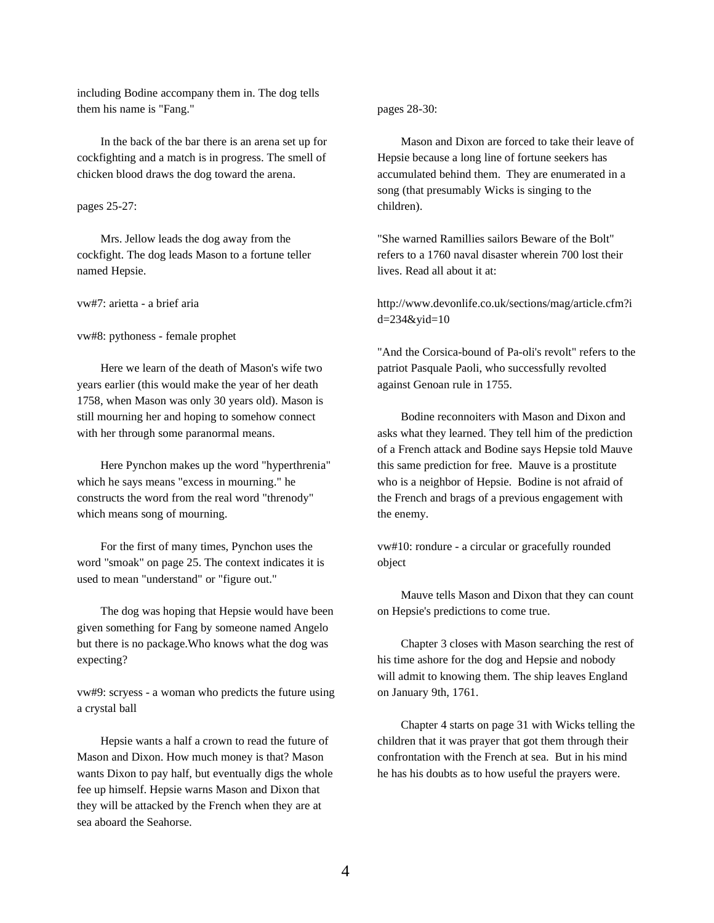including Bodine accompany them in. The dog tells them his name is "Fang."

In the back of the bar there is an arena set up for cockfighting and a match is in progress. The smell of chicken blood draws the dog toward the arena.

# pages 25-27:

Mrs. Jellow leads the dog away from the cockfight. The dog leads Mason to a fortune teller named Hepsie.

vw#7: arietta - a brief aria

vw#8: pythoness - female prophet

Here we learn of the death of Mason's wife two years earlier (this would make the year of her death 1758, when Mason was only 30 years old). Mason is still mourning her and hoping to somehow connect with her through some paranormal means.

Here Pynchon makes up the word "hyperthrenia" which he says means "excess in mourning." he constructs the word from the real word "threnody" which means song of mourning.

For the first of many times, Pynchon uses the word "smoak" on page 25. The context indicates it is used to mean "understand" or "figure out."

The dog was hoping that Hepsie would have been given something for Fang by someone named Angelo but there is no package.Who knows what the dog was expecting?

vw#9: scryess - a woman who predicts the future using a crystal ball

Hepsie wants a half a crown to read the future of Mason and Dixon. How much money is that? Mason wants Dixon to pay half, but eventually digs the whole fee up himself. Hepsie warns Mason and Dixon that they will be attacked by the French when they are at sea aboard the Seahorse.

pages 28-30:

Mason and Dixon are forced to take their leave of Hepsie because a long line of fortune seekers has accumulated behind them. They are enumerated in a song (that presumably Wicks is singing to the children).

"She warned Ramillies sailors Beware of the Bolt" refers to a 1760 naval disaster wherein 700 lost their lives. Read all about it at:

http://www.devonlife.co.uk/sections/mag/article.cfm?i d=234&yid=10

"And the Corsica-bound of Pa-oli's revolt" refers to the patriot Pasquale Paoli, who successfully revolted against Genoan rule in 1755.

Bodine reconnoiters with Mason and Dixon and asks what they learned. They tell him of the prediction of a French attack and Bodine says Hepsie told Mauve this same prediction for free. Mauve is a prostitute who is a neighbor of Hepsie. Bodine is not afraid of the French and brags of a previous engagement with the enemy.

vw#10: rondure - a circular or gracefully rounded object

Mauve tells Mason and Dixon that they can count on Hepsie's predictions to come true.

Chapter 3 closes with Mason searching the rest of his time ashore for the dog and Hepsie and nobody will admit to knowing them. The ship leaves England on January 9th, 1761.

Chapter 4 starts on page 31 with Wicks telling the children that it was prayer that got them through their confrontation with the French at sea. But in his mind he has his doubts as to how useful the prayers were.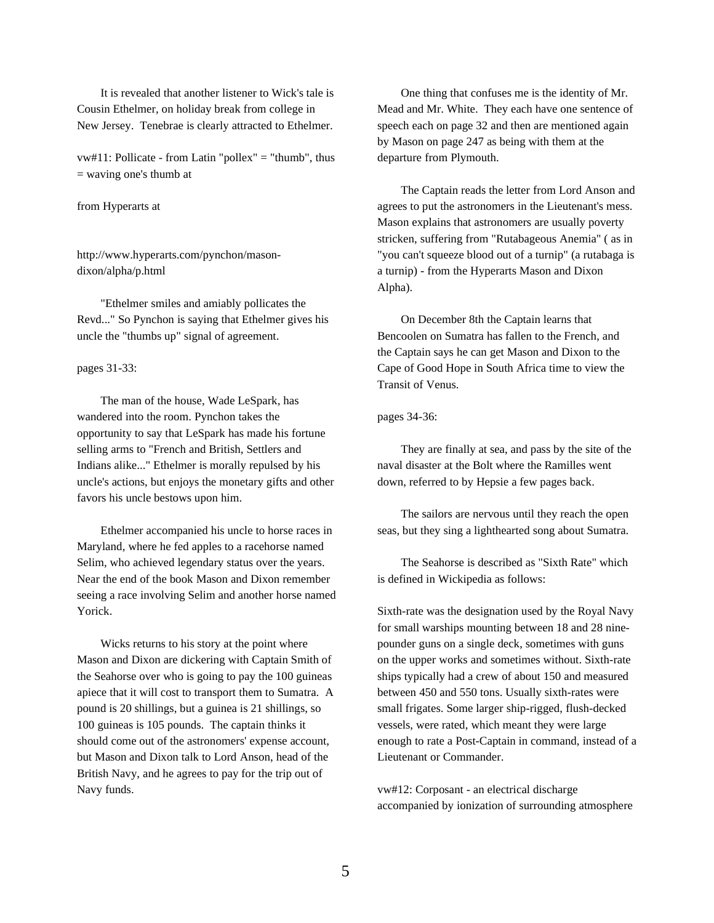It is revealed that another listener to Wick's tale is Cousin Ethelmer, on holiday break from college in New Jersey. Tenebrae is clearly attracted to Ethelmer.

vw#11: Pollicate - from Latin "pollex" = "thumb", thus = waving one's thumb at

# from Hyperarts at

http://www.hyperarts.com/pynchon/masondixon/alpha/p.html

"Ethelmer smiles and amiably pollicates the Revd..." So Pynchon is saying that Ethelmer gives his uncle the "thumbs up" signal of agreement.

## pages 31-33:

The man of the house, Wade LeSpark, has wandered into the room. Pynchon takes the opportunity to say that LeSpark has made his fortune selling arms to "French and British, Settlers and Indians alike..." Ethelmer is morally repulsed by his uncle's actions, but enjoys the monetary gifts and other favors his uncle bestows upon him.

Ethelmer accompanied his uncle to horse races in Maryland, where he fed apples to a racehorse named Selim, who achieved legendary status over the years. Near the end of the book Mason and Dixon remember seeing a race involving Selim and another horse named Yorick.

Wicks returns to his story at the point where Mason and Dixon are dickering with Captain Smith of the Seahorse over who is going to pay the 100 guineas apiece that it will cost to transport them to Sumatra. A pound is 20 shillings, but a guinea is 21 shillings, so 100 guineas is 105 pounds. The captain thinks it should come out of the astronomers' expense account, but Mason and Dixon talk to Lord Anson, head of the British Navy, and he agrees to pay for the trip out of Navy funds.

One thing that confuses me is the identity of Mr. Mead and Mr. White. They each have one sentence of speech each on page 32 and then are mentioned again by Mason on page 247 as being with them at the departure from Plymouth.

The Captain reads the letter from Lord Anson and agrees to put the astronomers in the Lieutenant's mess. Mason explains that astronomers are usually poverty stricken, suffering from "Rutabageous Anemia" ( as in "you can't squeeze blood out of a turnip" (a rutabaga is a turnip) - from the Hyperarts Mason and Dixon Alpha).

On December 8th the Captain learns that Bencoolen on Sumatra has fallen to the French, and the Captain says he can get Mason and Dixon to the Cape of Good Hope in South Africa time to view the Transit of Venus.

# pages 34-36:

They are finally at sea, and pass by the site of the naval disaster at the Bolt where the Ramilles went down, referred to by Hepsie a few pages back.

The sailors are nervous until they reach the open seas, but they sing a lighthearted song about Sumatra.

The Seahorse is described as "Sixth Rate" which is defined in Wickipedia as follows:

Sixth-rate was the designation used by the Royal Navy for small warships mounting between 18 and 28 ninepounder guns on a single deck, sometimes with guns on the upper works and sometimes without. Sixth-rate ships typically had a crew of about 150 and measured between 450 and 550 tons. Usually sixth-rates were small frigates. Some larger ship-rigged, flush-decked vessels, were rated, which meant they were large enough to rate a Post-Captain in command, instead of a Lieutenant or Commander.

vw#12: Corposant - an electrical discharge accompanied by ionization of surrounding atmosphere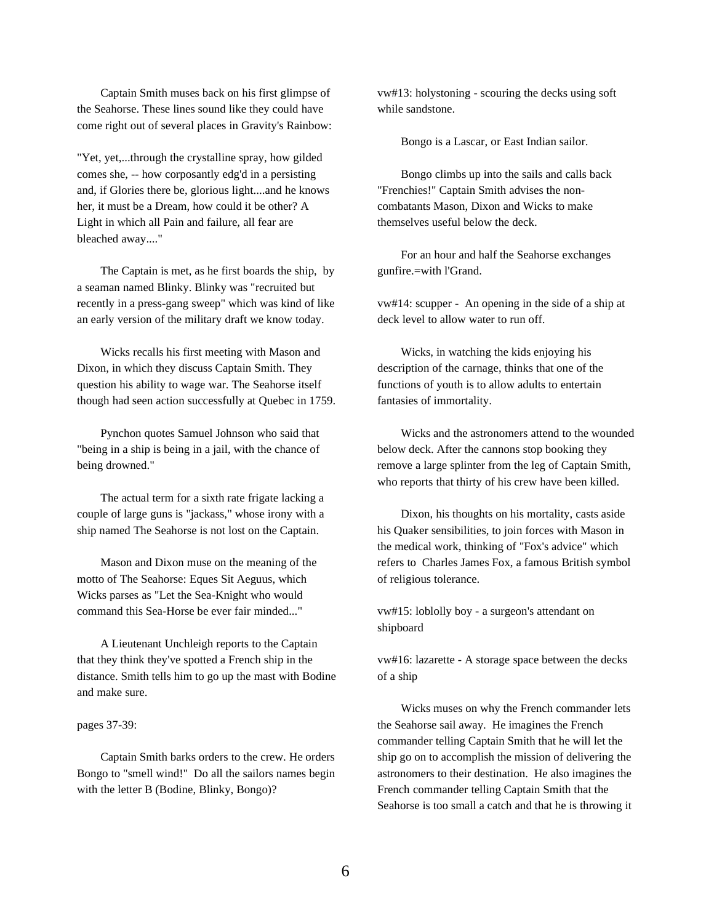Captain Smith muses back on his first glimpse of the Seahorse. These lines sound like they could have come right out of several places in Gravity's Rainbow:

"Yet, yet,...through the crystalline spray, how gilded comes she, -- how corposantly edg'd in a persisting and, if Glories there be, glorious light....and he knows her, it must be a Dream, how could it be other? A Light in which all Pain and failure, all fear are bleached away...."

The Captain is met, as he first boards the ship, by a seaman named Blinky. Blinky was "recruited but recently in a press-gang sweep" which was kind of like an early version of the military draft we know today.

Wicks recalls his first meeting with Mason and Dixon, in which they discuss Captain Smith. They question his ability to wage war. The Seahorse itself though had seen action successfully at Quebec in 1759.

Pynchon quotes Samuel Johnson who said that "being in a ship is being in a jail, with the chance of being drowned."

The actual term for a sixth rate frigate lacking a couple of large guns is "jackass," whose irony with a ship named The Seahorse is not lost on the Captain.

Mason and Dixon muse on the meaning of the motto of The Seahorse: Eques Sit Aeguus, which Wicks parses as "Let the Sea-Knight who would command this Sea-Horse be ever fair minded..."

A Lieutenant Unchleigh reports to the Captain that they think they've spotted a French ship in the distance. Smith tells him to go up the mast with Bodine and make sure.

# pages 37-39:

Captain Smith barks orders to the crew. He orders Bongo to "smell wind!" Do all the sailors names begin with the letter B (Bodine, Blinky, Bongo)?

vw#13: holystoning - scouring the decks using soft while sandstone.

Bongo is a Lascar, or East Indian sailor.

Bongo climbs up into the sails and calls back "Frenchies!" Captain Smith advises the noncombatants Mason, Dixon and Wicks to make themselves useful below the deck.

For an hour and half the Seahorse exchanges gunfire.=with l'Grand.

vw#14: scupper - An opening in the side of a ship at deck level to allow water to run off.

Wicks, in watching the kids enjoying his description of the carnage, thinks that one of the functions of youth is to allow adults to entertain fantasies of immortality.

Wicks and the astronomers attend to the wounded below deck. After the cannons stop booking they remove a large splinter from the leg of Captain Smith, who reports that thirty of his crew have been killed.

Dixon, his thoughts on his mortality, casts aside his Quaker sensibilities, to join forces with Mason in the medical work, thinking of "Fox's advice" which refers to Charles James Fox, a famous British symbol of religious tolerance.

vw#15: loblolly boy - a surgeon's attendant on shipboard

vw#16: lazarette - A storage space between the decks of a ship

Wicks muses on why the French commander lets the Seahorse sail away. He imagines the French commander telling Captain Smith that he will let the ship go on to accomplish the mission of delivering the astronomers to their destination. He also imagines the French commander telling Captain Smith that the Seahorse is too small a catch and that he is throwing it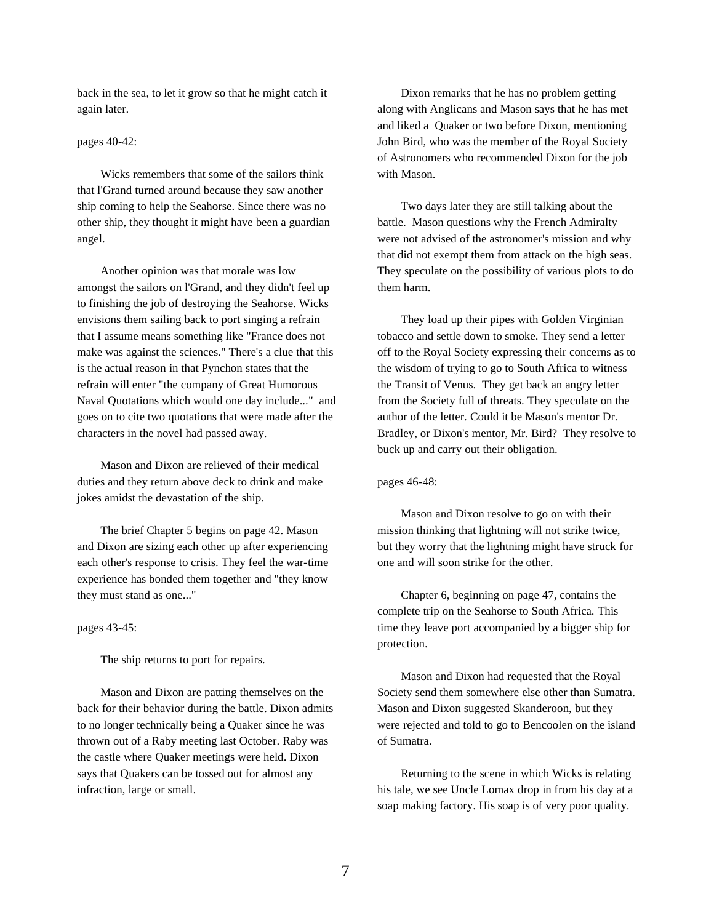back in the sea, to let it grow so that he might catch it again later.

# pages 40-42:

Wicks remembers that some of the sailors think that l'Grand turned around because they saw another ship coming to help the Seahorse. Since there was no other ship, they thought it might have been a guardian angel.

Another opinion was that morale was low amongst the sailors on l'Grand, and they didn't feel up to finishing the job of destroying the Seahorse. Wicks envisions them sailing back to port singing a refrain that I assume means something like "France does not make was against the sciences." There's a clue that this is the actual reason in that Pynchon states that the refrain will enter "the company of Great Humorous Naval Quotations which would one day include..." and goes on to cite two quotations that were made after the characters in the novel had passed away.

Mason and Dixon are relieved of their medical duties and they return above deck to drink and make jokes amidst the devastation of the ship.

The brief Chapter 5 begins on page 42. Mason and Dixon are sizing each other up after experiencing each other's response to crisis. They feel the war-time experience has bonded them together and "they know they must stand as one..."

## pages 43-45:

The ship returns to port for repairs.

Mason and Dixon are patting themselves on the back for their behavior during the battle. Dixon admits to no longer technically being a Quaker since he was thrown out of a Raby meeting last October. Raby was the castle where Quaker meetings were held. Dixon says that Quakers can be tossed out for almost any infraction, large or small.

Dixon remarks that he has no problem getting along with Anglicans and Mason says that he has met and liked a Quaker or two before Dixon, mentioning John Bird, who was the member of the Royal Society of Astronomers who recommended Dixon for the job with Mason.

Two days later they are still talking about the battle. Mason questions why the French Admiralty were not advised of the astronomer's mission and why that did not exempt them from attack on the high seas. They speculate on the possibility of various plots to do them harm.

They load up their pipes with Golden Virginian tobacco and settle down to smoke. They send a letter off to the Royal Society expressing their concerns as to the wisdom of trying to go to South Africa to witness the Transit of Venus. They get back an angry letter from the Society full of threats. They speculate on the author of the letter. Could it be Mason's mentor Dr. Bradley, or Dixon's mentor, Mr. Bird? They resolve to buck up and carry out their obligation.

## pages 46-48:

Mason and Dixon resolve to go on with their mission thinking that lightning will not strike twice, but they worry that the lightning might have struck for one and will soon strike for the other.

Chapter 6, beginning on page 47, contains the complete trip on the Seahorse to South Africa. This time they leave port accompanied by a bigger ship for protection.

Mason and Dixon had requested that the Royal Society send them somewhere else other than Sumatra. Mason and Dixon suggested Skanderoon, but they were rejected and told to go to Bencoolen on the island of Sumatra.

Returning to the scene in which Wicks is relating his tale, we see Uncle Lomax drop in from his day at a soap making factory. His soap is of very poor quality.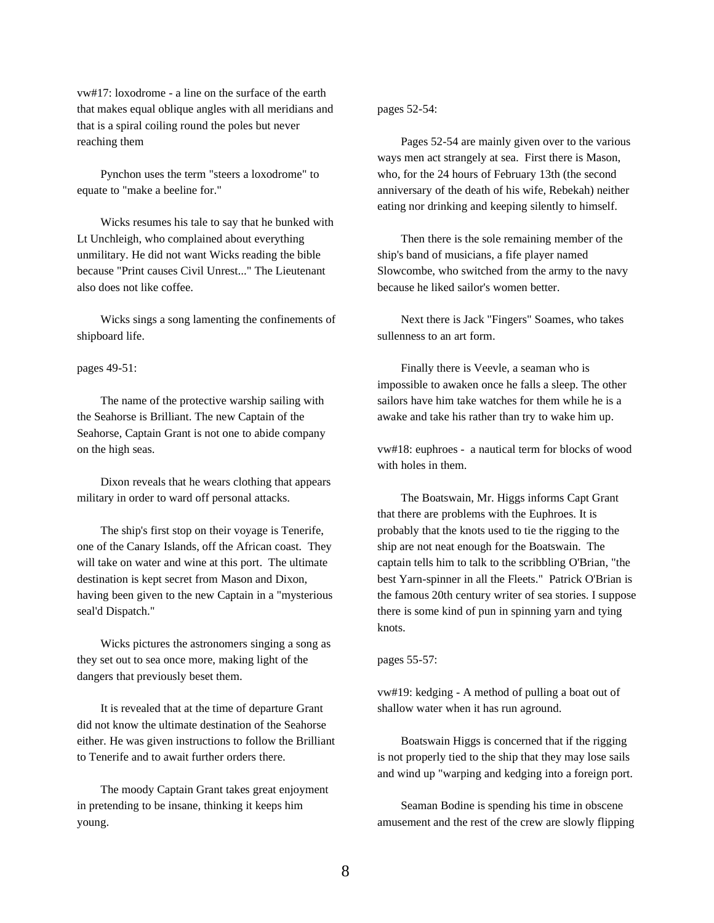vw#17: loxodrome - a line on the surface of the earth that makes equal oblique angles with all meridians and that is a spiral coiling round the poles but never reaching them

Pynchon uses the term "steers a loxodrome" to equate to "make a beeline for."

Wicks resumes his tale to say that he bunked with Lt Unchleigh, who complained about everything unmilitary. He did not want Wicks reading the bible because "Print causes Civil Unrest..." The Lieutenant also does not like coffee.

Wicks sings a song lamenting the confinements of shipboard life.

### pages 49-51:

The name of the protective warship sailing with the Seahorse is Brilliant. The new Captain of the Seahorse, Captain Grant is not one to abide company on the high seas.

Dixon reveals that he wears clothing that appears military in order to ward off personal attacks.

The ship's first stop on their voyage is Tenerife, one of the Canary Islands, off the African coast. They will take on water and wine at this port. The ultimate destination is kept secret from Mason and Dixon, having been given to the new Captain in a "mysterious seal'd Dispatch."

Wicks pictures the astronomers singing a song as they set out to sea once more, making light of the dangers that previously beset them.

It is revealed that at the time of departure Grant did not know the ultimate destination of the Seahorse either. He was given instructions to follow the Brilliant to Tenerife and to await further orders there.

The moody Captain Grant takes great enjoyment in pretending to be insane, thinking it keeps him young.

# pages 52-54:

Pages 52-54 are mainly given over to the various ways men act strangely at sea. First there is Mason, who, for the 24 hours of February 13th (the second anniversary of the death of his wife, Rebekah) neither eating nor drinking and keeping silently to himself.

Then there is the sole remaining member of the ship's band of musicians, a fife player named Slowcombe, who switched from the army to the navy because he liked sailor's women better.

Next there is Jack "Fingers" Soames, who takes sullenness to an art form.

Finally there is Veevle, a seaman who is impossible to awaken once he falls a sleep. The other sailors have him take watches for them while he is a awake and take his rather than try to wake him up.

vw#18: euphroes - a nautical term for blocks of wood with holes in them.

The Boatswain, Mr. Higgs informs Capt Grant that there are problems with the Euphroes. It is probably that the knots used to tie the rigging to the ship are not neat enough for the Boatswain. The captain tells him to talk to the scribbling O'Brian, "the best Yarn-spinner in all the Fleets." Patrick O'Brian is the famous 20th century writer of sea stories. I suppose there is some kind of pun in spinning yarn and tying knots.

# pages 55-57:

vw#19: kedging - A method of pulling a boat out of shallow water when it has run aground.

Boatswain Higgs is concerned that if the rigging is not properly tied to the ship that they may lose sails and wind up "warping and kedging into a foreign port.

Seaman Bodine is spending his time in obscene amusement and the rest of the crew are slowly flipping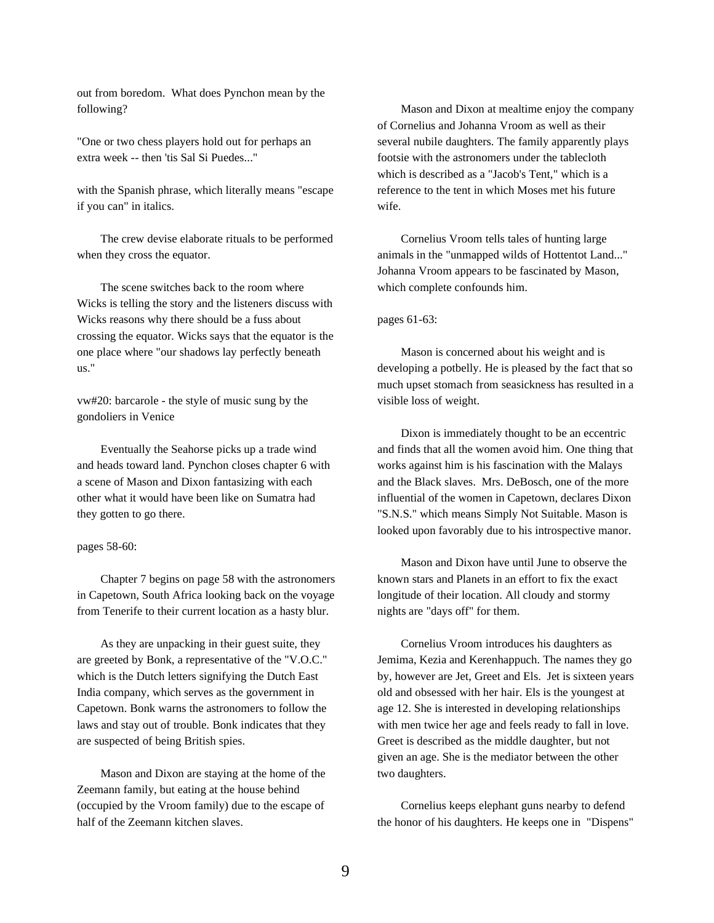out from boredom. What does Pynchon mean by the following?

"One or two chess players hold out for perhaps an extra week -- then 'tis Sal Si Puedes..."

with the Spanish phrase, which literally means "escape if you can" in italics.

The crew devise elaborate rituals to be performed when they cross the equator.

The scene switches back to the room where Wicks is telling the story and the listeners discuss with Wicks reasons why there should be a fuss about crossing the equator. Wicks says that the equator is the one place where "our shadows lay perfectly beneath us."

vw#20: barcarole - the style of music sung by the gondoliers in Venice

Eventually the Seahorse picks up a trade wind and heads toward land. Pynchon closes chapter 6 with a scene of Mason and Dixon fantasizing with each other what it would have been like on Sumatra had they gotten to go there.

## pages 58-60:

Chapter 7 begins on page 58 with the astronomers in Capetown, South Africa looking back on the voyage from Tenerife to their current location as a hasty blur.

As they are unpacking in their guest suite, they are greeted by Bonk, a representative of the "V.O.C." which is the Dutch letters signifying the Dutch East India company, which serves as the government in Capetown. Bonk warns the astronomers to follow the laws and stay out of trouble. Bonk indicates that they are suspected of being British spies.

Mason and Dixon are staying at the home of the Zeemann family, but eating at the house behind (occupied by the Vroom family) due to the escape of half of the Zeemann kitchen slaves.

Mason and Dixon at mealtime enjoy the company of Cornelius and Johanna Vroom as well as their several nubile daughters. The family apparently plays footsie with the astronomers under the tablecloth which is described as a "Jacob's Tent," which is a reference to the tent in which Moses met his future wife.

Cornelius Vroom tells tales of hunting large animals in the "unmapped wilds of Hottentot Land..." Johanna Vroom appears to be fascinated by Mason, which complete confounds him.

# pages 61-63:

Mason is concerned about his weight and is developing a potbelly. He is pleased by the fact that so much upset stomach from seasickness has resulted in a visible loss of weight.

Dixon is immediately thought to be an eccentric and finds that all the women avoid him. One thing that works against him is his fascination with the Malays and the Black slaves. Mrs. DeBosch, one of the more influential of the women in Capetown, declares Dixon "S.N.S." which means Simply Not Suitable. Mason is looked upon favorably due to his introspective manor.

Mason and Dixon have until June to observe the known stars and Planets in an effort to fix the exact longitude of their location. All cloudy and stormy nights are "days off" for them.

Cornelius Vroom introduces his daughters as Jemima, Kezia and Kerenhappuch. The names they go by, however are Jet, Greet and Els. Jet is sixteen years old and obsessed with her hair. Els is the youngest at age 12. She is interested in developing relationships with men twice her age and feels ready to fall in love. Greet is described as the middle daughter, but not given an age. She is the mediator between the other two daughters.

Cornelius keeps elephant guns nearby to defend the honor of his daughters. He keeps one in "Dispens"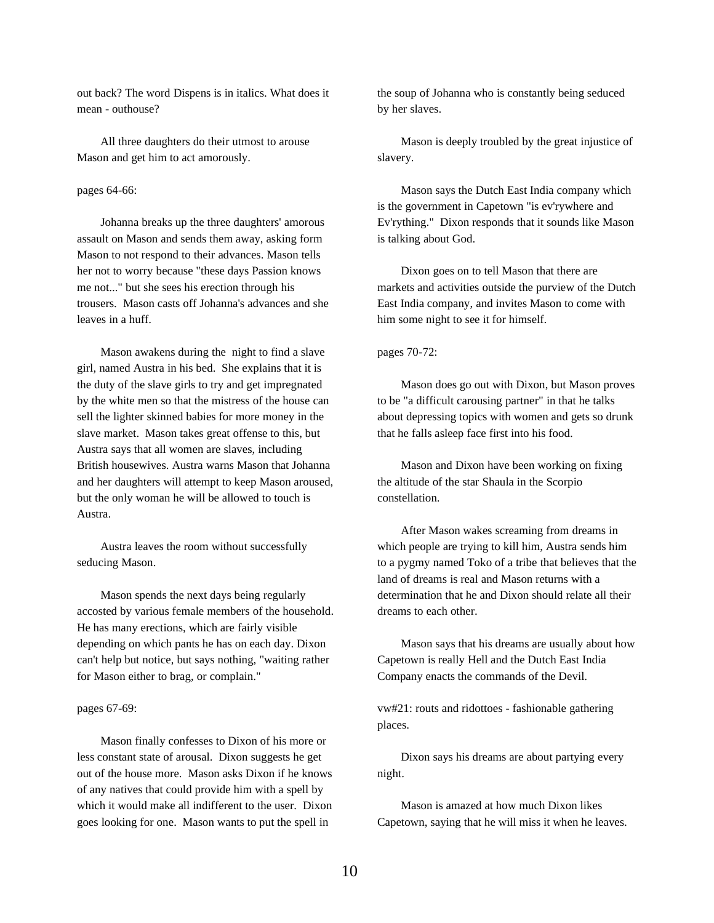out back? The word Dispens is in italics. What does it mean - outhouse?

All three daughters do their utmost to arouse Mason and get him to act amorously.

# pages 64-66:

Johanna breaks up the three daughters' amorous assault on Mason and sends them away, asking form Mason to not respond to their advances. Mason tells her not to worry because "these days Passion knows me not..." but she sees his erection through his trousers. Mason casts off Johanna's advances and she leaves in a huff.

Mason awakens during the night to find a slave girl, named Austra in his bed. She explains that it is the duty of the slave girls to try and get impregnated by the white men so that the mistress of the house can sell the lighter skinned babies for more money in the slave market. Mason takes great offense to this, but Austra says that all women are slaves, including British housewives. Austra warns Mason that Johanna and her daughters will attempt to keep Mason aroused, but the only woman he will be allowed to touch is Austra.

Austra leaves the room without successfully seducing Mason.

Mason spends the next days being regularly accosted by various female members of the household. He has many erections, which are fairly visible depending on which pants he has on each day. Dixon can't help but notice, but says nothing, "waiting rather for Mason either to brag, or complain."

### pages 67-69:

Mason finally confesses to Dixon of his more or less constant state of arousal. Dixon suggests he get out of the house more. Mason asks Dixon if he knows of any natives that could provide him with a spell by which it would make all indifferent to the user. Dixon goes looking for one. Mason wants to put the spell in

the soup of Johanna who is constantly being seduced by her slaves.

Mason is deeply troubled by the great injustice of slavery.

Mason says the Dutch East India company which is the government in Capetown "is ev'rywhere and Ev'rything." Dixon responds that it sounds like Mason is talking about God.

Dixon goes on to tell Mason that there are markets and activities outside the purview of the Dutch East India company, and invites Mason to come with him some night to see it for himself.

pages 70-72:

Mason does go out with Dixon, but Mason proves to be "a difficult carousing partner" in that he talks about depressing topics with women and gets so drunk that he falls asleep face first into his food.

Mason and Dixon have been working on fixing the altitude of the star Shaula in the Scorpio constellation.

After Mason wakes screaming from dreams in which people are trying to kill him, Austra sends him to a pygmy named Toko of a tribe that believes that the land of dreams is real and Mason returns with a determination that he and Dixon should relate all their dreams to each other.

Mason says that his dreams are usually about how Capetown is really Hell and the Dutch East India Company enacts the commands of the Devil.

vw#21: routs and ridottoes - fashionable gathering places.

Dixon says his dreams are about partying every night.

Mason is amazed at how much Dixon likes Capetown, saying that he will miss it when he leaves.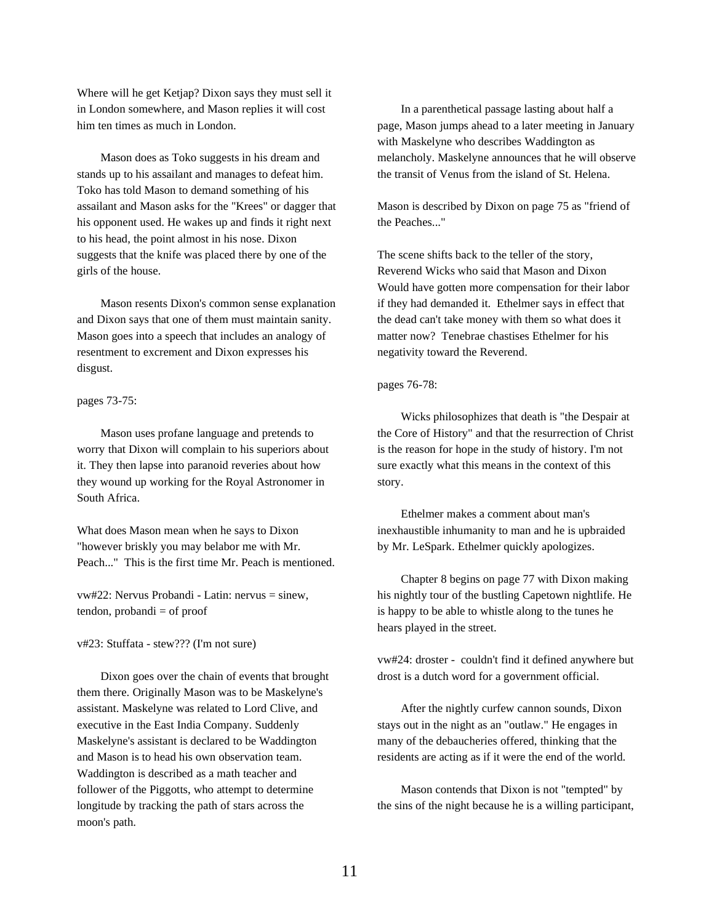Where will he get Ketjap? Dixon says they must sell it in London somewhere, and Mason replies it will cost him ten times as much in London.

Mason does as Toko suggests in his dream and stands up to his assailant and manages to defeat him. Toko has told Mason to demand something of his assailant and Mason asks for the "Krees" or dagger that his opponent used. He wakes up and finds it right next to his head, the point almost in his nose. Dixon suggests that the knife was placed there by one of the girls of the house.

Mason resents Dixon's common sense explanation and Dixon says that one of them must maintain sanity. Mason goes into a speech that includes an analogy of resentment to excrement and Dixon expresses his disgust.

pages 73-75:

Mason uses profane language and pretends to worry that Dixon will complain to his superiors about it. They then lapse into paranoid reveries about how they wound up working for the Royal Astronomer in South Africa.

What does Mason mean when he says to Dixon "however briskly you may belabor me with Mr. Peach..." This is the first time Mr. Peach is mentioned.

vw#22: Nervus Probandi - Latin: nervus = sinew,  $t$ endon, probandi  $=$  of proof

v#23: Stuffata - stew??? (I'm not sure)

Dixon goes over the chain of events that brought them there. Originally Mason was to be Maskelyne's assistant. Maskelyne was related to Lord Clive, and executive in the East India Company. Suddenly Maskelyne's assistant is declared to be Waddington and Mason is to head his own observation team. Waddington is described as a math teacher and follower of the Piggotts, who attempt to determine longitude by tracking the path of stars across the moon's path.

In a parenthetical passage lasting about half a page, Mason jumps ahead to a later meeting in January with Maskelyne who describes Waddington as melancholy. Maskelyne announces that he will observe the transit of Venus from the island of St. Helena.

Mason is described by Dixon on page 75 as "friend of the Peaches..."

The scene shifts back to the teller of the story, Reverend Wicks who said that Mason and Dixon Would have gotten more compensation for their labor if they had demanded it. Ethelmer says in effect that the dead can't take money with them so what does it matter now? Tenebrae chastises Ethelmer for his negativity toward the Reverend.

# pages 76-78:

Wicks philosophizes that death is "the Despair at the Core of History" and that the resurrection of Christ is the reason for hope in the study of history. I'm not sure exactly what this means in the context of this story.

Ethelmer makes a comment about man's inexhaustible inhumanity to man and he is upbraided by Mr. LeSpark. Ethelmer quickly apologizes.

Chapter 8 begins on page 77 with Dixon making his nightly tour of the bustling Capetown nightlife. He is happy to be able to whistle along to the tunes he hears played in the street.

vw#24: droster - couldn't find it defined anywhere but drost is a dutch word for a government official.

After the nightly curfew cannon sounds, Dixon stays out in the night as an "outlaw." He engages in many of the debaucheries offered, thinking that the residents are acting as if it were the end of the world.

Mason contends that Dixon is not "tempted" by the sins of the night because he is a willing participant,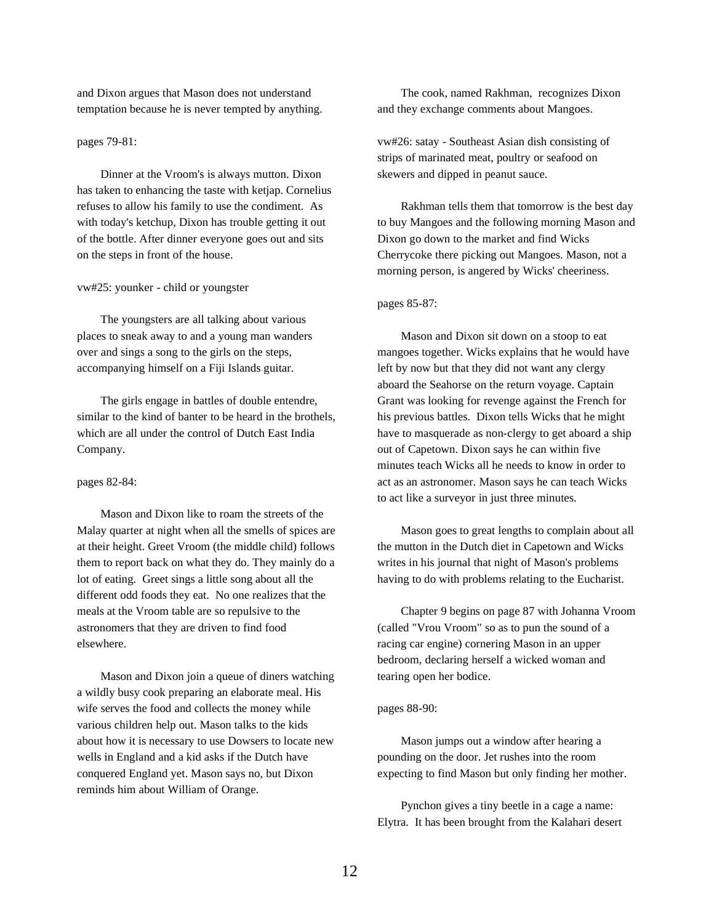and Dixon argues that Mason does not understand temptation because he is never tempted by anything.

# pages 79-81:

Dinner at the Vroom's is always mutton. Dixon has taken to enhancing the taste with ketjap. Cornelius refuses to allow his family to use the condiment. As with today's ketchup, Dixon has trouble getting it out of the bottle. After dinner everyone goes out and sits on the steps in front of the house.

## vw#25: younker - child or youngster

The youngsters are all talking about various places to sneak away to and a young man wanders over and sings a song to the girls on the steps, accompanying himself on a Fiji Islands guitar.

The girls engage in battles of double entendre, similar to the kind of banter to be heard in the brothels, which are all under the control of Dutch East India Company.

## pages 82-84:

Mason and Dixon like to roam the streets of the Malay quarter at night when all the smells of spices are at their height. Greet Vroom (the middle child) follows them to report back on what they do. They mainly do a lot of eating. Greet sings a little song about all the different odd foods they eat. No one realizes that the meals at the Vroom table are so repulsive to the astronomers that they are driven to find food elsewhere.

Mason and Dixon join a queue of diners watching a wildly busy cook preparing an elaborate meal. His wife serves the food and collects the money while various children help out. Mason talks to the kids about how it is necessary to use Dowsers to locate new wells in England and a kid asks if the Dutch have conquered England yet. Mason says no, but Dixon reminds him about William of Orange.

The cook, named Rakhman, recognizes Dixon and they exchange comments about Mangoes.

vw#26: satay - Southeast Asian dish consisting of strips of marinated meat, poultry or seafood on skewers and dipped in peanut sauce.

Rakhman tells them that tomorrow is the best day to buy Mangoes and the following morning Mason and Dixon go down to the market and find Wicks Cherrycoke there picking out Mangoes. Mason, not a morning person, is angered by Wicks' cheeriness.

#### pages 85-87:

Mason and Dixon sit down on a stoop to eat mangoes together. Wicks explains that he would have left by now but that they did not want any clergy aboard the Seahorse on the return voyage. Captain Grant was looking for revenge against the French for his previous battles. Dixon tells Wicks that he might have to masquerade as non-clergy to get aboard a ship out of Capetown. Dixon says he can within five minutes teach Wicks all he needs to know in order to act as an astronomer. Mason says he can teach Wicks to act like a surveyor in just three minutes.

Mason goes to great lengths to complain about all the mutton in the Dutch diet in Capetown and Wicks writes in his journal that night of Mason's problems having to do with problems relating to the Eucharist.

Chapter 9 begins on page 87 with Johanna Vroom (called "Vrou Vroom" so as to pun the sound of a racing car engine) cornering Mason in an upper bedroom, declaring herself a wicked woman and tearing open her bodice.

# pages 88-90:

Mason jumps out a window after hearing a pounding on the door. Jet rushes into the room expecting to find Mason but only finding her mother.

Pynchon gives a tiny beetle in a cage a name: Elytra. It has been brought from the Kalahari desert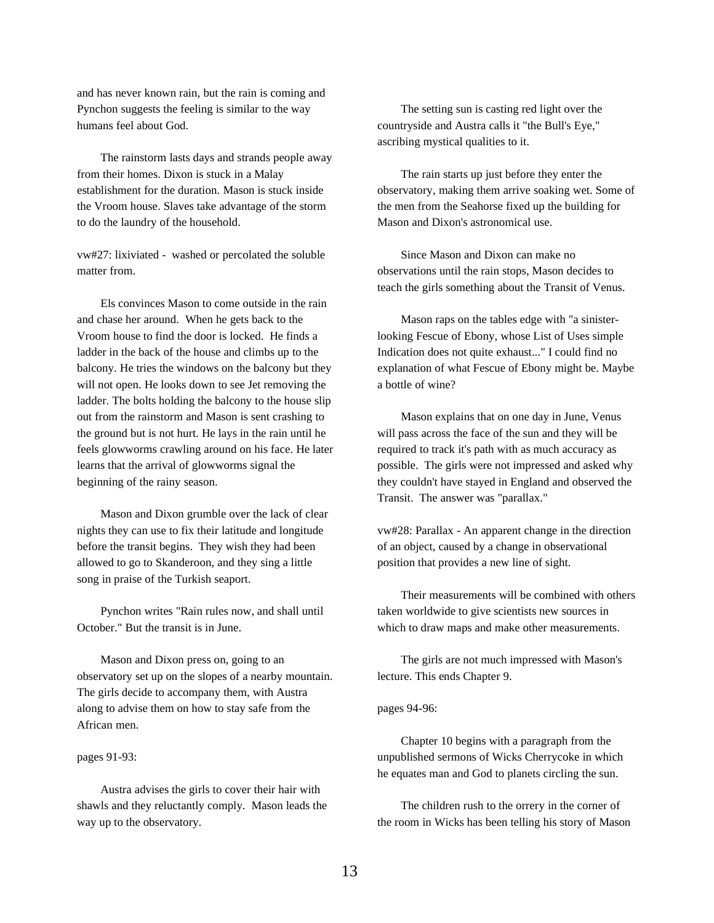and has never known rain, but the rain is coming and Pynchon suggests the feeling is similar to the way humans feel about God.

The rainstorm lasts days and strands people away from their homes. Dixon is stuck in a Malay establishment for the duration. Mason is stuck inside the Vroom house. Slaves take advantage of the storm to do the laundry of the household.

vw#27: lixiviated - washed or percolated the soluble matter from.

Els convinces Mason to come outside in the rain and chase her around. When he gets back to the Vroom house to find the door is locked. He finds a ladder in the back of the house and climbs up to the balcony. He tries the windows on the balcony but they will not open. He looks down to see Jet removing the ladder. The bolts holding the balcony to the house slip out from the rainstorm and Mason is sent crashing to the ground but is not hurt. He lays in the rain until he feels glowworms crawling around on his face. He later learns that the arrival of glowworms signal the beginning of the rainy season.

Mason and Dixon grumble over the lack of clear nights they can use to fix their latitude and longitude before the transit begins. They wish they had been allowed to go to Skanderoon, and they sing a little song in praise of the Turkish seaport.

Pynchon writes "Rain rules now, and shall until October." But the transit is in June.

Mason and Dixon press on, going to an observatory set up on the slopes of a nearby mountain. The girls decide to accompany them, with Austra along to advise them on how to stay safe from the African men.

# pages 91-93:

Austra advises the girls to cover their hair with shawls and they reluctantly comply. Mason leads the way up to the observatory.

The setting sun is casting red light over the countryside and Austra calls it "the Bull's Eye," ascribing mystical qualities to it.

The rain starts up just before they enter the observatory, making them arrive soaking wet. Some of the men from the Seahorse fixed up the building for Mason and Dixon's astronomical use.

Since Mason and Dixon can make no observations until the rain stops, Mason decides to teach the girls something about the Transit of Venus.

Mason raps on the tables edge with "a sinisterlooking Fescue of Ebony, whose List of Uses simple Indication does not quite exhaust..." I could find no explanation of what Fescue of Ebony might be. Maybe a bottle of wine?

Mason explains that on one day in June, Venus will pass across the face of the sun and they will be required to track it's path with as much accuracy as possible. The girls were not impressed and asked why they couldn't have stayed in England and observed the Transit. The answer was "parallax."

vw#28: Parallax - An apparent change in the direction of an object, caused by a change in observational position that provides a new line of sight.

Their measurements will be combined with others taken worldwide to give scientists new sources in which to draw maps and make other measurements.

The girls are not much impressed with Mason's lecture. This ends Chapter 9.

## pages 94-96:

Chapter 10 begins with a paragraph from the unpublished sermons of Wicks Cherrycoke in which he equates man and God to planets circling the sun.

The children rush to the orrery in the corner of the room in Wicks has been telling his story of Mason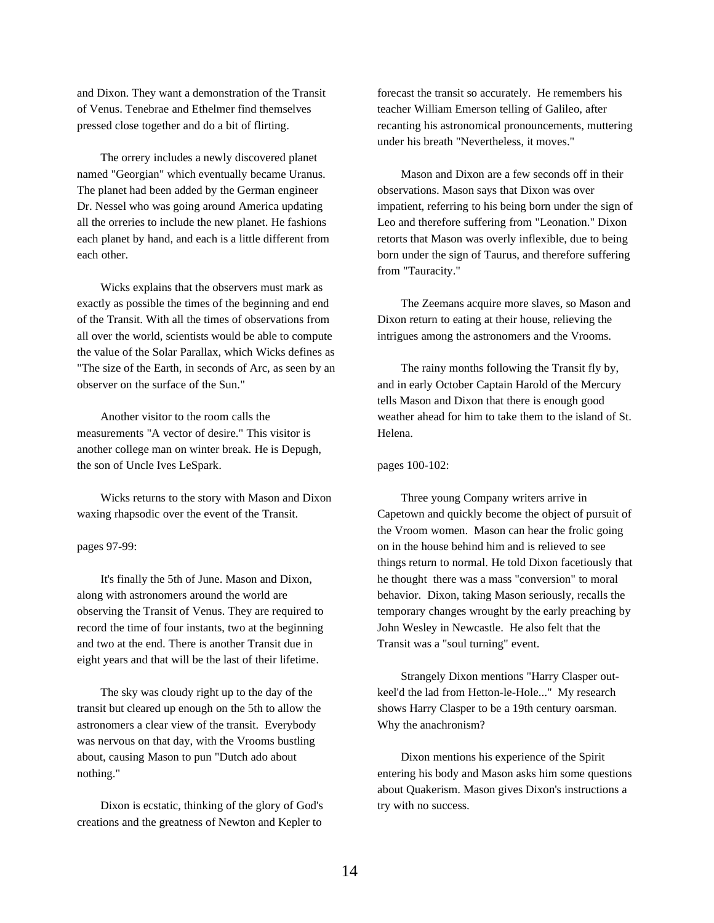and Dixon. They want a demonstration of the Transit of Venus. Tenebrae and Ethelmer find themselves pressed close together and do a bit of flirting.

The orrery includes a newly discovered planet named "Georgian" which eventually became Uranus. The planet had been added by the German engineer Dr. Nessel who was going around America updating all the orreries to include the new planet. He fashions each planet by hand, and each is a little different from each other.

Wicks explains that the observers must mark as exactly as possible the times of the beginning and end of the Transit. With all the times of observations from all over the world, scientists would be able to compute the value of the Solar Parallax, which Wicks defines as "The size of the Earth, in seconds of Arc, as seen by an observer on the surface of the Sun."

Another visitor to the room calls the measurements "A vector of desire." This visitor is another college man on winter break. He is Depugh, the son of Uncle Ives LeSpark.

Wicks returns to the story with Mason and Dixon waxing rhapsodic over the event of the Transit.

# pages 97-99:

It's finally the 5th of June. Mason and Dixon, along with astronomers around the world are observing the Transit of Venus. They are required to record the time of four instants, two at the beginning and two at the end. There is another Transit due in eight years and that will be the last of their lifetime.

The sky was cloudy right up to the day of the transit but cleared up enough on the 5th to allow the astronomers a clear view of the transit. Everybody was nervous on that day, with the Vrooms bustling about, causing Mason to pun "Dutch ado about nothing."

Dixon is ecstatic, thinking of the glory of God's creations and the greatness of Newton and Kepler to

forecast the transit so accurately. He remembers his teacher William Emerson telling of Galileo, after recanting his astronomical pronouncements, muttering under his breath "Nevertheless, it moves."

Mason and Dixon are a few seconds off in their observations. Mason says that Dixon was over impatient, referring to his being born under the sign of Leo and therefore suffering from "Leonation." Dixon retorts that Mason was overly inflexible, due to being born under the sign of Taurus, and therefore suffering from "Tauracity."

The Zeemans acquire more slaves, so Mason and Dixon return to eating at their house, relieving the intrigues among the astronomers and the Vrooms.

The rainy months following the Transit fly by, and in early October Captain Harold of the Mercury tells Mason and Dixon that there is enough good weather ahead for him to take them to the island of St. Helena.

## pages 100-102:

Three young Company writers arrive in Capetown and quickly become the object of pursuit of the Vroom women. Mason can hear the frolic going on in the house behind him and is relieved to see things return to normal. He told Dixon facetiously that he thought there was a mass "conversion" to moral behavior. Dixon, taking Mason seriously, recalls the temporary changes wrought by the early preaching by John Wesley in Newcastle. He also felt that the Transit was a "soul turning" event.

Strangely Dixon mentions "Harry Clasper outkeel'd the lad from Hetton-le-Hole..." My research shows Harry Clasper to be a 19th century oarsman. Why the anachronism?

Dixon mentions his experience of the Spirit entering his body and Mason asks him some questions about Quakerism. Mason gives Dixon's instructions a try with no success.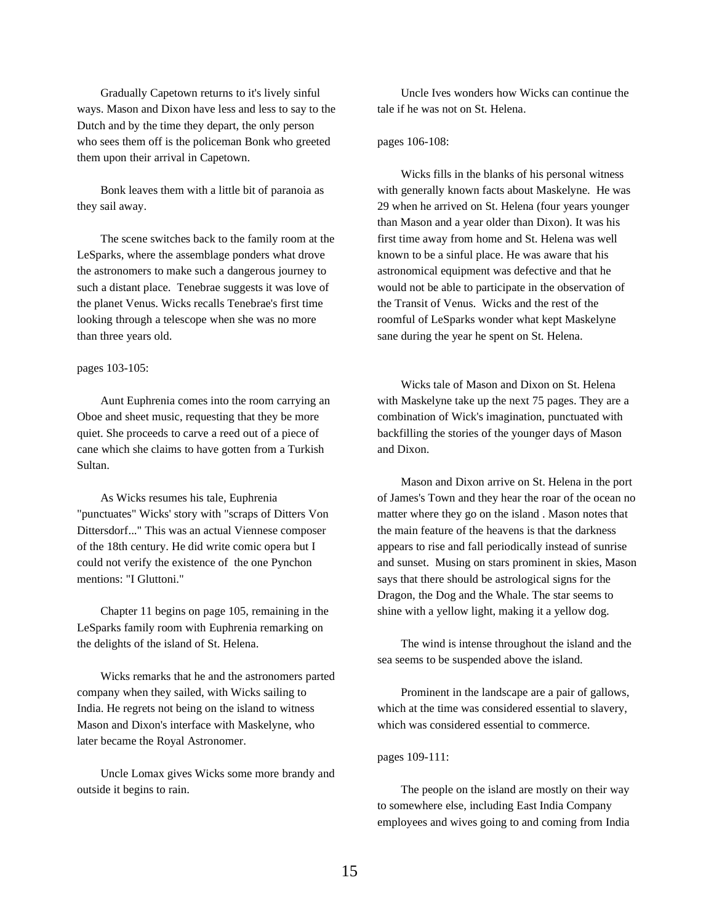Gradually Capetown returns to it's lively sinful ways. Mason and Dixon have less and less to say to the Dutch and by the time they depart, the only person who sees them off is the policeman Bonk who greeted them upon their arrival in Capetown.

Bonk leaves them with a little bit of paranoia as they sail away.

The scene switches back to the family room at the LeSparks, where the assemblage ponders what drove the astronomers to make such a dangerous journey to such a distant place. Tenebrae suggests it was love of the planet Venus. Wicks recalls Tenebrae's first time looking through a telescope when she was no more than three years old.

#### pages 103-105:

Aunt Euphrenia comes into the room carrying an Oboe and sheet music, requesting that they be more quiet. She proceeds to carve a reed out of a piece of cane which she claims to have gotten from a Turkish Sultan.

As Wicks resumes his tale, Euphrenia "punctuates" Wicks' story with "scraps of Ditters Von Dittersdorf..." This was an actual Viennese composer of the 18th century. He did write comic opera but I could not verify the existence of the one Pynchon mentions: "I Gluttoni."

Chapter 11 begins on page 105, remaining in the LeSparks family room with Euphrenia remarking on the delights of the island of St. Helena.

Wicks remarks that he and the astronomers parted company when they sailed, with Wicks sailing to India. He regrets not being on the island to witness Mason and Dixon's interface with Maskelyne, who later became the Royal Astronomer.

Uncle Lomax gives Wicks some more brandy and outside it begins to rain.

Uncle Ives wonders how Wicks can continue the tale if he was not on St. Helena.

# pages 106-108:

Wicks fills in the blanks of his personal witness with generally known facts about Maskelyne. He was 29 when he arrived on St. Helena (four years younger than Mason and a year older than Dixon). It was his first time away from home and St. Helena was well known to be a sinful place. He was aware that his astronomical equipment was defective and that he would not be able to participate in the observation of the Transit of Venus. Wicks and the rest of the roomful of LeSparks wonder what kept Maskelyne sane during the year he spent on St. Helena.

Wicks tale of Mason and Dixon on St. Helena with Maskelyne take up the next 75 pages. They are a combination of Wick's imagination, punctuated with backfilling the stories of the younger days of Mason and Dixon.

Mason and Dixon arrive on St. Helena in the port of James's Town and they hear the roar of the ocean no matter where they go on the island . Mason notes that the main feature of the heavens is that the darkness appears to rise and fall periodically instead of sunrise and sunset. Musing on stars prominent in skies, Mason says that there should be astrological signs for the Dragon, the Dog and the Whale. The star seems to shine with a yellow light, making it a yellow dog.

The wind is intense throughout the island and the sea seems to be suspended above the island.

Prominent in the landscape are a pair of gallows, which at the time was considered essential to slavery, which was considered essential to commerce.

pages 109-111:

The people on the island are mostly on their way to somewhere else, including East India Company employees and wives going to and coming from India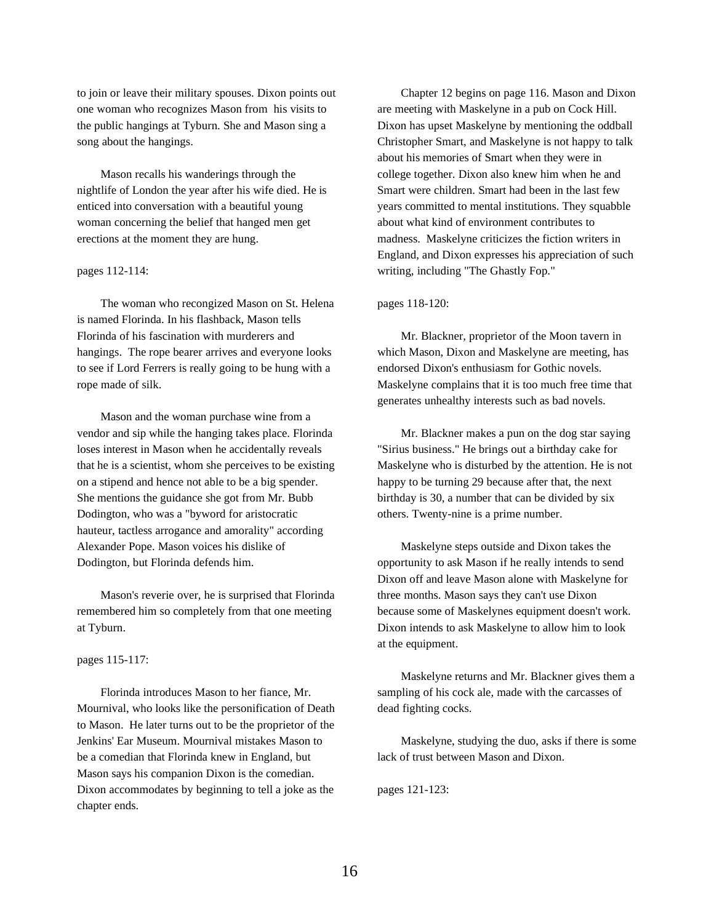to join or leave their military spouses. Dixon points out one woman who recognizes Mason from his visits to the public hangings at Tyburn. She and Mason sing a song about the hangings.

Mason recalls his wanderings through the nightlife of London the year after his wife died. He is enticed into conversation with a beautiful young woman concerning the belief that hanged men get erections at the moment they are hung.

# pages 112-114:

The woman who recongized Mason on St. Helena is named Florinda. In his flashback, Mason tells Florinda of his fascination with murderers and hangings. The rope bearer arrives and everyone looks to see if Lord Ferrers is really going to be hung with a rope made of silk.

Mason and the woman purchase wine from a vendor and sip while the hanging takes place. Florinda loses interest in Mason when he accidentally reveals that he is a scientist, whom she perceives to be existing on a stipend and hence not able to be a big spender. She mentions the guidance she got from Mr. Bubb Dodington, who was a "byword for aristocratic hauteur, tactless arrogance and amorality" according Alexander Pope. Mason voices his dislike of Dodington, but Florinda defends him.

Mason's reverie over, he is surprised that Florinda remembered him so completely from that one meeting at Tyburn.

## pages 115-117:

Florinda introduces Mason to her fiance, Mr. Mournival, who looks like the personification of Death to Mason. He later turns out to be the proprietor of the Jenkins' Ear Museum. Mournival mistakes Mason to be a comedian that Florinda knew in England, but Mason says his companion Dixon is the comedian. Dixon accommodates by beginning to tell a joke as the chapter ends.

Chapter 12 begins on page 116. Mason and Dixon are meeting with Maskelyne in a pub on Cock Hill. Dixon has upset Maskelyne by mentioning the oddball Christopher Smart, and Maskelyne is not happy to talk about his memories of Smart when they were in college together. Dixon also knew him when he and Smart were children. Smart had been in the last few years committed to mental institutions. They squabble about what kind of environment contributes to madness. Maskelyne criticizes the fiction writers in England, and Dixon expresses his appreciation of such writing, including "The Ghastly Fop."

#### pages 118-120:

Mr. Blackner, proprietor of the Moon tavern in which Mason, Dixon and Maskelyne are meeting, has endorsed Dixon's enthusiasm for Gothic novels. Maskelyne complains that it is too much free time that generates unhealthy interests such as bad novels.

Mr. Blackner makes a pun on the dog star saying "Sirius business." He brings out a birthday cake for Maskelyne who is disturbed by the attention. He is not happy to be turning 29 because after that, the next birthday is 30, a number that can be divided by six others. Twenty-nine is a prime number.

Maskelyne steps outside and Dixon takes the opportunity to ask Mason if he really intends to send Dixon off and leave Mason alone with Maskelyne for three months. Mason says they can't use Dixon because some of Maskelynes equipment doesn't work. Dixon intends to ask Maskelyne to allow him to look at the equipment.

Maskelyne returns and Mr. Blackner gives them a sampling of his cock ale, made with the carcasses of dead fighting cocks.

Maskelyne, studying the duo, asks if there is some lack of trust between Mason and Dixon.

pages 121-123: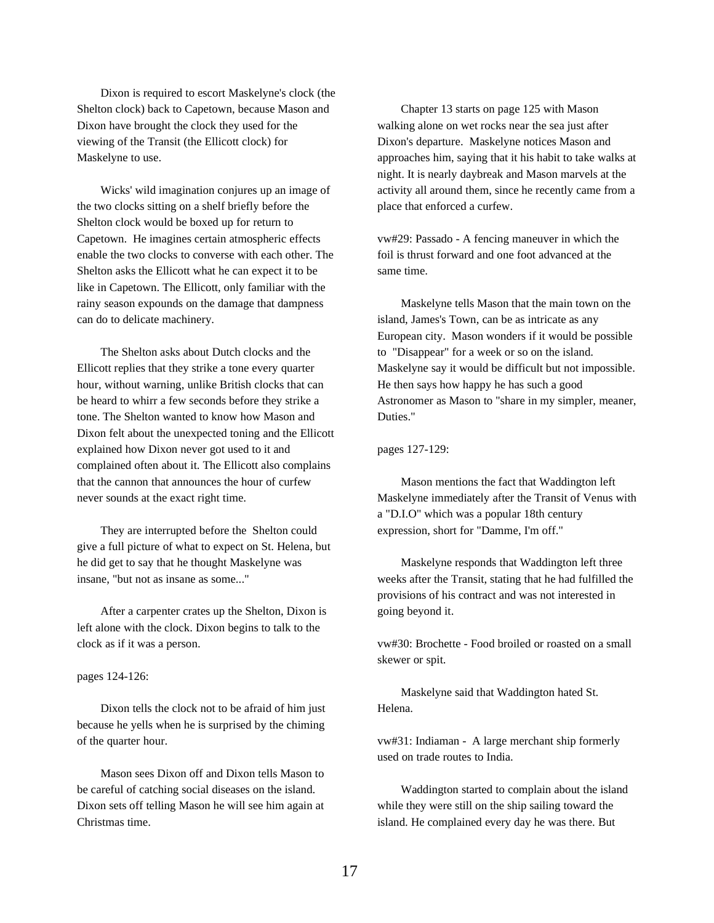Dixon is required to escort Maskelyne's clock (the Shelton clock) back to Capetown, because Mason and Dixon have brought the clock they used for the viewing of the Transit (the Ellicott clock) for Maskelyne to use.

Wicks' wild imagination conjures up an image of the two clocks sitting on a shelf briefly before the Shelton clock would be boxed up for return to Capetown. He imagines certain atmospheric effects enable the two clocks to converse with each other. The Shelton asks the Ellicott what he can expect it to be like in Capetown. The Ellicott, only familiar with the rainy season expounds on the damage that dampness can do to delicate machinery.

The Shelton asks about Dutch clocks and the Ellicott replies that they strike a tone every quarter hour, without warning, unlike British clocks that can be heard to whirr a few seconds before they strike a tone. The Shelton wanted to know how Mason and Dixon felt about the unexpected toning and the Ellicott explained how Dixon never got used to it and complained often about it. The Ellicott also complains that the cannon that announces the hour of curfew never sounds at the exact right time.

They are interrupted before the Shelton could give a full picture of what to expect on St. Helena, but he did get to say that he thought Maskelyne was insane, "but not as insane as some..."

After a carpenter crates up the Shelton, Dixon is left alone with the clock. Dixon begins to talk to the clock as if it was a person.

#### pages 124-126:

Dixon tells the clock not to be afraid of him just because he yells when he is surprised by the chiming of the quarter hour.

Mason sees Dixon off and Dixon tells Mason to be careful of catching social diseases on the island. Dixon sets off telling Mason he will see him again at Christmas time.

Chapter 13 starts on page 125 with Mason walking alone on wet rocks near the sea just after Dixon's departure. Maskelyne notices Mason and approaches him, saying that it his habit to take walks at night. It is nearly daybreak and Mason marvels at the activity all around them, since he recently came from a place that enforced a curfew.

vw#29: Passado - A fencing maneuver in which the foil is thrust forward and one foot advanced at the same time.

Maskelyne tells Mason that the main town on the island, James's Town, can be as intricate as any European city. Mason wonders if it would be possible to "Disappear" for a week or so on the island. Maskelyne say it would be difficult but not impossible. He then says how happy he has such a good Astronomer as Mason to "share in my simpler, meaner, Duties."

pages 127-129:

Mason mentions the fact that Waddington left Maskelyne immediately after the Transit of Venus with a "D.I.O" which was a popular 18th century expression, short for "Damme, I'm off."

Maskelyne responds that Waddington left three weeks after the Transit, stating that he had fulfilled the provisions of his contract and was not interested in going beyond it.

vw#30: Brochette - Food broiled or roasted on a small skewer or spit.

Maskelyne said that Waddington hated St. Helena.

vw#31: Indiaman - A large merchant ship formerly used on trade routes to India.

Waddington started to complain about the island while they were still on the ship sailing toward the island. He complained every day he was there. But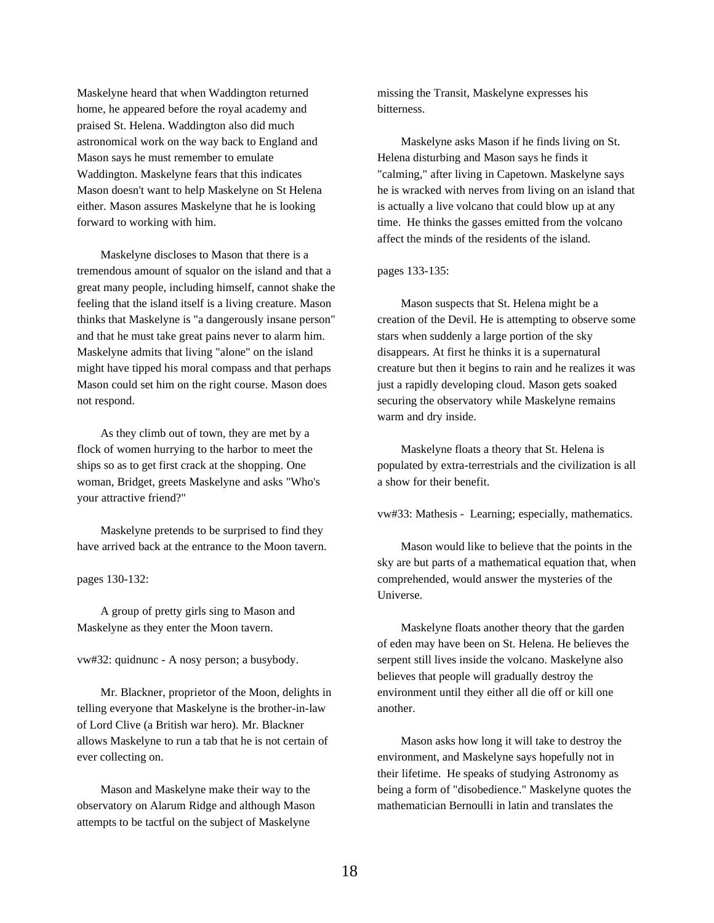Maskelyne heard that when Waddington returned home, he appeared before the royal academy and praised St. Helena. Waddington also did much astronomical work on the way back to England and Mason says he must remember to emulate Waddington. Maskelyne fears that this indicates Mason doesn't want to help Maskelyne on St Helena either. Mason assures Maskelyne that he is looking forward to working with him.

Maskelyne discloses to Mason that there is a tremendous amount of squalor on the island and that a great many people, including himself, cannot shake the feeling that the island itself is a living creature. Mason thinks that Maskelyne is "a dangerously insane person" and that he must take great pains never to alarm him. Maskelyne admits that living "alone" on the island might have tipped his moral compass and that perhaps Mason could set him on the right course. Mason does not respond.

As they climb out of town, they are met by a flock of women hurrying to the harbor to meet the ships so as to get first crack at the shopping. One woman, Bridget, greets Maskelyne and asks "Who's your attractive friend?"

Maskelyne pretends to be surprised to find they have arrived back at the entrance to the Moon tavern.

pages 130-132:

A group of pretty girls sing to Mason and Maskelyne as they enter the Moon tavern.

vw#32: quidnunc - A nosy person; a busybody.

Mr. Blackner, proprietor of the Moon, delights in telling everyone that Maskelyne is the brother-in-law of Lord Clive (a British war hero). Mr. Blackner allows Maskelyne to run a tab that he is not certain of ever collecting on.

Mason and Maskelyne make their way to the observatory on Alarum Ridge and although Mason attempts to be tactful on the subject of Maskelyne

missing the Transit, Maskelyne expresses his bitterness.

Maskelyne asks Mason if he finds living on St. Helena disturbing and Mason says he finds it "calming," after living in Capetown. Maskelyne says he is wracked with nerves from living on an island that is actually a live volcano that could blow up at any time. He thinks the gasses emitted from the volcano affect the minds of the residents of the island.

pages 133-135:

Mason suspects that St. Helena might be a creation of the Devil. He is attempting to observe some stars when suddenly a large portion of the sky disappears. At first he thinks it is a supernatural creature but then it begins to rain and he realizes it was just a rapidly developing cloud. Mason gets soaked securing the observatory while Maskelyne remains warm and dry inside.

Maskelyne floats a theory that St. Helena is populated by extra-terrestrials and the civilization is all a show for their benefit.

vw#33: Mathesis - Learning; especially, mathematics.

Mason would like to believe that the points in the sky are but parts of a mathematical equation that, when comprehended, would answer the mysteries of the Universe.

Maskelyne floats another theory that the garden of eden may have been on St. Helena. He believes the serpent still lives inside the volcano. Maskelyne also believes that people will gradually destroy the environment until they either all die off or kill one another.

Mason asks how long it will take to destroy the environment, and Maskelyne says hopefully not in their lifetime. He speaks of studying Astronomy as being a form of "disobedience." Maskelyne quotes the mathematician Bernoulli in latin and translates the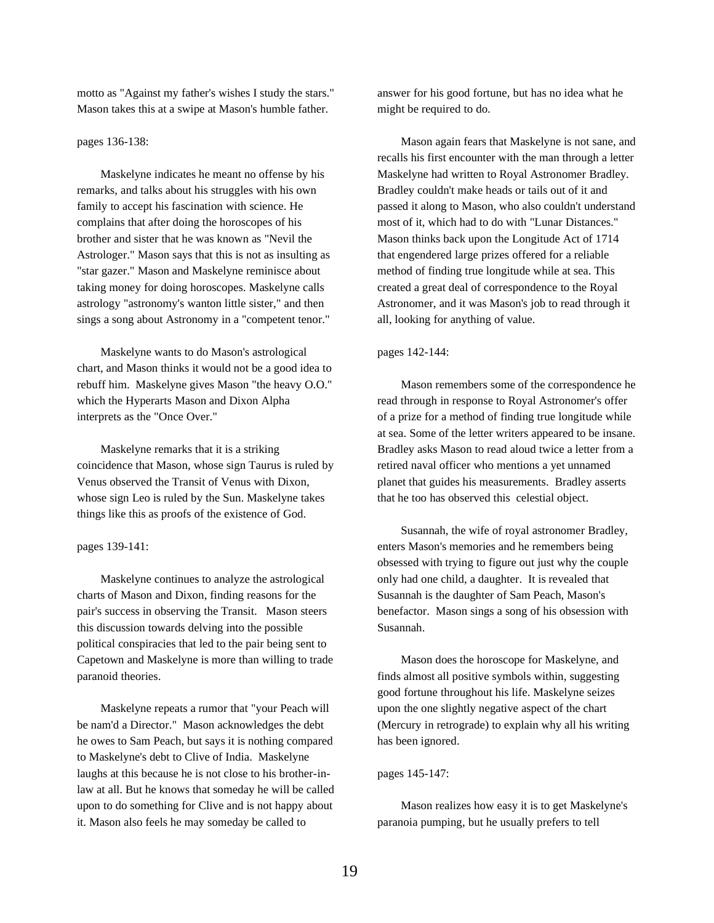motto as "Against my father's wishes I study the stars." Mason takes this at a swipe at Mason's humble father.

# pages 136-138:

Maskelyne indicates he meant no offense by his remarks, and talks about his struggles with his own family to accept his fascination with science. He complains that after doing the horoscopes of his brother and sister that he was known as "Nevil the Astrologer." Mason says that this is not as insulting as "star gazer." Mason and Maskelyne reminisce about taking money for doing horoscopes. Maskelyne calls astrology "astronomy's wanton little sister," and then sings a song about Astronomy in a "competent tenor."

Maskelyne wants to do Mason's astrological chart, and Mason thinks it would not be a good idea to rebuff him. Maskelyne gives Mason "the heavy O.O." which the Hyperarts Mason and Dixon Alpha interprets as the "Once Over."

Maskelyne remarks that it is a striking coincidence that Mason, whose sign Taurus is ruled by Venus observed the Transit of Venus with Dixon, whose sign Leo is ruled by the Sun. Maskelyne takes things like this as proofs of the existence of God.

#### pages 139-141:

Maskelyne continues to analyze the astrological charts of Mason and Dixon, finding reasons for the pair's success in observing the Transit. Mason steers this discussion towards delving into the possible political conspiracies that led to the pair being sent to Capetown and Maskelyne is more than willing to trade paranoid theories.

Maskelyne repeats a rumor that "your Peach will be nam'd a Director." Mason acknowledges the debt he owes to Sam Peach, but says it is nothing compared to Maskelyne's debt to Clive of India. Maskelyne laughs at this because he is not close to his brother-inlaw at all. But he knows that someday he will be called upon to do something for Clive and is not happy about it. Mason also feels he may someday be called to

answer for his good fortune, but has no idea what he might be required to do.

Mason again fears that Maskelyne is not sane, and recalls his first encounter with the man through a letter Maskelyne had written to Royal Astronomer Bradley. Bradley couldn't make heads or tails out of it and passed it along to Mason, who also couldn't understand most of it, which had to do with "Lunar Distances." Mason thinks back upon the Longitude Act of 1714 that engendered large prizes offered for a reliable method of finding true longitude while at sea. This created a great deal of correspondence to the Royal Astronomer, and it was Mason's job to read through it all, looking for anything of value.

### pages 142-144:

Mason remembers some of the correspondence he read through in response to Royal Astronomer's offer of a prize for a method of finding true longitude while at sea. Some of the letter writers appeared to be insane. Bradley asks Mason to read aloud twice a letter from a retired naval officer who mentions a yet unnamed planet that guides his measurements. Bradley asserts that he too has observed this celestial object.

Susannah, the wife of royal astronomer Bradley, enters Mason's memories and he remembers being obsessed with trying to figure out just why the couple only had one child, a daughter. It is revealed that Susannah is the daughter of Sam Peach, Mason's benefactor. Mason sings a song of his obsession with Susannah.

Mason does the horoscope for Maskelyne, and finds almost all positive symbols within, suggesting good fortune throughout his life. Maskelyne seizes upon the one slightly negative aspect of the chart (Mercury in retrograde) to explain why all his writing has been ignored.

### pages 145-147:

Mason realizes how easy it is to get Maskelyne's paranoia pumping, but he usually prefers to tell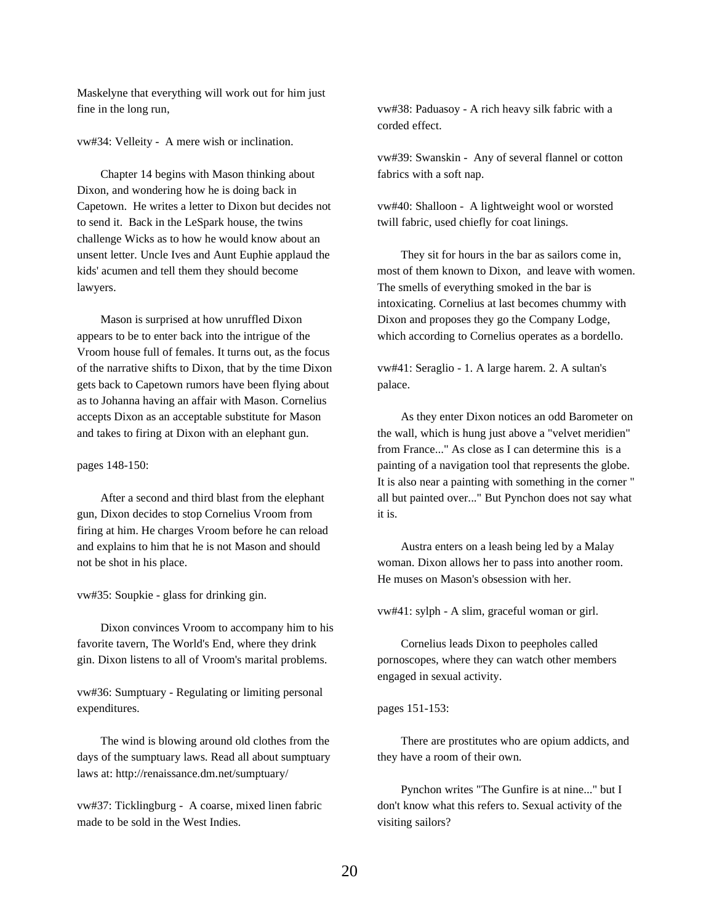Maskelyne that everything will work out for him just fine in the long run,

vw#34: Velleity - A mere wish or inclination.

Chapter 14 begins with Mason thinking about Dixon, and wondering how he is doing back in Capetown. He writes a letter to Dixon but decides not to send it. Back in the LeSpark house, the twins challenge Wicks as to how he would know about an unsent letter. Uncle Ives and Aunt Euphie applaud the kids' acumen and tell them they should become lawyers.

Mason is surprised at how unruffled Dixon appears to be to enter back into the intrigue of the Vroom house full of females. It turns out, as the focus of the narrative shifts to Dixon, that by the time Dixon gets back to Capetown rumors have been flying about as to Johanna having an affair with Mason. Cornelius accepts Dixon as an acceptable substitute for Mason and takes to firing at Dixon with an elephant gun.

#### pages 148-150:

After a second and third blast from the elephant gun, Dixon decides to stop Cornelius Vroom from firing at him. He charges Vroom before he can reload and explains to him that he is not Mason and should not be shot in his place.

vw#35: Soupkie - glass for drinking gin.

Dixon convinces Vroom to accompany him to his favorite tavern, The World's End, where they drink gin. Dixon listens to all of Vroom's marital problems.

vw#36: Sumptuary - Regulating or limiting personal expenditures.

The wind is blowing around old clothes from the days of the sumptuary laws. Read all about sumptuary laws at: http://renaissance.dm.net/sumptuary/

vw#37: Ticklingburg - A coarse, mixed linen fabric made to be sold in the West Indies.

vw#38: Paduasoy - A rich heavy silk fabric with a corded effect.

vw#39: Swanskin - Any of several flannel or cotton fabrics with a soft nap.

vw#40: Shalloon - A lightweight wool or worsted twill fabric, used chiefly for coat linings.

They sit for hours in the bar as sailors come in, most of them known to Dixon, and leave with women. The smells of everything smoked in the bar is intoxicating. Cornelius at last becomes chummy with Dixon and proposes they go the Company Lodge, which according to Cornelius operates as a bordello.

vw#41: Seraglio - 1. A large harem. 2. A sultan's palace.

As they enter Dixon notices an odd Barometer on the wall, which is hung just above a "velvet meridien" from France..." As close as I can determine this is a painting of a navigation tool that represents the globe. It is also near a painting with something in the corner " all but painted over..." But Pynchon does not say what it is.

Austra enters on a leash being led by a Malay woman. Dixon allows her to pass into another room. He muses on Mason's obsession with her.

vw#41: sylph - A slim, graceful woman or girl.

Cornelius leads Dixon to peepholes called pornoscopes, where they can watch other members engaged in sexual activity.

### pages 151-153:

There are prostitutes who are opium addicts, and they have a room of their own.

Pynchon writes "The Gunfire is at nine..." but I don't know what this refers to. Sexual activity of the visiting sailors?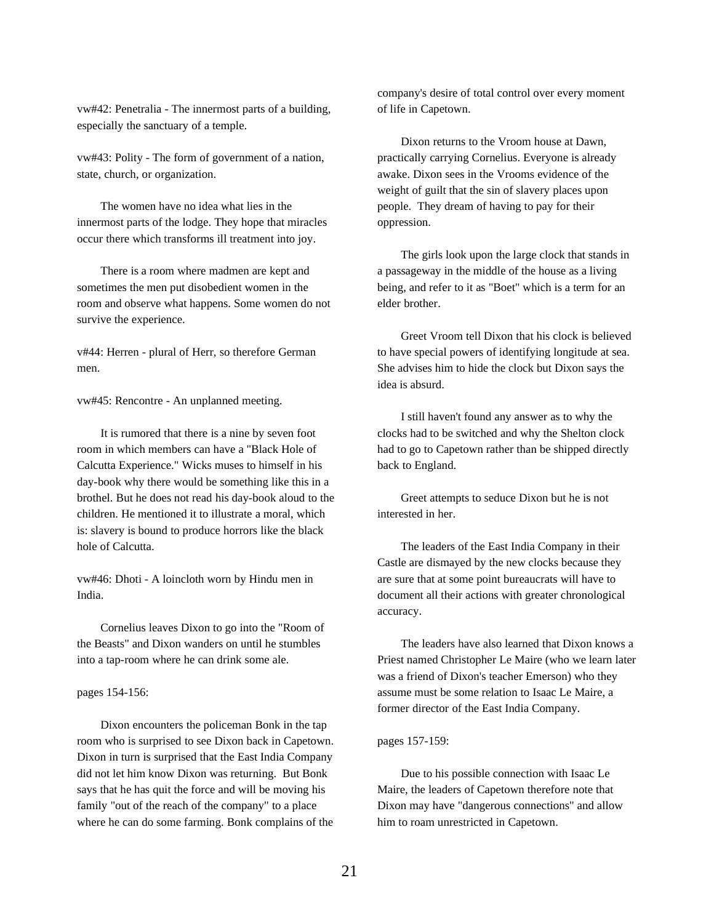vw#42: Penetralia - The innermost parts of a building, especially the sanctuary of a temple.

vw#43: Polity - The form of government of a nation, state, church, or organization.

The women have no idea what lies in the innermost parts of the lodge. They hope that miracles occur there which transforms ill treatment into joy.

There is a room where madmen are kept and sometimes the men put disobedient women in the room and observe what happens. Some women do not survive the experience.

v#44: Herren - plural of Herr, so therefore German men.

vw#45: Rencontre - An unplanned meeting.

It is rumored that there is a nine by seven foot room in which members can have a "Black Hole of Calcutta Experience." Wicks muses to himself in his day-book why there would be something like this in a brothel. But he does not read his day-book aloud to the children. He mentioned it to illustrate a moral, which is: slavery is bound to produce horrors like the black hole of Calcutta.

vw#46: Dhoti - A loincloth worn by Hindu men in India.

Cornelius leaves Dixon to go into the "Room of the Beasts" and Dixon wanders on until he stumbles into a tap-room where he can drink some ale.

# pages 154-156:

Dixon encounters the policeman Bonk in the tap room who is surprised to see Dixon back in Capetown. Dixon in turn is surprised that the East India Company did not let him know Dixon was returning. But Bonk says that he has quit the force and will be moving his family "out of the reach of the company" to a place where he can do some farming. Bonk complains of the company's desire of total control over every moment of life in Capetown.

Dixon returns to the Vroom house at Dawn, practically carrying Cornelius. Everyone is already awake. Dixon sees in the Vrooms evidence of the weight of guilt that the sin of slavery places upon people. They dream of having to pay for their oppression.

The girls look upon the large clock that stands in a passageway in the middle of the house as a living being, and refer to it as "Boet" which is a term for an elder brother.

Greet Vroom tell Dixon that his clock is believed to have special powers of identifying longitude at sea. She advises him to hide the clock but Dixon says the idea is absurd.

I still haven't found any answer as to why the clocks had to be switched and why the Shelton clock had to go to Capetown rather than be shipped directly back to England.

Greet attempts to seduce Dixon but he is not interested in her.

The leaders of the East India Company in their Castle are dismayed by the new clocks because they are sure that at some point bureaucrats will have to document all their actions with greater chronological accuracy.

The leaders have also learned that Dixon knows a Priest named Christopher Le Maire (who we learn later was a friend of Dixon's teacher Emerson) who they assume must be some relation to Isaac Le Maire, a former director of the East India Company.

#### pages 157-159:

Due to his possible connection with Isaac Le Maire, the leaders of Capetown therefore note that Dixon may have "dangerous connections" and allow him to roam unrestricted in Capetown.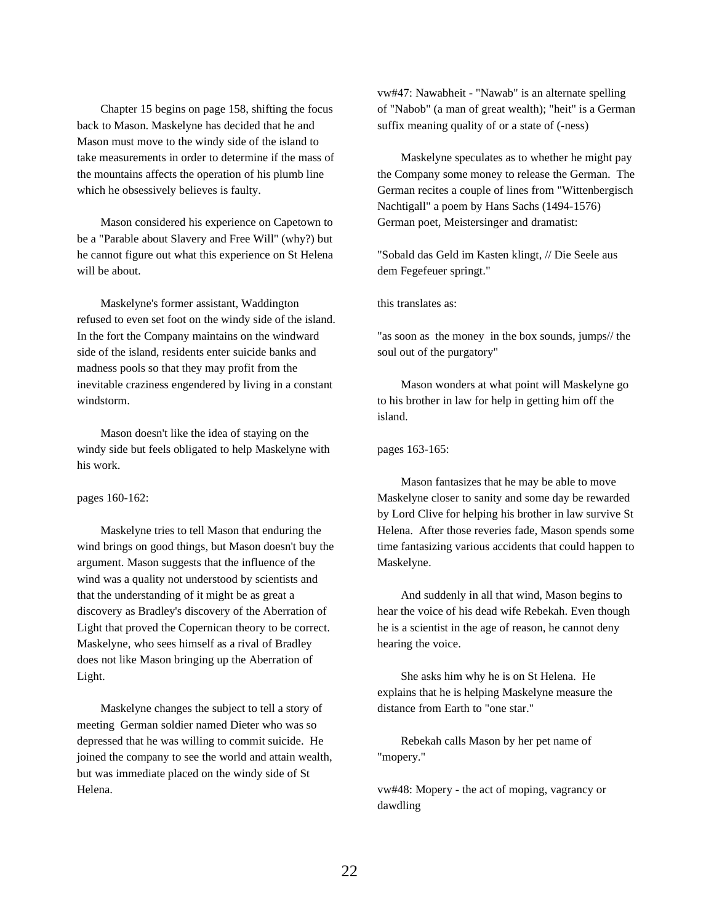Chapter 15 begins on page 158, shifting the focus back to Mason. Maskelyne has decided that he and Mason must move to the windy side of the island to take measurements in order to determine if the mass of the mountains affects the operation of his plumb line which he obsessively believes is faulty.

Mason considered his experience on Capetown to be a "Parable about Slavery and Free Will" (why?) but he cannot figure out what this experience on St Helena will be about.

Maskelyne's former assistant, Waddington refused to even set foot on the windy side of the island. In the fort the Company maintains on the windward side of the island, residents enter suicide banks and madness pools so that they may profit from the inevitable craziness engendered by living in a constant windstorm.

Mason doesn't like the idea of staying on the windy side but feels obligated to help Maskelyne with his work.

pages 160-162:

Maskelyne tries to tell Mason that enduring the wind brings on good things, but Mason doesn't buy the argument. Mason suggests that the influence of the wind was a quality not understood by scientists and that the understanding of it might be as great a discovery as Bradley's discovery of the Aberration of Light that proved the Copernican theory to be correct. Maskelyne, who sees himself as a rival of Bradley does not like Mason bringing up the Aberration of Light.

Maskelyne changes the subject to tell a story of meeting German soldier named Dieter who was so depressed that he was willing to commit suicide. He joined the company to see the world and attain wealth, but was immediate placed on the windy side of St Helena.

vw#47: Nawabheit - "Nawab" is an alternate spelling of "Nabob" (a man of great wealth); "heit" is a German suffix meaning quality of or a state of (-ness)

Maskelyne speculates as to whether he might pay the Company some money to release the German. The German recites a couple of lines from "Wittenbergisch Nachtigall" a poem by Hans Sachs (1494-1576) German poet, Meistersinger and dramatist:

"Sobald das Geld im Kasten klingt, // Die Seele aus dem Fegefeuer springt."

this translates as:

"as soon as the money in the box sounds, jumps// the soul out of the purgatory"

Mason wonders at what point will Maskelyne go to his brother in law for help in getting him off the island.

pages 163-165:

Mason fantasizes that he may be able to move Maskelyne closer to sanity and some day be rewarded by Lord Clive for helping his brother in law survive St Helena. After those reveries fade, Mason spends some time fantasizing various accidents that could happen to Maskelyne.

And suddenly in all that wind, Mason begins to hear the voice of his dead wife Rebekah. Even though he is a scientist in the age of reason, he cannot deny hearing the voice.

She asks him why he is on St Helena. He explains that he is helping Maskelyne measure the distance from Earth to "one star."

Rebekah calls Mason by her pet name of "mopery."

vw#48: Mopery - the act of moping, vagrancy or dawdling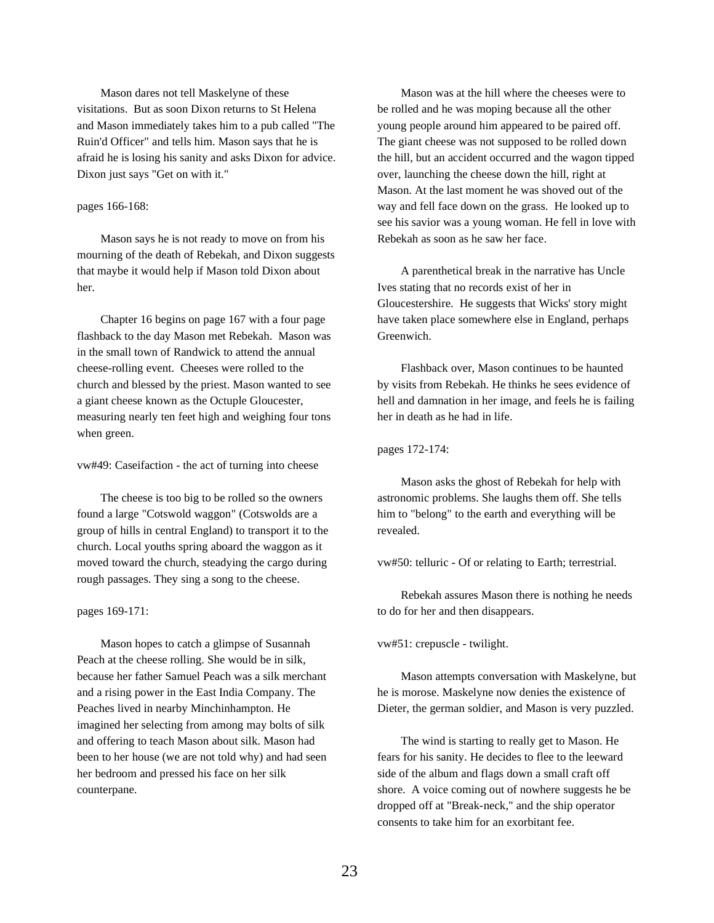Mason dares not tell Maskelyne of these visitations. But as soon Dixon returns to St Helena and Mason immediately takes him to a pub called "The Ruin'd Officer" and tells him. Mason says that he is afraid he is losing his sanity and asks Dixon for advice. Dixon just says "Get on with it."

### pages 166-168:

Mason says he is not ready to move on from his mourning of the death of Rebekah, and Dixon suggests that maybe it would help if Mason told Dixon about her.

Chapter 16 begins on page 167 with a four page flashback to the day Mason met Rebekah. Mason was in the small town of Randwick to attend the annual cheese-rolling event. Cheeses were rolled to the church and blessed by the priest. Mason wanted to see a giant cheese known as the Octuple Gloucester, measuring nearly ten feet high and weighing four tons when green.

vw#49: Caseifaction - the act of turning into cheese

The cheese is too big to be rolled so the owners found a large "Cotswold waggon" (Cotswolds are a group of hills in central England) to transport it to the church. Local youths spring aboard the waggon as it moved toward the church, steadying the cargo during rough passages. They sing a song to the cheese.

### pages 169-171:

Mason hopes to catch a glimpse of Susannah Peach at the cheese rolling. She would be in silk, because her father Samuel Peach was a silk merchant and a rising power in the East India Company. The Peaches lived in nearby Minchinhampton. He imagined her selecting from among may bolts of silk and offering to teach Mason about silk. Mason had been to her house (we are not told why) and had seen her bedroom and pressed his face on her silk counterpane.

Mason was at the hill where the cheeses were to be rolled and he was moping because all the other young people around him appeared to be paired off. The giant cheese was not supposed to be rolled down the hill, but an accident occurred and the wagon tipped over, launching the cheese down the hill, right at Mason. At the last moment he was shoved out of the way and fell face down on the grass. He looked up to see his savior was a young woman. He fell in love with Rebekah as soon as he saw her face.

A parenthetical break in the narrative has Uncle Ives stating that no records exist of her in Gloucestershire. He suggests that Wicks' story might have taken place somewhere else in England, perhaps Greenwich.

Flashback over, Mason continues to be haunted by visits from Rebekah. He thinks he sees evidence of hell and damnation in her image, and feels he is failing her in death as he had in life.

pages 172-174:

Mason asks the ghost of Rebekah for help with astronomic problems. She laughs them off. She tells him to "belong" to the earth and everything will be revealed.

vw#50: telluric - Of or relating to Earth; terrestrial.

Rebekah assures Mason there is nothing he needs to do for her and then disappears.

vw#51: crepuscle - twilight.

Mason attempts conversation with Maskelyne, but he is morose. Maskelyne now denies the existence of Dieter, the german soldier, and Mason is very puzzled.

The wind is starting to really get to Mason. He fears for his sanity. He decides to flee to the leeward side of the album and flags down a small craft off shore. A voice coming out of nowhere suggests he be dropped off at "Break-neck," and the ship operator consents to take him for an exorbitant fee.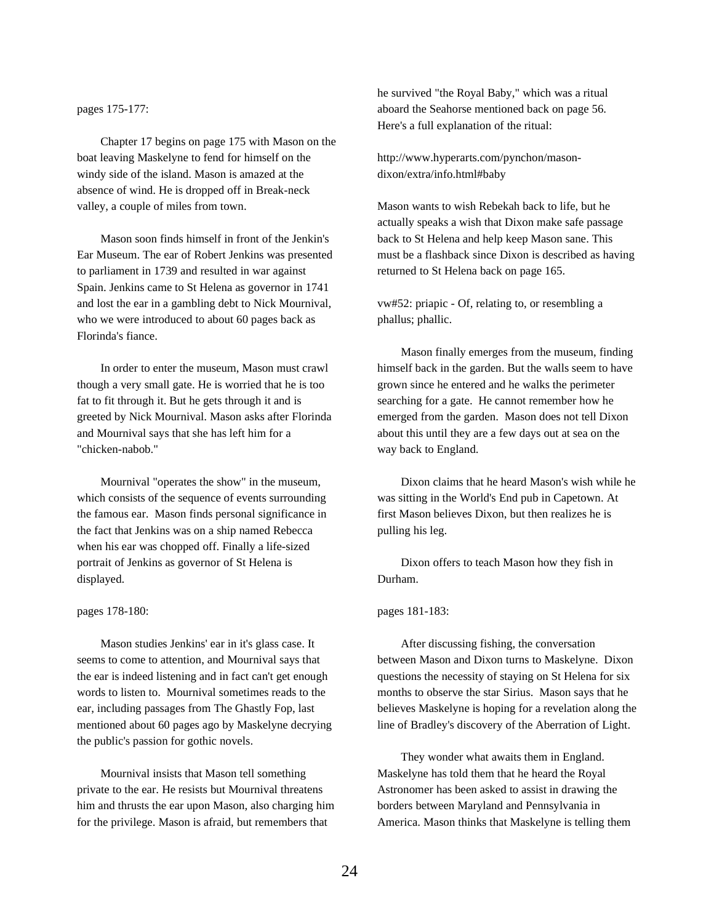pages 175-177:

Chapter 17 begins on page 175 with Mason on the boat leaving Maskelyne to fend for himself on the windy side of the island. Mason is amazed at the absence of wind. He is dropped off in Break-neck valley, a couple of miles from town.

Mason soon finds himself in front of the Jenkin's Ear Museum. The ear of Robert Jenkins was presented to parliament in 1739 and resulted in war against Spain. Jenkins came to St Helena as governor in 1741 and lost the ear in a gambling debt to Nick Mournival, who we were introduced to about 60 pages back as Florinda's fiance.

In order to enter the museum, Mason must crawl though a very small gate. He is worried that he is too fat to fit through it. But he gets through it and is greeted by Nick Mournival. Mason asks after Florinda and Mournival says that she has left him for a "chicken-nabob."

Mournival "operates the show" in the museum, which consists of the sequence of events surrounding the famous ear. Mason finds personal significance in the fact that Jenkins was on a ship named Rebecca when his ear was chopped off. Finally a life-sized portrait of Jenkins as governor of St Helena is displayed.

#### pages 178-180:

Mason studies Jenkins' ear in it's glass case. It seems to come to attention, and Mournival says that the ear is indeed listening and in fact can't get enough words to listen to. Mournival sometimes reads to the ear, including passages from The Ghastly Fop, last mentioned about 60 pages ago by Maskelyne decrying the public's passion for gothic novels.

Mournival insists that Mason tell something private to the ear. He resists but Mournival threatens him and thrusts the ear upon Mason, also charging him for the privilege. Mason is afraid, but remembers that

he survived "the Royal Baby," which was a ritual aboard the Seahorse mentioned back on page 56. Here's a full explanation of the ritual:

http://www.hyperarts.com/pynchon/masondixon/extra/info.html#baby

Mason wants to wish Rebekah back to life, but he actually speaks a wish that Dixon make safe passage back to St Helena and help keep Mason sane. This must be a flashback since Dixon is described as having returned to St Helena back on page 165.

vw#52: priapic - Of, relating to, or resembling a phallus; phallic.

Mason finally emerges from the museum, finding himself back in the garden. But the walls seem to have grown since he entered and he walks the perimeter searching for a gate. He cannot remember how he emerged from the garden. Mason does not tell Dixon about this until they are a few days out at sea on the way back to England.

Dixon claims that he heard Mason's wish while he was sitting in the World's End pub in Capetown. At first Mason believes Dixon, but then realizes he is pulling his leg.

Dixon offers to teach Mason how they fish in Durham.

## pages 181-183:

After discussing fishing, the conversation between Mason and Dixon turns to Maskelyne. Dixon questions the necessity of staying on St Helena for six months to observe the star Sirius. Mason says that he believes Maskelyne is hoping for a revelation along the line of Bradley's discovery of the Aberration of Light.

They wonder what awaits them in England. Maskelyne has told them that he heard the Royal Astronomer has been asked to assist in drawing the borders between Maryland and Pennsylvania in America. Mason thinks that Maskelyne is telling them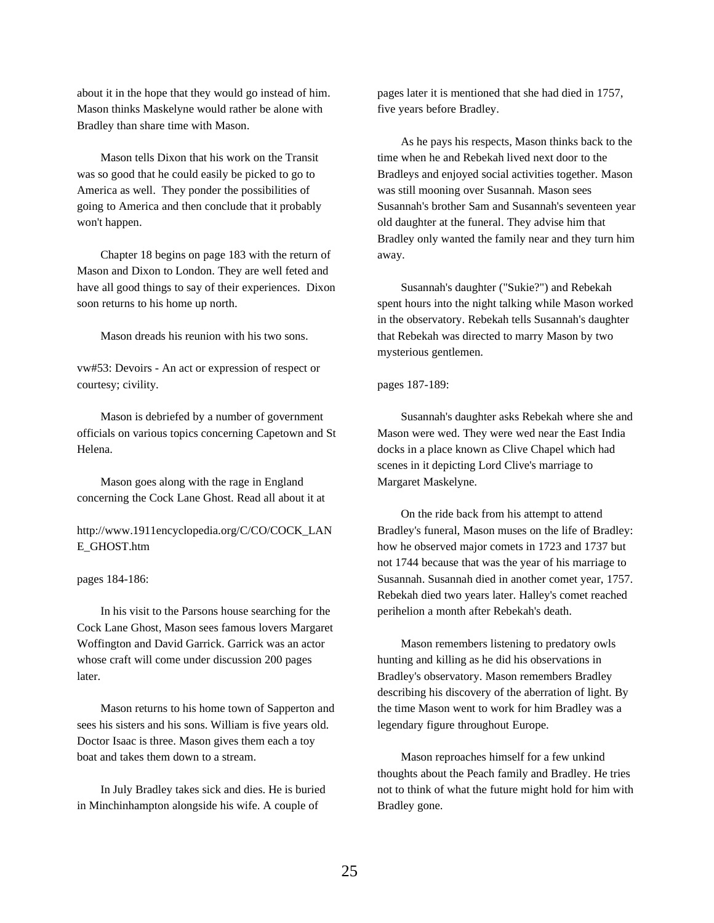about it in the hope that they would go instead of him. Mason thinks Maskelyne would rather be alone with Bradley than share time with Mason.

Mason tells Dixon that his work on the Transit was so good that he could easily be picked to go to America as well. They ponder the possibilities of going to America and then conclude that it probably won't happen.

Chapter 18 begins on page 183 with the return of Mason and Dixon to London. They are well feted and have all good things to say of their experiences. Dixon soon returns to his home up north.

Mason dreads his reunion with his two sons.

vw#53: Devoirs - An act or expression of respect or courtesy; civility.

Mason is debriefed by a number of government officials on various topics concerning Capetown and St Helena.

Mason goes along with the rage in England concerning the Cock Lane Ghost. Read all about it at

http://www.1911encyclopedia.org/C/CO/COCK\_LAN E\_GHOST.htm

pages 184-186:

In his visit to the Parsons house searching for the Cock Lane Ghost, Mason sees famous lovers Margaret Woffington and David Garrick. Garrick was an actor whose craft will come under discussion 200 pages later.

Mason returns to his home town of Sapperton and sees his sisters and his sons. William is five years old. Doctor Isaac is three. Mason gives them each a toy boat and takes them down to a stream.

In July Bradley takes sick and dies. He is buried in Minchinhampton alongside his wife. A couple of

pages later it is mentioned that she had died in 1757, five years before Bradley.

As he pays his respects, Mason thinks back to the time when he and Rebekah lived next door to the Bradleys and enjoyed social activities together. Mason was still mooning over Susannah. Mason sees Susannah's brother Sam and Susannah's seventeen year old daughter at the funeral. They advise him that Bradley only wanted the family near and they turn him away.

Susannah's daughter ("Sukie?") and Rebekah spent hours into the night talking while Mason worked in the observatory. Rebekah tells Susannah's daughter that Rebekah was directed to marry Mason by two mysterious gentlemen.

# pages 187-189:

Susannah's daughter asks Rebekah where she and Mason were wed. They were wed near the East India docks in a place known as Clive Chapel which had scenes in it depicting Lord Clive's marriage to Margaret Maskelyne.

On the ride back from his attempt to attend Bradley's funeral, Mason muses on the life of Bradley: how he observed major comets in 1723 and 1737 but not 1744 because that was the year of his marriage to Susannah. Susannah died in another comet year, 1757. Rebekah died two years later. Halley's comet reached perihelion a month after Rebekah's death.

Mason remembers listening to predatory owls hunting and killing as he did his observations in Bradley's observatory. Mason remembers Bradley describing his discovery of the aberration of light. By the time Mason went to work for him Bradley was a legendary figure throughout Europe.

Mason reproaches himself for a few unkind thoughts about the Peach family and Bradley. He tries not to think of what the future might hold for him with Bradley gone.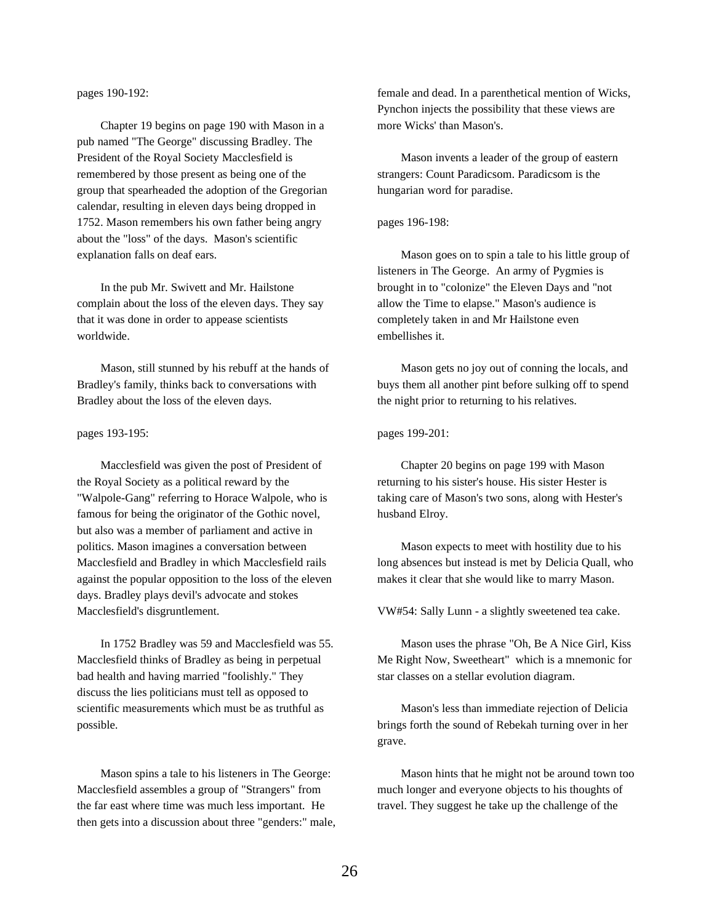pages 190-192:

Chapter 19 begins on page 190 with Mason in a pub named "The George" discussing Bradley. The President of the Royal Society Macclesfield is remembered by those present as being one of the group that spearheaded the adoption of the Gregorian calendar, resulting in eleven days being dropped in 1752. Mason remembers his own father being angry about the "loss" of the days. Mason's scientific explanation falls on deaf ears.

In the pub Mr. Swivett and Mr. Hailstone complain about the loss of the eleven days. They say that it was done in order to appease scientists worldwide.

Mason, still stunned by his rebuff at the hands of Bradley's family, thinks back to conversations with Bradley about the loss of the eleven days.

#### pages 193-195:

Macclesfield was given the post of President of the Royal Society as a political reward by the "Walpole-Gang" referring to Horace Walpole, who is famous for being the originator of the Gothic novel, but also was a member of parliament and active in politics. Mason imagines a conversation between Macclesfield and Bradley in which Macclesfield rails against the popular opposition to the loss of the eleven days. Bradley plays devil's advocate and stokes Macclesfield's disgruntlement.

In 1752 Bradley was 59 and Macclesfield was 55. Macclesfield thinks of Bradley as being in perpetual bad health and having married "foolishly." They discuss the lies politicians must tell as opposed to scientific measurements which must be as truthful as possible.

Mason spins a tale to his listeners in The George: Macclesfield assembles a group of "Strangers" from the far east where time was much less important. He then gets into a discussion about three "genders:" male, female and dead. In a parenthetical mention of Wicks, Pynchon injects the possibility that these views are more Wicks' than Mason's.

Mason invents a leader of the group of eastern strangers: Count Paradicsom. Paradicsom is the hungarian word for paradise.

# pages 196-198:

Mason goes on to spin a tale to his little group of listeners in The George. An army of Pygmies is brought in to "colonize" the Eleven Days and "not allow the Time to elapse." Mason's audience is completely taken in and Mr Hailstone even embellishes it.

Mason gets no joy out of conning the locals, and buys them all another pint before sulking off to spend the night prior to returning to his relatives.

### pages 199-201:

Chapter 20 begins on page 199 with Mason returning to his sister's house. His sister Hester is taking care of Mason's two sons, along with Hester's husband Elroy.

Mason expects to meet with hostility due to his long absences but instead is met by Delicia Quall, who makes it clear that she would like to marry Mason.

VW#54: Sally Lunn - a slightly sweetened tea cake.

Mason uses the phrase "Oh, Be A Nice Girl, Kiss Me Right Now, Sweetheart" which is a mnemonic for star classes on a stellar evolution diagram.

Mason's less than immediate rejection of Delicia brings forth the sound of Rebekah turning over in her grave.

Mason hints that he might not be around town too much longer and everyone objects to his thoughts of travel. They suggest he take up the challenge of the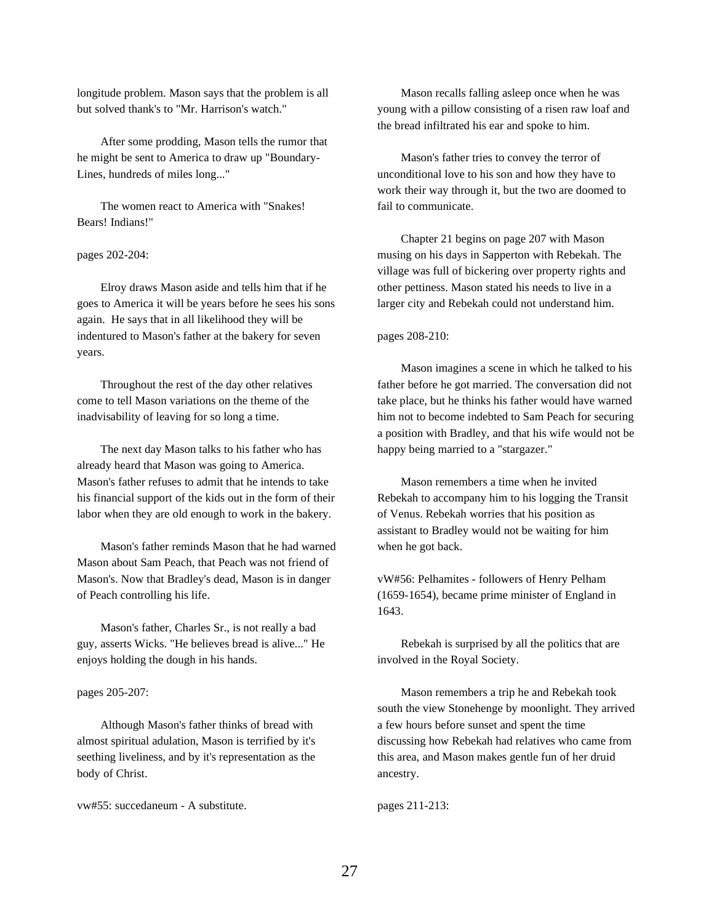longitude problem. Mason says that the problem is all but solved thank's to "Mr. Harrison's watch."

After some prodding, Mason tells the rumor that he might be sent to America to draw up "Boundary-Lines, hundreds of miles long..."

The women react to America with "Snakes! Bears! Indians!"

pages 202-204:

Elroy draws Mason aside and tells him that if he goes to America it will be years before he sees his sons again. He says that in all likelihood they will be indentured to Mason's father at the bakery for seven years.

Throughout the rest of the day other relatives come to tell Mason variations on the theme of the inadvisability of leaving for so long a time.

The next day Mason talks to his father who has already heard that Mason was going to America. Mason's father refuses to admit that he intends to take his financial support of the kids out in the form of their labor when they are old enough to work in the bakery.

Mason's father reminds Mason that he had warned Mason about Sam Peach, that Peach was not friend of Mason's. Now that Bradley's dead, Mason is in danger of Peach controlling his life.

Mason's father, Charles Sr., is not really a bad guy, asserts Wicks. "He believes bread is alive..." He enjoys holding the dough in his hands.

pages 205-207:

Although Mason's father thinks of bread with almost spiritual adulation, Mason is terrified by it's seething liveliness, and by it's representation as the body of Christ.

vw#55: succedaneum - A substitute.

Mason recalls falling asleep once when he was young with a pillow consisting of a risen raw loaf and the bread infiltrated his ear and spoke to him.

Mason's father tries to convey the terror of unconditional love to his son and how they have to work their way through it, but the two are doomed to fail to communicate.

Chapter 21 begins on page 207 with Mason musing on his days in Sapperton with Rebekah. The village was full of bickering over property rights and other pettiness. Mason stated his needs to live in a larger city and Rebekah could not understand him.

pages 208-210:

Mason imagines a scene in which he talked to his father before he got married. The conversation did not take place, but he thinks his father would have warned him not to become indebted to Sam Peach for securing a position with Bradley, and that his wife would not be happy being married to a "stargazer."

Mason remembers a time when he invited Rebekah to accompany him to his logging the Transit of Venus. Rebekah worries that his position as assistant to Bradley would not be waiting for him when he got back.

vW#56: Pelhamites - followers of Henry Pelham (1659-1654), became prime minister of England in 1643.

Rebekah is surprised by all the politics that are involved in the Royal Society.

Mason remembers a trip he and Rebekah took south the view Stonehenge by moonlight. They arrived a few hours before sunset and spent the time discussing how Rebekah had relatives who came from this area, and Mason makes gentle fun of her druid ancestry.

pages 211-213: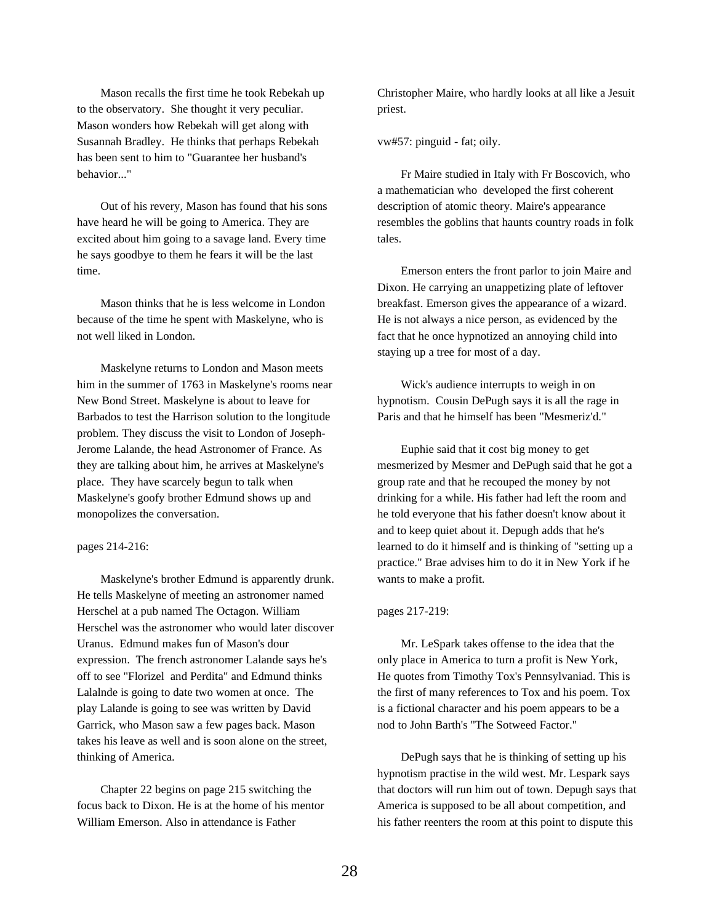Mason recalls the first time he took Rebekah up to the observatory. She thought it very peculiar. Mason wonders how Rebekah will get along with Susannah Bradley. He thinks that perhaps Rebekah has been sent to him to "Guarantee her husband's behavior..."

Out of his revery, Mason has found that his sons have heard he will be going to America. They are excited about him going to a savage land. Every time he says goodbye to them he fears it will be the last time.

Mason thinks that he is less welcome in London because of the time he spent with Maskelyne, who is not well liked in London.

Maskelyne returns to London and Mason meets him in the summer of 1763 in Maskelyne's rooms near New Bond Street. Maskelyne is about to leave for Barbados to test the Harrison solution to the longitude problem. They discuss the visit to London of Joseph-Jerome Lalande, the head Astronomer of France. As they are talking about him, he arrives at Maskelyne's place. They have scarcely begun to talk when Maskelyne's goofy brother Edmund shows up and monopolizes the conversation.

## pages 214-216:

Maskelyne's brother Edmund is apparently drunk. He tells Maskelyne of meeting an astronomer named Herschel at a pub named The Octagon. William Herschel was the astronomer who would later discover Uranus. Edmund makes fun of Mason's dour expression. The french astronomer Lalande says he's off to see "Florizel and Perdita" and Edmund thinks Lalalnde is going to date two women at once. The play Lalande is going to see was written by David Garrick, who Mason saw a few pages back. Mason takes his leave as well and is soon alone on the street, thinking of America.

Chapter 22 begins on page 215 switching the focus back to Dixon. He is at the home of his mentor William Emerson. Also in attendance is Father

Christopher Maire, who hardly looks at all like a Jesuit priest.

vw#57: pinguid - fat; oily.

Fr Maire studied in Italy with Fr Boscovich, who a mathematician who developed the first coherent description of atomic theory. Maire's appearance resembles the goblins that haunts country roads in folk tales.

Emerson enters the front parlor to join Maire and Dixon. He carrying an unappetizing plate of leftover breakfast. Emerson gives the appearance of a wizard. He is not always a nice person, as evidenced by the fact that he once hypnotized an annoying child into staying up a tree for most of a day.

Wick's audience interrupts to weigh in on hypnotism. Cousin DePugh says it is all the rage in Paris and that he himself has been "Mesmeriz'd."

Euphie said that it cost big money to get mesmerized by Mesmer and DePugh said that he got a group rate and that he recouped the money by not drinking for a while. His father had left the room and he told everyone that his father doesn't know about it and to keep quiet about it. Depugh adds that he's learned to do it himself and is thinking of "setting up a practice." Brae advises him to do it in New York if he wants to make a profit.

#### pages 217-219:

Mr. LeSpark takes offense to the idea that the only place in America to turn a profit is New York, He quotes from Timothy Tox's Pennsylvaniad. This is the first of many references to Tox and his poem. Tox is a fictional character and his poem appears to be a nod to John Barth's "The Sotweed Factor."

DePugh says that he is thinking of setting up his hypnotism practise in the wild west. Mr. Lespark says that doctors will run him out of town. Depugh says that America is supposed to be all about competition, and his father reenters the room at this point to dispute this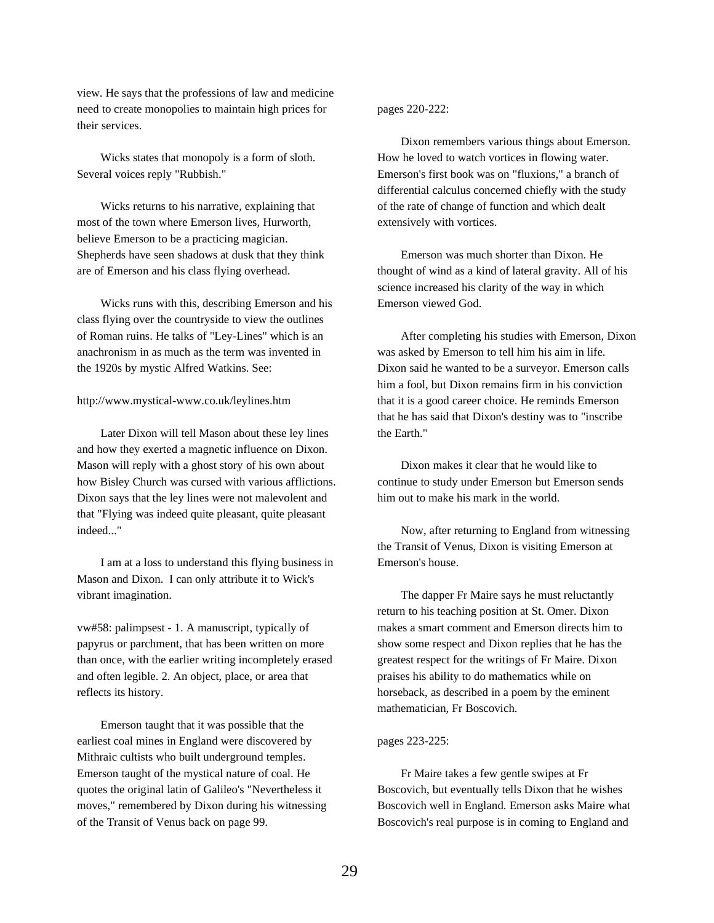view. He says that the professions of law and medicine need to create monopolies to maintain high prices for their services.

Wicks states that monopoly is a form of sloth. Several voices reply "Rubbish."

Wicks returns to his narrative, explaining that most of the town where Emerson lives, Hurworth, believe Emerson to be a practicing magician. Shepherds have seen shadows at dusk that they think are of Emerson and his class flying overhead.

Wicks runs with this, describing Emerson and his class flying over the countryside to view the outlines of Roman ruins. He talks of "Ley-Lines" which is an anachronism in as much as the term was invented in the 1920s by mystic Alfred Watkins. See:

# http://www.mystical-www.co.uk/leylines.htm

Later Dixon will tell Mason about these ley lines and how they exerted a magnetic influence on Dixon. Mason will reply with a ghost story of his own about how Bisley Church was cursed with various afflictions. Dixon says that the ley lines were not malevolent and that "Flying was indeed quite pleasant, quite pleasant indeed..."

I am at a loss to understand this flying business in Mason and Dixon. I can only attribute it to Wick's vibrant imagination.

vw#58: palimpsest - 1. A manuscript, typically of papyrus or parchment, that has been written on more than once, with the earlier writing incompletely erased and often legible. 2. An object, place, or area that reflects its history.

Emerson taught that it was possible that the earliest coal mines in England were discovered by Mithraic cultists who built underground temples. Emerson taught of the mystical nature of coal. He quotes the original latin of Galileo's "Nevertheless it moves," remembered by Dixon during his witnessing of the Transit of Venus back on page 99.

# pages 220-222:

Dixon remembers various things about Emerson. How he loved to watch vortices in flowing water. Emerson's first book was on "fluxions," a branch of differential calculus concerned chiefly with the study of the rate of change of function and which dealt extensively with vortices.

Emerson was much shorter than Dixon. He thought of wind as a kind of lateral gravity. All of his science increased his clarity of the way in which Emerson viewed God.

After completing his studies with Emerson, Dixon was asked by Emerson to tell him his aim in life. Dixon said he wanted to be a surveyor. Emerson calls him a fool, but Dixon remains firm in his conviction that it is a good career choice. He reminds Emerson that he has said that Dixon's destiny was to "inscribe the Earth."

Dixon makes it clear that he would like to continue to study under Emerson but Emerson sends him out to make his mark in the world.

Now, after returning to England from witnessing the Transit of Venus, Dixon is visiting Emerson at Emerson's house.

The dapper Fr Maire says he must reluctantly return to his teaching position at St. Omer. Dixon makes a smart comment and Emerson directs him to show some respect and Dixon replies that he has the greatest respect for the writings of Fr Maire. Dixon praises his ability to do mathematics while on horseback, as described in a poem by the eminent mathematician, Fr Boscovich.

### pages 223-225:

Fr Maire takes a few gentle swipes at Fr Boscovich, but eventually tells Dixon that he wishes Boscovich well in England. Emerson asks Maire what Boscovich's real purpose is in coming to England and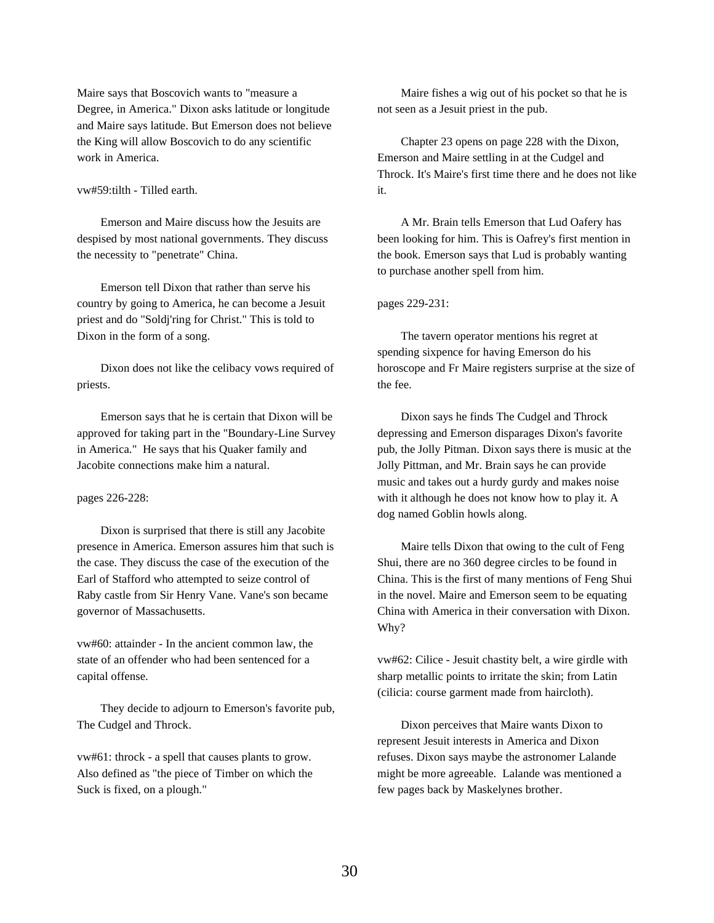Maire says that Boscovich wants to "measure a Degree, in America." Dixon asks latitude or longitude and Maire says latitude. But Emerson does not believe the King will allow Boscovich to do any scientific work in America.

## vw#59:tilth - Tilled earth.

Emerson and Maire discuss how the Jesuits are despised by most national governments. They discuss the necessity to "penetrate" China.

Emerson tell Dixon that rather than serve his country by going to America, he can become a Jesuit priest and do "Soldj'ring for Christ." This is told to Dixon in the form of a song.

Dixon does not like the celibacy vows required of priests.

Emerson says that he is certain that Dixon will be approved for taking part in the "Boundary-Line Survey in America." He says that his Quaker family and Jacobite connections make him a natural.

## pages 226-228:

Dixon is surprised that there is still any Jacobite presence in America. Emerson assures him that such is the case. They discuss the case of the execution of the Earl of Stafford who attempted to seize control of Raby castle from Sir Henry Vane. Vane's son became governor of Massachusetts.

vw#60: attainder - In the ancient common law, the state of an offender who had been sentenced for a capital offense.

They decide to adjourn to Emerson's favorite pub, The Cudgel and Throck.

vw#61: throck - a spell that causes plants to grow. Also defined as "the piece of Timber on which the Suck is fixed, on a plough."

Maire fishes a wig out of his pocket so that he is not seen as a Jesuit priest in the pub.

Chapter 23 opens on page 228 with the Dixon, Emerson and Maire settling in at the Cudgel and Throck. It's Maire's first time there and he does not like it.

A Mr. Brain tells Emerson that Lud Oafery has been looking for him. This is Oafrey's first mention in the book. Emerson says that Lud is probably wanting to purchase another spell from him.

### pages 229-231:

The tavern operator mentions his regret at spending sixpence for having Emerson do his horoscope and Fr Maire registers surprise at the size of the fee.

Dixon says he finds The Cudgel and Throck depressing and Emerson disparages Dixon's favorite pub, the Jolly Pitman. Dixon says there is music at the Jolly Pittman, and Mr. Brain says he can provide music and takes out a hurdy gurdy and makes noise with it although he does not know how to play it. A dog named Goblin howls along.

Maire tells Dixon that owing to the cult of Feng Shui, there are no 360 degree circles to be found in China. This is the first of many mentions of Feng Shui in the novel. Maire and Emerson seem to be equating China with America in their conversation with Dixon. Why?

vw#62: Cilice - Jesuit chastity belt, a wire girdle with sharp metallic points to irritate the skin; from Latin (cilicia: course garment made from haircloth).

Dixon perceives that Maire wants Dixon to represent Jesuit interests in America and Dixon refuses. Dixon says maybe the astronomer Lalande might be more agreeable. Lalande was mentioned a few pages back by Maskelynes brother.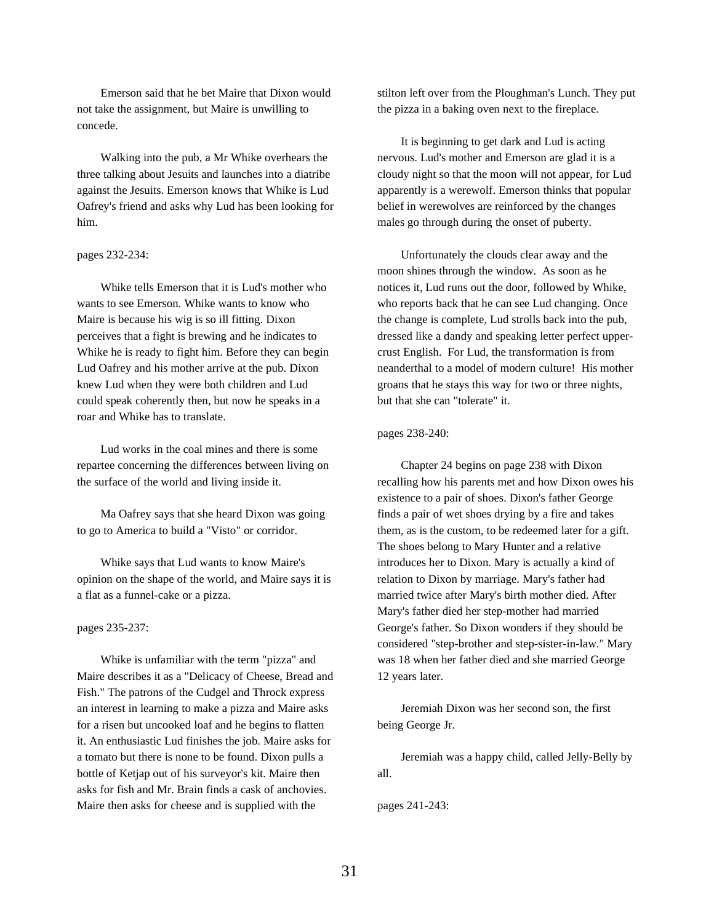Emerson said that he bet Maire that Dixon would not take the assignment, but Maire is unwilling to concede.

Walking into the pub, a Mr Whike overhears the three talking about Jesuits and launches into a diatribe against the Jesuits. Emerson knows that Whike is Lud Oafrey's friend and asks why Lud has been looking for him.

# pages 232-234:

Whike tells Emerson that it is Lud's mother who wants to see Emerson. Whike wants to know who Maire is because his wig is so ill fitting. Dixon perceives that a fight is brewing and he indicates to Whike he is ready to fight him. Before they can begin Lud Oafrey and his mother arrive at the pub. Dixon knew Lud when they were both children and Lud could speak coherently then, but now he speaks in a roar and Whike has to translate.

Lud works in the coal mines and there is some repartee concerning the differences between living on the surface of the world and living inside it.

Ma Oafrey says that she heard Dixon was going to go to America to build a "Visto" or corridor.

Whike says that Lud wants to know Maire's opinion on the shape of the world, and Maire says it is a flat as a funnel-cake or a pizza.

### pages 235-237:

Whike is unfamiliar with the term "pizza" and Maire describes it as a "Delicacy of Cheese, Bread and Fish." The patrons of the Cudgel and Throck express an interest in learning to make a pizza and Maire asks for a risen but uncooked loaf and he begins to flatten it. An enthusiastic Lud finishes the job. Maire asks for a tomato but there is none to be found. Dixon pulls a bottle of Ketjap out of his surveyor's kit. Maire then asks for fish and Mr. Brain finds a cask of anchovies. Maire then asks for cheese and is supplied with the

stilton left over from the Ploughman's Lunch. They put the pizza in a baking oven next to the fireplace.

It is beginning to get dark and Lud is acting nervous. Lud's mother and Emerson are glad it is a cloudy night so that the moon will not appear, for Lud apparently is a werewolf. Emerson thinks that popular belief in werewolves are reinforced by the changes males go through during the onset of puberty.

Unfortunately the clouds clear away and the moon shines through the window. As soon as he notices it, Lud runs out the door, followed by Whike, who reports back that he can see Lud changing. Once the change is complete, Lud strolls back into the pub, dressed like a dandy and speaking letter perfect uppercrust English. For Lud, the transformation is from neanderthal to a model of modern culture! His mother groans that he stays this way for two or three nights, but that she can "tolerate" it.

### pages 238-240:

Chapter 24 begins on page 238 with Dixon recalling how his parents met and how Dixon owes his existence to a pair of shoes. Dixon's father George finds a pair of wet shoes drying by a fire and takes them, as is the custom, to be redeemed later for a gift. The shoes belong to Mary Hunter and a relative introduces her to Dixon. Mary is actually a kind of relation to Dixon by marriage. Mary's father had married twice after Mary's birth mother died. After Mary's father died her step-mother had married George's father. So Dixon wonders if they should be considered "step-brother and step-sister-in-law." Mary was 18 when her father died and she married George 12 years later.

Jeremiah Dixon was her second son, the first being George Jr.

Jeremiah was a happy child, called Jelly-Belly by all.

pages 241-243: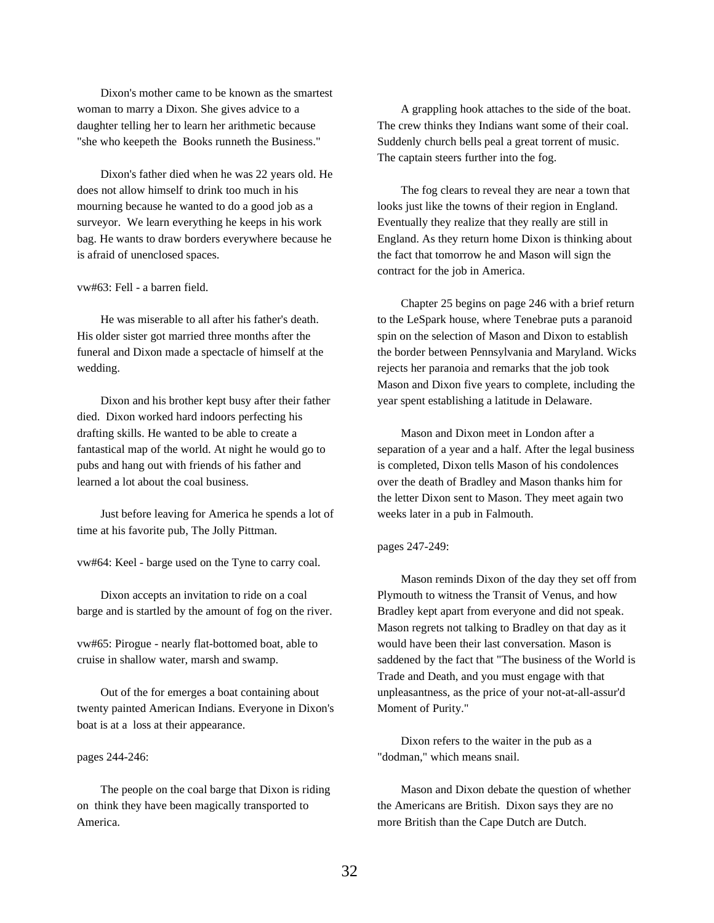Dixon's mother came to be known as the smartest woman to marry a Dixon. She gives advice to a daughter telling her to learn her arithmetic because "she who keepeth the Books runneth the Business."

Dixon's father died when he was 22 years old. He does not allow himself to drink too much in his mourning because he wanted to do a good job as a surveyor. We learn everything he keeps in his work bag. He wants to draw borders everywhere because he is afraid of unenclosed spaces.

vw#63: Fell - a barren field.

He was miserable to all after his father's death. His older sister got married three months after the funeral and Dixon made a spectacle of himself at the wedding.

Dixon and his brother kept busy after their father died. Dixon worked hard indoors perfecting his drafting skills. He wanted to be able to create a fantastical map of the world. At night he would go to pubs and hang out with friends of his father and learned a lot about the coal business.

Just before leaving for America he spends a lot of time at his favorite pub, The Jolly Pittman.

vw#64: Keel - barge used on the Tyne to carry coal.

Dixon accepts an invitation to ride on a coal barge and is startled by the amount of fog on the river.

vw#65: Pirogue - nearly flat-bottomed boat, able to cruise in shallow water, marsh and swamp.

Out of the for emerges a boat containing about twenty painted American Indians. Everyone in Dixon's boat is at a loss at their appearance.

pages 244-246:

The people on the coal barge that Dixon is riding on think they have been magically transported to America.

A grappling hook attaches to the side of the boat. The crew thinks they Indians want some of their coal. Suddenly church bells peal a great torrent of music. The captain steers further into the fog.

The fog clears to reveal they are near a town that looks just like the towns of their region in England. Eventually they realize that they really are still in England. As they return home Dixon is thinking about the fact that tomorrow he and Mason will sign the contract for the job in America.

Chapter 25 begins on page 246 with a brief return to the LeSpark house, where Tenebrae puts a paranoid spin on the selection of Mason and Dixon to establish the border between Pennsylvania and Maryland. Wicks rejects her paranoia and remarks that the job took Mason and Dixon five years to complete, including the year spent establishing a latitude in Delaware.

Mason and Dixon meet in London after a separation of a year and a half. After the legal business is completed, Dixon tells Mason of his condolences over the death of Bradley and Mason thanks him for the letter Dixon sent to Mason. They meet again two weeks later in a pub in Falmouth.

## pages 247-249:

Mason reminds Dixon of the day they set off from Plymouth to witness the Transit of Venus, and how Bradley kept apart from everyone and did not speak. Mason regrets not talking to Bradley on that day as it would have been their last conversation. Mason is saddened by the fact that "The business of the World is Trade and Death, and you must engage with that unpleasantness, as the price of your not-at-all-assur'd Moment of Purity."

Dixon refers to the waiter in the pub as a "dodman," which means snail.

Mason and Dixon debate the question of whether the Americans are British. Dixon says they are no more British than the Cape Dutch are Dutch.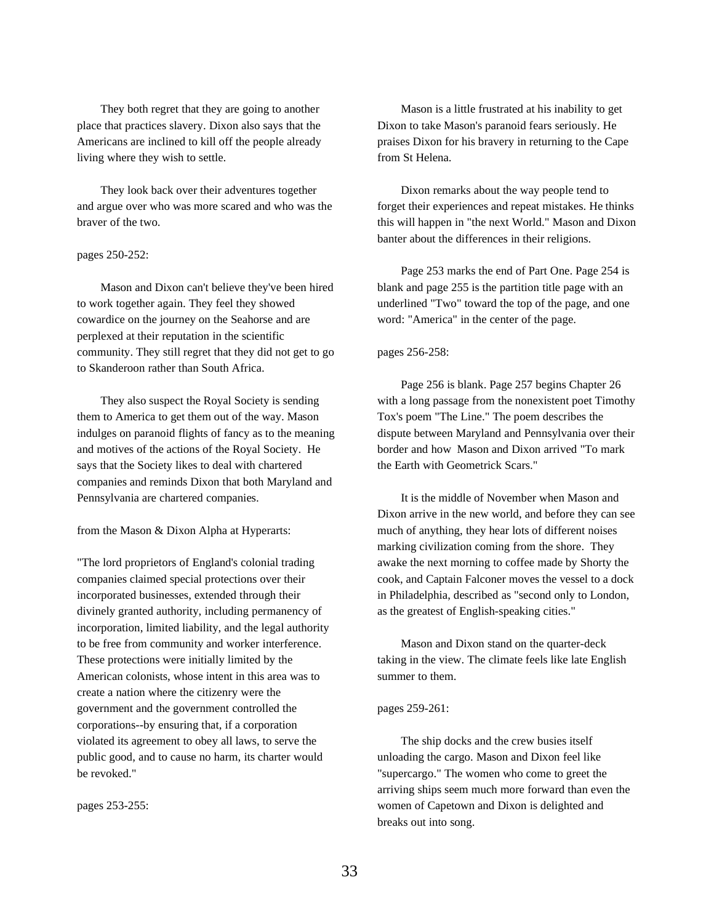They both regret that they are going to another place that practices slavery. Dixon also says that the Americans are inclined to kill off the people already living where they wish to settle.

They look back over their adventures together and argue over who was more scared and who was the braver of the two.

# pages 250-252:

Mason and Dixon can't believe they've been hired to work together again. They feel they showed cowardice on the journey on the Seahorse and are perplexed at their reputation in the scientific community. They still regret that they did not get to go to Skanderoon rather than South Africa.

They also suspect the Royal Society is sending them to America to get them out of the way. Mason indulges on paranoid flights of fancy as to the meaning and motives of the actions of the Royal Society. He says that the Society likes to deal with chartered companies and reminds Dixon that both Maryland and Pennsylvania are chartered companies.

from the Mason & Dixon Alpha at Hyperarts:

"The lord proprietors of England's colonial trading companies claimed special protections over their incorporated businesses, extended through their divinely granted authority, including permanency of incorporation, limited liability, and the legal authority to be free from community and worker interference. These protections were initially limited by the American colonists, whose intent in this area was to create a nation where the citizenry were the government and the government controlled the corporations--by ensuring that, if a corporation violated its agreement to obey all laws, to serve the public good, and to cause no harm, its charter would be revoked."

pages 253-255:

Mason is a little frustrated at his inability to get Dixon to take Mason's paranoid fears seriously. He praises Dixon for his bravery in returning to the Cape from St Helena.

Dixon remarks about the way people tend to forget their experiences and repeat mistakes. He thinks this will happen in "the next World." Mason and Dixon banter about the differences in their religions.

Page 253 marks the end of Part One. Page 254 is blank and page 255 is the partition title page with an underlined "Two" toward the top of the page, and one word: "America" in the center of the page.

## pages 256-258:

Page 256 is blank. Page 257 begins Chapter 26 with a long passage from the nonexistent poet Timothy Tox's poem "The Line." The poem describes the dispute between Maryland and Pennsylvania over their border and how Mason and Dixon arrived "To mark the Earth with Geometrick Scars."

It is the middle of November when Mason and Dixon arrive in the new world, and before they can see much of anything, they hear lots of different noises marking civilization coming from the shore. They awake the next morning to coffee made by Shorty the cook, and Captain Falconer moves the vessel to a dock in Philadelphia, described as "second only to London, as the greatest of English-speaking cities."

Mason and Dixon stand on the quarter-deck taking in the view. The climate feels like late English summer to them.

## pages 259-261:

The ship docks and the crew busies itself unloading the cargo. Mason and Dixon feel like "supercargo." The women who come to greet the arriving ships seem much more forward than even the women of Capetown and Dixon is delighted and breaks out into song.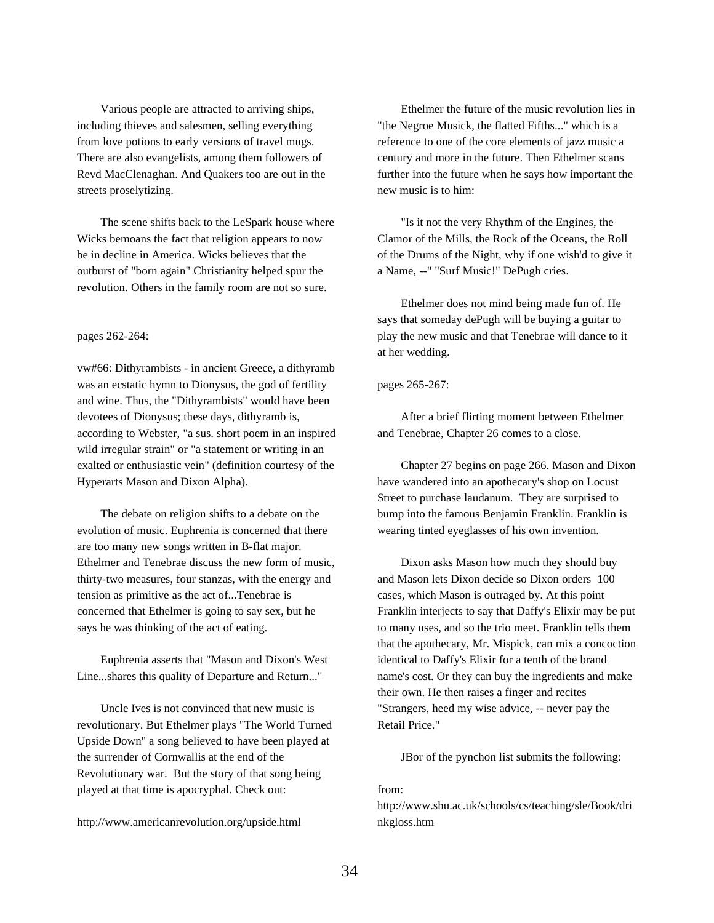Various people are attracted to arriving ships, including thieves and salesmen, selling everything from love potions to early versions of travel mugs. There are also evangelists, among them followers of Revd MacClenaghan. And Quakers too are out in the streets proselytizing.

The scene shifts back to the LeSpark house where Wicks bemoans the fact that religion appears to now be in decline in America. Wicks believes that the outburst of "born again" Christianity helped spur the revolution. Others in the family room are not so sure.

# pages 262-264:

vw#66: Dithyrambists - in ancient Greece, a dithyramb was an ecstatic hymn to Dionysus, the god of fertility and wine. Thus, the "Dithyrambists" would have been devotees of Dionysus; these days, dithyramb is, according to Webster, "a sus. short poem in an inspired wild irregular strain" or "a statement or writing in an exalted or enthusiastic vein" (definition courtesy of the Hyperarts Mason and Dixon Alpha).

The debate on religion shifts to a debate on the evolution of music. Euphrenia is concerned that there are too many new songs written in B-flat major. Ethelmer and Tenebrae discuss the new form of music, thirty-two measures, four stanzas, with the energy and tension as primitive as the act of...Tenebrae is concerned that Ethelmer is going to say sex, but he says he was thinking of the act of eating.

Euphrenia asserts that "Mason and Dixon's West Line...shares this quality of Departure and Return..."

Uncle Ives is not convinced that new music is revolutionary. But Ethelmer plays "The World Turned Upside Down" a song believed to have been played at the surrender of Cornwallis at the end of the Revolutionary war. But the story of that song being played at that time is apocryphal. Check out:

http://www.americanrevolution.org/upside.html

Ethelmer the future of the music revolution lies in "the Negroe Musick, the flatted Fifths..." which is a reference to one of the core elements of jazz music a century and more in the future. Then Ethelmer scans further into the future when he says how important the new music is to him:

"Is it not the very Rhythm of the Engines, the Clamor of the Mills, the Rock of the Oceans, the Roll of the Drums of the Night, why if one wish'd to give it a Name, --" "Surf Music!" DePugh cries.

Ethelmer does not mind being made fun of. He says that someday dePugh will be buying a guitar to play the new music and that Tenebrae will dance to it at her wedding.

# pages 265-267:

After a brief flirting moment between Ethelmer and Tenebrae, Chapter 26 comes to a close.

Chapter 27 begins on page 266. Mason and Dixon have wandered into an apothecary's shop on Locust Street to purchase laudanum. They are surprised to bump into the famous Benjamin Franklin. Franklin is wearing tinted eyeglasses of his own invention.

Dixon asks Mason how much they should buy and Mason lets Dixon decide so Dixon orders 100 cases, which Mason is outraged by. At this point Franklin interjects to say that Daffy's Elixir may be put to many uses, and so the trio meet. Franklin tells them that the apothecary, Mr. Mispick, can mix a concoction identical to Daffy's Elixir for a tenth of the brand name's cost. Or they can buy the ingredients and make their own. He then raises a finger and recites "Strangers, heed my wise advice, -- never pay the Retail Price."

JBor of the pynchon list submits the following:

# from:

http://www.shu.ac.uk/schools/cs/teaching/sle/Book/dri nkgloss.htm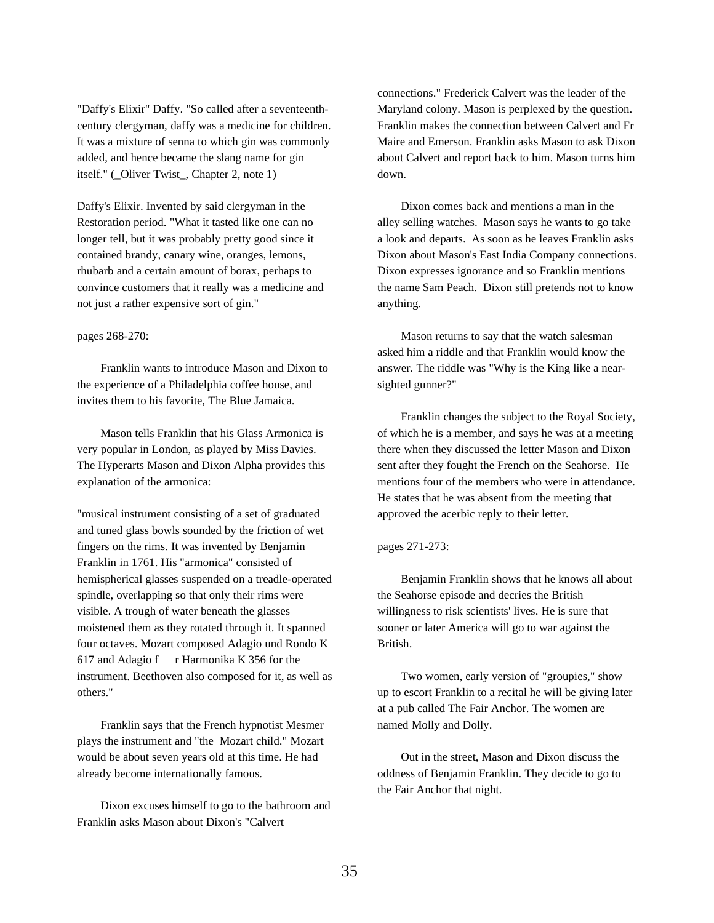"Daffy's Elixir" Daffy. "So called after a seventeenthcentury clergyman, daffy was a medicine for children. It was a mixture of senna to which gin was commonly added, and hence became the slang name for gin itself." (\_Oliver Twist\_, Chapter 2, note 1)

Daffy's Elixir. Invented by said clergyman in the Restoration period. "What it tasted like one can no longer tell, but it was probably pretty good since it contained brandy, canary wine, oranges, lemons, rhubarb and a certain amount of borax, perhaps to convince customers that it really was a medicine and not just a rather expensive sort of gin."

## pages 268-270:

Franklin wants to introduce Mason and Dixon to the experience of a Philadelphia coffee house, and invites them to his favorite, The Blue Jamaica.

Mason tells Franklin that his Glass Armonica is very popular in London, as played by Miss Davies. The Hyperarts Mason and Dixon Alpha provides this explanation of the armonica:

"musical instrument consisting of a set of graduated and tuned glass bowls sounded by the friction of wet fingers on the rims. It was invented by Benjamin Franklin in 1761. His "armonica" consisted of hemispherical glasses suspended on a treadle-operated spindle, overlapping so that only their rims were visible. A trough of water beneath the glasses moistened them as they rotated through it. It spanned four octaves. Mozart composed Adagio und Rondo K 617 and Adagio f  $r$  Harmonika K 356 for the instrument. Beethoven also composed for it, as well as others."

Franklin says that the French hypnotist Mesmer plays the instrument and "the Mozart child." Mozart would be about seven years old at this time. He had already become internationally famous.

Dixon excuses himself to go to the bathroom and Franklin asks Mason about Dixon's "Calvert

connections." Frederick Calvert was the leader of the Maryland colony. Mason is perplexed by the question. Franklin makes the connection between Calvert and Fr Maire and Emerson. Franklin asks Mason to ask Dixon about Calvert and report back to him. Mason turns him down.

Dixon comes back and mentions a man in the alley selling watches. Mason says he wants to go take a look and departs. As soon as he leaves Franklin asks Dixon about Mason's East India Company connections. Dixon expresses ignorance and so Franklin mentions the name Sam Peach. Dixon still pretends not to know anything.

Mason returns to say that the watch salesman asked him a riddle and that Franklin would know the answer. The riddle was "Why is the King like a nearsighted gunner?"

Franklin changes the subject to the Royal Society, of which he is a member, and says he was at a meeting there when they discussed the letter Mason and Dixon sent after they fought the French on the Seahorse. He mentions four of the members who were in attendance. He states that he was absent from the meeting that approved the acerbic reply to their letter.

## pages 271-273:

Benjamin Franklin shows that he knows all about the Seahorse episode and decries the British willingness to risk scientists' lives. He is sure that sooner or later America will go to war against the British.

Two women, early version of "groupies," show up to escort Franklin to a recital he will be giving later at a pub called The Fair Anchor. The women are named Molly and Dolly.

Out in the street, Mason and Dixon discuss the oddness of Benjamin Franklin. They decide to go to the Fair Anchor that night.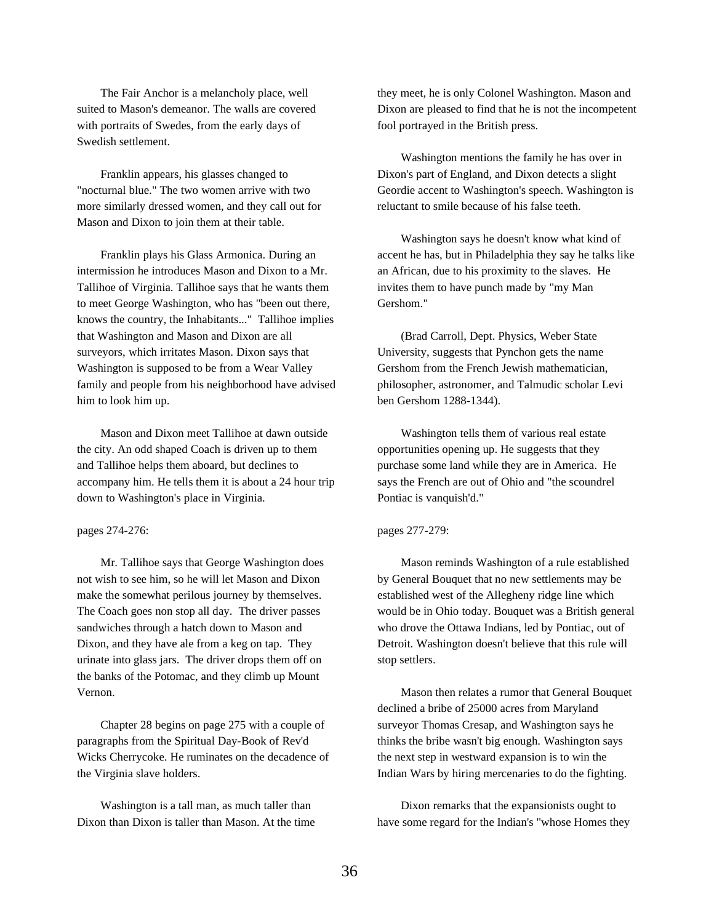The Fair Anchor is a melancholy place, well suited to Mason's demeanor. The walls are covered with portraits of Swedes, from the early days of Swedish settlement.

Franklin appears, his glasses changed to "nocturnal blue." The two women arrive with two more similarly dressed women, and they call out for Mason and Dixon to join them at their table.

Franklin plays his Glass Armonica. During an intermission he introduces Mason and Dixon to a Mr. Tallihoe of Virginia. Tallihoe says that he wants them to meet George Washington, who has "been out there, knows the country, the Inhabitants..." Tallihoe implies that Washington and Mason and Dixon are all surveyors, which irritates Mason. Dixon says that Washington is supposed to be from a Wear Valley family and people from his neighborhood have advised him to look him up.

Mason and Dixon meet Tallihoe at dawn outside the city. An odd shaped Coach is driven up to them and Tallihoe helps them aboard, but declines to accompany him. He tells them it is about a 24 hour trip down to Washington's place in Virginia.

# pages 274-276:

Mr. Tallihoe says that George Washington does not wish to see him, so he will let Mason and Dixon make the somewhat perilous journey by themselves. The Coach goes non stop all day. The driver passes sandwiches through a hatch down to Mason and Dixon, and they have ale from a keg on tap. They urinate into glass jars. The driver drops them off on the banks of the Potomac, and they climb up Mount Vernon.

Chapter 28 begins on page 275 with a couple of paragraphs from the Spiritual Day-Book of Rev'd Wicks Cherrycoke. He ruminates on the decadence of the Virginia slave holders.

Washington is a tall man, as much taller than Dixon than Dixon is taller than Mason. At the time

they meet, he is only Colonel Washington. Mason and Dixon are pleased to find that he is not the incompetent fool portrayed in the British press.

Washington mentions the family he has over in Dixon's part of England, and Dixon detects a slight Geordie accent to Washington's speech. Washington is reluctant to smile because of his false teeth.

Washington says he doesn't know what kind of accent he has, but in Philadelphia they say he talks like an African, due to his proximity to the slaves. He invites them to have punch made by "my Man Gershom."

(Brad Carroll, Dept. Physics, Weber State University, suggests that Pynchon gets the name Gershom from the French Jewish mathematician, philosopher, astronomer, and Talmudic scholar Levi ben Gershom 1288-1344).

Washington tells them of various real estate opportunities opening up. He suggests that they purchase some land while they are in America. He says the French are out of Ohio and "the scoundrel Pontiac is vanquish'd."

# pages 277-279:

Mason reminds Washington of a rule established by General Bouquet that no new settlements may be established west of the Allegheny ridge line which would be in Ohio today. Bouquet was a British general who drove the Ottawa Indians, led by Pontiac, out of Detroit. Washington doesn't believe that this rule will stop settlers.

Mason then relates a rumor that General Bouquet declined a bribe of 25000 acres from Maryland surveyor Thomas Cresap, and Washington says he thinks the bribe wasn't big enough. Washington says the next step in westward expansion is to win the Indian Wars by hiring mercenaries to do the fighting.

Dixon remarks that the expansionists ought to have some regard for the Indian's "whose Homes they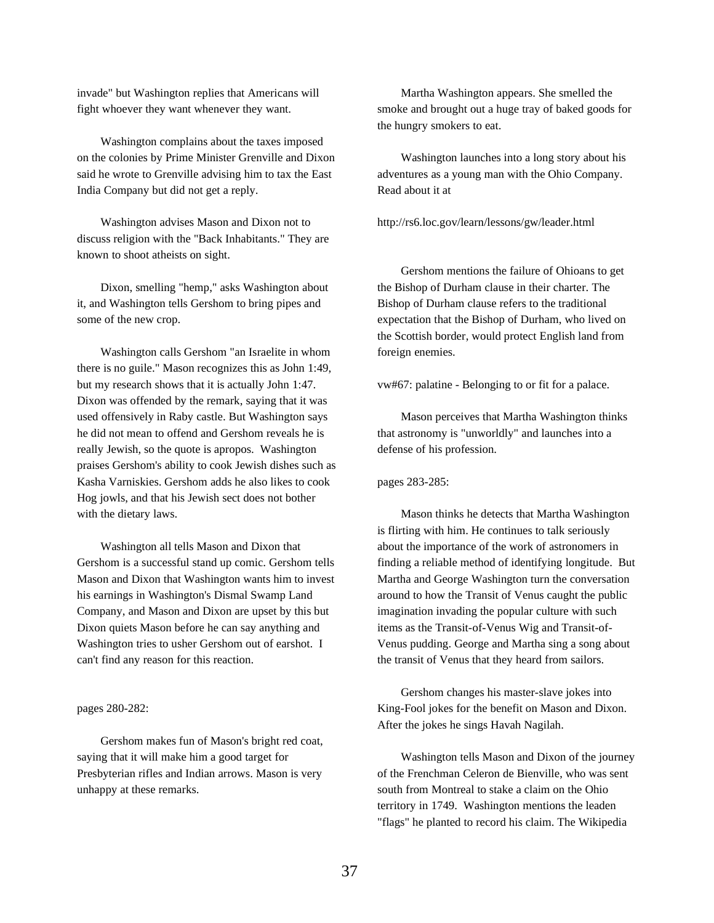invade" but Washington replies that Americans will fight whoever they want whenever they want.

Washington complains about the taxes imposed on the colonies by Prime Minister Grenville and Dixon said he wrote to Grenville advising him to tax the East India Company but did not get a reply.

Washington advises Mason and Dixon not to discuss religion with the "Back Inhabitants." They are known to shoot atheists on sight.

Dixon, smelling "hemp," asks Washington about it, and Washington tells Gershom to bring pipes and some of the new crop.

Washington calls Gershom "an Israelite in whom there is no guile." Mason recognizes this as John 1:49, but my research shows that it is actually John 1:47. Dixon was offended by the remark, saying that it was used offensively in Raby castle. But Washington says he did not mean to offend and Gershom reveals he is really Jewish, so the quote is apropos. Washington praises Gershom's ability to cook Jewish dishes such as Kasha Varniskies. Gershom adds he also likes to cook Hog jowls, and that his Jewish sect does not bother with the dietary laws.

Washington all tells Mason and Dixon that Gershom is a successful stand up comic. Gershom tells Mason and Dixon that Washington wants him to invest his earnings in Washington's Dismal Swamp Land Company, and Mason and Dixon are upset by this but Dixon quiets Mason before he can say anything and Washington tries to usher Gershom out of earshot. I can't find any reason for this reaction.

### pages 280-282:

Gershom makes fun of Mason's bright red coat, saying that it will make him a good target for Presbyterian rifles and Indian arrows. Mason is very unhappy at these remarks.

Martha Washington appears. She smelled the smoke and brought out a huge tray of baked goods for the hungry smokers to eat.

Washington launches into a long story about his adventures as a young man with the Ohio Company. Read about it at

http://rs6.loc.gov/learn/lessons/gw/leader.html

Gershom mentions the failure of Ohioans to get the Bishop of Durham clause in their charter. The Bishop of Durham clause refers to the traditional expectation that the Bishop of Durham, who lived on the Scottish border, would protect English land from foreign enemies.

vw#67: palatine - Belonging to or fit for a palace.

Mason perceives that Martha Washington thinks that astronomy is "unworldly" and launches into a defense of his profession.

#### pages 283-285:

Mason thinks he detects that Martha Washington is flirting with him. He continues to talk seriously about the importance of the work of astronomers in finding a reliable method of identifying longitude. But Martha and George Washington turn the conversation around to how the Transit of Venus caught the public imagination invading the popular culture with such items as the Transit-of-Venus Wig and Transit-of-Venus pudding. George and Martha sing a song about the transit of Venus that they heard from sailors.

Gershom changes his master-slave jokes into King-Fool jokes for the benefit on Mason and Dixon. After the jokes he sings Havah Nagilah.

Washington tells Mason and Dixon of the journey of the Frenchman Celeron de Bienville, who was sent south from Montreal to stake a claim on the Ohio territory in 1749. Washington mentions the leaden "flags" he planted to record his claim. The Wikipedia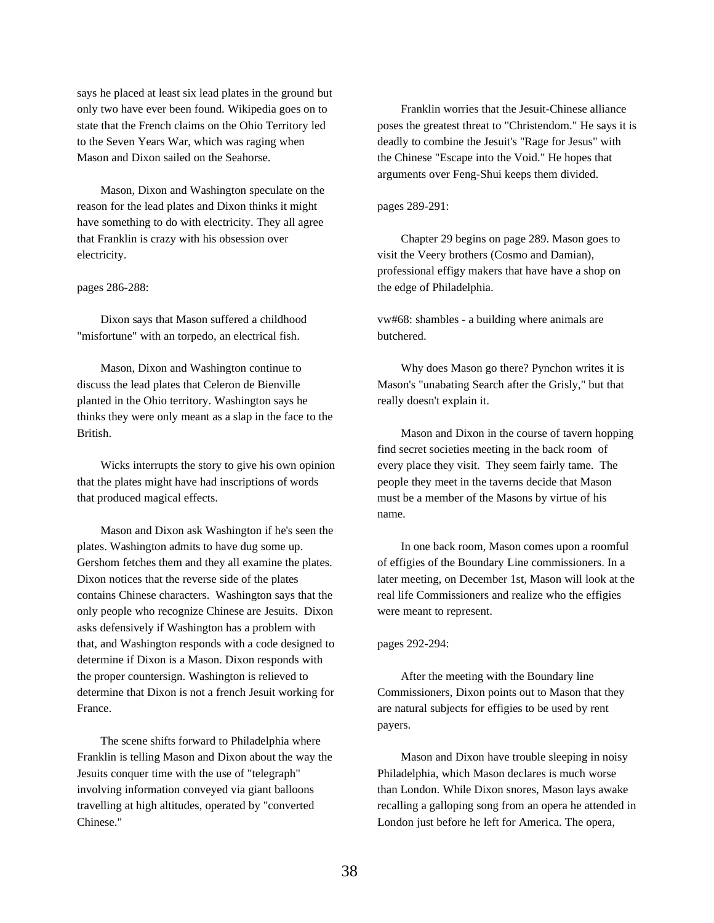says he placed at least six lead plates in the ground but only two have ever been found. Wikipedia goes on to state that the French claims on the Ohio Territory led to the Seven Years War, which was raging when Mason and Dixon sailed on the Seahorse.

Mason, Dixon and Washington speculate on the reason for the lead plates and Dixon thinks it might have something to do with electricity. They all agree that Franklin is crazy with his obsession over electricity.

### pages 286-288:

Dixon says that Mason suffered a childhood "misfortune" with an torpedo, an electrical fish.

Mason, Dixon and Washington continue to discuss the lead plates that Celeron de Bienville planted in the Ohio territory. Washington says he thinks they were only meant as a slap in the face to the British.

Wicks interrupts the story to give his own opinion that the plates might have had inscriptions of words that produced magical effects.

Mason and Dixon ask Washington if he's seen the plates. Washington admits to have dug some up. Gershom fetches them and they all examine the plates. Dixon notices that the reverse side of the plates contains Chinese characters. Washington says that the only people who recognize Chinese are Jesuits. Dixon asks defensively if Washington has a problem with that, and Washington responds with a code designed to determine if Dixon is a Mason. Dixon responds with the proper countersign. Washington is relieved to determine that Dixon is not a french Jesuit working for France.

The scene shifts forward to Philadelphia where Franklin is telling Mason and Dixon about the way the Jesuits conquer time with the use of "telegraph" involving information conveyed via giant balloons travelling at high altitudes, operated by "converted Chinese."

Franklin worries that the Jesuit-Chinese alliance poses the greatest threat to "Christendom." He says it is deadly to combine the Jesuit's "Rage for Jesus" with the Chinese "Escape into the Void." He hopes that arguments over Feng-Shui keeps them divided.

### pages 289-291:

Chapter 29 begins on page 289. Mason goes to visit the Veery brothers (Cosmo and Damian), professional effigy makers that have have a shop on the edge of Philadelphia.

vw#68: shambles - a building where animals are butchered.

Why does Mason go there? Pynchon writes it is Mason's "unabating Search after the Grisly," but that really doesn't explain it.

Mason and Dixon in the course of tavern hopping find secret societies meeting in the back room of every place they visit. They seem fairly tame. The people they meet in the taverns decide that Mason must be a member of the Masons by virtue of his name.

In one back room, Mason comes upon a roomful of effigies of the Boundary Line commissioners. In a later meeting, on December 1st, Mason will look at the real life Commissioners and realize who the effigies were meant to represent.

### pages 292-294:

After the meeting with the Boundary line Commissioners, Dixon points out to Mason that they are natural subjects for effigies to be used by rent payers.

Mason and Dixon have trouble sleeping in noisy Philadelphia, which Mason declares is much worse than London. While Dixon snores, Mason lays awake recalling a galloping song from an opera he attended in London just before he left for America. The opera,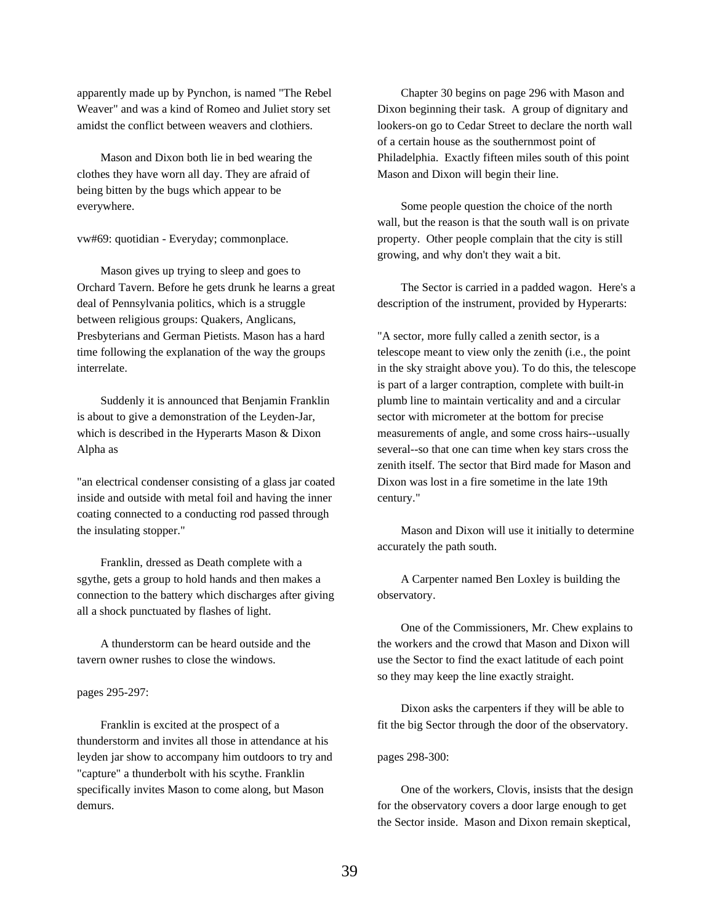apparently made up by Pynchon, is named "The Rebel Weaver" and was a kind of Romeo and Juliet story set amidst the conflict between weavers and clothiers.

Mason and Dixon both lie in bed wearing the clothes they have worn all day. They are afraid of being bitten by the bugs which appear to be everywhere.

vw#69: quotidian - Everyday; commonplace.

Mason gives up trying to sleep and goes to Orchard Tavern. Before he gets drunk he learns a great deal of Pennsylvania politics, which is a struggle between religious groups: Quakers, Anglicans, Presbyterians and German Pietists. Mason has a hard time following the explanation of the way the groups interrelate.

Suddenly it is announced that Benjamin Franklin is about to give a demonstration of the Leyden-Jar, which is described in the Hyperarts Mason & Dixon Alpha as

"an electrical condenser consisting of a glass jar coated inside and outside with metal foil and having the inner coating connected to a conducting rod passed through the insulating stopper."

Franklin, dressed as Death complete with a sgythe, gets a group to hold hands and then makes a connection to the battery which discharges after giving all a shock punctuated by flashes of light.

A thunderstorm can be heard outside and the tavern owner rushes to close the windows.

# pages 295-297:

Franklin is excited at the prospect of a thunderstorm and invites all those in attendance at his leyden jar show to accompany him outdoors to try and "capture" a thunderbolt with his scythe. Franklin specifically invites Mason to come along, but Mason demurs.

Chapter 30 begins on page 296 with Mason and Dixon beginning their task. A group of dignitary and lookers-on go to Cedar Street to declare the north wall of a certain house as the southernmost point of Philadelphia. Exactly fifteen miles south of this point Mason and Dixon will begin their line.

Some people question the choice of the north wall, but the reason is that the south wall is on private property. Other people complain that the city is still growing, and why don't they wait a bit.

The Sector is carried in a padded wagon. Here's a description of the instrument, provided by Hyperarts:

"A sector, more fully called a zenith sector, is a telescope meant to view only the zenith (i.e., the point in the sky straight above you). To do this, the telescope is part of a larger contraption, complete with built-in plumb line to maintain verticality and and a circular sector with micrometer at the bottom for precise measurements of angle, and some cross hairs--usually several--so that one can time when key stars cross the zenith itself. The sector that Bird made for Mason and Dixon was lost in a fire sometime in the late 19th century."

Mason and Dixon will use it initially to determine accurately the path south.

A Carpenter named Ben Loxley is building the observatory.

One of the Commissioners, Mr. Chew explains to the workers and the crowd that Mason and Dixon will use the Sector to find the exact latitude of each point so they may keep the line exactly straight.

Dixon asks the carpenters if they will be able to fit the big Sector through the door of the observatory.

pages 298-300:

One of the workers, Clovis, insists that the design for the observatory covers a door large enough to get the Sector inside. Mason and Dixon remain skeptical,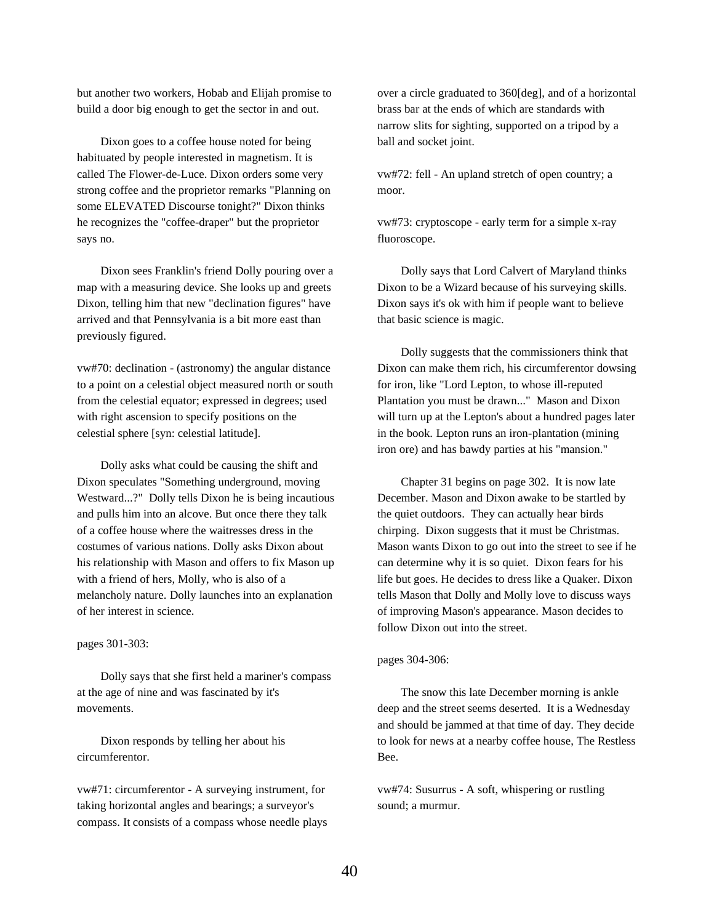but another two workers, Hobab and Elijah promise to build a door big enough to get the sector in and out.

Dixon goes to a coffee house noted for being habituated by people interested in magnetism. It is called The Flower-de-Luce. Dixon orders some very strong coffee and the proprietor remarks "Planning on some ELEVATED Discourse tonight?" Dixon thinks he recognizes the "coffee-draper" but the proprietor says no.

Dixon sees Franklin's friend Dolly pouring over a map with a measuring device. She looks up and greets Dixon, telling him that new "declination figures" have arrived and that Pennsylvania is a bit more east than previously figured.

vw#70: declination - (astronomy) the angular distance to a point on a celestial object measured north or south from the celestial equator; expressed in degrees; used with right ascension to specify positions on the celestial sphere [syn: celestial latitude].

Dolly asks what could be causing the shift and Dixon speculates "Something underground, moving Westward...?" Dolly tells Dixon he is being incautious and pulls him into an alcove. But once there they talk of a coffee house where the waitresses dress in the costumes of various nations. Dolly asks Dixon about his relationship with Mason and offers to fix Mason up with a friend of hers, Molly, who is also of a melancholy nature. Dolly launches into an explanation of her interest in science.

### pages 301-303:

Dolly says that she first held a mariner's compass at the age of nine and was fascinated by it's movements.

Dixon responds by telling her about his circumferentor.

vw#71: circumferentor - A surveying instrument, for taking horizontal angles and bearings; a surveyor's compass. It consists of a compass whose needle plays over a circle graduated to 360[deg], and of a horizontal brass bar at the ends of which are standards with narrow slits for sighting, supported on a tripod by a ball and socket joint.

vw#72: fell - An upland stretch of open country; a moor.

vw#73: cryptoscope - early term for a simple x-ray fluoroscope.

Dolly says that Lord Calvert of Maryland thinks Dixon to be a Wizard because of his surveying skills. Dixon says it's ok with him if people want to believe that basic science is magic.

Dolly suggests that the commissioners think that Dixon can make them rich, his circumferentor dowsing for iron, like "Lord Lepton, to whose ill-reputed Plantation you must be drawn..." Mason and Dixon will turn up at the Lepton's about a hundred pages later in the book. Lepton runs an iron-plantation (mining iron ore) and has bawdy parties at his "mansion."

Chapter 31 begins on page 302. It is now late December. Mason and Dixon awake to be startled by the quiet outdoors. They can actually hear birds chirping. Dixon suggests that it must be Christmas. Mason wants Dixon to go out into the street to see if he can determine why it is so quiet. Dixon fears for his life but goes. He decides to dress like a Quaker. Dixon tells Mason that Dolly and Molly love to discuss ways of improving Mason's appearance. Mason decides to follow Dixon out into the street.

#### pages 304-306:

The snow this late December morning is ankle deep and the street seems deserted. It is a Wednesday and should be jammed at that time of day. They decide to look for news at a nearby coffee house, The Restless Bee.

vw#74: Susurrus - A soft, whispering or rustling sound; a murmur.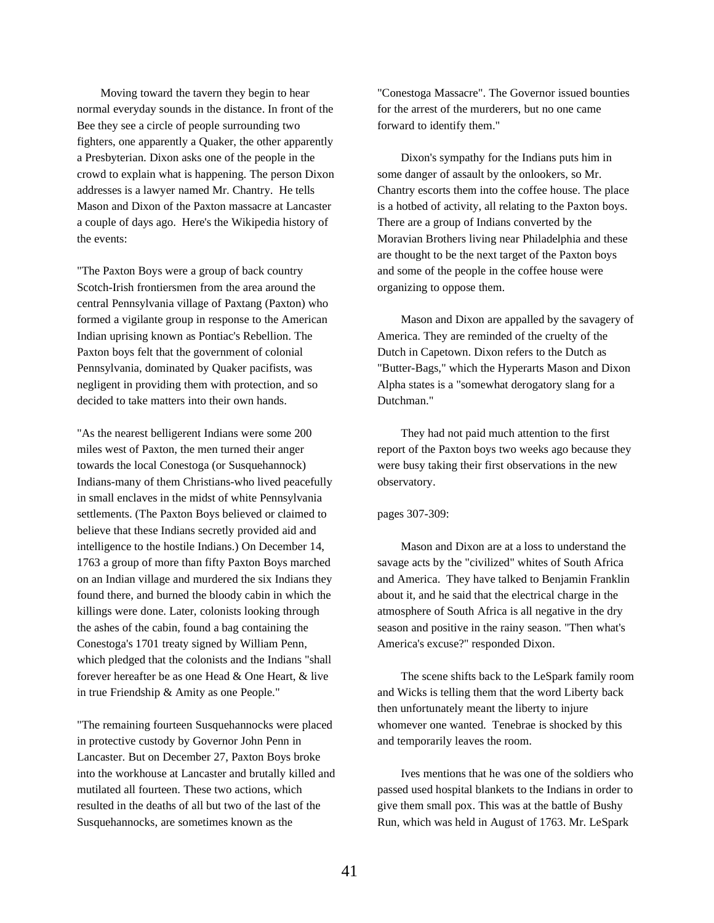Moving toward the tavern they begin to hear normal everyday sounds in the distance. In front of the Bee they see a circle of people surrounding two fighters, one apparently a Quaker, the other apparently a Presbyterian. Dixon asks one of the people in the crowd to explain what is happening. The person Dixon addresses is a lawyer named Mr. Chantry. He tells Mason and Dixon of the Paxton massacre at Lancaster a couple of days ago. Here's the Wikipedia history of the events:

"The Paxton Boys were a group of back country Scotch-Irish frontiersmen from the area around the central Pennsylvania village of Paxtang (Paxton) who formed a vigilante group in response to the American Indian uprising known as Pontiac's Rebellion. The Paxton boys felt that the government of colonial Pennsylvania, dominated by Quaker pacifists, was negligent in providing them with protection, and so decided to take matters into their own hands.

"As the nearest belligerent Indians were some 200 miles west of Paxton, the men turned their anger towards the local Conestoga (or Susquehannock) Indians-many of them Christians-who lived peacefully in small enclaves in the midst of white Pennsylvania settlements. (The Paxton Boys believed or claimed to believe that these Indians secretly provided aid and intelligence to the hostile Indians.) On December 14, 1763 a group of more than fifty Paxton Boys marched on an Indian village and murdered the six Indians they found there, and burned the bloody cabin in which the killings were done. Later, colonists looking through the ashes of the cabin, found a bag containing the Conestoga's 1701 treaty signed by William Penn, which pledged that the colonists and the Indians "shall forever hereafter be as one Head & One Heart, & live in true Friendship & Amity as one People."

"The remaining fourteen Susquehannocks were placed in protective custody by Governor John Penn in Lancaster. But on December 27, Paxton Boys broke into the workhouse at Lancaster and brutally killed and mutilated all fourteen. These two actions, which resulted in the deaths of all but two of the last of the Susquehannocks, are sometimes known as the

"Conestoga Massacre". The Governor issued bounties for the arrest of the murderers, but no one came forward to identify them."

Dixon's sympathy for the Indians puts him in some danger of assault by the onlookers, so Mr. Chantry escorts them into the coffee house. The place is a hotbed of activity, all relating to the Paxton boys. There are a group of Indians converted by the Moravian Brothers living near Philadelphia and these are thought to be the next target of the Paxton boys and some of the people in the coffee house were organizing to oppose them.

Mason and Dixon are appalled by the savagery of America. They are reminded of the cruelty of the Dutch in Capetown. Dixon refers to the Dutch as "Butter-Bags," which the Hyperarts Mason and Dixon Alpha states is a "somewhat derogatory slang for a Dutchman."

They had not paid much attention to the first report of the Paxton boys two weeks ago because they were busy taking their first observations in the new observatory.

## pages 307-309:

Mason and Dixon are at a loss to understand the savage acts by the "civilized" whites of South Africa and America. They have talked to Benjamin Franklin about it, and he said that the electrical charge in the atmosphere of South Africa is all negative in the dry season and positive in the rainy season. "Then what's America's excuse?" responded Dixon.

The scene shifts back to the LeSpark family room and Wicks is telling them that the word Liberty back then unfortunately meant the liberty to injure whomever one wanted. Tenebrae is shocked by this and temporarily leaves the room.

Ives mentions that he was one of the soldiers who passed used hospital blankets to the Indians in order to give them small pox. This was at the battle of Bushy Run, which was held in August of 1763. Mr. LeSpark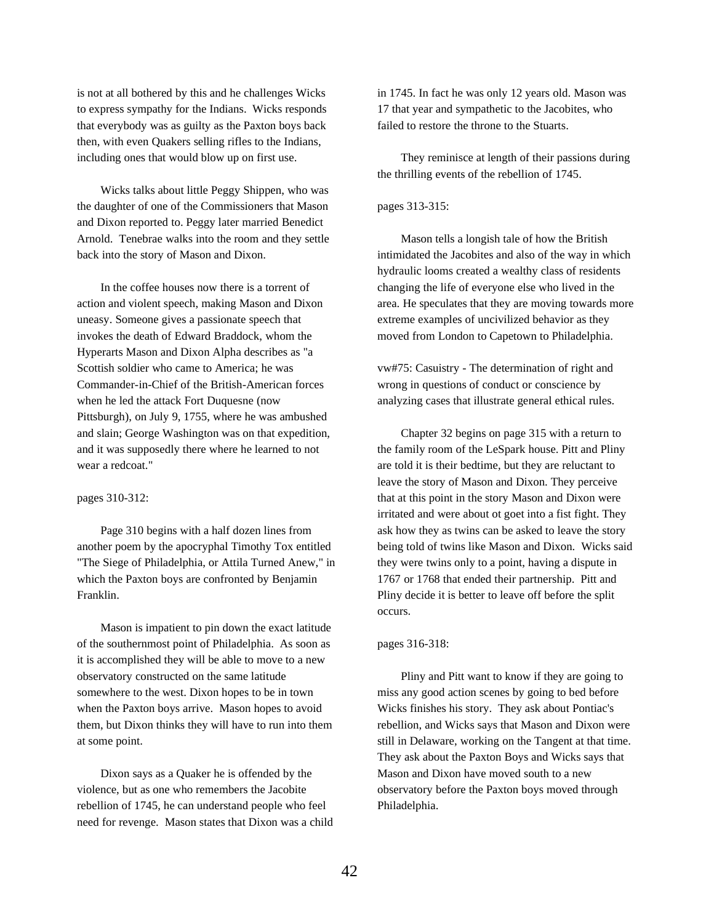is not at all bothered by this and he challenges Wicks to express sympathy for the Indians. Wicks responds that everybody was as guilty as the Paxton boys back then, with even Quakers selling rifles to the Indians, including ones that would blow up on first use.

Wicks talks about little Peggy Shippen, who was the daughter of one of the Commissioners that Mason and Dixon reported to. Peggy later married Benedict Arnold. Tenebrae walks into the room and they settle back into the story of Mason and Dixon.

In the coffee houses now there is a torrent of action and violent speech, making Mason and Dixon uneasy. Someone gives a passionate speech that invokes the death of Edward Braddock, whom the Hyperarts Mason and Dixon Alpha describes as "a Scottish soldier who came to America; he was Commander-in-Chief of the British-American forces when he led the attack Fort Duquesne (now Pittsburgh), on July 9, 1755, where he was ambushed and slain; George Washington was on that expedition, and it was supposedly there where he learned to not wear a redcoat."

#### pages 310-312:

Page 310 begins with a half dozen lines from another poem by the apocryphal Timothy Tox entitled "The Siege of Philadelphia, or Attila Turned Anew," in which the Paxton boys are confronted by Benjamin Franklin.

Mason is impatient to pin down the exact latitude of the southernmost point of Philadelphia. As soon as it is accomplished they will be able to move to a new observatory constructed on the same latitude somewhere to the west. Dixon hopes to be in town when the Paxton boys arrive. Mason hopes to avoid them, but Dixon thinks they will have to run into them at some point.

Dixon says as a Quaker he is offended by the violence, but as one who remembers the Jacobite rebellion of 1745, he can understand people who feel need for revenge. Mason states that Dixon was a child in 1745. In fact he was only 12 years old. Mason was 17 that year and sympathetic to the Jacobites, who failed to restore the throne to the Stuarts.

They reminisce at length of their passions during the thrilling events of the rebellion of 1745.

# pages 313-315:

Mason tells a longish tale of how the British intimidated the Jacobites and also of the way in which hydraulic looms created a wealthy class of residents changing the life of everyone else who lived in the area. He speculates that they are moving towards more extreme examples of uncivilized behavior as they moved from London to Capetown to Philadelphia.

vw#75: Casuistry - The determination of right and wrong in questions of conduct or conscience by analyzing cases that illustrate general ethical rules.

Chapter 32 begins on page 315 with a return to the family room of the LeSpark house. Pitt and Pliny are told it is their bedtime, but they are reluctant to leave the story of Mason and Dixon. They perceive that at this point in the story Mason and Dixon were irritated and were about ot goet into a fist fight. They ask how they as twins can be asked to leave the story being told of twins like Mason and Dixon. Wicks said they were twins only to a point, having a dispute in 1767 or 1768 that ended their partnership. Pitt and Pliny decide it is better to leave off before the split occurs.

### pages 316-318:

Pliny and Pitt want to know if they are going to miss any good action scenes by going to bed before Wicks finishes his story. They ask about Pontiac's rebellion, and Wicks says that Mason and Dixon were still in Delaware, working on the Tangent at that time. They ask about the Paxton Boys and Wicks says that Mason and Dixon have moved south to a new observatory before the Paxton boys moved through Philadelphia.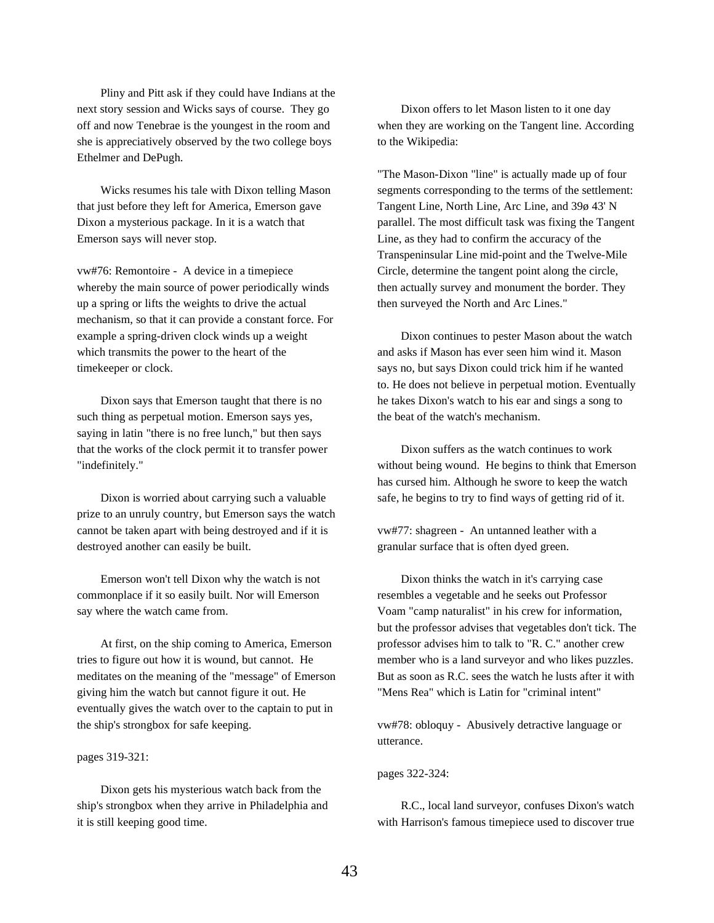Pliny and Pitt ask if they could have Indians at the next story session and Wicks says of course. They go off and now Tenebrae is the youngest in the room and she is appreciatively observed by the two college boys Ethelmer and DePugh.

Wicks resumes his tale with Dixon telling Mason that just before they left for America, Emerson gave Dixon a mysterious package. In it is a watch that Emerson says will never stop.

vw#76: Remontoire - A device in a timepiece whereby the main source of power periodically winds up a spring or lifts the weights to drive the actual mechanism, so that it can provide a constant force. For example a spring-driven clock winds up a weight which transmits the power to the heart of the timekeeper or clock.

Dixon says that Emerson taught that there is no such thing as perpetual motion. Emerson says yes, saying in latin "there is no free lunch," but then says that the works of the clock permit it to transfer power "indefinitely."

Dixon is worried about carrying such a valuable prize to an unruly country, but Emerson says the watch cannot be taken apart with being destroyed and if it is destroyed another can easily be built.

Emerson won't tell Dixon why the watch is not commonplace if it so easily built. Nor will Emerson say where the watch came from.

At first, on the ship coming to America, Emerson tries to figure out how it is wound, but cannot. He meditates on the meaning of the "message" of Emerson giving him the watch but cannot figure it out. He eventually gives the watch over to the captain to put in the ship's strongbox for safe keeping.

## pages 319-321:

Dixon gets his mysterious watch back from the ship's strongbox when they arrive in Philadelphia and it is still keeping good time.

Dixon offers to let Mason listen to it one day when they are working on the Tangent line. According to the Wikipedia:

"The Mason-Dixon "line" is actually made up of four segments corresponding to the terms of the settlement: Tangent Line, North Line, Arc Line, and 39ø 43' N parallel. The most difficult task was fixing the Tangent Line, as they had to confirm the accuracy of the Transpeninsular Line mid-point and the Twelve-Mile Circle, determine the tangent point along the circle, then actually survey and monument the border. They then surveyed the North and Arc Lines."

Dixon continues to pester Mason about the watch and asks if Mason has ever seen him wind it. Mason says no, but says Dixon could trick him if he wanted to. He does not believe in perpetual motion. Eventually he takes Dixon's watch to his ear and sings a song to the beat of the watch's mechanism.

Dixon suffers as the watch continues to work without being wound. He begins to think that Emerson has cursed him. Although he swore to keep the watch safe, he begins to try to find ways of getting rid of it.

vw#77: shagreen - An untanned leather with a granular surface that is often dyed green.

Dixon thinks the watch in it's carrying case resembles a vegetable and he seeks out Professor Voam "camp naturalist" in his crew for information, but the professor advises that vegetables don't tick. The professor advises him to talk to "R. C." another crew member who is a land surveyor and who likes puzzles. But as soon as R.C. sees the watch he lusts after it with "Mens Rea" which is Latin for "criminal intent"

vw#78: obloquy - Abusively detractive language or utterance.

#### pages 322-324:

R.C., local land surveyor, confuses Dixon's watch with Harrison's famous timepiece used to discover true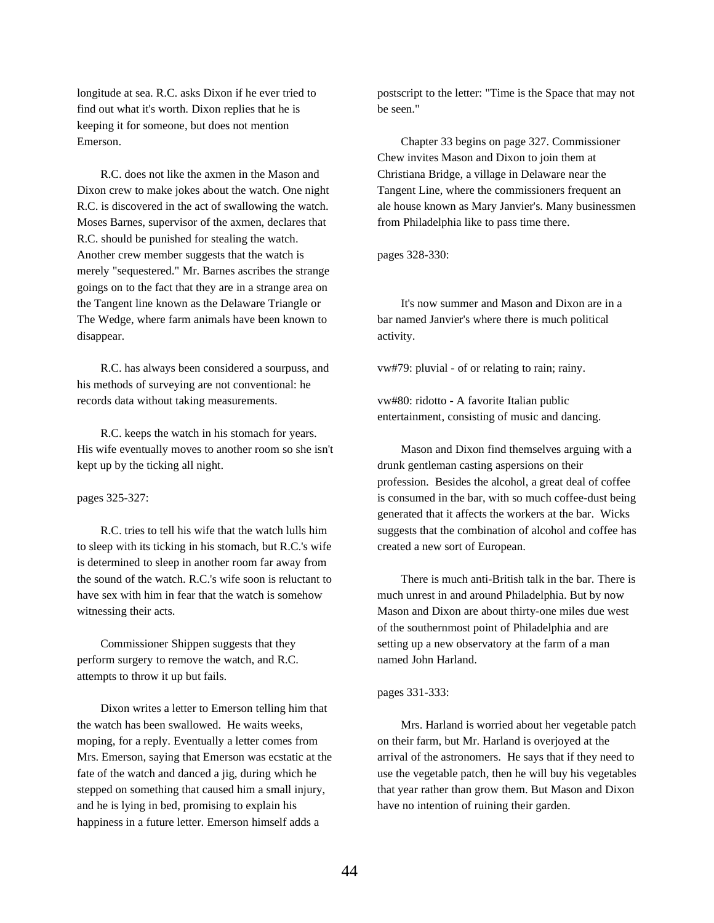longitude at sea. R.C. asks Dixon if he ever tried to find out what it's worth. Dixon replies that he is keeping it for someone, but does not mention Emerson.

R.C. does not like the axmen in the Mason and Dixon crew to make jokes about the watch. One night R.C. is discovered in the act of swallowing the watch. Moses Barnes, supervisor of the axmen, declares that R.C. should be punished for stealing the watch. Another crew member suggests that the watch is merely "sequestered." Mr. Barnes ascribes the strange goings on to the fact that they are in a strange area on the Tangent line known as the Delaware Triangle or The Wedge, where farm animals have been known to disappear.

R.C. has always been considered a sourpuss, and his methods of surveying are not conventional: he records data without taking measurements.

R.C. keeps the watch in his stomach for years. His wife eventually moves to another room so she isn't kept up by the ticking all night.

### pages 325-327:

R.C. tries to tell his wife that the watch lulls him to sleep with its ticking in his stomach, but R.C.'s wife is determined to sleep in another room far away from the sound of the watch. R.C.'s wife soon is reluctant to have sex with him in fear that the watch is somehow witnessing their acts.

Commissioner Shippen suggests that they perform surgery to remove the watch, and R.C. attempts to throw it up but fails.

Dixon writes a letter to Emerson telling him that the watch has been swallowed. He waits weeks, moping, for a reply. Eventually a letter comes from Mrs. Emerson, saying that Emerson was ecstatic at the fate of the watch and danced a jig, during which he stepped on something that caused him a small injury, and he is lying in bed, promising to explain his happiness in a future letter. Emerson himself adds a

postscript to the letter: "Time is the Space that may not be seen."

Chapter 33 begins on page 327. Commissioner Chew invites Mason and Dixon to join them at Christiana Bridge, a village in Delaware near the Tangent Line, where the commissioners frequent an ale house known as Mary Janvier's. Many businessmen from Philadelphia like to pass time there.

pages 328-330:

It's now summer and Mason and Dixon are in a bar named Janvier's where there is much political activity.

vw#79: pluvial - of or relating to rain; rainy.

vw#80: ridotto - A favorite Italian public entertainment, consisting of music and dancing.

Mason and Dixon find themselves arguing with a drunk gentleman casting aspersions on their profession. Besides the alcohol, a great deal of coffee is consumed in the bar, with so much coffee-dust being generated that it affects the workers at the bar. Wicks suggests that the combination of alcohol and coffee has created a new sort of European.

There is much anti-British talk in the bar. There is much unrest in and around Philadelphia. But by now Mason and Dixon are about thirty-one miles due west of the southernmost point of Philadelphia and are setting up a new observatory at the farm of a man named John Harland.

### pages 331-333:

Mrs. Harland is worried about her vegetable patch on their farm, but Mr. Harland is overjoyed at the arrival of the astronomers. He says that if they need to use the vegetable patch, then he will buy his vegetables that year rather than grow them. But Mason and Dixon have no intention of ruining their garden.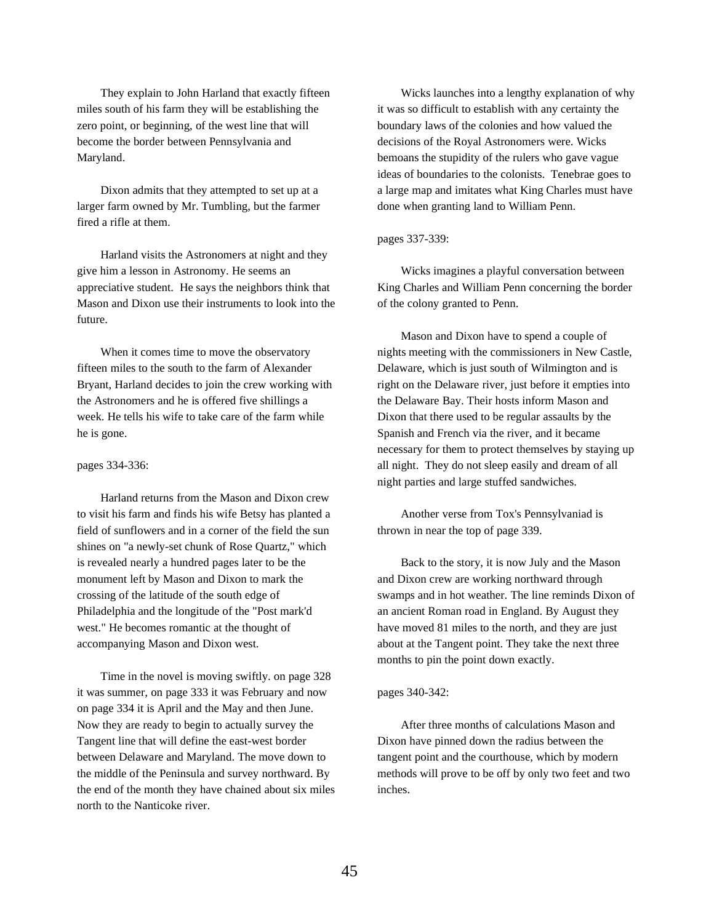They explain to John Harland that exactly fifteen miles south of his farm they will be establishing the zero point, or beginning, of the west line that will become the border between Pennsylvania and Maryland.

Dixon admits that they attempted to set up at a larger farm owned by Mr. Tumbling, but the farmer fired a rifle at them.

Harland visits the Astronomers at night and they give him a lesson in Astronomy. He seems an appreciative student. He says the neighbors think that Mason and Dixon use their instruments to look into the future.

When it comes time to move the observatory fifteen miles to the south to the farm of Alexander Bryant, Harland decides to join the crew working with the Astronomers and he is offered five shillings a week. He tells his wife to take care of the farm while he is gone.

## pages 334-336:

Harland returns from the Mason and Dixon crew to visit his farm and finds his wife Betsy has planted a field of sunflowers and in a corner of the field the sun shines on "a newly-set chunk of Rose Quartz," which is revealed nearly a hundred pages later to be the monument left by Mason and Dixon to mark the crossing of the latitude of the south edge of Philadelphia and the longitude of the "Post mark'd west." He becomes romantic at the thought of accompanying Mason and Dixon west.

Time in the novel is moving swiftly. on page 328 it was summer, on page 333 it was February and now on page 334 it is April and the May and then June. Now they are ready to begin to actually survey the Tangent line that will define the east-west border between Delaware and Maryland. The move down to the middle of the Peninsula and survey northward. By the end of the month they have chained about six miles north to the Nanticoke river.

Wicks launches into a lengthy explanation of why it was so difficult to establish with any certainty the boundary laws of the colonies and how valued the decisions of the Royal Astronomers were. Wicks bemoans the stupidity of the rulers who gave vague ideas of boundaries to the colonists. Tenebrae goes to a large map and imitates what King Charles must have done when granting land to William Penn.

### pages 337-339:

Wicks imagines a playful conversation between King Charles and William Penn concerning the border of the colony granted to Penn.

Mason and Dixon have to spend a couple of nights meeting with the commissioners in New Castle, Delaware, which is just south of Wilmington and is right on the Delaware river, just before it empties into the Delaware Bay. Their hosts inform Mason and Dixon that there used to be regular assaults by the Spanish and French via the river, and it became necessary for them to protect themselves by staying up all night. They do not sleep easily and dream of all night parties and large stuffed sandwiches.

Another verse from Tox's Pennsylvaniad is thrown in near the top of page 339.

Back to the story, it is now July and the Mason and Dixon crew are working northward through swamps and in hot weather. The line reminds Dixon of an ancient Roman road in England. By August they have moved 81 miles to the north, and they are just about at the Tangent point. They take the next three months to pin the point down exactly.

### pages 340-342:

After three months of calculations Mason and Dixon have pinned down the radius between the tangent point and the courthouse, which by modern methods will prove to be off by only two feet and two inches.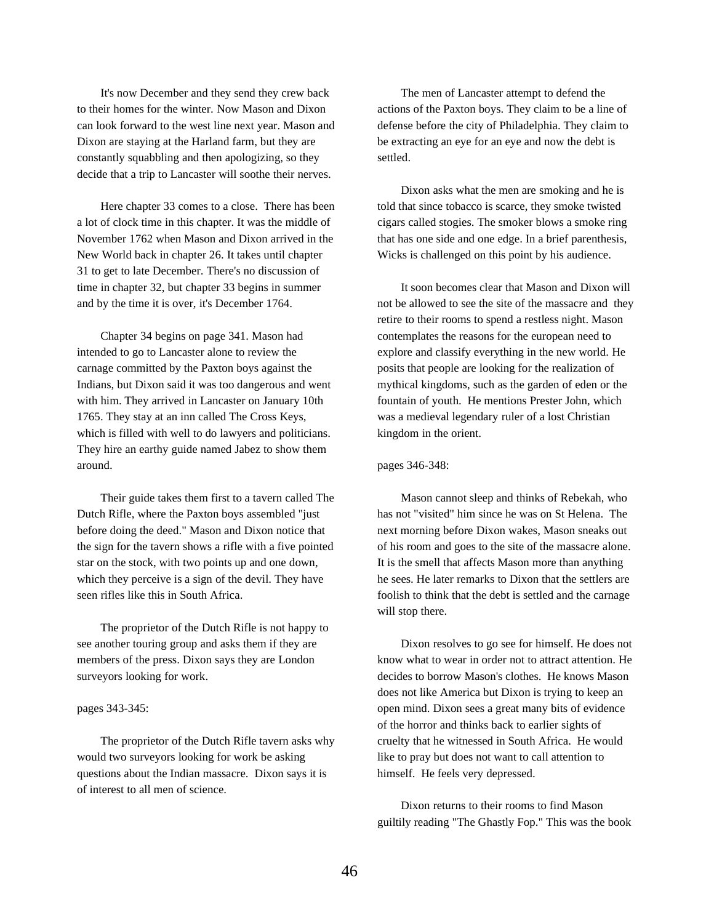It's now December and they send they crew back to their homes for the winter. Now Mason and Dixon can look forward to the west line next year. Mason and Dixon are staying at the Harland farm, but they are constantly squabbling and then apologizing, so they decide that a trip to Lancaster will soothe their nerves.

Here chapter 33 comes to a close. There has been a lot of clock time in this chapter. It was the middle of November 1762 when Mason and Dixon arrived in the New World back in chapter 26. It takes until chapter 31 to get to late December. There's no discussion of time in chapter 32, but chapter 33 begins in summer and by the time it is over, it's December 1764.

Chapter 34 begins on page 341. Mason had intended to go to Lancaster alone to review the carnage committed by the Paxton boys against the Indians, but Dixon said it was too dangerous and went with him. They arrived in Lancaster on January 10th 1765. They stay at an inn called The Cross Keys, which is filled with well to do lawyers and politicians. They hire an earthy guide named Jabez to show them around.

Their guide takes them first to a tavern called The Dutch Rifle, where the Paxton boys assembled "just before doing the deed." Mason and Dixon notice that the sign for the tavern shows a rifle with a five pointed star on the stock, with two points up and one down, which they perceive is a sign of the devil. They have seen rifles like this in South Africa.

The proprietor of the Dutch Rifle is not happy to see another touring group and asks them if they are members of the press. Dixon says they are London surveyors looking for work.

### pages 343-345:

The proprietor of the Dutch Rifle tavern asks why would two surveyors looking for work be asking questions about the Indian massacre. Dixon says it is of interest to all men of science.

The men of Lancaster attempt to defend the actions of the Paxton boys. They claim to be a line of defense before the city of Philadelphia. They claim to be extracting an eye for an eye and now the debt is settled.

Dixon asks what the men are smoking and he is told that since tobacco is scarce, they smoke twisted cigars called stogies. The smoker blows a smoke ring that has one side and one edge. In a brief parenthesis, Wicks is challenged on this point by his audience.

It soon becomes clear that Mason and Dixon will not be allowed to see the site of the massacre and they retire to their rooms to spend a restless night. Mason contemplates the reasons for the european need to explore and classify everything in the new world. He posits that people are looking for the realization of mythical kingdoms, such as the garden of eden or the fountain of youth. He mentions Prester John, which was a medieval legendary ruler of a lost Christian kingdom in the orient.

#### pages 346-348:

Mason cannot sleep and thinks of Rebekah, who has not "visited" him since he was on St Helena. The next morning before Dixon wakes, Mason sneaks out of his room and goes to the site of the massacre alone. It is the smell that affects Mason more than anything he sees. He later remarks to Dixon that the settlers are foolish to think that the debt is settled and the carnage will stop there.

Dixon resolves to go see for himself. He does not know what to wear in order not to attract attention. He decides to borrow Mason's clothes. He knows Mason does not like America but Dixon is trying to keep an open mind. Dixon sees a great many bits of evidence of the horror and thinks back to earlier sights of cruelty that he witnessed in South Africa. He would like to pray but does not want to call attention to himself. He feels very depressed.

Dixon returns to their rooms to find Mason guiltily reading "The Ghastly Fop." This was the book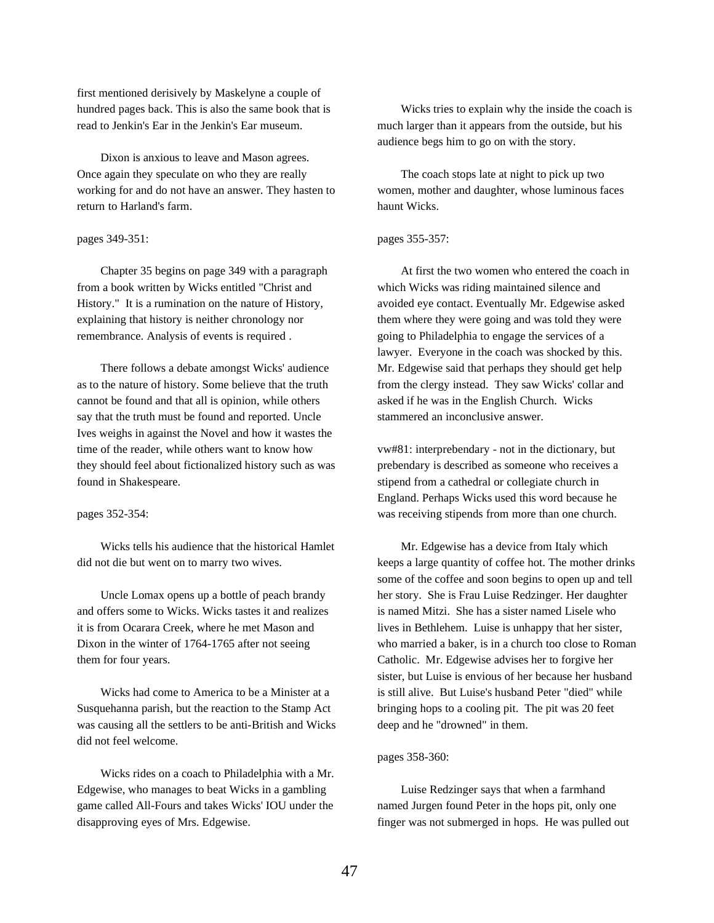first mentioned derisively by Maskelyne a couple of hundred pages back. This is also the same book that is read to Jenkin's Ear in the Jenkin's Ear museum.

Dixon is anxious to leave and Mason agrees. Once again they speculate on who they are really working for and do not have an answer. They hasten to return to Harland's farm.

### pages 349-351:

Chapter 35 begins on page 349 with a paragraph from a book written by Wicks entitled "Christ and History." It is a rumination on the nature of History, explaining that history is neither chronology nor remembrance. Analysis of events is required .

There follows a debate amongst Wicks' audience as to the nature of history. Some believe that the truth cannot be found and that all is opinion, while others say that the truth must be found and reported. Uncle Ives weighs in against the Novel and how it wastes the time of the reader, while others want to know how they should feel about fictionalized history such as was found in Shakespeare.

### pages 352-354:

Wicks tells his audience that the historical Hamlet did not die but went on to marry two wives.

Uncle Lomax opens up a bottle of peach brandy and offers some to Wicks. Wicks tastes it and realizes it is from Ocarara Creek, where he met Mason and Dixon in the winter of 1764-1765 after not seeing them for four years.

Wicks had come to America to be a Minister at a Susquehanna parish, but the reaction to the Stamp Act was causing all the settlers to be anti-British and Wicks did not feel welcome.

Wicks rides on a coach to Philadelphia with a Mr. Edgewise, who manages to beat Wicks in a gambling game called All-Fours and takes Wicks' IOU under the disapproving eyes of Mrs. Edgewise.

Wicks tries to explain why the inside the coach is much larger than it appears from the outside, but his audience begs him to go on with the story.

The coach stops late at night to pick up two women, mother and daughter, whose luminous faces haunt Wicks.

### pages 355-357:

At first the two women who entered the coach in which Wicks was riding maintained silence and avoided eye contact. Eventually Mr. Edgewise asked them where they were going and was told they were going to Philadelphia to engage the services of a lawyer. Everyone in the coach was shocked by this. Mr. Edgewise said that perhaps they should get help from the clergy instead. They saw Wicks' collar and asked if he was in the English Church. Wicks stammered an inconclusive answer.

vw#81: interprebendary - not in the dictionary, but prebendary is described as someone who receives a stipend from a cathedral or collegiate church in England. Perhaps Wicks used this word because he was receiving stipends from more than one church.

Mr. Edgewise has a device from Italy which keeps a large quantity of coffee hot. The mother drinks some of the coffee and soon begins to open up and tell her story. She is Frau Luise Redzinger. Her daughter is named Mitzi. She has a sister named Lisele who lives in Bethlehem. Luise is unhappy that her sister, who married a baker, is in a church too close to Roman Catholic. Mr. Edgewise advises her to forgive her sister, but Luise is envious of her because her husband is still alive. But Luise's husband Peter "died" while bringing hops to a cooling pit. The pit was 20 feet deep and he "drowned" in them.

### pages 358-360:

Luise Redzinger says that when a farmhand named Jurgen found Peter in the hops pit, only one finger was not submerged in hops. He was pulled out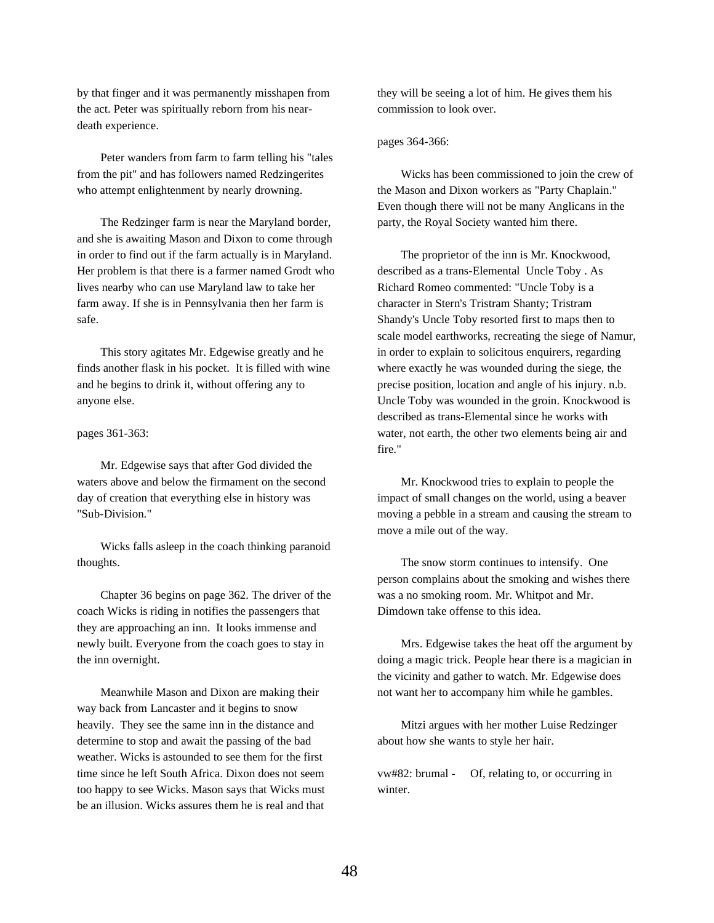by that finger and it was permanently misshapen from the act. Peter was spiritually reborn from his neardeath experience.

Peter wanders from farm to farm telling his "tales from the pit" and has followers named Redzingerites who attempt enlightenment by nearly drowning.

The Redzinger farm is near the Maryland border, and she is awaiting Mason and Dixon to come through in order to find out if the farm actually is in Maryland. Her problem is that there is a farmer named Grodt who lives nearby who can use Maryland law to take her farm away. If she is in Pennsylvania then her farm is safe.

This story agitates Mr. Edgewise greatly and he finds another flask in his pocket. It is filled with wine and he begins to drink it, without offering any to anyone else.

#### pages 361-363:

Mr. Edgewise says that after God divided the waters above and below the firmament on the second day of creation that everything else in history was "Sub-Division."

Wicks falls asleep in the coach thinking paranoid thoughts.

Chapter 36 begins on page 362. The driver of the coach Wicks is riding in notifies the passengers that they are approaching an inn. It looks immense and newly built. Everyone from the coach goes to stay in the inn overnight.

Meanwhile Mason and Dixon are making their way back from Lancaster and it begins to snow heavily. They see the same inn in the distance and determine to stop and await the passing of the bad weather. Wicks is astounded to see them for the first time since he left South Africa. Dixon does not seem too happy to see Wicks. Mason says that Wicks must be an illusion. Wicks assures them he is real and that

they will be seeing a lot of him. He gives them his commission to look over.

### pages 364-366:

Wicks has been commissioned to join the crew of the Mason and Dixon workers as "Party Chaplain." Even though there will not be many Anglicans in the party, the Royal Society wanted him there.

The proprietor of the inn is Mr. Knockwood, described as a trans-Elemental Uncle Toby . As Richard Romeo commented: "Uncle Toby is a character in Stern's Tristram Shanty; Tristram Shandy's Uncle Toby resorted first to maps then to scale model earthworks, recreating the siege of Namur, in order to explain to solicitous enquirers, regarding where exactly he was wounded during the siege, the precise position, location and angle of his injury. n.b. Uncle Toby was wounded in the groin. Knockwood is described as trans-Elemental since he works with water, not earth, the other two elements being air and fire."

Mr. Knockwood tries to explain to people the impact of small changes on the world, using a beaver moving a pebble in a stream and causing the stream to move a mile out of the way.

The snow storm continues to intensify. One person complains about the smoking and wishes there was a no smoking room. Mr. Whitpot and Mr. Dimdown take offense to this idea.

Mrs. Edgewise takes the heat off the argument by doing a magic trick. People hear there is a magician in the vicinity and gather to watch. Mr. Edgewise does not want her to accompany him while he gambles.

Mitzi argues with her mother Luise Redzinger about how she wants to style her hair.

vw#82: brumal - Of, relating to, or occurring in winter.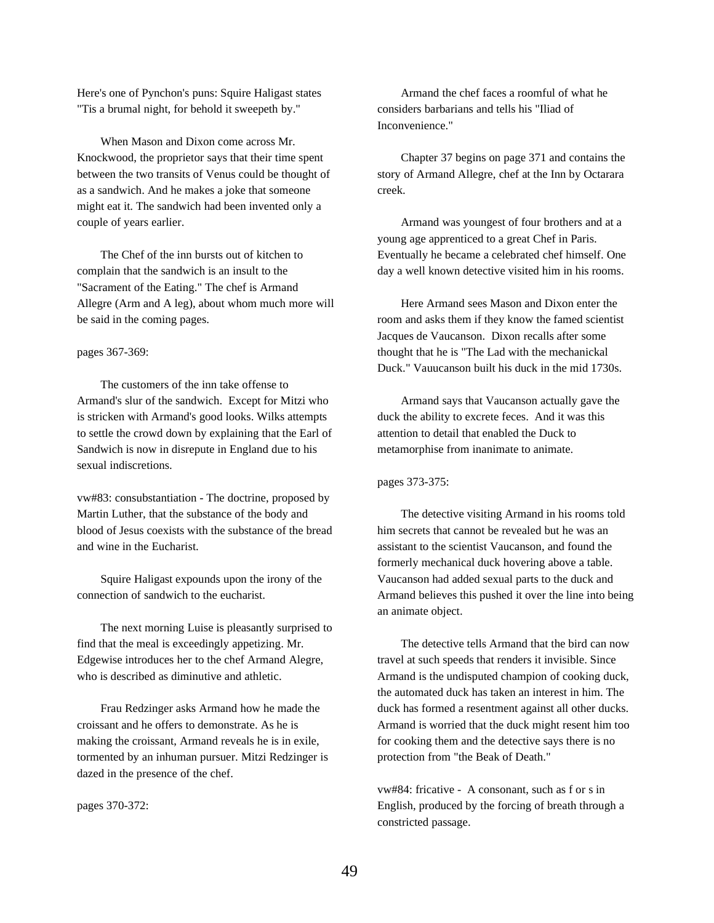Here's one of Pynchon's puns: Squire Haligast states "Tis a brumal night, for behold it sweepeth by."

When Mason and Dixon come across Mr. Knockwood, the proprietor says that their time spent between the two transits of Venus could be thought of as a sandwich. And he makes a joke that someone might eat it. The sandwich had been invented only a couple of years earlier.

The Chef of the inn bursts out of kitchen to complain that the sandwich is an insult to the "Sacrament of the Eating." The chef is Armand Allegre (Arm and A leg), about whom much more will be said in the coming pages.

### pages 367-369:

The customers of the inn take offense to Armand's slur of the sandwich. Except for Mitzi who is stricken with Armand's good looks. Wilks attempts to settle the crowd down by explaining that the Earl of Sandwich is now in disrepute in England due to his sexual indiscretions.

vw#83: consubstantiation - The doctrine, proposed by Martin Luther, that the substance of the body and blood of Jesus coexists with the substance of the bread and wine in the Eucharist.

Squire Haligast expounds upon the irony of the connection of sandwich to the eucharist.

The next morning Luise is pleasantly surprised to find that the meal is exceedingly appetizing. Mr. Edgewise introduces her to the chef Armand Alegre, who is described as diminutive and athletic.

Frau Redzinger asks Armand how he made the croissant and he offers to demonstrate. As he is making the croissant, Armand reveals he is in exile, tormented by an inhuman pursuer. Mitzi Redzinger is dazed in the presence of the chef.

pages 370-372:

Armand the chef faces a roomful of what he considers barbarians and tells his "Iliad of Inconvenience."

Chapter 37 begins on page 371 and contains the story of Armand Allegre, chef at the Inn by Octarara creek.

Armand was youngest of four brothers and at a young age apprenticed to a great Chef in Paris. Eventually he became a celebrated chef himself. One day a well known detective visited him in his rooms.

Here Armand sees Mason and Dixon enter the room and asks them if they know the famed scientist Jacques de Vaucanson. Dixon recalls after some thought that he is "The Lad with the mechanickal Duck." Vauucanson built his duck in the mid 1730s.

Armand says that Vaucanson actually gave the duck the ability to excrete feces. And it was this attention to detail that enabled the Duck to metamorphise from inanimate to animate.

pages 373-375:

The detective visiting Armand in his rooms told him secrets that cannot be revealed but he was an assistant to the scientist Vaucanson, and found the formerly mechanical duck hovering above a table. Vaucanson had added sexual parts to the duck and Armand believes this pushed it over the line into being an animate object.

The detective tells Armand that the bird can now travel at such speeds that renders it invisible. Since Armand is the undisputed champion of cooking duck, the automated duck has taken an interest in him. The duck has formed a resentment against all other ducks. Armand is worried that the duck might resent him too for cooking them and the detective says there is no protection from "the Beak of Death."

vw#84: fricative - A consonant, such as f or s in English, produced by the forcing of breath through a constricted passage.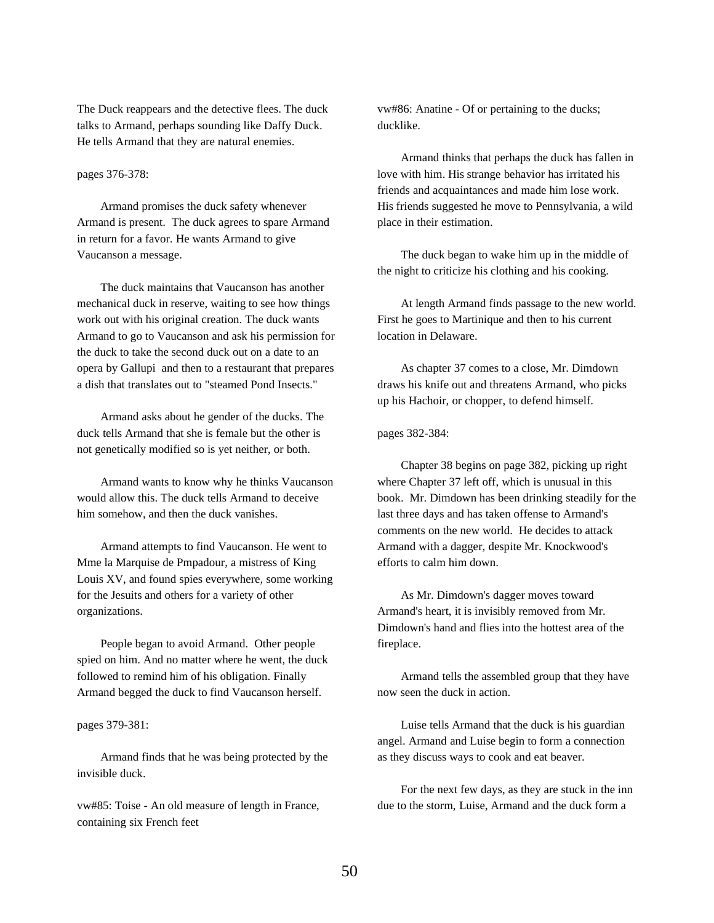The Duck reappears and the detective flees. The duck talks to Armand, perhaps sounding like Daffy Duck. He tells Armand that they are natural enemies.

## pages 376-378:

Armand promises the duck safety whenever Armand is present. The duck agrees to spare Armand in return for a favor. He wants Armand to give Vaucanson a message.

The duck maintains that Vaucanson has another mechanical duck in reserve, waiting to see how things work out with his original creation. The duck wants Armand to go to Vaucanson and ask his permission for the duck to take the second duck out on a date to an opera by Gallupi and then to a restaurant that prepares a dish that translates out to "steamed Pond Insects."

Armand asks about he gender of the ducks. The duck tells Armand that she is female but the other is not genetically modified so is yet neither, or both.

Armand wants to know why he thinks Vaucanson would allow this. The duck tells Armand to deceive him somehow, and then the duck vanishes.

Armand attempts to find Vaucanson. He went to Mme la Marquise de Pmpadour, a mistress of King Louis XV, and found spies everywhere, some working for the Jesuits and others for a variety of other organizations.

People began to avoid Armand. Other people spied on him. And no matter where he went, the duck followed to remind him of his obligation. Finally Armand begged the duck to find Vaucanson herself.

### pages 379-381:

Armand finds that he was being protected by the invisible duck.

vw#85: Toise - An old measure of length in France, containing six French feet

vw#86: Anatine - Of or pertaining to the ducks; ducklike.

Armand thinks that perhaps the duck has fallen in love with him. His strange behavior has irritated his friends and acquaintances and made him lose work. His friends suggested he move to Pennsylvania, a wild place in their estimation.

The duck began to wake him up in the middle of the night to criticize his clothing and his cooking.

At length Armand finds passage to the new world. First he goes to Martinique and then to his current location in Delaware.

As chapter 37 comes to a close, Mr. Dimdown draws his knife out and threatens Armand, who picks up his Hachoir, or chopper, to defend himself.

pages 382-384:

Chapter 38 begins on page 382, picking up right where Chapter 37 left off, which is unusual in this book. Mr. Dimdown has been drinking steadily for the last three days and has taken offense to Armand's comments on the new world. He decides to attack Armand with a dagger, despite Mr. Knockwood's efforts to calm him down.

As Mr. Dimdown's dagger moves toward Armand's heart, it is invisibly removed from Mr. Dimdown's hand and flies into the hottest area of the fireplace.

Armand tells the assembled group that they have now seen the duck in action.

Luise tells Armand that the duck is his guardian angel. Armand and Luise begin to form a connection as they discuss ways to cook and eat beaver.

For the next few days, as they are stuck in the inn due to the storm, Luise, Armand and the duck form a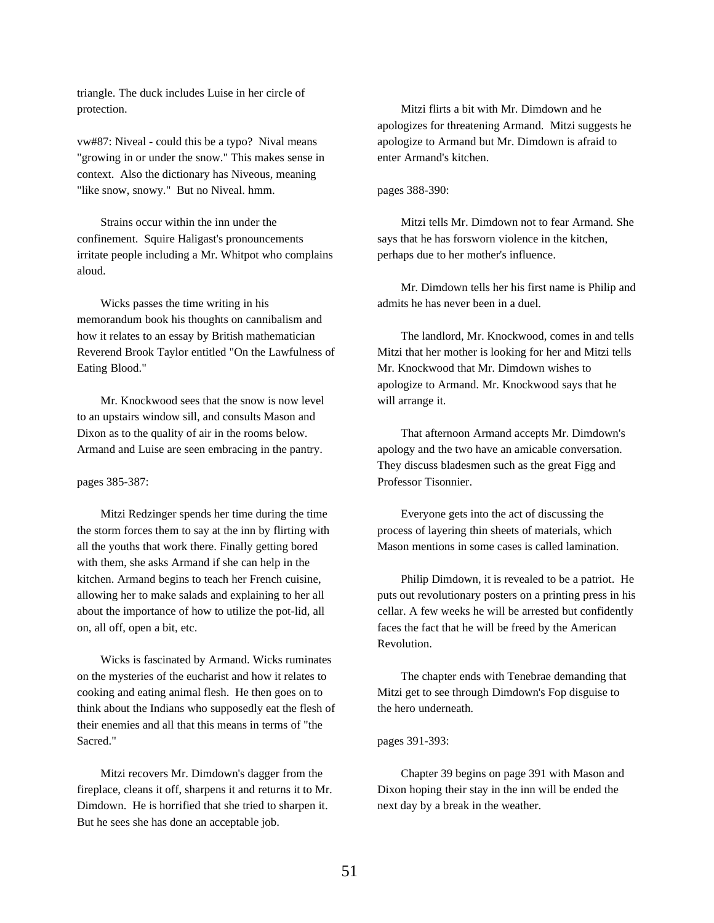triangle. The duck includes Luise in her circle of protection.

vw#87: Niveal - could this be a typo? Nival means "growing in or under the snow." This makes sense in context. Also the dictionary has Niveous, meaning "like snow, snowy." But no Niveal. hmm.

Strains occur within the inn under the confinement. Squire Haligast's pronouncements irritate people including a Mr. Whitpot who complains aloud.

Wicks passes the time writing in his memorandum book his thoughts on cannibalism and how it relates to an essay by British mathematician Reverend Brook Taylor entitled "On the Lawfulness of Eating Blood."

Mr. Knockwood sees that the snow is now level to an upstairs window sill, and consults Mason and Dixon as to the quality of air in the rooms below. Armand and Luise are seen embracing in the pantry.

### pages 385-387:

Mitzi Redzinger spends her time during the time the storm forces them to say at the inn by flirting with all the youths that work there. Finally getting bored with them, she asks Armand if she can help in the kitchen. Armand begins to teach her French cuisine, allowing her to make salads and explaining to her all about the importance of how to utilize the pot-lid, all on, all off, open a bit, etc.

Wicks is fascinated by Armand. Wicks ruminates on the mysteries of the eucharist and how it relates to cooking and eating animal flesh. He then goes on to think about the Indians who supposedly eat the flesh of their enemies and all that this means in terms of "the Sacred."

Mitzi recovers Mr. Dimdown's dagger from the fireplace, cleans it off, sharpens it and returns it to Mr. Dimdown. He is horrified that she tried to sharpen it. But he sees she has done an acceptable job.

Mitzi flirts a bit with Mr. Dimdown and he apologizes for threatening Armand. Mitzi suggests he apologize to Armand but Mr. Dimdown is afraid to enter Armand's kitchen.

## pages 388-390:

Mitzi tells Mr. Dimdown not to fear Armand. She says that he has forsworn violence in the kitchen, perhaps due to her mother's influence.

Mr. Dimdown tells her his first name is Philip and admits he has never been in a duel.

The landlord, Mr. Knockwood, comes in and tells Mitzi that her mother is looking for her and Mitzi tells Mr. Knockwood that Mr. Dimdown wishes to apologize to Armand. Mr. Knockwood says that he will arrange it.

That afternoon Armand accepts Mr. Dimdown's apology and the two have an amicable conversation. They discuss bladesmen such as the great Figg and Professor Tisonnier.

Everyone gets into the act of discussing the process of layering thin sheets of materials, which Mason mentions in some cases is called lamination.

Philip Dimdown, it is revealed to be a patriot. He puts out revolutionary posters on a printing press in his cellar. A few weeks he will be arrested but confidently faces the fact that he will be freed by the American Revolution.

The chapter ends with Tenebrae demanding that Mitzi get to see through Dimdown's Fop disguise to the hero underneath.

#### pages 391-393:

Chapter 39 begins on page 391 with Mason and Dixon hoping their stay in the inn will be ended the next day by a break in the weather.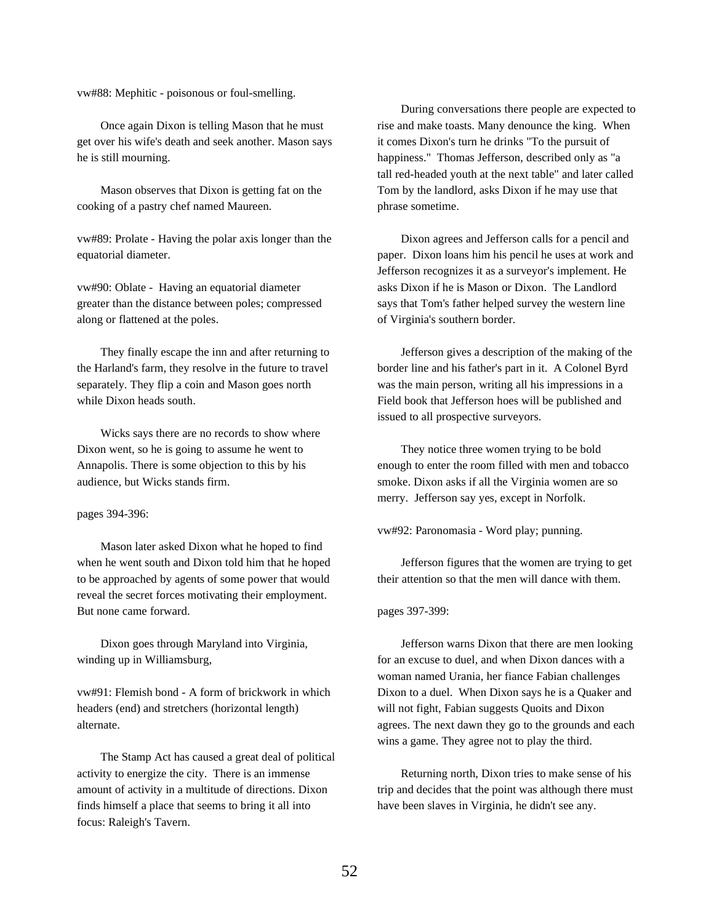vw#88: Mephitic - poisonous or foul-smelling.

Once again Dixon is telling Mason that he must get over his wife's death and seek another. Mason says he is still mourning.

Mason observes that Dixon is getting fat on the cooking of a pastry chef named Maureen.

vw#89: Prolate - Having the polar axis longer than the equatorial diameter.

vw#90: Oblate - Having an equatorial diameter greater than the distance between poles; compressed along or flattened at the poles.

They finally escape the inn and after returning to the Harland's farm, they resolve in the future to travel separately. They flip a coin and Mason goes north while Dixon heads south.

Wicks says there are no records to show where Dixon went, so he is going to assume he went to Annapolis. There is some objection to this by his audience, but Wicks stands firm.

pages 394-396:

Mason later asked Dixon what he hoped to find when he went south and Dixon told him that he hoped to be approached by agents of some power that would reveal the secret forces motivating their employment. But none came forward.

Dixon goes through Maryland into Virginia, winding up in Williamsburg,

vw#91: Flemish bond - A form of brickwork in which headers (end) and stretchers (horizontal length) alternate.

The Stamp Act has caused a great deal of political activity to energize the city. There is an immense amount of activity in a multitude of directions. Dixon finds himself a place that seems to bring it all into focus: Raleigh's Tavern.

During conversations there people are expected to rise and make toasts. Many denounce the king. When it comes Dixon's turn he drinks "To the pursuit of happiness." Thomas Jefferson, described only as "a tall red-headed youth at the next table" and later called Tom by the landlord, asks Dixon if he may use that phrase sometime.

Dixon agrees and Jefferson calls for a pencil and paper. Dixon loans him his pencil he uses at work and Jefferson recognizes it as a surveyor's implement. He asks Dixon if he is Mason or Dixon. The Landlord says that Tom's father helped survey the western line of Virginia's southern border.

Jefferson gives a description of the making of the border line and his father's part in it. A Colonel Byrd was the main person, writing all his impressions in a Field book that Jefferson hoes will be published and issued to all prospective surveyors.

They notice three women trying to be bold enough to enter the room filled with men and tobacco smoke. Dixon asks if all the Virginia women are so merry. Jefferson say yes, except in Norfolk.

vw#92: Paronomasia - Word play; punning.

Jefferson figures that the women are trying to get their attention so that the men will dance with them.

pages 397-399:

Jefferson warns Dixon that there are men looking for an excuse to duel, and when Dixon dances with a woman named Urania, her fiance Fabian challenges Dixon to a duel. When Dixon says he is a Quaker and will not fight, Fabian suggests Quoits and Dixon agrees. The next dawn they go to the grounds and each wins a game. They agree not to play the third.

Returning north, Dixon tries to make sense of his trip and decides that the point was although there must have been slaves in Virginia, he didn't see any.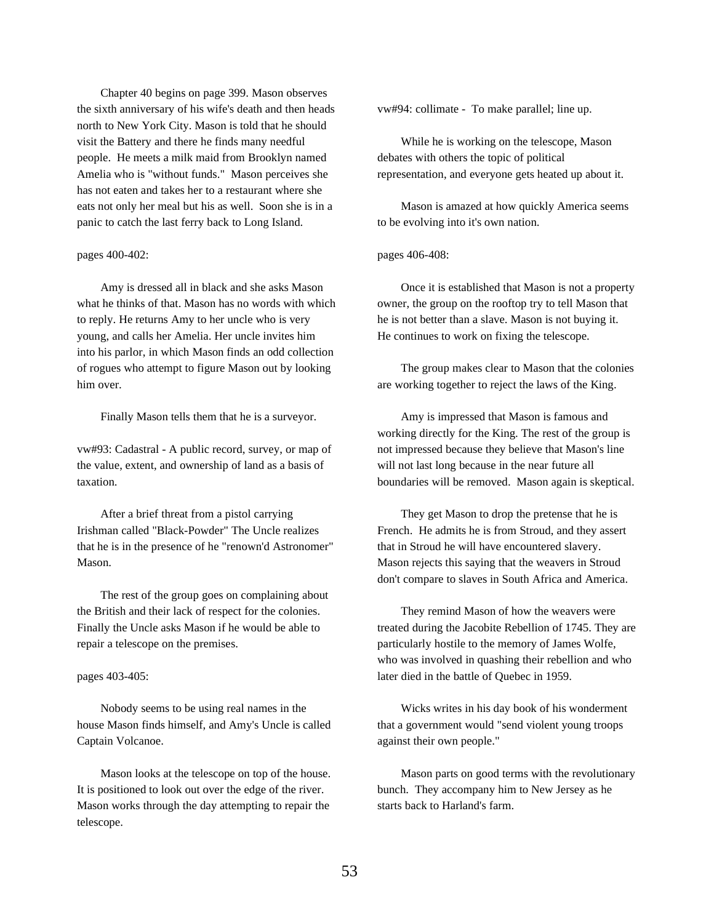Chapter 40 begins on page 399. Mason observes the sixth anniversary of his wife's death and then heads north to New York City. Mason is told that he should visit the Battery and there he finds many needful people. He meets a milk maid from Brooklyn named Amelia who is "without funds." Mason perceives she has not eaten and takes her to a restaurant where she eats not only her meal but his as well. Soon she is in a panic to catch the last ferry back to Long Island.

### pages 400-402:

Amy is dressed all in black and she asks Mason what he thinks of that. Mason has no words with which to reply. He returns Amy to her uncle who is very young, and calls her Amelia. Her uncle invites him into his parlor, in which Mason finds an odd collection of rogues who attempt to figure Mason out by looking him over.

Finally Mason tells them that he is a surveyor.

vw#93: Cadastral - A public record, survey, or map of the value, extent, and ownership of land as a basis of taxation.

After a brief threat from a pistol carrying Irishman called "Black-Powder" The Uncle realizes that he is in the presence of he "renown'd Astronomer" Mason.

The rest of the group goes on complaining about the British and their lack of respect for the colonies. Finally the Uncle asks Mason if he would be able to repair a telescope on the premises.

#### pages 403-405:

Nobody seems to be using real names in the house Mason finds himself, and Amy's Uncle is called Captain Volcanoe.

Mason looks at the telescope on top of the house. It is positioned to look out over the edge of the river. Mason works through the day attempting to repair the telescope.

vw#94: collimate - To make parallel; line up.

While he is working on the telescope, Mason debates with others the topic of political representation, and everyone gets heated up about it.

Mason is amazed at how quickly America seems to be evolving into it's own nation.

pages 406-408:

Once it is established that Mason is not a property owner, the group on the rooftop try to tell Mason that he is not better than a slave. Mason is not buying it. He continues to work on fixing the telescope.

The group makes clear to Mason that the colonies are working together to reject the laws of the King.

Amy is impressed that Mason is famous and working directly for the King. The rest of the group is not impressed because they believe that Mason's line will not last long because in the near future all boundaries will be removed. Mason again is skeptical.

They get Mason to drop the pretense that he is French. He admits he is from Stroud, and they assert that in Stroud he will have encountered slavery. Mason rejects this saying that the weavers in Stroud don't compare to slaves in South Africa and America.

They remind Mason of how the weavers were treated during the Jacobite Rebellion of 1745. They are particularly hostile to the memory of James Wolfe, who was involved in quashing their rebellion and who later died in the battle of Quebec in 1959.

Wicks writes in his day book of his wonderment that a government would "send violent young troops against their own people."

Mason parts on good terms with the revolutionary bunch. They accompany him to New Jersey as he starts back to Harland's farm.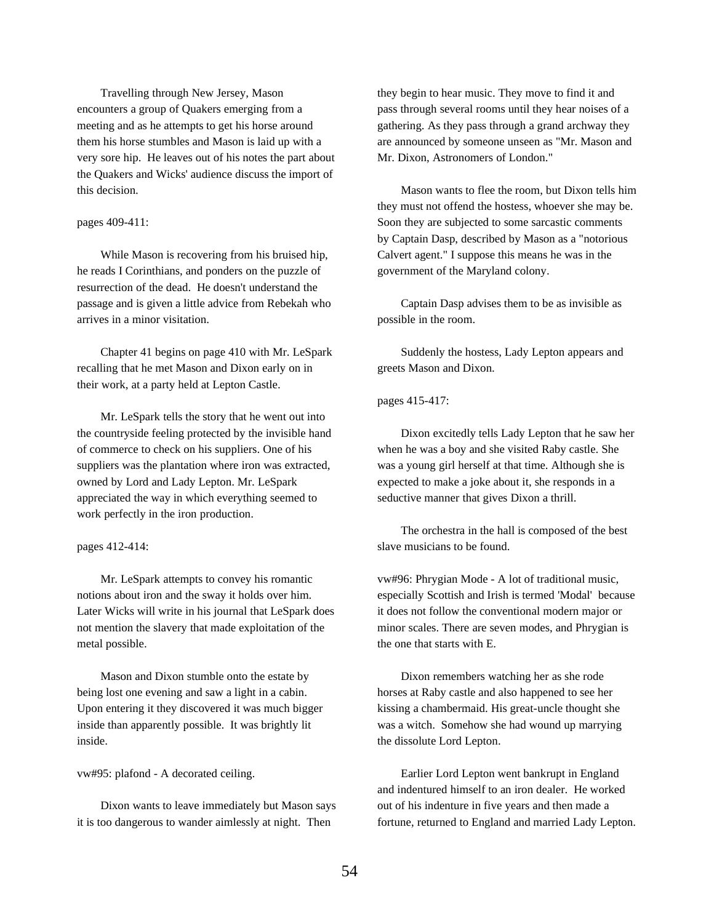Travelling through New Jersey, Mason encounters a group of Quakers emerging from a meeting and as he attempts to get his horse around them his horse stumbles and Mason is laid up with a very sore hip. He leaves out of his notes the part about the Quakers and Wicks' audience discuss the import of this decision.

### pages 409-411:

While Mason is recovering from his bruised hip, he reads I Corinthians, and ponders on the puzzle of resurrection of the dead. He doesn't understand the passage and is given a little advice from Rebekah who arrives in a minor visitation.

Chapter 41 begins on page 410 with Mr. LeSpark recalling that he met Mason and Dixon early on in their work, at a party held at Lepton Castle.

Mr. LeSpark tells the story that he went out into the countryside feeling protected by the invisible hand of commerce to check on his suppliers. One of his suppliers was the plantation where iron was extracted, owned by Lord and Lady Lepton. Mr. LeSpark appreciated the way in which everything seemed to work perfectly in the iron production.

pages 412-414:

Mr. LeSpark attempts to convey his romantic notions about iron and the sway it holds over him. Later Wicks will write in his journal that LeSpark does not mention the slavery that made exploitation of the metal possible.

Mason and Dixon stumble onto the estate by being lost one evening and saw a light in a cabin. Upon entering it they discovered it was much bigger inside than apparently possible. It was brightly lit inside.

vw#95: plafond - A decorated ceiling.

Dixon wants to leave immediately but Mason says it is too dangerous to wander aimlessly at night. Then

they begin to hear music. They move to find it and pass through several rooms until they hear noises of a gathering. As they pass through a grand archway they are announced by someone unseen as "Mr. Mason and Mr. Dixon, Astronomers of London."

Mason wants to flee the room, but Dixon tells him they must not offend the hostess, whoever she may be. Soon they are subjected to some sarcastic comments by Captain Dasp, described by Mason as a "notorious Calvert agent." I suppose this means he was in the government of the Maryland colony.

Captain Dasp advises them to be as invisible as possible in the room.

Suddenly the hostess, Lady Lepton appears and greets Mason and Dixon.

pages 415-417:

Dixon excitedly tells Lady Lepton that he saw her when he was a boy and she visited Raby castle. She was a young girl herself at that time. Although she is expected to make a joke about it, she responds in a seductive manner that gives Dixon a thrill.

The orchestra in the hall is composed of the best slave musicians to be found.

vw#96: Phrygian Mode - A lot of traditional music, especially Scottish and Irish is termed 'Modal' because it does not follow the conventional modern major or minor scales. There are seven modes, and Phrygian is the one that starts with E.

Dixon remembers watching her as she rode horses at Raby castle and also happened to see her kissing a chambermaid. His great-uncle thought she was a witch. Somehow she had wound up marrying the dissolute Lord Lepton.

Earlier Lord Lepton went bankrupt in England and indentured himself to an iron dealer. He worked out of his indenture in five years and then made a fortune, returned to England and married Lady Lepton.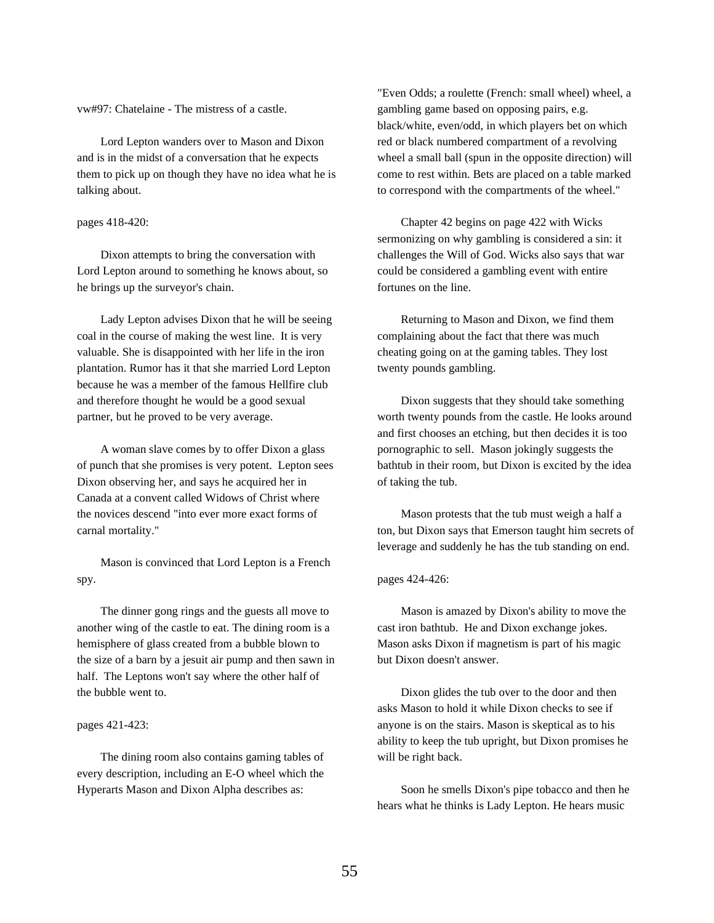vw#97: Chatelaine - The mistress of a castle.

Lord Lepton wanders over to Mason and Dixon and is in the midst of a conversation that he expects them to pick up on though they have no idea what he is talking about.

### pages 418-420:

Dixon attempts to bring the conversation with Lord Lepton around to something he knows about, so he brings up the surveyor's chain.

Lady Lepton advises Dixon that he will be seeing coal in the course of making the west line. It is very valuable. She is disappointed with her life in the iron plantation. Rumor has it that she married Lord Lepton because he was a member of the famous Hellfire club and therefore thought he would be a good sexual partner, but he proved to be very average.

A woman slave comes by to offer Dixon a glass of punch that she promises is very potent. Lepton sees Dixon observing her, and says he acquired her in Canada at a convent called Widows of Christ where the novices descend "into ever more exact forms of carnal mortality."

Mason is convinced that Lord Lepton is a French spy.

The dinner gong rings and the guests all move to another wing of the castle to eat. The dining room is a hemisphere of glass created from a bubble blown to the size of a barn by a jesuit air pump and then sawn in half. The Leptons won't say where the other half of the bubble went to.

## pages 421-423:

The dining room also contains gaming tables of every description, including an E-O wheel which the Hyperarts Mason and Dixon Alpha describes as:

"Even Odds; a roulette (French: small wheel) wheel, a gambling game based on opposing pairs, e.g. black/white, even/odd, in which players bet on which red or black numbered compartment of a revolving wheel a small ball (spun in the opposite direction) will come to rest within. Bets are placed on a table marked to correspond with the compartments of the wheel."

Chapter 42 begins on page 422 with Wicks sermonizing on why gambling is considered a sin: it challenges the Will of God. Wicks also says that war could be considered a gambling event with entire fortunes on the line.

Returning to Mason and Dixon, we find them complaining about the fact that there was much cheating going on at the gaming tables. They lost twenty pounds gambling.

Dixon suggests that they should take something worth twenty pounds from the castle. He looks around and first chooses an etching, but then decides it is too pornographic to sell. Mason jokingly suggests the bathtub in their room, but Dixon is excited by the idea of taking the tub.

Mason protests that the tub must weigh a half a ton, but Dixon says that Emerson taught him secrets of leverage and suddenly he has the tub standing on end.

### pages 424-426:

Mason is amazed by Dixon's ability to move the cast iron bathtub. He and Dixon exchange jokes. Mason asks Dixon if magnetism is part of his magic but Dixon doesn't answer.

Dixon glides the tub over to the door and then asks Mason to hold it while Dixon checks to see if anyone is on the stairs. Mason is skeptical as to his ability to keep the tub upright, but Dixon promises he will be right back.

Soon he smells Dixon's pipe tobacco and then he hears what he thinks is Lady Lepton. He hears music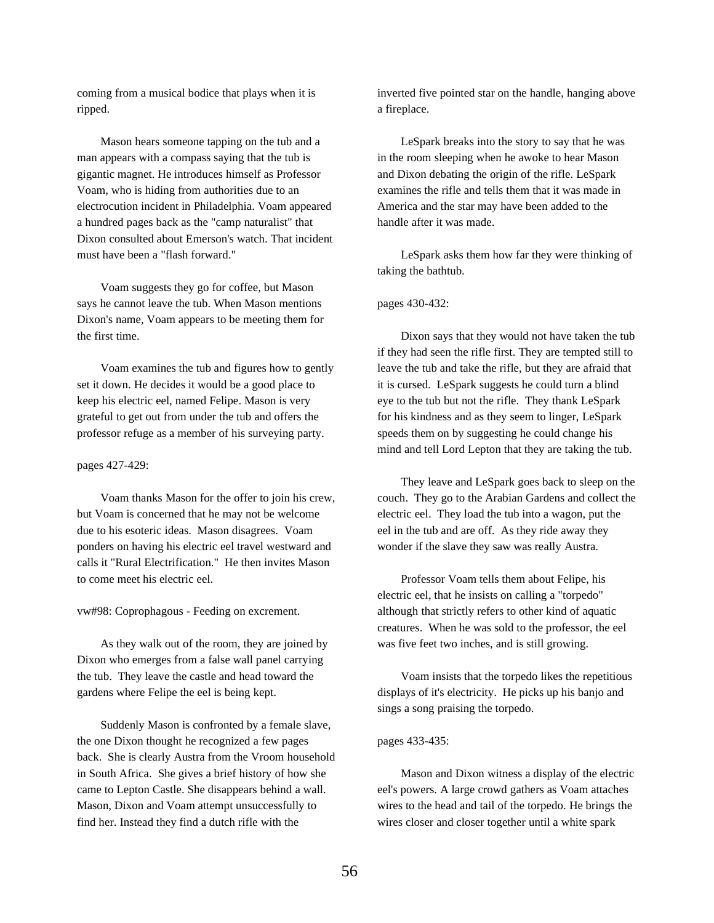coming from a musical bodice that plays when it is ripped.

Mason hears someone tapping on the tub and a man appears with a compass saying that the tub is gigantic magnet. He introduces himself as Professor Voam, who is hiding from authorities due to an electrocution incident in Philadelphia. Voam appeared a hundred pages back as the "camp naturalist" that Dixon consulted about Emerson's watch. That incident must have been a "flash forward."

Voam suggests they go for coffee, but Mason says he cannot leave the tub. When Mason mentions Dixon's name, Voam appears to be meeting them for the first time.

Voam examines the tub and figures how to gently set it down. He decides it would be a good place to keep his electric eel, named Felipe. Mason is very grateful to get out from under the tub and offers the professor refuge as a member of his surveying party.

#### pages 427-429:

Voam thanks Mason for the offer to join his crew, but Voam is concerned that he may not be welcome due to his esoteric ideas. Mason disagrees. Voam ponders on having his electric eel travel westward and calls it "Rural Electrification." He then invites Mason to come meet his electric eel.

#### vw#98: Coprophagous - Feeding on excrement.

As they walk out of the room, they are joined by Dixon who emerges from a false wall panel carrying the tub. They leave the castle and head toward the gardens where Felipe the eel is being kept.

Suddenly Mason is confronted by a female slave, the one Dixon thought he recognized a few pages back. She is clearly Austra from the Vroom household in South Africa. She gives a brief history of how she came to Lepton Castle. She disappears behind a wall. Mason, Dixon and Voam attempt unsuccessfully to find her. Instead they find a dutch rifle with the

inverted five pointed star on the handle, hanging above a fireplace.

LeSpark breaks into the story to say that he was in the room sleeping when he awoke to hear Mason and Dixon debating the origin of the rifle. LeSpark examines the rifle and tells them that it was made in America and the star may have been added to the handle after it was made.

LeSpark asks them how far they were thinking of taking the bathtub.

## pages 430-432:

Dixon says that they would not have taken the tub if they had seen the rifle first. They are tempted still to leave the tub and take the rifle, but they are afraid that it is cursed. LeSpark suggests he could turn a blind eye to the tub but not the rifle. They thank LeSpark for his kindness and as they seem to linger, LeSpark speeds them on by suggesting he could change his mind and tell Lord Lepton that they are taking the tub.

They leave and LeSpark goes back to sleep on the couch. They go to the Arabian Gardens and collect the electric eel. They load the tub into a wagon, put the eel in the tub and are off. As they ride away they wonder if the slave they saw was really Austra.

Professor Voam tells them about Felipe, his electric eel, that he insists on calling a "torpedo" although that strictly refers to other kind of aquatic creatures. When he was sold to the professor, the eel was five feet two inches, and is still growing.

Voam insists that the torpedo likes the repetitious displays of it's electricity. He picks up his banjo and sings a song praising the torpedo.

#### pages 433-435:

Mason and Dixon witness a display of the electric eel's powers. A large crowd gathers as Voam attaches wires to the head and tail of the torpedo. He brings the wires closer and closer together until a white spark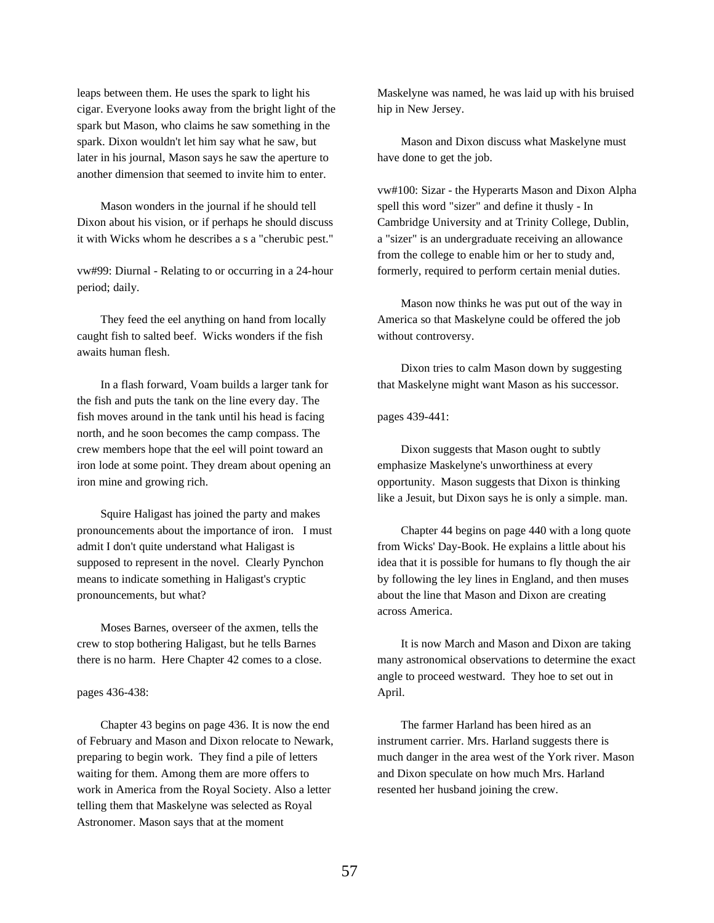leaps between them. He uses the spark to light his cigar. Everyone looks away from the bright light of the spark but Mason, who claims he saw something in the spark. Dixon wouldn't let him say what he saw, but later in his journal, Mason says he saw the aperture to another dimension that seemed to invite him to enter.

Mason wonders in the journal if he should tell Dixon about his vision, or if perhaps he should discuss it with Wicks whom he describes a s a "cherubic pest."

vw#99: Diurnal - Relating to or occurring in a 24-hour period; daily.

They feed the eel anything on hand from locally caught fish to salted beef. Wicks wonders if the fish awaits human flesh.

In a flash forward, Voam builds a larger tank for the fish and puts the tank on the line every day. The fish moves around in the tank until his head is facing north, and he soon becomes the camp compass. The crew members hope that the eel will point toward an iron lode at some point. They dream about opening an iron mine and growing rich.

Squire Haligast has joined the party and makes pronouncements about the importance of iron. I must admit I don't quite understand what Haligast is supposed to represent in the novel. Clearly Pynchon means to indicate something in Haligast's cryptic pronouncements, but what?

Moses Barnes, overseer of the axmen, tells the crew to stop bothering Haligast, but he tells Barnes there is no harm. Here Chapter 42 comes to a close.

pages 436-438:

Chapter 43 begins on page 436. It is now the end of February and Mason and Dixon relocate to Newark, preparing to begin work. They find a pile of letters waiting for them. Among them are more offers to work in America from the Royal Society. Also a letter telling them that Maskelyne was selected as Royal Astronomer. Mason says that at the moment

Maskelyne was named, he was laid up with his bruised hip in New Jersey.

Mason and Dixon discuss what Maskelyne must have done to get the job.

vw#100: Sizar - the Hyperarts Mason and Dixon Alpha spell this word "sizer" and define it thusly - In Cambridge University and at Trinity College, Dublin, a "sizer" is an undergraduate receiving an allowance from the college to enable him or her to study and, formerly, required to perform certain menial duties.

Mason now thinks he was put out of the way in America so that Maskelyne could be offered the job without controversy.

Dixon tries to calm Mason down by suggesting that Maskelyne might want Mason as his successor.

pages 439-441:

Dixon suggests that Mason ought to subtly emphasize Maskelyne's unworthiness at every opportunity. Mason suggests that Dixon is thinking like a Jesuit, but Dixon says he is only a simple. man.

Chapter 44 begins on page 440 with a long quote from Wicks' Day-Book. He explains a little about his idea that it is possible for humans to fly though the air by following the ley lines in England, and then muses about the line that Mason and Dixon are creating across America.

It is now March and Mason and Dixon are taking many astronomical observations to determine the exact angle to proceed westward. They hoe to set out in April.

The farmer Harland has been hired as an instrument carrier. Mrs. Harland suggests there is much danger in the area west of the York river. Mason and Dixon speculate on how much Mrs. Harland resented her husband joining the crew.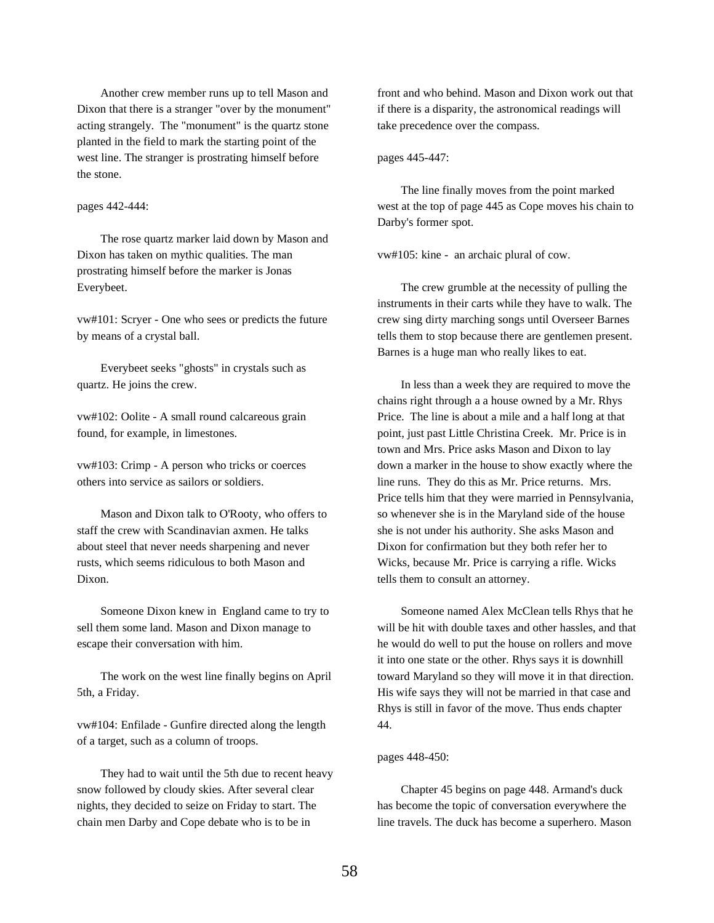Another crew member runs up to tell Mason and Dixon that there is a stranger "over by the monument" acting strangely. The "monument" is the quartz stone planted in the field to mark the starting point of the west line. The stranger is prostrating himself before the stone.

#### pages 442-444:

The rose quartz marker laid down by Mason and Dixon has taken on mythic qualities. The man prostrating himself before the marker is Jonas Everybeet.

vw#101: Scryer - One who sees or predicts the future by means of a crystal ball.

Everybeet seeks "ghosts" in crystals such as quartz. He joins the crew.

vw#102: Oolite - A small round calcareous grain found, for example, in limestones.

vw#103: Crimp - A person who tricks or coerces others into service as sailors or soldiers.

Mason and Dixon talk to O'Rooty, who offers to staff the crew with Scandinavian axmen. He talks about steel that never needs sharpening and never rusts, which seems ridiculous to both Mason and Dixon.

Someone Dixon knew in England came to try to sell them some land. Mason and Dixon manage to escape their conversation with him.

The work on the west line finally begins on April 5th, a Friday.

vw#104: Enfilade - Gunfire directed along the length of a target, such as a column of troops.

They had to wait until the 5th due to recent heavy snow followed by cloudy skies. After several clear nights, they decided to seize on Friday to start. The chain men Darby and Cope debate who is to be in

front and who behind. Mason and Dixon work out that if there is a disparity, the astronomical readings will take precedence over the compass.

### pages 445-447:

The line finally moves from the point marked west at the top of page 445 as Cope moves his chain to Darby's former spot.

vw#105: kine - an archaic plural of cow.

The crew grumble at the necessity of pulling the instruments in their carts while they have to walk. The crew sing dirty marching songs until Overseer Barnes tells them to stop because there are gentlemen present. Barnes is a huge man who really likes to eat.

In less than a week they are required to move the chains right through a a house owned by a Mr. Rhys Price. The line is about a mile and a half long at that point, just past Little Christina Creek. Mr. Price is in town and Mrs. Price asks Mason and Dixon to lay down a marker in the house to show exactly where the line runs. They do this as Mr. Price returns. Mrs. Price tells him that they were married in Pennsylvania, so whenever she is in the Maryland side of the house she is not under his authority. She asks Mason and Dixon for confirmation but they both refer her to Wicks, because Mr. Price is carrying a rifle. Wicks tells them to consult an attorney.

Someone named Alex McClean tells Rhys that he will be hit with double taxes and other hassles, and that he would do well to put the house on rollers and move it into one state or the other. Rhys says it is downhill toward Maryland so they will move it in that direction. His wife says they will not be married in that case and Rhys is still in favor of the move. Thus ends chapter 44.

## pages 448-450:

Chapter 45 begins on page 448. Armand's duck has become the topic of conversation everywhere the line travels. The duck has become a superhero. Mason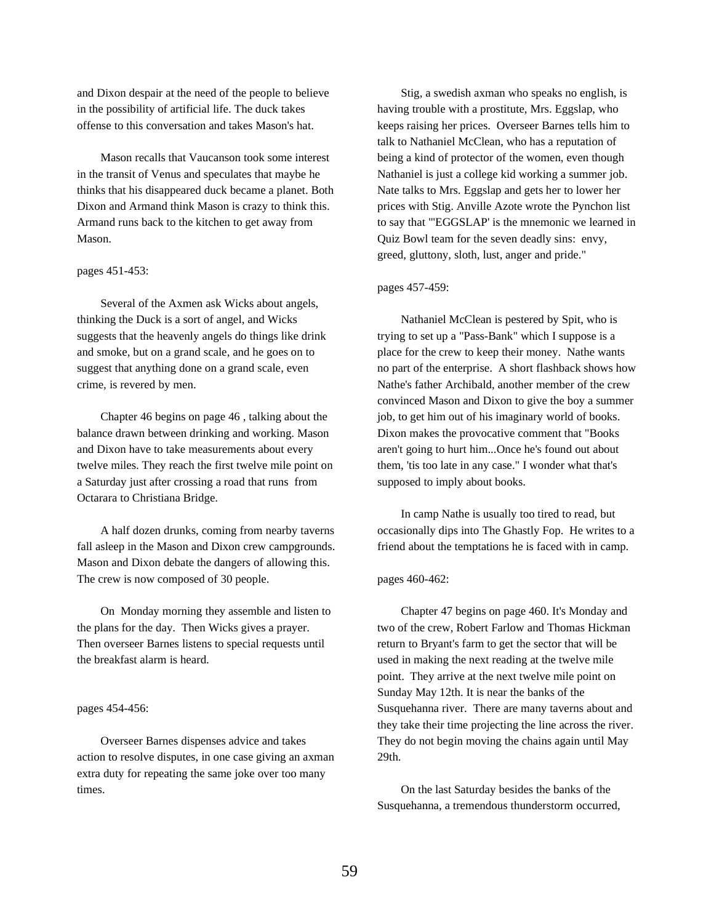and Dixon despair at the need of the people to believe in the possibility of artificial life. The duck takes offense to this conversation and takes Mason's hat.

Mason recalls that Vaucanson took some interest in the transit of Venus and speculates that maybe he thinks that his disappeared duck became a planet. Both Dixon and Armand think Mason is crazy to think this. Armand runs back to the kitchen to get away from Mason.

## pages 451-453:

Several of the Axmen ask Wicks about angels, thinking the Duck is a sort of angel, and Wicks suggests that the heavenly angels do things like drink and smoke, but on a grand scale, and he goes on to suggest that anything done on a grand scale, even crime, is revered by men.

Chapter 46 begins on page 46 , talking about the balance drawn between drinking and working. Mason and Dixon have to take measurements about every twelve miles. They reach the first twelve mile point on a Saturday just after crossing a road that runs from Octarara to Christiana Bridge.

A half dozen drunks, coming from nearby taverns fall asleep in the Mason and Dixon crew campgrounds. Mason and Dixon debate the dangers of allowing this. The crew is now composed of 30 people.

On Monday morning they assemble and listen to the plans for the day. Then Wicks gives a prayer. Then overseer Barnes listens to special requests until the breakfast alarm is heard.

### pages 454-456:

Overseer Barnes dispenses advice and takes action to resolve disputes, in one case giving an axman extra duty for repeating the same joke over too many times.

Stig, a swedish axman who speaks no english, is having trouble with a prostitute, Mrs. Eggslap, who keeps raising her prices. Overseer Barnes tells him to talk to Nathaniel McClean, who has a reputation of being a kind of protector of the women, even though Nathaniel is just a college kid working a summer job. Nate talks to Mrs. Eggslap and gets her to lower her prices with Stig. Anville Azote wrote the Pynchon list to say that "'EGGSLAP' is the mnemonic we learned in Quiz Bowl team for the seven deadly sins: envy, greed, gluttony, sloth, lust, anger and pride."

### pages 457-459:

Nathaniel McClean is pestered by Spit, who is trying to set up a "Pass-Bank" which I suppose is a place for the crew to keep their money. Nathe wants no part of the enterprise. A short flashback shows how Nathe's father Archibald, another member of the crew convinced Mason and Dixon to give the boy a summer job, to get him out of his imaginary world of books. Dixon makes the provocative comment that "Books aren't going to hurt him...Once he's found out about them, 'tis too late in any case." I wonder what that's supposed to imply about books.

In camp Nathe is usually too tired to read, but occasionally dips into The Ghastly Fop. He writes to a friend about the temptations he is faced with in camp.

### pages 460-462:

Chapter 47 begins on page 460. It's Monday and two of the crew, Robert Farlow and Thomas Hickman return to Bryant's farm to get the sector that will be used in making the next reading at the twelve mile point. They arrive at the next twelve mile point on Sunday May 12th. It is near the banks of the Susquehanna river. There are many taverns about and they take their time projecting the line across the river. They do not begin moving the chains again until May 29th.

On the last Saturday besides the banks of the Susquehanna, a tremendous thunderstorm occurred,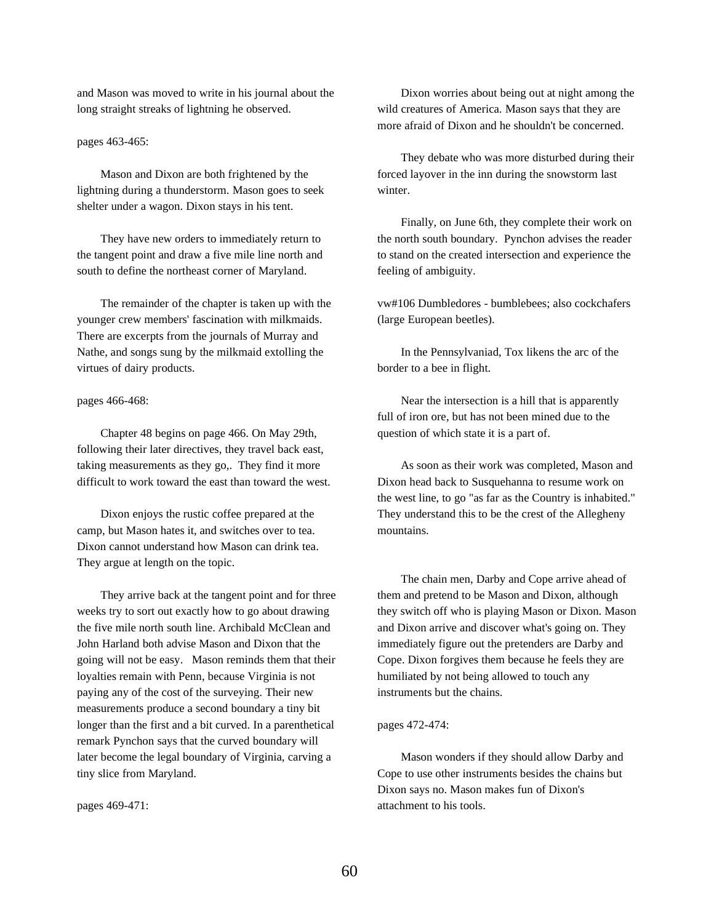and Mason was moved to write in his journal about the long straight streaks of lightning he observed.

pages 463-465:

Mason and Dixon are both frightened by the lightning during a thunderstorm. Mason goes to seek shelter under a wagon. Dixon stays in his tent.

They have new orders to immediately return to the tangent point and draw a five mile line north and south to define the northeast corner of Maryland.

The remainder of the chapter is taken up with the younger crew members' fascination with milkmaids. There are excerpts from the journals of Murray and Nathe, and songs sung by the milkmaid extolling the virtues of dairy products.

pages 466-468:

Chapter 48 begins on page 466. On May 29th, following their later directives, they travel back east, taking measurements as they go,. They find it more difficult to work toward the east than toward the west.

Dixon enjoys the rustic coffee prepared at the camp, but Mason hates it, and switches over to tea. Dixon cannot understand how Mason can drink tea. They argue at length on the topic.

They arrive back at the tangent point and for three weeks try to sort out exactly how to go about drawing the five mile north south line. Archibald McClean and John Harland both advise Mason and Dixon that the going will not be easy. Mason reminds them that their loyalties remain with Penn, because Virginia is not paying any of the cost of the surveying. Their new measurements produce a second boundary a tiny bit longer than the first and a bit curved. In a parenthetical remark Pynchon says that the curved boundary will later become the legal boundary of Virginia, carving a tiny slice from Maryland.

pages 469-471:

Dixon worries about being out at night among the wild creatures of America. Mason says that they are more afraid of Dixon and he shouldn't be concerned.

They debate who was more disturbed during their forced layover in the inn during the snowstorm last winter.

Finally, on June 6th, they complete their work on the north south boundary. Pynchon advises the reader to stand on the created intersection and experience the feeling of ambiguity.

vw#106 Dumbledores - bumblebees; also cockchafers (large European beetles).

In the Pennsylvaniad, Tox likens the arc of the border to a bee in flight.

Near the intersection is a hill that is apparently full of iron ore, but has not been mined due to the question of which state it is a part of.

As soon as their work was completed, Mason and Dixon head back to Susquehanna to resume work on the west line, to go "as far as the Country is inhabited." They understand this to be the crest of the Allegheny mountains.

The chain men, Darby and Cope arrive ahead of them and pretend to be Mason and Dixon, although they switch off who is playing Mason or Dixon. Mason and Dixon arrive and discover what's going on. They immediately figure out the pretenders are Darby and Cope. Dixon forgives them because he feels they are humiliated by not being allowed to touch any instruments but the chains.

#### pages 472-474:

Mason wonders if they should allow Darby and Cope to use other instruments besides the chains but Dixon says no. Mason makes fun of Dixon's attachment to his tools.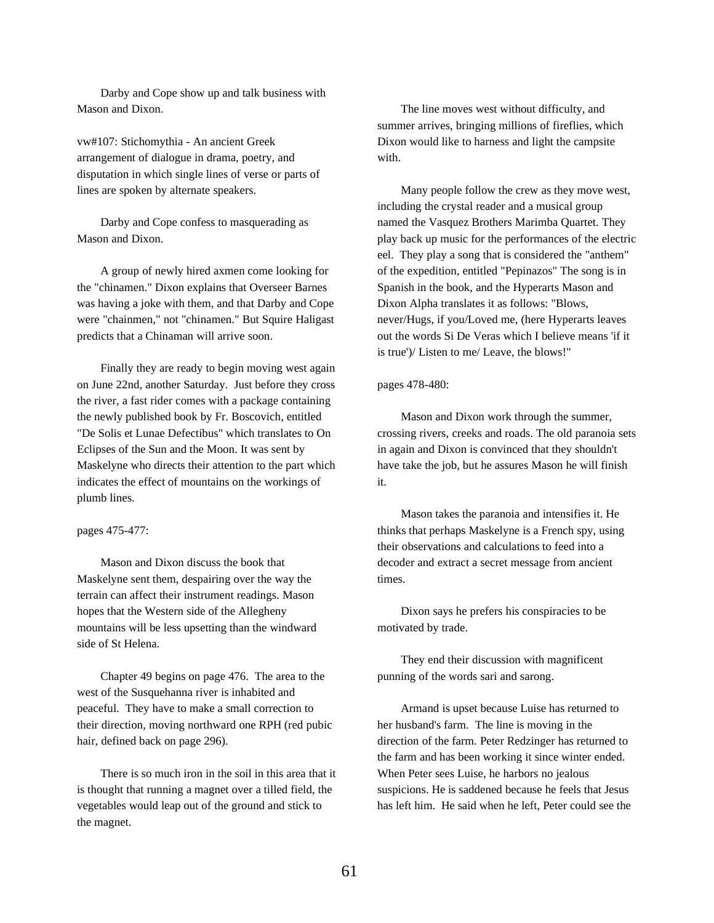Darby and Cope show up and talk business with Mason and Dixon.

vw#107: Stichomythia - An ancient Greek arrangement of dialogue in drama, poetry, and disputation in which single lines of verse or parts of lines are spoken by alternate speakers.

Darby and Cope confess to masquerading as Mason and Dixon.

A group of newly hired axmen come looking for the "chinamen." Dixon explains that Overseer Barnes was having a joke with them, and that Darby and Cope were "chainmen," not "chinamen." But Squire Haligast predicts that a Chinaman will arrive soon.

Finally they are ready to begin moving west again on June 22nd, another Saturday. Just before they cross the river, a fast rider comes with a package containing the newly published book by Fr. Boscovich, entitled "De Solis et Lunae Defectibus" which translates to On Eclipses of the Sun and the Moon. It was sent by Maskelyne who directs their attention to the part which indicates the effect of mountains on the workings of plumb lines.

### pages 475-477:

Mason and Dixon discuss the book that Maskelyne sent them, despairing over the way the terrain can affect their instrument readings. Mason hopes that the Western side of the Allegheny mountains will be less upsetting than the windward side of St Helena.

Chapter 49 begins on page 476. The area to the west of the Susquehanna river is inhabited and peaceful. They have to make a small correction to their direction, moving northward one RPH (red pubic hair, defined back on page 296).

There is so much iron in the soil in this area that it is thought that running a magnet over a tilled field, the vegetables would leap out of the ground and stick to the magnet.

The line moves west without difficulty, and summer arrives, bringing millions of fireflies, which Dixon would like to harness and light the campsite with.

Many people follow the crew as they move west, including the crystal reader and a musical group named the Vasquez Brothers Marimba Quartet. They play back up music for the performances of the electric eel. They play a song that is considered the "anthem" of the expedition, entitled "Pepinazos" The song is in Spanish in the book, and the Hyperarts Mason and Dixon Alpha translates it as follows: "Blows, never/Hugs, if you/Loved me, (here Hyperarts leaves out the words Si De Veras which I believe means 'if it is true')/ Listen to me/ Leave, the blows!"

### pages 478-480:

Mason and Dixon work through the summer, crossing rivers, creeks and roads. The old paranoia sets in again and Dixon is convinced that they shouldn't have take the job, but he assures Mason he will finish it.

Mason takes the paranoia and intensifies it. He thinks that perhaps Maskelyne is a French spy, using their observations and calculations to feed into a decoder and extract a secret message from ancient times.

Dixon says he prefers his conspiracies to be motivated by trade.

They end their discussion with magnificent punning of the words sari and sarong.

Armand is upset because Luise has returned to her husband's farm. The line is moving in the direction of the farm. Peter Redzinger has returned to the farm and has been working it since winter ended. When Peter sees Luise, he harbors no jealous suspicions. He is saddened because he feels that Jesus has left him. He said when he left, Peter could see the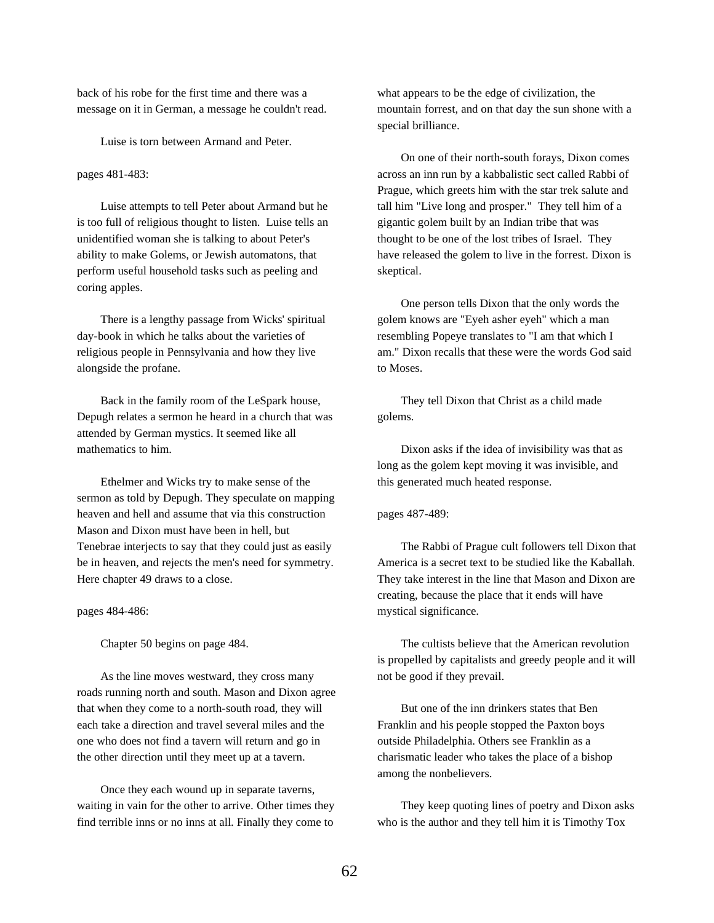back of his robe for the first time and there was a message on it in German, a message he couldn't read.

Luise is torn between Armand and Peter.

# pages 481-483:

Luise attempts to tell Peter about Armand but he is too full of religious thought to listen. Luise tells an unidentified woman she is talking to about Peter's ability to make Golems, or Jewish automatons, that perform useful household tasks such as peeling and coring apples.

There is a lengthy passage from Wicks' spiritual day-book in which he talks about the varieties of religious people in Pennsylvania and how they live alongside the profane.

Back in the family room of the LeSpark house, Depugh relates a sermon he heard in a church that was attended by German mystics. It seemed like all mathematics to him.

Ethelmer and Wicks try to make sense of the sermon as told by Depugh. They speculate on mapping heaven and hell and assume that via this construction Mason and Dixon must have been in hell, but Tenebrae interjects to say that they could just as easily be in heaven, and rejects the men's need for symmetry. Here chapter 49 draws to a close.

pages 484-486:

Chapter 50 begins on page 484.

As the line moves westward, they cross many roads running north and south. Mason and Dixon agree that when they come to a north-south road, they will each take a direction and travel several miles and the one who does not find a tavern will return and go in the other direction until they meet up at a tavern.

Once they each wound up in separate taverns, waiting in vain for the other to arrive. Other times they find terrible inns or no inns at all. Finally they come to

what appears to be the edge of civilization, the mountain forrest, and on that day the sun shone with a special brilliance.

On one of their north-south forays, Dixon comes across an inn run by a kabbalistic sect called Rabbi of Prague, which greets him with the star trek salute and tall him "Live long and prosper." They tell him of a gigantic golem built by an Indian tribe that was thought to be one of the lost tribes of Israel. They have released the golem to live in the forrest. Dixon is skeptical.

One person tells Dixon that the only words the golem knows are "Eyeh asher eyeh" which a man resembling Popeye translates to "I am that which I am." Dixon recalls that these were the words God said to Moses.

They tell Dixon that Christ as a child made golems.

Dixon asks if the idea of invisibility was that as long as the golem kept moving it was invisible, and this generated much heated response.

pages 487-489:

The Rabbi of Prague cult followers tell Dixon that America is a secret text to be studied like the Kaballah. They take interest in the line that Mason and Dixon are creating, because the place that it ends will have mystical significance.

The cultists believe that the American revolution is propelled by capitalists and greedy people and it will not be good if they prevail.

But one of the inn drinkers states that Ben Franklin and his people stopped the Paxton boys outside Philadelphia. Others see Franklin as a charismatic leader who takes the place of a bishop among the nonbelievers.

They keep quoting lines of poetry and Dixon asks who is the author and they tell him it is Timothy Tox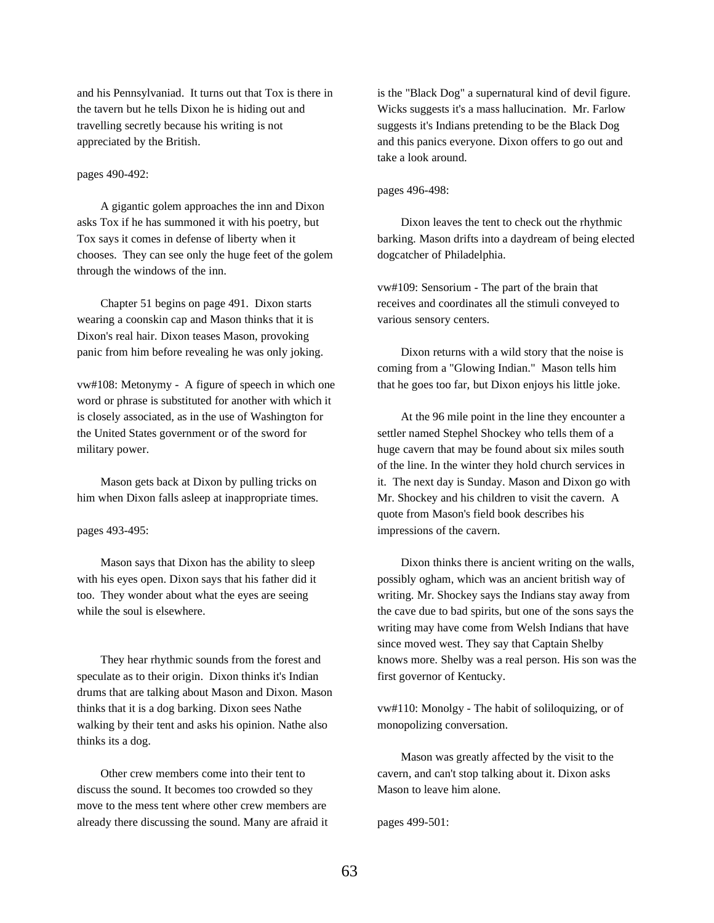and his Pennsylvaniad. It turns out that Tox is there in the tavern but he tells Dixon he is hiding out and travelling secretly because his writing is not appreciated by the British.

# pages 490-492:

A gigantic golem approaches the inn and Dixon asks Tox if he has summoned it with his poetry, but Tox says it comes in defense of liberty when it chooses. They can see only the huge feet of the golem through the windows of the inn.

Chapter 51 begins on page 491. Dixon starts wearing a coonskin cap and Mason thinks that it is Dixon's real hair. Dixon teases Mason, provoking panic from him before revealing he was only joking.

vw#108: Metonymy - A figure of speech in which one word or phrase is substituted for another with which it is closely associated, as in the use of Washington for the United States government or of the sword for military power.

Mason gets back at Dixon by pulling tricks on him when Dixon falls asleep at inappropriate times.

pages 493-495:

Mason says that Dixon has the ability to sleep with his eyes open. Dixon says that his father did it too. They wonder about what the eyes are seeing while the soul is elsewhere.

They hear rhythmic sounds from the forest and speculate as to their origin. Dixon thinks it's Indian drums that are talking about Mason and Dixon. Mason thinks that it is a dog barking. Dixon sees Nathe walking by their tent and asks his opinion. Nathe also thinks its a dog.

Other crew members come into their tent to discuss the sound. It becomes too crowded so they move to the mess tent where other crew members are already there discussing the sound. Many are afraid it is the "Black Dog" a supernatural kind of devil figure. Wicks suggests it's a mass hallucination. Mr. Farlow suggests it's Indians pretending to be the Black Dog and this panics everyone. Dixon offers to go out and take a look around.

### pages 496-498:

Dixon leaves the tent to check out the rhythmic barking. Mason drifts into a daydream of being elected dogcatcher of Philadelphia.

vw#109: Sensorium - The part of the brain that receives and coordinates all the stimuli conveyed to various sensory centers.

Dixon returns with a wild story that the noise is coming from a "Glowing Indian." Mason tells him that he goes too far, but Dixon enjoys his little joke.

At the 96 mile point in the line they encounter a settler named Stephel Shockey who tells them of a huge cavern that may be found about six miles south of the line. In the winter they hold church services in it. The next day is Sunday. Mason and Dixon go with Mr. Shockey and his children to visit the cavern. A quote from Mason's field book describes his impressions of the cavern.

Dixon thinks there is ancient writing on the walls, possibly ogham, which was an ancient british way of writing. Mr. Shockey says the Indians stay away from the cave due to bad spirits, but one of the sons says the writing may have come from Welsh Indians that have since moved west. They say that Captain Shelby knows more. Shelby was a real person. His son was the first governor of Kentucky.

vw#110: Monolgy - The habit of soliloquizing, or of monopolizing conversation.

Mason was greatly affected by the visit to the cavern, and can't stop talking about it. Dixon asks Mason to leave him alone.

pages 499-501: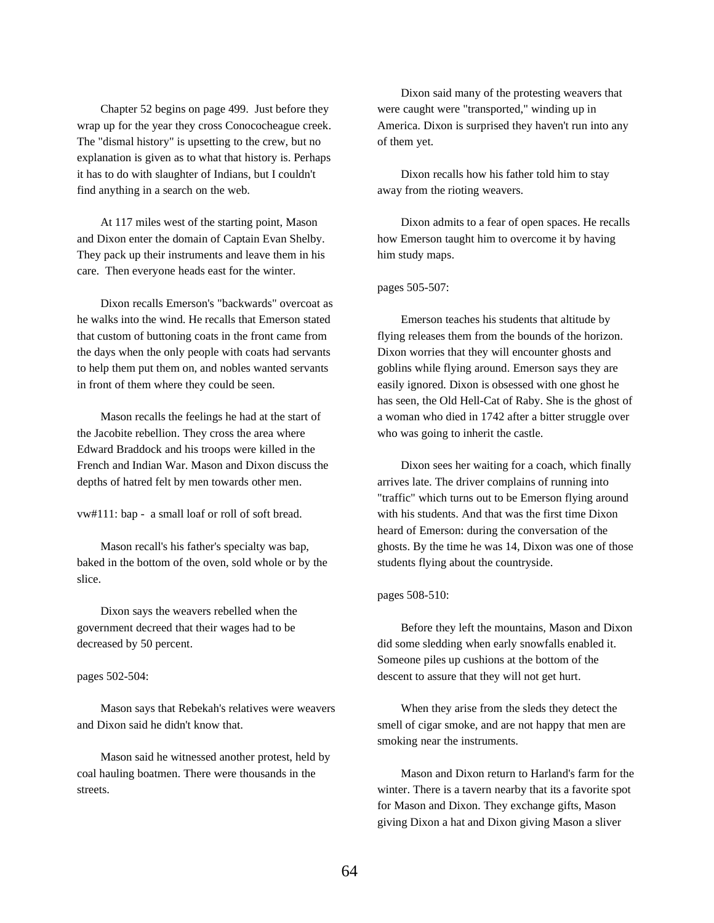Chapter 52 begins on page 499. Just before they wrap up for the year they cross Conococheague creek. The "dismal history" is upsetting to the crew, but no explanation is given as to what that history is. Perhaps it has to do with slaughter of Indians, but I couldn't find anything in a search on the web.

At 117 miles west of the starting point, Mason and Dixon enter the domain of Captain Evan Shelby. They pack up their instruments and leave them in his care. Then everyone heads east for the winter.

Dixon recalls Emerson's "backwards" overcoat as he walks into the wind. He recalls that Emerson stated that custom of buttoning coats in the front came from the days when the only people with coats had servants to help them put them on, and nobles wanted servants in front of them where they could be seen.

Mason recalls the feelings he had at the start of the Jacobite rebellion. They cross the area where Edward Braddock and his troops were killed in the French and Indian War. Mason and Dixon discuss the depths of hatred felt by men towards other men.

vw#111: bap - a small loaf or roll of soft bread.

Mason recall's his father's specialty was bap, baked in the bottom of the oven, sold whole or by the slice.

Dixon says the weavers rebelled when the government decreed that their wages had to be decreased by 50 percent.

#### pages 502-504:

Mason says that Rebekah's relatives were weavers and Dixon said he didn't know that.

Mason said he witnessed another protest, held by coal hauling boatmen. There were thousands in the streets.

Dixon said many of the protesting weavers that were caught were "transported," winding up in America. Dixon is surprised they haven't run into any of them yet.

Dixon recalls how his father told him to stay away from the rioting weavers.

Dixon admits to a fear of open spaces. He recalls how Emerson taught him to overcome it by having him study maps.

### pages 505-507:

Emerson teaches his students that altitude by flying releases them from the bounds of the horizon. Dixon worries that they will encounter ghosts and goblins while flying around. Emerson says they are easily ignored. Dixon is obsessed with one ghost he has seen, the Old Hell-Cat of Raby. She is the ghost of a woman who died in 1742 after a bitter struggle over who was going to inherit the castle.

Dixon sees her waiting for a coach, which finally arrives late. The driver complains of running into "traffic" which turns out to be Emerson flying around with his students. And that was the first time Dixon heard of Emerson: during the conversation of the ghosts. By the time he was 14, Dixon was one of those students flying about the countryside.

#### pages 508-510:

Before they left the mountains, Mason and Dixon did some sledding when early snowfalls enabled it. Someone piles up cushions at the bottom of the descent to assure that they will not get hurt.

When they arise from the sleds they detect the smell of cigar smoke, and are not happy that men are smoking near the instruments.

Mason and Dixon return to Harland's farm for the winter. There is a tavern nearby that its a favorite spot for Mason and Dixon. They exchange gifts, Mason giving Dixon a hat and Dixon giving Mason a sliver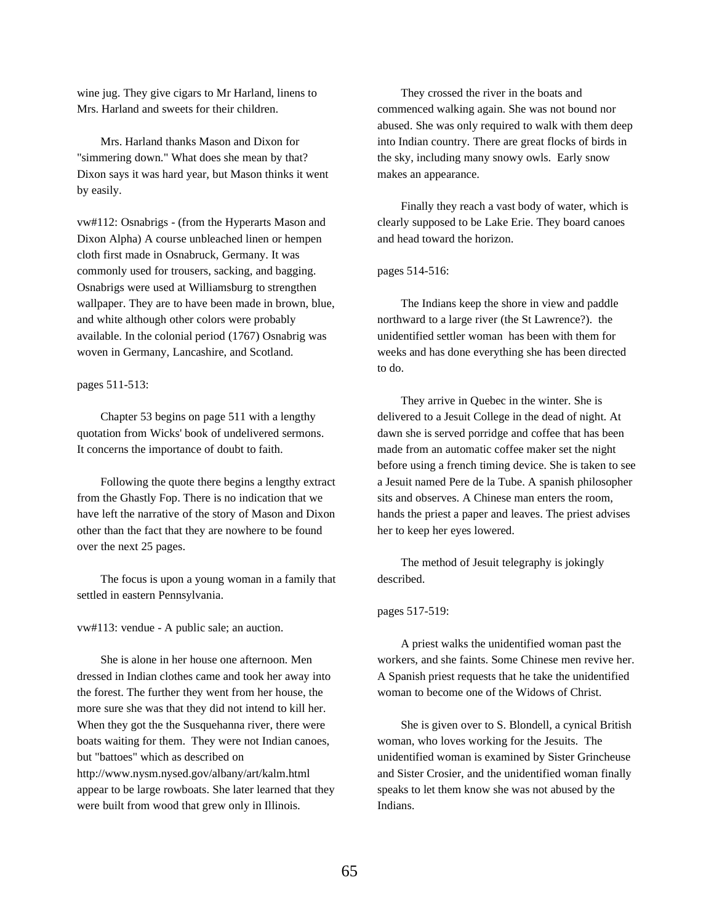wine jug. They give cigars to Mr Harland, linens to Mrs. Harland and sweets for their children.

Mrs. Harland thanks Mason and Dixon for "simmering down." What does she mean by that? Dixon says it was hard year, but Mason thinks it went by easily.

vw#112: Osnabrigs - (from the Hyperarts Mason and Dixon Alpha) A course unbleached linen or hempen cloth first made in Osnabruck, Germany. It was commonly used for trousers, sacking, and bagging. Osnabrigs were used at Williamsburg to strengthen wallpaper. They are to have been made in brown, blue, and white although other colors were probably available. In the colonial period (1767) Osnabrig was woven in Germany, Lancashire, and Scotland.

pages 511-513:

Chapter 53 begins on page 511 with a lengthy quotation from Wicks' book of undelivered sermons. It concerns the importance of doubt to faith.

Following the quote there begins a lengthy extract from the Ghastly Fop. There is no indication that we have left the narrative of the story of Mason and Dixon other than the fact that they are nowhere to be found over the next 25 pages.

The focus is upon a young woman in a family that settled in eastern Pennsylvania.

vw#113: vendue - A public sale; an auction.

She is alone in her house one afternoon. Men dressed in Indian clothes came and took her away into the forest. The further they went from her house, the more sure she was that they did not intend to kill her. When they got the the Susquehanna river, there were boats waiting for them. They were not Indian canoes, but "battoes" which as described on http://www.nysm.nysed.gov/albany/art/kalm.html appear to be large rowboats. She later learned that they were built from wood that grew only in Illinois.

They crossed the river in the boats and commenced walking again. She was not bound nor abused. She was only required to walk with them deep into Indian country. There are great flocks of birds in the sky, including many snowy owls. Early snow makes an appearance.

Finally they reach a vast body of water, which is clearly supposed to be Lake Erie. They board canoes and head toward the horizon.

pages 514-516:

The Indians keep the shore in view and paddle northward to a large river (the St Lawrence?). the unidentified settler woman has been with them for weeks and has done everything she has been directed to do.

They arrive in Quebec in the winter. She is delivered to a Jesuit College in the dead of night. At dawn she is served porridge and coffee that has been made from an automatic coffee maker set the night before using a french timing device. She is taken to see a Jesuit named Pere de la Tube. A spanish philosopher sits and observes. A Chinese man enters the room, hands the priest a paper and leaves. The priest advises her to keep her eyes lowered.

The method of Jesuit telegraphy is jokingly described.

pages 517-519:

A priest walks the unidentified woman past the workers, and she faints. Some Chinese men revive her. A Spanish priest requests that he take the unidentified woman to become one of the Widows of Christ.

She is given over to S. Blondell, a cynical British woman, who loves working for the Jesuits. The unidentified woman is examined by Sister Grincheuse and Sister Crosier, and the unidentified woman finally speaks to let them know she was not abused by the Indians.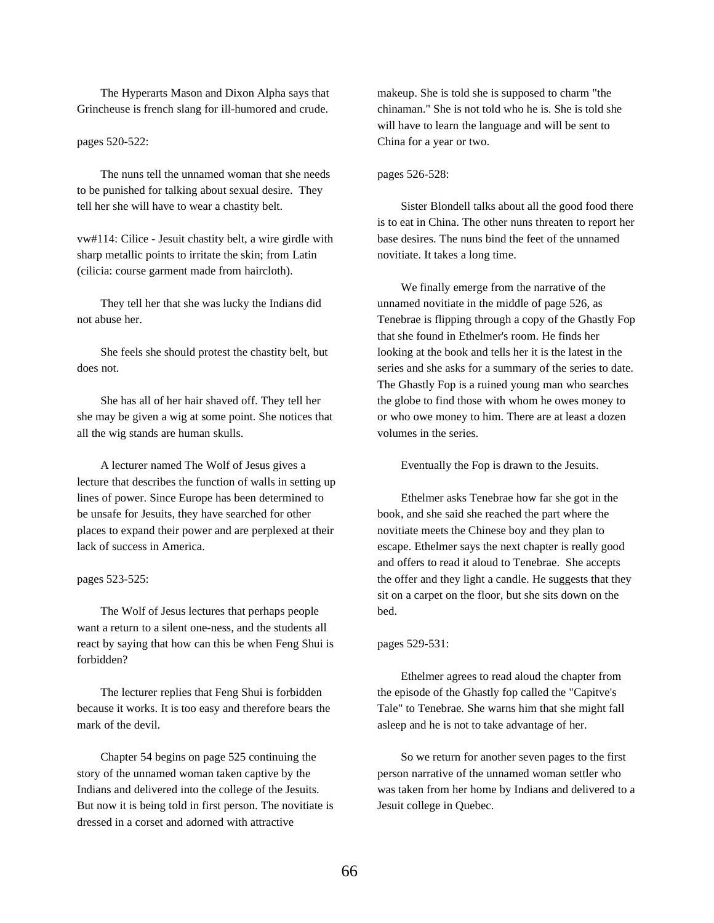The Hyperarts Mason and Dixon Alpha says that Grincheuse is french slang for ill-humored and crude.

pages 520-522:

The nuns tell the unnamed woman that she needs to be punished for talking about sexual desire. They tell her she will have to wear a chastity belt.

vw#114: Cilice - Jesuit chastity belt, a wire girdle with sharp metallic points to irritate the skin; from Latin (cilicia: course garment made from haircloth).

They tell her that she was lucky the Indians did not abuse her.

She feels she should protest the chastity belt, but does not.

She has all of her hair shaved off. They tell her she may be given a wig at some point. She notices that all the wig stands are human skulls.

A lecturer named The Wolf of Jesus gives a lecture that describes the function of walls in setting up lines of power. Since Europe has been determined to be unsafe for Jesuits, they have searched for other places to expand their power and are perplexed at their lack of success in America.

pages 523-525:

The Wolf of Jesus lectures that perhaps people want a return to a silent one-ness, and the students all react by saying that how can this be when Feng Shui is forbidden?

The lecturer replies that Feng Shui is forbidden because it works. It is too easy and therefore bears the mark of the devil.

Chapter 54 begins on page 525 continuing the story of the unnamed woman taken captive by the Indians and delivered into the college of the Jesuits. But now it is being told in first person. The novitiate is dressed in a corset and adorned with attractive

makeup. She is told she is supposed to charm "the chinaman." She is not told who he is. She is told she will have to learn the language and will be sent to China for a year or two.

### pages 526-528:

Sister Blondell talks about all the good food there is to eat in China. The other nuns threaten to report her base desires. The nuns bind the feet of the unnamed novitiate. It takes a long time.

We finally emerge from the narrative of the unnamed novitiate in the middle of page 526, as Tenebrae is flipping through a copy of the Ghastly Fop that she found in Ethelmer's room. He finds her looking at the book and tells her it is the latest in the series and she asks for a summary of the series to date. The Ghastly Fop is a ruined young man who searches the globe to find those with whom he owes money to or who owe money to him. There are at least a dozen volumes in the series.

Eventually the Fop is drawn to the Jesuits.

Ethelmer asks Tenebrae how far she got in the book, and she said she reached the part where the novitiate meets the Chinese boy and they plan to escape. Ethelmer says the next chapter is really good and offers to read it aloud to Tenebrae. She accepts the offer and they light a candle. He suggests that they sit on a carpet on the floor, but she sits down on the bed.

### pages 529-531:

Ethelmer agrees to read aloud the chapter from the episode of the Ghastly fop called the "Capitve's Tale" to Tenebrae. She warns him that she might fall asleep and he is not to take advantage of her.

So we return for another seven pages to the first person narrative of the unnamed woman settler who was taken from her home by Indians and delivered to a Jesuit college in Quebec.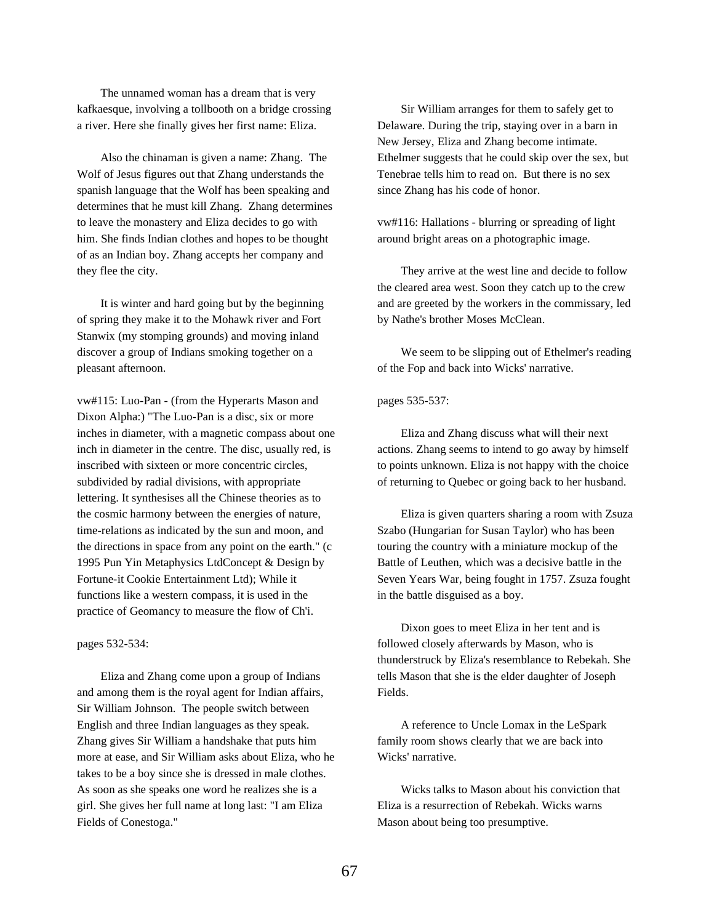The unnamed woman has a dream that is very kafkaesque, involving a tollbooth on a bridge crossing a river. Here she finally gives her first name: Eliza.

Also the chinaman is given a name: Zhang. The Wolf of Jesus figures out that Zhang understands the spanish language that the Wolf has been speaking and determines that he must kill Zhang. Zhang determines to leave the monastery and Eliza decides to go with him. She finds Indian clothes and hopes to be thought of as an Indian boy. Zhang accepts her company and they flee the city.

It is winter and hard going but by the beginning of spring they make it to the Mohawk river and Fort Stanwix (my stomping grounds) and moving inland discover a group of Indians smoking together on a pleasant afternoon.

vw#115: Luo-Pan - (from the Hyperarts Mason and Dixon Alpha:) "The Luo-Pan is a disc, six or more inches in diameter, with a magnetic compass about one inch in diameter in the centre. The disc, usually red, is inscribed with sixteen or more concentric circles, subdivided by radial divisions, with appropriate lettering. It synthesises all the Chinese theories as to the cosmic harmony between the energies of nature, time-relations as indicated by the sun and moon, and the directions in space from any point on the earth." (c 1995 Pun Yin Metaphysics LtdConcept & Design by Fortune-it Cookie Entertainment Ltd); While it functions like a western compass, it is used in the practice of Geomancy to measure the flow of Ch'i.

# pages 532-534:

Eliza and Zhang come upon a group of Indians and among them is the royal agent for Indian affairs, Sir William Johnson. The people switch between English and three Indian languages as they speak. Zhang gives Sir William a handshake that puts him more at ease, and Sir William asks about Eliza, who he takes to be a boy since she is dressed in male clothes. As soon as she speaks one word he realizes she is a girl. She gives her full name at long last: "I am Eliza Fields of Conestoga."

Sir William arranges for them to safely get to Delaware. During the trip, staying over in a barn in New Jersey, Eliza and Zhang become intimate. Ethelmer suggests that he could skip over the sex, but Tenebrae tells him to read on. But there is no sex since Zhang has his code of honor.

vw#116: Hallations - blurring or spreading of light around bright areas on a photographic image.

They arrive at the west line and decide to follow the cleared area west. Soon they catch up to the crew and are greeted by the workers in the commissary, led by Nathe's brother Moses McClean.

We seem to be slipping out of Ethelmer's reading of the Fop and back into Wicks' narrative.

#### pages 535-537:

Eliza and Zhang discuss what will their next actions. Zhang seems to intend to go away by himself to points unknown. Eliza is not happy with the choice of returning to Quebec or going back to her husband.

Eliza is given quarters sharing a room with Zsuza Szabo (Hungarian for Susan Taylor) who has been touring the country with a miniature mockup of the Battle of Leuthen, which was a decisive battle in the Seven Years War, being fought in 1757. Zsuza fought in the battle disguised as a boy.

Dixon goes to meet Eliza in her tent and is followed closely afterwards by Mason, who is thunderstruck by Eliza's resemblance to Rebekah. She tells Mason that she is the elder daughter of Joseph Fields.

A reference to Uncle Lomax in the LeSpark family room shows clearly that we are back into Wicks' narrative.

Wicks talks to Mason about his conviction that Eliza is a resurrection of Rebekah. Wicks warns Mason about being too presumptive.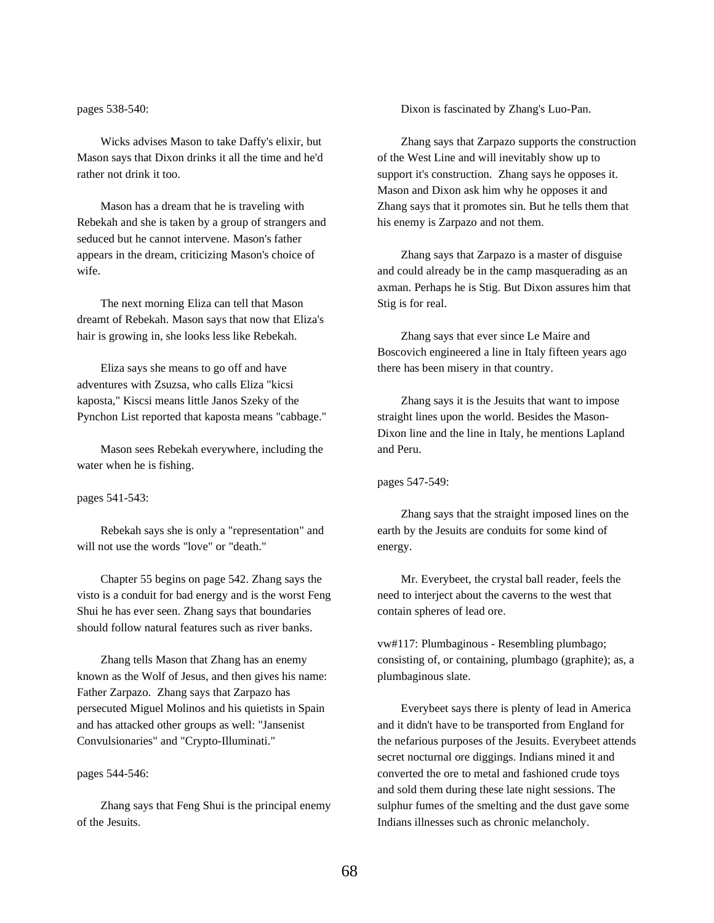pages 538-540:

Wicks advises Mason to take Daffy's elixir, but Mason says that Dixon drinks it all the time and he'd rather not drink it too.

Mason has a dream that he is traveling with Rebekah and she is taken by a group of strangers and seduced but he cannot intervene. Mason's father appears in the dream, criticizing Mason's choice of wife.

The next morning Eliza can tell that Mason dreamt of Rebekah. Mason says that now that Eliza's hair is growing in, she looks less like Rebekah.

Eliza says she means to go off and have adventures with Zsuzsa, who calls Eliza "kicsi kaposta," Kiscsi means little Janos Szeky of the Pynchon List reported that kaposta means "cabbage."

Mason sees Rebekah everywhere, including the water when he is fishing.

pages 541-543:

Rebekah says she is only a "representation" and will not use the words "love" or "death."

Chapter 55 begins on page 542. Zhang says the visto is a conduit for bad energy and is the worst Feng Shui he has ever seen. Zhang says that boundaries should follow natural features such as river banks.

Zhang tells Mason that Zhang has an enemy known as the Wolf of Jesus, and then gives his name: Father Zarpazo. Zhang says that Zarpazo has persecuted Miguel Molinos and his quietists in Spain and has attacked other groups as well: "Jansenist Convulsionaries" and "Crypto-Illuminati."

pages 544-546:

Zhang says that Feng Shui is the principal enemy of the Jesuits.

Dixon is fascinated by Zhang's Luo-Pan.

Zhang says that Zarpazo supports the construction of the West Line and will inevitably show up to support it's construction. Zhang says he opposes it. Mason and Dixon ask him why he opposes it and Zhang says that it promotes sin. But he tells them that his enemy is Zarpazo and not them.

Zhang says that Zarpazo is a master of disguise and could already be in the camp masquerading as an axman. Perhaps he is Stig. But Dixon assures him that Stig is for real.

Zhang says that ever since Le Maire and Boscovich engineered a line in Italy fifteen years ago there has been misery in that country.

Zhang says it is the Jesuits that want to impose straight lines upon the world. Besides the Mason-Dixon line and the line in Italy, he mentions Lapland and Peru.

pages 547-549:

Zhang says that the straight imposed lines on the earth by the Jesuits are conduits for some kind of energy.

Mr. Everybeet, the crystal ball reader, feels the need to interject about the caverns to the west that contain spheres of lead ore.

vw#117: Plumbaginous - Resembling plumbago; consisting of, or containing, plumbago (graphite); as, a plumbaginous slate.

Everybeet says there is plenty of lead in America and it didn't have to be transported from England for the nefarious purposes of the Jesuits. Everybeet attends secret nocturnal ore diggings. Indians mined it and converted the ore to metal and fashioned crude toys and sold them during these late night sessions. The sulphur fumes of the smelting and the dust gave some Indians illnesses such as chronic melancholy.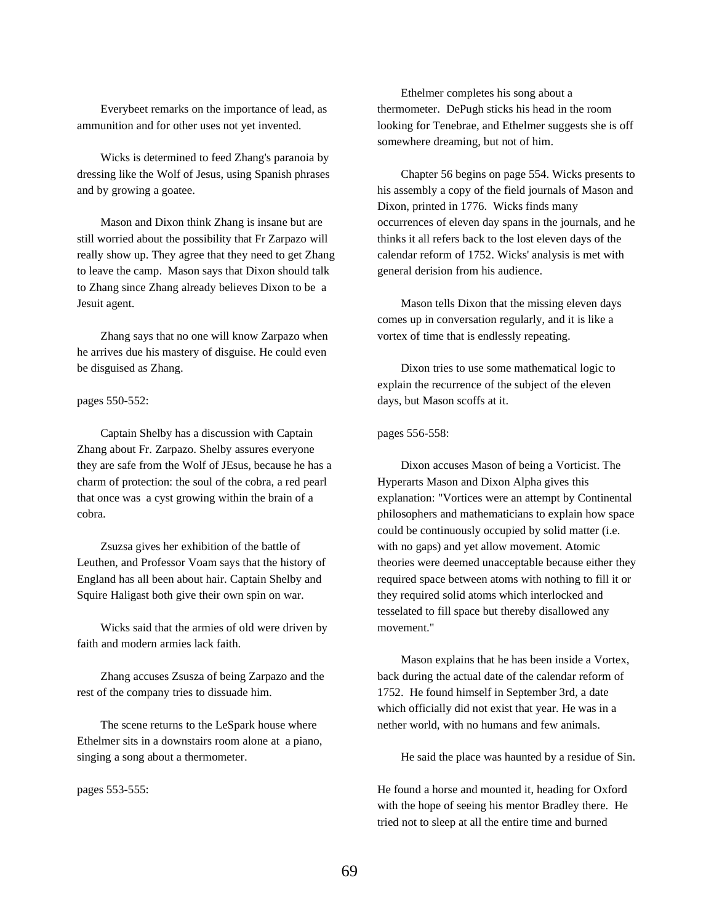Everybeet remarks on the importance of lead, as ammunition and for other uses not yet invented.

Wicks is determined to feed Zhang's paranoia by dressing like the Wolf of Jesus, using Spanish phrases and by growing a goatee.

Mason and Dixon think Zhang is insane but are still worried about the possibility that Fr Zarpazo will really show up. They agree that they need to get Zhang to leave the camp. Mason says that Dixon should talk to Zhang since Zhang already believes Dixon to be a Jesuit agent.

Zhang says that no one will know Zarpazo when he arrives due his mastery of disguise. He could even be disguised as Zhang.

pages 550-552:

Captain Shelby has a discussion with Captain Zhang about Fr. Zarpazo. Shelby assures everyone they are safe from the Wolf of JEsus, because he has a charm of protection: the soul of the cobra, a red pearl that once was a cyst growing within the brain of a cobra.

Zsuzsa gives her exhibition of the battle of Leuthen, and Professor Voam says that the history of England has all been about hair. Captain Shelby and Squire Haligast both give their own spin on war.

Wicks said that the armies of old were driven by faith and modern armies lack faith.

Zhang accuses Zsusza of being Zarpazo and the rest of the company tries to dissuade him.

The scene returns to the LeSpark house where Ethelmer sits in a downstairs room alone at a piano, singing a song about a thermometer.

pages 553-555:

Ethelmer completes his song about a thermometer. DePugh sticks his head in the room looking for Tenebrae, and Ethelmer suggests she is off somewhere dreaming, but not of him.

Chapter 56 begins on page 554. Wicks presents to his assembly a copy of the field journals of Mason and Dixon, printed in 1776. Wicks finds many occurrences of eleven day spans in the journals, and he thinks it all refers back to the lost eleven days of the calendar reform of 1752. Wicks' analysis is met with general derision from his audience.

Mason tells Dixon that the missing eleven days comes up in conversation regularly, and it is like a vortex of time that is endlessly repeating.

Dixon tries to use some mathematical logic to explain the recurrence of the subject of the eleven days, but Mason scoffs at it.

pages 556-558:

Dixon accuses Mason of being a Vorticist. The Hyperarts Mason and Dixon Alpha gives this explanation: "Vortices were an attempt by Continental philosophers and mathematicians to explain how space could be continuously occupied by solid matter (i.e. with no gaps) and yet allow movement. Atomic theories were deemed unacceptable because either they required space between atoms with nothing to fill it or they required solid atoms which interlocked and tesselated to fill space but thereby disallowed any movement."

Mason explains that he has been inside a Vortex, back during the actual date of the calendar reform of 1752. He found himself in September 3rd, a date which officially did not exist that year. He was in a nether world, with no humans and few animals.

He said the place was haunted by a residue of Sin.

He found a horse and mounted it, heading for Oxford with the hope of seeing his mentor Bradley there. He tried not to sleep at all the entire time and burned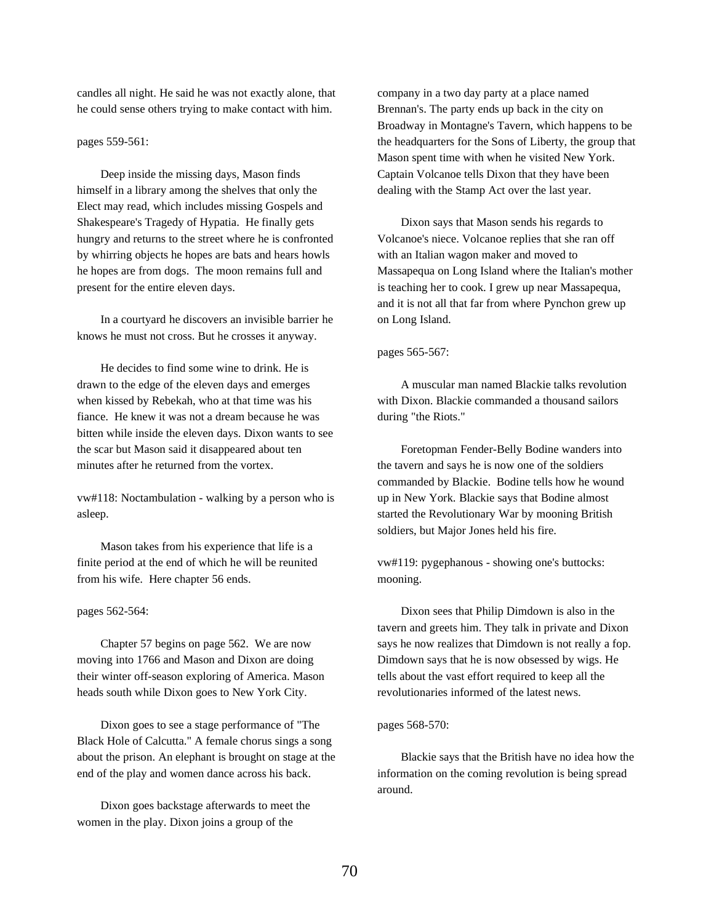candles all night. He said he was not exactly alone, that he could sense others trying to make contact with him.

### pages 559-561:

Deep inside the missing days, Mason finds himself in a library among the shelves that only the Elect may read, which includes missing Gospels and Shakespeare's Tragedy of Hypatia. He finally gets hungry and returns to the street where he is confronted by whirring objects he hopes are bats and hears howls he hopes are from dogs. The moon remains full and present for the entire eleven days.

In a courtyard he discovers an invisible barrier he knows he must not cross. But he crosses it anyway.

He decides to find some wine to drink. He is drawn to the edge of the eleven days and emerges when kissed by Rebekah, who at that time was his fiance. He knew it was not a dream because he was bitten while inside the eleven days. Dixon wants to see the scar but Mason said it disappeared about ten minutes after he returned from the vortex.

vw#118: Noctambulation - walking by a person who is asleep.

Mason takes from his experience that life is a finite period at the end of which he will be reunited from his wife. Here chapter 56 ends.

#### pages 562-564:

Chapter 57 begins on page 562. We are now moving into 1766 and Mason and Dixon are doing their winter off-season exploring of America. Mason heads south while Dixon goes to New York City.

Dixon goes to see a stage performance of "The Black Hole of Calcutta." A female chorus sings a song about the prison. An elephant is brought on stage at the end of the play and women dance across his back.

Dixon goes backstage afterwards to meet the women in the play. Dixon joins a group of the

company in a two day party at a place named Brennan's. The party ends up back in the city on Broadway in Montagne's Tavern, which happens to be the headquarters for the Sons of Liberty, the group that Mason spent time with when he visited New York. Captain Volcanoe tells Dixon that they have been dealing with the Stamp Act over the last year.

Dixon says that Mason sends his regards to Volcanoe's niece. Volcanoe replies that she ran off with an Italian wagon maker and moved to Massapequa on Long Island where the Italian's mother is teaching her to cook. I grew up near Massapequa, and it is not all that far from where Pynchon grew up on Long Island.

### pages 565-567:

A muscular man named Blackie talks revolution with Dixon. Blackie commanded a thousand sailors during "the Riots."

Foretopman Fender-Belly Bodine wanders into the tavern and says he is now one of the soldiers commanded by Blackie. Bodine tells how he wound up in New York. Blackie says that Bodine almost started the Revolutionary War by mooning British soldiers, but Major Jones held his fire.

vw#119: pygephanous - showing one's buttocks: mooning.

Dixon sees that Philip Dimdown is also in the tavern and greets him. They talk in private and Dixon says he now realizes that Dimdown is not really a fop. Dimdown says that he is now obsessed by wigs. He tells about the vast effort required to keep all the revolutionaries informed of the latest news.

#### pages 568-570:

Blackie says that the British have no idea how the information on the coming revolution is being spread around.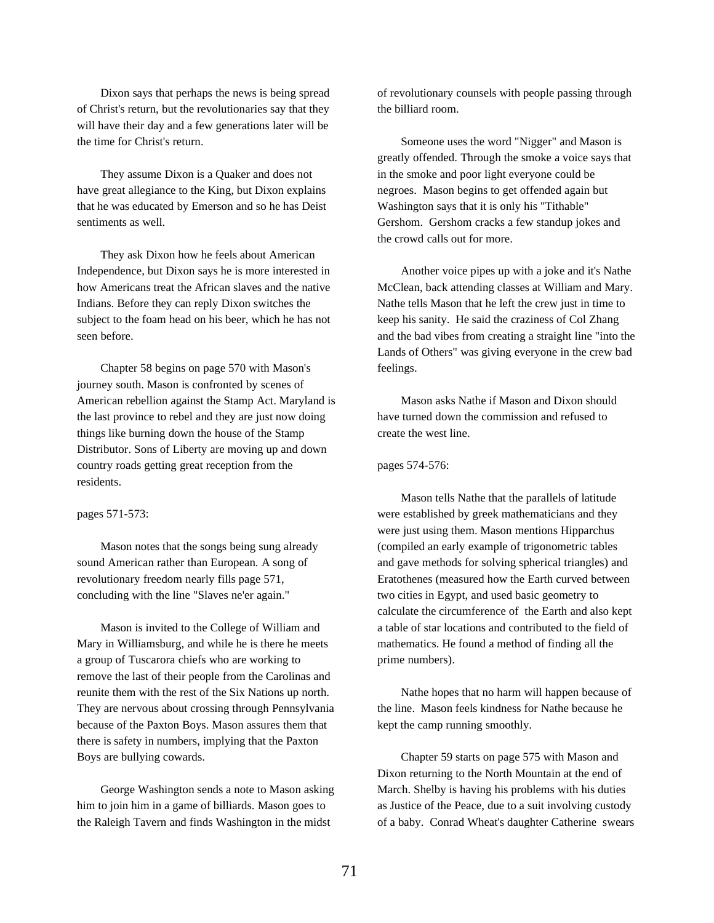Dixon says that perhaps the news is being spread of Christ's return, but the revolutionaries say that they will have their day and a few generations later will be the time for Christ's return.

They assume Dixon is a Quaker and does not have great allegiance to the King, but Dixon explains that he was educated by Emerson and so he has Deist sentiments as well.

They ask Dixon how he feels about American Independence, but Dixon says he is more interested in how Americans treat the African slaves and the native Indians. Before they can reply Dixon switches the subject to the foam head on his beer, which he has not seen before.

Chapter 58 begins on page 570 with Mason's journey south. Mason is confronted by scenes of American rebellion against the Stamp Act. Maryland is the last province to rebel and they are just now doing things like burning down the house of the Stamp Distributor. Sons of Liberty are moving up and down country roads getting great reception from the residents.

### pages 571-573:

Mason notes that the songs being sung already sound American rather than European. A song of revolutionary freedom nearly fills page 571, concluding with the line "Slaves ne'er again."

Mason is invited to the College of William and Mary in Williamsburg, and while he is there he meets a group of Tuscarora chiefs who are working to remove the last of their people from the Carolinas and reunite them with the rest of the Six Nations up north. They are nervous about crossing through Pennsylvania because of the Paxton Boys. Mason assures them that there is safety in numbers, implying that the Paxton Boys are bullying cowards.

George Washington sends a note to Mason asking him to join him in a game of billiards. Mason goes to the Raleigh Tavern and finds Washington in the midst

of revolutionary counsels with people passing through the billiard room.

Someone uses the word "Nigger" and Mason is greatly offended. Through the smoke a voice says that in the smoke and poor light everyone could be negroes. Mason begins to get offended again but Washington says that it is only his "Tithable" Gershom. Gershom cracks a few standup jokes and the crowd calls out for more.

Another voice pipes up with a joke and it's Nathe McClean, back attending classes at William and Mary. Nathe tells Mason that he left the crew just in time to keep his sanity. He said the craziness of Col Zhang and the bad vibes from creating a straight line "into the Lands of Others" was giving everyone in the crew bad feelings.

Mason asks Nathe if Mason and Dixon should have turned down the commission and refused to create the west line.

### pages 574-576:

Mason tells Nathe that the parallels of latitude were established by greek mathematicians and they were just using them. Mason mentions Hipparchus (compiled an early example of trigonometric tables and gave methods for solving spherical triangles) and Eratothenes (measured how the Earth curved between two cities in Egypt, and used basic geometry to calculate the circumference of the Earth and also kept a table of star locations and contributed to the field of mathematics. He found a method of finding all the prime numbers).

Nathe hopes that no harm will happen because of the line. Mason feels kindness for Nathe because he kept the camp running smoothly.

Chapter 59 starts on page 575 with Mason and Dixon returning to the North Mountain at the end of March. Shelby is having his problems with his duties as Justice of the Peace, due to a suit involving custody of a baby. Conrad Wheat's daughter Catherine swears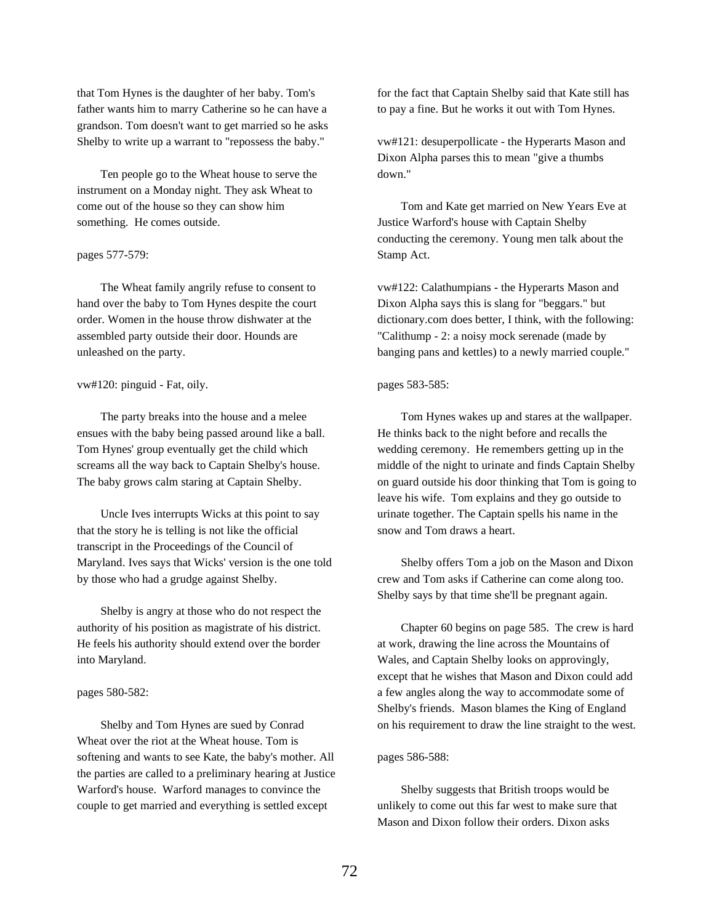that Tom Hynes is the daughter of her baby. Tom's father wants him to marry Catherine so he can have a grandson. Tom doesn't want to get married so he asks Shelby to write up a warrant to "repossess the baby."

Ten people go to the Wheat house to serve the instrument on a Monday night. They ask Wheat to come out of the house so they can show him something. He comes outside.

## pages 577-579:

The Wheat family angrily refuse to consent to hand over the baby to Tom Hynes despite the court order. Women in the house throw dishwater at the assembled party outside their door. Hounds are unleashed on the party.

### vw#120: pinguid - Fat, oily.

The party breaks into the house and a melee ensues with the baby being passed around like a ball. Tom Hynes' group eventually get the child which screams all the way back to Captain Shelby's house. The baby grows calm staring at Captain Shelby.

Uncle Ives interrupts Wicks at this point to say that the story he is telling is not like the official transcript in the Proceedings of the Council of Maryland. Ives says that Wicks' version is the one told by those who had a grudge against Shelby.

Shelby is angry at those who do not respect the authority of his position as magistrate of his district. He feels his authority should extend over the border into Maryland.

### pages 580-582:

Shelby and Tom Hynes are sued by Conrad Wheat over the riot at the Wheat house. Tom is softening and wants to see Kate, the baby's mother. All the parties are called to a preliminary hearing at Justice Warford's house. Warford manages to convince the couple to get married and everything is settled except

for the fact that Captain Shelby said that Kate still has to pay a fine. But he works it out with Tom Hynes.

vw#121: desuperpollicate - the Hyperarts Mason and Dixon Alpha parses this to mean "give a thumbs down."

Tom and Kate get married on New Years Eve at Justice Warford's house with Captain Shelby conducting the ceremony. Young men talk about the Stamp Act.

vw#122: Calathumpians - the Hyperarts Mason and Dixon Alpha says this is slang for "beggars." but dictionary.com does better, I think, with the following: "Calithump - 2: a noisy mock serenade (made by banging pans and kettles) to a newly married couple."

### pages 583-585:

Tom Hynes wakes up and stares at the wallpaper. He thinks back to the night before and recalls the wedding ceremony. He remembers getting up in the middle of the night to urinate and finds Captain Shelby on guard outside his door thinking that Tom is going to leave his wife. Tom explains and they go outside to urinate together. The Captain spells his name in the snow and Tom draws a heart.

Shelby offers Tom a job on the Mason and Dixon crew and Tom asks if Catherine can come along too. Shelby says by that time she'll be pregnant again.

Chapter 60 begins on page 585. The crew is hard at work, drawing the line across the Mountains of Wales, and Captain Shelby looks on approvingly, except that he wishes that Mason and Dixon could add a few angles along the way to accommodate some of Shelby's friends. Mason blames the King of England on his requirement to draw the line straight to the west.

### pages 586-588:

Shelby suggests that British troops would be unlikely to come out this far west to make sure that Mason and Dixon follow their orders. Dixon asks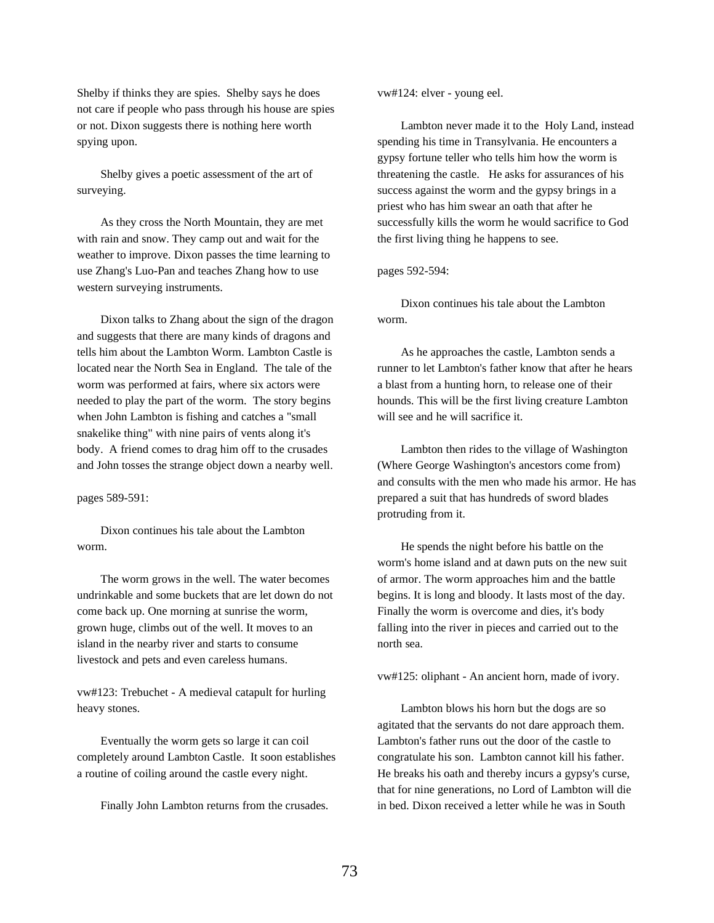Shelby if thinks they are spies. Shelby says he does not care if people who pass through his house are spies or not. Dixon suggests there is nothing here worth spying upon.

Shelby gives a poetic assessment of the art of surveying.

As they cross the North Mountain, they are met with rain and snow. They camp out and wait for the weather to improve. Dixon passes the time learning to use Zhang's Luo-Pan and teaches Zhang how to use western surveying instruments.

Dixon talks to Zhang about the sign of the dragon and suggests that there are many kinds of dragons and tells him about the Lambton Worm. Lambton Castle is located near the North Sea in England. The tale of the worm was performed at fairs, where six actors were needed to play the part of the worm. The story begins when John Lambton is fishing and catches a "small snakelike thing" with nine pairs of vents along it's body. A friend comes to drag him off to the crusades and John tosses the strange object down a nearby well.

# pages 589-591:

Dixon continues his tale about the Lambton worm.

The worm grows in the well. The water becomes undrinkable and some buckets that are let down do not come back up. One morning at sunrise the worm, grown huge, climbs out of the well. It moves to an island in the nearby river and starts to consume livestock and pets and even careless humans.

vw#123: Trebuchet - A medieval catapult for hurling heavy stones.

Eventually the worm gets so large it can coil completely around Lambton Castle. It soon establishes a routine of coiling around the castle every night.

Finally John Lambton returns from the crusades.

vw#124: elver - young eel.

Lambton never made it to the Holy Land, instead spending his time in Transylvania. He encounters a gypsy fortune teller who tells him how the worm is threatening the castle. He asks for assurances of his success against the worm and the gypsy brings in a priest who has him swear an oath that after he successfully kills the worm he would sacrifice to God the first living thing he happens to see.

## pages 592-594:

Dixon continues his tale about the Lambton worm.

As he approaches the castle, Lambton sends a runner to let Lambton's father know that after he hears a blast from a hunting horn, to release one of their hounds. This will be the first living creature Lambton will see and he will sacrifice it.

Lambton then rides to the village of Washington (Where George Washington's ancestors come from) and consults with the men who made his armor. He has prepared a suit that has hundreds of sword blades protruding from it.

He spends the night before his battle on the worm's home island and at dawn puts on the new suit of armor. The worm approaches him and the battle begins. It is long and bloody. It lasts most of the day. Finally the worm is overcome and dies, it's body falling into the river in pieces and carried out to the north sea.

vw#125: oliphant - An ancient horn, made of ivory.

Lambton blows his horn but the dogs are so agitated that the servants do not dare approach them. Lambton's father runs out the door of the castle to congratulate his son. Lambton cannot kill his father. He breaks his oath and thereby incurs a gypsy's curse, that for nine generations, no Lord of Lambton will die in bed. Dixon received a letter while he was in South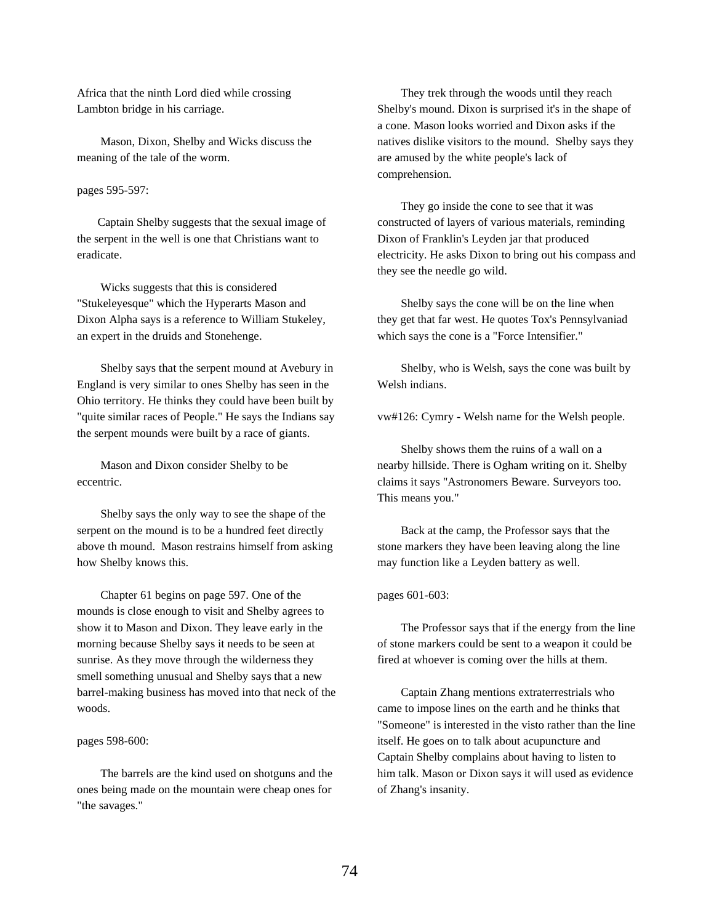Africa that the ninth Lord died while crossing Lambton bridge in his carriage.

Mason, Dixon, Shelby and Wicks discuss the meaning of the tale of the worm.

# pages 595-597:

Captain Shelby suggests that the sexual image of the serpent in the well is one that Christians want to eradicate.

Wicks suggests that this is considered "Stukeleyesque" which the Hyperarts Mason and Dixon Alpha says is a reference to William Stukeley, an expert in the druids and Stonehenge.

Shelby says that the serpent mound at Avebury in England is very similar to ones Shelby has seen in the Ohio territory. He thinks they could have been built by "quite similar races of People." He says the Indians say the serpent mounds were built by a race of giants.

Mason and Dixon consider Shelby to be eccentric.

Shelby says the only way to see the shape of the serpent on the mound is to be a hundred feet directly above th mound. Mason restrains himself from asking how Shelby knows this.

Chapter 61 begins on page 597. One of the mounds is close enough to visit and Shelby agrees to show it to Mason and Dixon. They leave early in the morning because Shelby says it needs to be seen at sunrise. As they move through the wilderness they smell something unusual and Shelby says that a new barrel-making business has moved into that neck of the woods.

### pages 598-600:

The barrels are the kind used on shotguns and the ones being made on the mountain were cheap ones for "the savages."

They trek through the woods until they reach Shelby's mound. Dixon is surprised it's in the shape of a cone. Mason looks worried and Dixon asks if the natives dislike visitors to the mound. Shelby says they are amused by the white people's lack of comprehension.

They go inside the cone to see that it was constructed of layers of various materials, reminding Dixon of Franklin's Leyden jar that produced electricity. He asks Dixon to bring out his compass and they see the needle go wild.

Shelby says the cone will be on the line when they get that far west. He quotes Tox's Pennsylvaniad which says the cone is a "Force Intensifier."

Shelby, who is Welsh, says the cone was built by Welsh indians.

vw#126: Cymry - Welsh name for the Welsh people.

Shelby shows them the ruins of a wall on a nearby hillside. There is Ogham writing on it. Shelby claims it says "Astronomers Beware. Surveyors too. This means you."

Back at the camp, the Professor says that the stone markers they have been leaving along the line may function like a Leyden battery as well.

### pages 601-603:

The Professor says that if the energy from the line of stone markers could be sent to a weapon it could be fired at whoever is coming over the hills at them.

Captain Zhang mentions extraterrestrials who came to impose lines on the earth and he thinks that "Someone" is interested in the visto rather than the line itself. He goes on to talk about acupuncture and Captain Shelby complains about having to listen to him talk. Mason or Dixon says it will used as evidence of Zhang's insanity.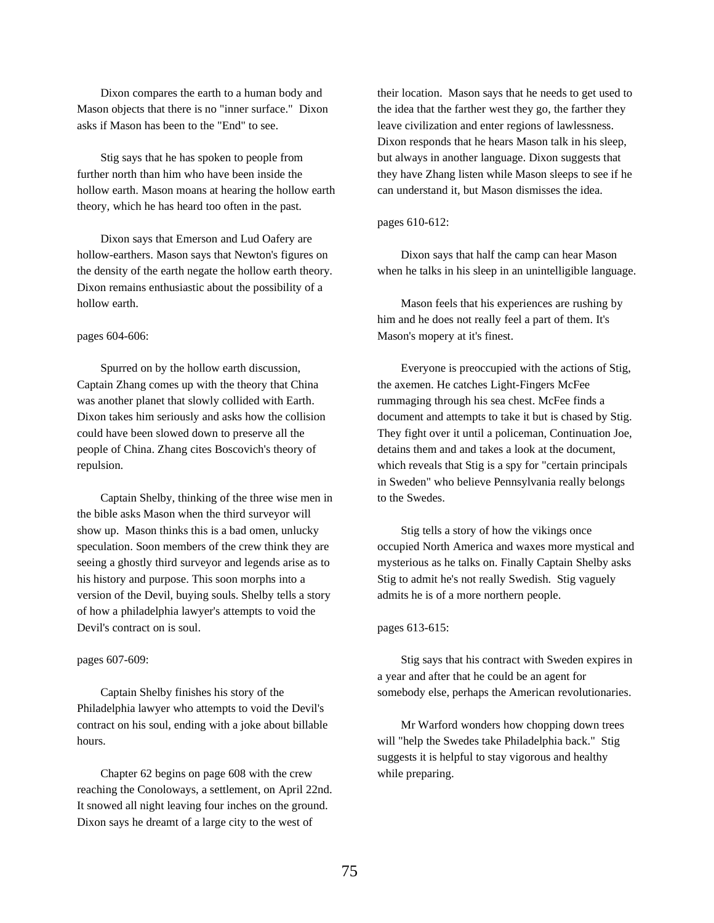Dixon compares the earth to a human body and Mason objects that there is no "inner surface." Dixon asks if Mason has been to the "End" to see.

Stig says that he has spoken to people from further north than him who have been inside the hollow earth. Mason moans at hearing the hollow earth theory, which he has heard too often in the past.

Dixon says that Emerson and Lud Oafery are hollow-earthers. Mason says that Newton's figures on the density of the earth negate the hollow earth theory. Dixon remains enthusiastic about the possibility of a hollow earth.

## pages 604-606:

Spurred on by the hollow earth discussion, Captain Zhang comes up with the theory that China was another planet that slowly collided with Earth. Dixon takes him seriously and asks how the collision could have been slowed down to preserve all the people of China. Zhang cites Boscovich's theory of repulsion.

Captain Shelby, thinking of the three wise men in the bible asks Mason when the third surveyor will show up. Mason thinks this is a bad omen, unlucky speculation. Soon members of the crew think they are seeing a ghostly third surveyor and legends arise as to his history and purpose. This soon morphs into a version of the Devil, buying souls. Shelby tells a story of how a philadelphia lawyer's attempts to void the Devil's contract on is soul.

### pages 607-609:

Captain Shelby finishes his story of the Philadelphia lawyer who attempts to void the Devil's contract on his soul, ending with a joke about billable hours.

Chapter 62 begins on page 608 with the crew reaching the Conoloways, a settlement, on April 22nd. It snowed all night leaving four inches on the ground. Dixon says he dreamt of a large city to the west of

their location. Mason says that he needs to get used to the idea that the farther west they go, the farther they leave civilization and enter regions of lawlessness. Dixon responds that he hears Mason talk in his sleep, but always in another language. Dixon suggests that they have Zhang listen while Mason sleeps to see if he can understand it, but Mason dismisses the idea.

# pages 610-612:

Dixon says that half the camp can hear Mason when he talks in his sleep in an unintelligible language.

Mason feels that his experiences are rushing by him and he does not really feel a part of them. It's Mason's mopery at it's finest.

Everyone is preoccupied with the actions of Stig, the axemen. He catches Light-Fingers McFee rummaging through his sea chest. McFee finds a document and attempts to take it but is chased by Stig. They fight over it until a policeman, Continuation Joe, detains them and and takes a look at the document, which reveals that Stig is a spy for "certain principals in Sweden" who believe Pennsylvania really belongs to the Swedes.

Stig tells a story of how the vikings once occupied North America and waxes more mystical and mysterious as he talks on. Finally Captain Shelby asks Stig to admit he's not really Swedish. Stig vaguely admits he is of a more northern people.

# pages 613-615:

Stig says that his contract with Sweden expires in a year and after that he could be an agent for somebody else, perhaps the American revolutionaries.

Mr Warford wonders how chopping down trees will "help the Swedes take Philadelphia back." Stig suggests it is helpful to stay vigorous and healthy while preparing.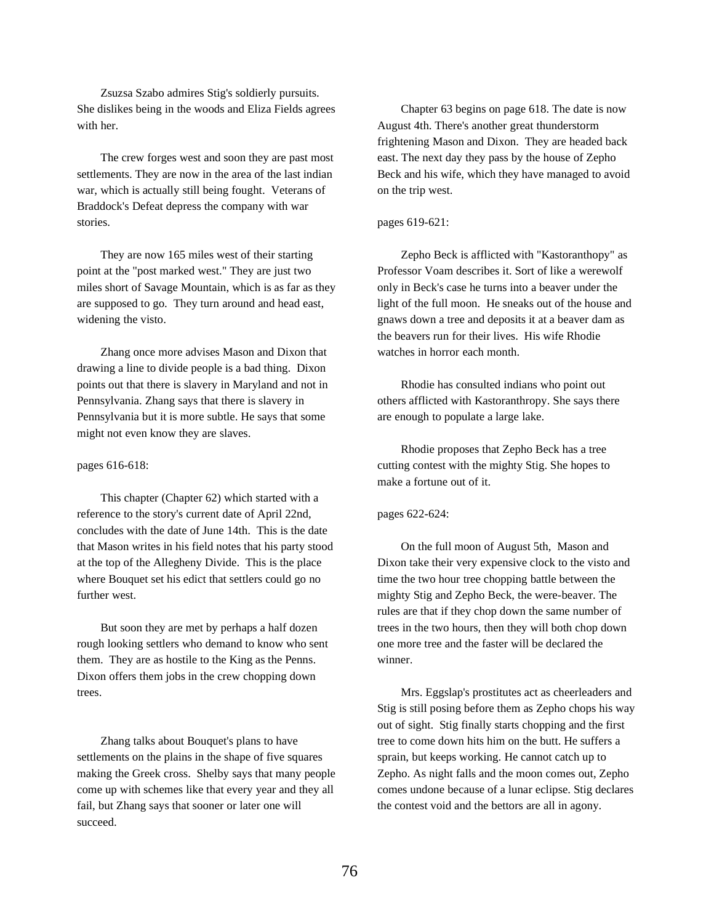Zsuzsa Szabo admires Stig's soldierly pursuits. She dislikes being in the woods and Eliza Fields agrees with her.

The crew forges west and soon they are past most settlements. They are now in the area of the last indian war, which is actually still being fought. Veterans of Braddock's Defeat depress the company with war stories.

They are now 165 miles west of their starting point at the "post marked west." They are just two miles short of Savage Mountain, which is as far as they are supposed to go. They turn around and head east, widening the visto.

Zhang once more advises Mason and Dixon that drawing a line to divide people is a bad thing. Dixon points out that there is slavery in Maryland and not in Pennsylvania. Zhang says that there is slavery in Pennsylvania but it is more subtle. He says that some might not even know they are slaves.

#### pages 616-618:

This chapter (Chapter 62) which started with a reference to the story's current date of April 22nd, concludes with the date of June 14th. This is the date that Mason writes in his field notes that his party stood at the top of the Allegheny Divide. This is the place where Bouquet set his edict that settlers could go no further west.

But soon they are met by perhaps a half dozen rough looking settlers who demand to know who sent them. They are as hostile to the King as the Penns. Dixon offers them jobs in the crew chopping down trees.

Zhang talks about Bouquet's plans to have settlements on the plains in the shape of five squares making the Greek cross. Shelby says that many people come up with schemes like that every year and they all fail, but Zhang says that sooner or later one will succeed.

Chapter 63 begins on page 618. The date is now August 4th. There's another great thunderstorm frightening Mason and Dixon. They are headed back east. The next day they pass by the house of Zepho Beck and his wife, which they have managed to avoid on the trip west.

# pages 619-621:

Zepho Beck is afflicted with "Kastoranthopy" as Professor Voam describes it. Sort of like a werewolf only in Beck's case he turns into a beaver under the light of the full moon. He sneaks out of the house and gnaws down a tree and deposits it at a beaver dam as the beavers run for their lives. His wife Rhodie watches in horror each month.

Rhodie has consulted indians who point out others afflicted with Kastoranthropy. She says there are enough to populate a large lake.

Rhodie proposes that Zepho Beck has a tree cutting contest with the mighty Stig. She hopes to make a fortune out of it.

# pages 622-624:

On the full moon of August 5th, Mason and Dixon take their very expensive clock to the visto and time the two hour tree chopping battle between the mighty Stig and Zepho Beck, the were-beaver. The rules are that if they chop down the same number of trees in the two hours, then they will both chop down one more tree and the faster will be declared the winner.

Mrs. Eggslap's prostitutes act as cheerleaders and Stig is still posing before them as Zepho chops his way out of sight. Stig finally starts chopping and the first tree to come down hits him on the butt. He suffers a sprain, but keeps working. He cannot catch up to Zepho. As night falls and the moon comes out, Zepho comes undone because of a lunar eclipse. Stig declares the contest void and the bettors are all in agony.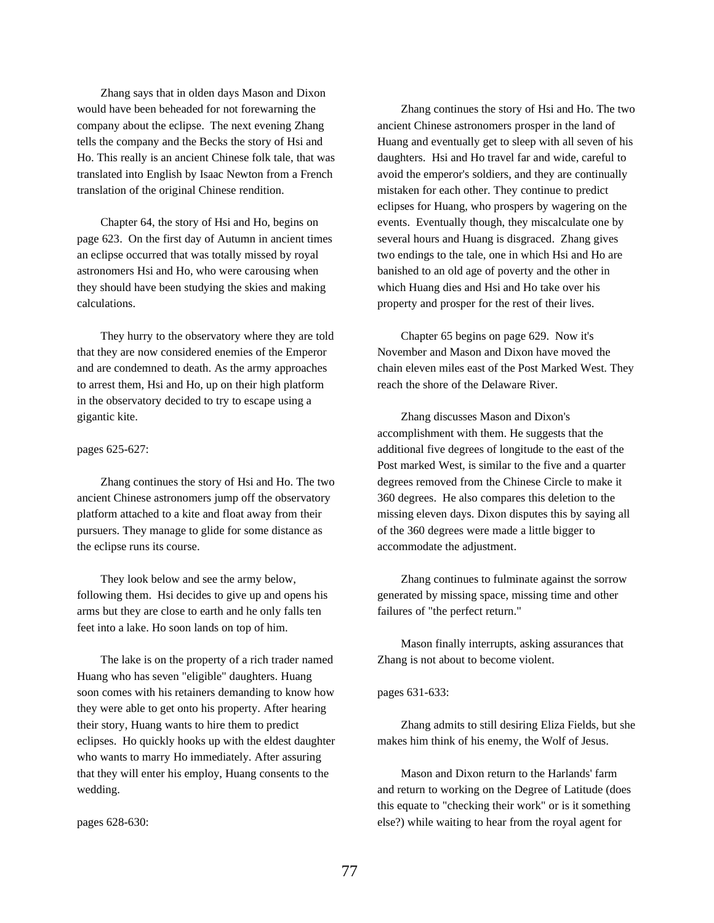Zhang says that in olden days Mason and Dixon would have been beheaded for not forewarning the company about the eclipse. The next evening Zhang tells the company and the Becks the story of Hsi and Ho. This really is an ancient Chinese folk tale, that was translated into English by Isaac Newton from a French translation of the original Chinese rendition.

Chapter 64, the story of Hsi and Ho, begins on page 623. On the first day of Autumn in ancient times an eclipse occurred that was totally missed by royal astronomers Hsi and Ho, who were carousing when they should have been studying the skies and making calculations.

They hurry to the observatory where they are told that they are now considered enemies of the Emperor and are condemned to death. As the army approaches to arrest them, Hsi and Ho, up on their high platform in the observatory decided to try to escape using a gigantic kite.

# pages 625-627:

Zhang continues the story of Hsi and Ho. The two ancient Chinese astronomers jump off the observatory platform attached to a kite and float away from their pursuers. They manage to glide for some distance as the eclipse runs its course.

They look below and see the army below, following them. Hsi decides to give up and opens his arms but they are close to earth and he only falls ten feet into a lake. Ho soon lands on top of him.

The lake is on the property of a rich trader named Huang who has seven "eligible" daughters. Huang soon comes with his retainers demanding to know how they were able to get onto his property. After hearing their story, Huang wants to hire them to predict eclipses. Ho quickly hooks up with the eldest daughter who wants to marry Ho immediately. After assuring that they will enter his employ, Huang consents to the wedding.

pages 628-630:

Zhang continues the story of Hsi and Ho. The two ancient Chinese astronomers prosper in the land of Huang and eventually get to sleep with all seven of his daughters. Hsi and Ho travel far and wide, careful to avoid the emperor's soldiers, and they are continually mistaken for each other. They continue to predict eclipses for Huang, who prospers by wagering on the events. Eventually though, they miscalculate one by several hours and Huang is disgraced. Zhang gives two endings to the tale, one in which Hsi and Ho are banished to an old age of poverty and the other in which Huang dies and Hsi and Ho take over his property and prosper for the rest of their lives.

Chapter 65 begins on page 629. Now it's November and Mason and Dixon have moved the chain eleven miles east of the Post Marked West. They reach the shore of the Delaware River.

Zhang discusses Mason and Dixon's accomplishment with them. He suggests that the additional five degrees of longitude to the east of the Post marked West, is similar to the five and a quarter degrees removed from the Chinese Circle to make it 360 degrees. He also compares this deletion to the missing eleven days. Dixon disputes this by saying all of the 360 degrees were made a little bigger to accommodate the adjustment.

Zhang continues to fulminate against the sorrow generated by missing space, missing time and other failures of "the perfect return."

Mason finally interrupts, asking assurances that Zhang is not about to become violent.

# pages 631-633:

Zhang admits to still desiring Eliza Fields, but she makes him think of his enemy, the Wolf of Jesus.

Mason and Dixon return to the Harlands' farm and return to working on the Degree of Latitude (does this equate to "checking their work" or is it something else?) while waiting to hear from the royal agent for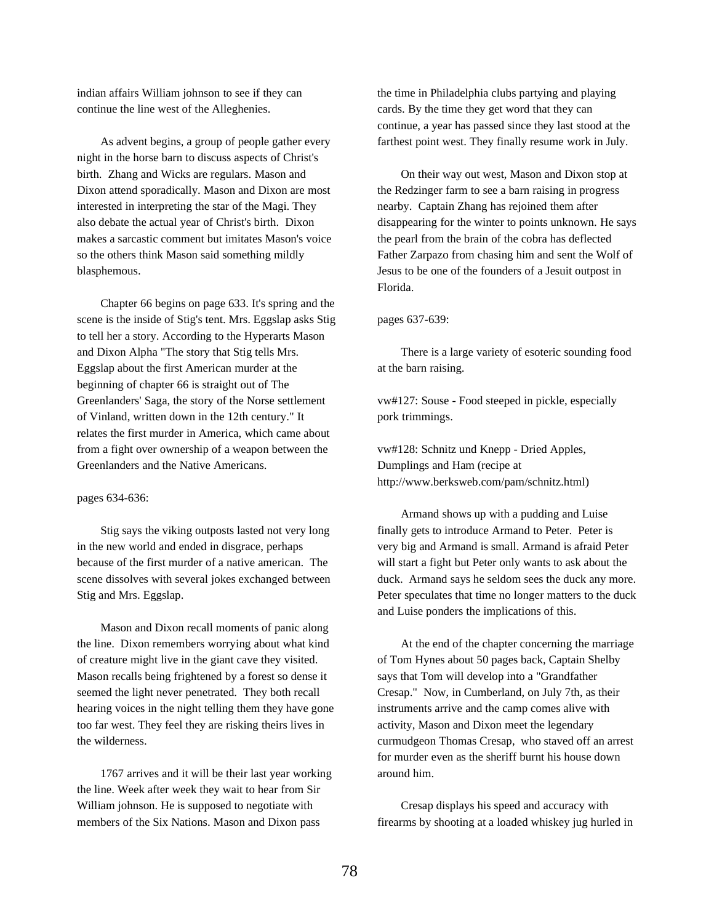indian affairs William johnson to see if they can continue the line west of the Alleghenies.

As advent begins, a group of people gather every night in the horse barn to discuss aspects of Christ's birth. Zhang and Wicks are regulars. Mason and Dixon attend sporadically. Mason and Dixon are most interested in interpreting the star of the Magi. They also debate the actual year of Christ's birth. Dixon makes a sarcastic comment but imitates Mason's voice so the others think Mason said something mildly blasphemous.

Chapter 66 begins on page 633. It's spring and the scene is the inside of Stig's tent. Mrs. Eggslap asks Stig to tell her a story. According to the Hyperarts Mason and Dixon Alpha "The story that Stig tells Mrs. Eggslap about the first American murder at the beginning of chapter 66 is straight out of The Greenlanders' Saga, the story of the Norse settlement of Vinland, written down in the 12th century." It relates the first murder in America, which came about from a fight over ownership of a weapon between the Greenlanders and the Native Americans.

# pages 634-636:

Stig says the viking outposts lasted not very long in the new world and ended in disgrace, perhaps because of the first murder of a native american. The scene dissolves with several jokes exchanged between Stig and Mrs. Eggslap.

Mason and Dixon recall moments of panic along the line. Dixon remembers worrying about what kind of creature might live in the giant cave they visited. Mason recalls being frightened by a forest so dense it seemed the light never penetrated. They both recall hearing voices in the night telling them they have gone too far west. They feel they are risking theirs lives in the wilderness.

1767 arrives and it will be their last year working the line. Week after week they wait to hear from Sir William johnson. He is supposed to negotiate with members of the Six Nations. Mason and Dixon pass

the time in Philadelphia clubs partying and playing cards. By the time they get word that they can continue, a year has passed since they last stood at the farthest point west. They finally resume work in July.

On their way out west, Mason and Dixon stop at the Redzinger farm to see a barn raising in progress nearby. Captain Zhang has rejoined them after disappearing for the winter to points unknown. He says the pearl from the brain of the cobra has deflected Father Zarpazo from chasing him and sent the Wolf of Jesus to be one of the founders of a Jesuit outpost in Florida.

### pages 637-639:

There is a large variety of esoteric sounding food at the barn raising.

vw#127: Souse - Food steeped in pickle, especially pork trimmings.

vw#128: Schnitz und Knepp - Dried Apples, Dumplings and Ham (recipe at http://www.berksweb.com/pam/schnitz.html)

Armand shows up with a pudding and Luise finally gets to introduce Armand to Peter. Peter is very big and Armand is small. Armand is afraid Peter will start a fight but Peter only wants to ask about the duck. Armand says he seldom sees the duck any more. Peter speculates that time no longer matters to the duck and Luise ponders the implications of this.

At the end of the chapter concerning the marriage of Tom Hynes about 50 pages back, Captain Shelby says that Tom will develop into a "Grandfather Cresap." Now, in Cumberland, on July 7th, as their instruments arrive and the camp comes alive with activity, Mason and Dixon meet the legendary curmudgeon Thomas Cresap, who staved off an arrest for murder even as the sheriff burnt his house down around him.

Cresap displays his speed and accuracy with firearms by shooting at a loaded whiskey jug hurled in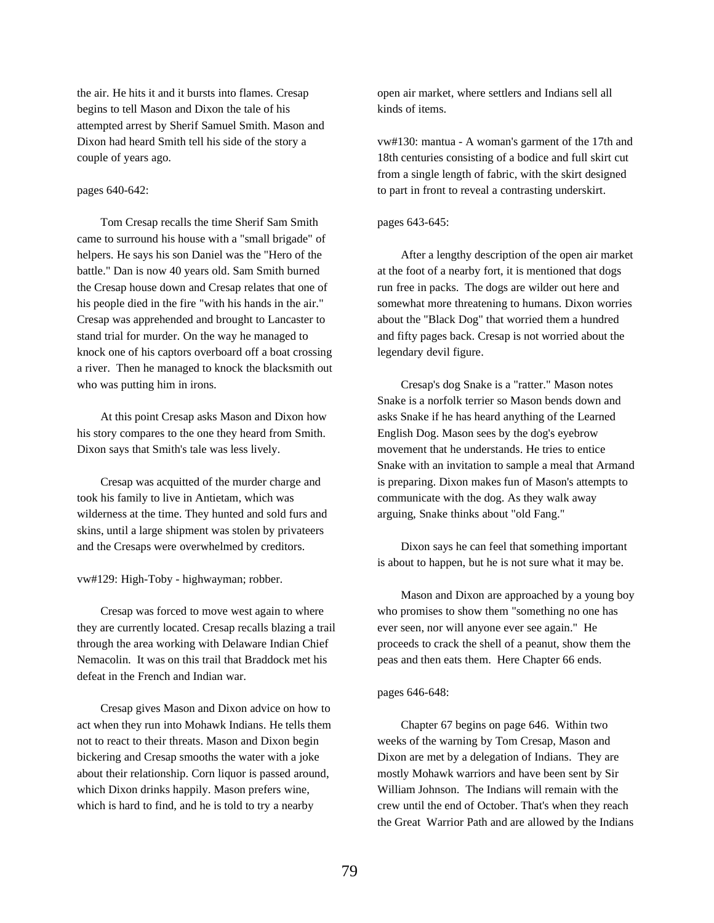the air. He hits it and it bursts into flames. Cresap begins to tell Mason and Dixon the tale of his attempted arrest by Sherif Samuel Smith. Mason and Dixon had heard Smith tell his side of the story a couple of years ago.

# pages 640-642:

Tom Cresap recalls the time Sherif Sam Smith came to surround his house with a "small brigade" of helpers. He says his son Daniel was the "Hero of the battle." Dan is now 40 years old. Sam Smith burned the Cresap house down and Cresap relates that one of his people died in the fire "with his hands in the air." Cresap was apprehended and brought to Lancaster to stand trial for murder. On the way he managed to knock one of his captors overboard off a boat crossing a river. Then he managed to knock the blacksmith out who was putting him in irons.

At this point Cresap asks Mason and Dixon how his story compares to the one they heard from Smith. Dixon says that Smith's tale was less lively.

Cresap was acquitted of the murder charge and took his family to live in Antietam, which was wilderness at the time. They hunted and sold furs and skins, until a large shipment was stolen by privateers and the Cresaps were overwhelmed by creditors.

vw#129: High-Toby - highwayman; robber.

Cresap was forced to move west again to where they are currently located. Cresap recalls blazing a trail through the area working with Delaware Indian Chief Nemacolin. It was on this trail that Braddock met his defeat in the French and Indian war.

Cresap gives Mason and Dixon advice on how to act when they run into Mohawk Indians. He tells them not to react to their threats. Mason and Dixon begin bickering and Cresap smooths the water with a joke about their relationship. Corn liquor is passed around, which Dixon drinks happily. Mason prefers wine, which is hard to find, and he is told to try a nearby

open air market, where settlers and Indians sell all kinds of items.

vw#130: mantua - A woman's garment of the 17th and 18th centuries consisting of a bodice and full skirt cut from a single length of fabric, with the skirt designed to part in front to reveal a contrasting underskirt.

# pages 643-645:

After a lengthy description of the open air market at the foot of a nearby fort, it is mentioned that dogs run free in packs. The dogs are wilder out here and somewhat more threatening to humans. Dixon worries about the "Black Dog" that worried them a hundred and fifty pages back. Cresap is not worried about the legendary devil figure.

Cresap's dog Snake is a "ratter." Mason notes Snake is a norfolk terrier so Mason bends down and asks Snake if he has heard anything of the Learned English Dog. Mason sees by the dog's eyebrow movement that he understands. He tries to entice Snake with an invitation to sample a meal that Armand is preparing. Dixon makes fun of Mason's attempts to communicate with the dog. As they walk away arguing, Snake thinks about "old Fang."

Dixon says he can feel that something important is about to happen, but he is not sure what it may be.

Mason and Dixon are approached by a young boy who promises to show them "something no one has ever seen, nor will anyone ever see again." He proceeds to crack the shell of a peanut, show them the peas and then eats them. Here Chapter 66 ends.

# pages 646-648:

Chapter 67 begins on page 646. Within two weeks of the warning by Tom Cresap, Mason and Dixon are met by a delegation of Indians. They are mostly Mohawk warriors and have been sent by Sir William Johnson. The Indians will remain with the crew until the end of October. That's when they reach the Great Warrior Path and are allowed by the Indians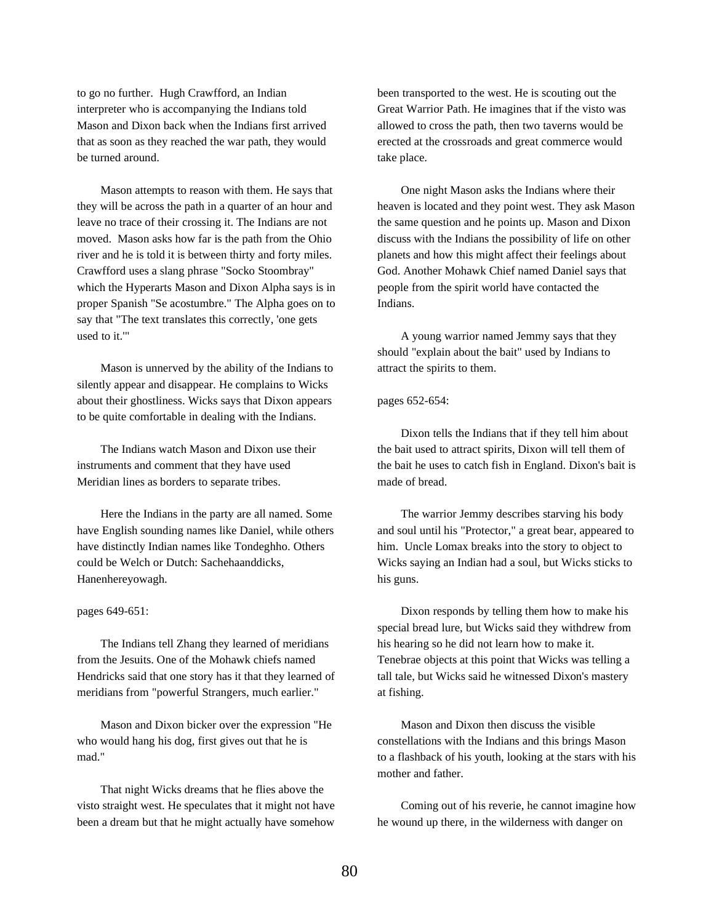to go no further. Hugh Crawfford, an Indian interpreter who is accompanying the Indians told Mason and Dixon back when the Indians first arrived that as soon as they reached the war path, they would be turned around.

Mason attempts to reason with them. He says that they will be across the path in a quarter of an hour and leave no trace of their crossing it. The Indians are not moved. Mason asks how far is the path from the Ohio river and he is told it is between thirty and forty miles. Crawfford uses a slang phrase "Socko Stoombray" which the Hyperarts Mason and Dixon Alpha says is in proper Spanish "Se acostumbre." The Alpha goes on to say that "The text translates this correctly, 'one gets used to it.'"

Mason is unnerved by the ability of the Indians to silently appear and disappear. He complains to Wicks about their ghostliness. Wicks says that Dixon appears to be quite comfortable in dealing with the Indians.

The Indians watch Mason and Dixon use their instruments and comment that they have used Meridian lines as borders to separate tribes.

Here the Indians in the party are all named. Some have English sounding names like Daniel, while others have distinctly Indian names like Tondeghho. Others could be Welch or Dutch: Sachehaanddicks, Hanenhereyowagh.

# pages 649-651:

The Indians tell Zhang they learned of meridians from the Jesuits. One of the Mohawk chiefs named Hendricks said that one story has it that they learned of meridians from "powerful Strangers, much earlier."

Mason and Dixon bicker over the expression "He who would hang his dog, first gives out that he is mad."

That night Wicks dreams that he flies above the visto straight west. He speculates that it might not have been a dream but that he might actually have somehow

been transported to the west. He is scouting out the Great Warrior Path. He imagines that if the visto was allowed to cross the path, then two taverns would be erected at the crossroads and great commerce would take place.

One night Mason asks the Indians where their heaven is located and they point west. They ask Mason the same question and he points up. Mason and Dixon discuss with the Indians the possibility of life on other planets and how this might affect their feelings about God. Another Mohawk Chief named Daniel says that people from the spirit world have contacted the Indians.

A young warrior named Jemmy says that they should "explain about the bait" used by Indians to attract the spirits to them.

#### pages 652-654:

Dixon tells the Indians that if they tell him about the bait used to attract spirits, Dixon will tell them of the bait he uses to catch fish in England. Dixon's bait is made of bread.

The warrior Jemmy describes starving his body and soul until his "Protector," a great bear, appeared to him. Uncle Lomax breaks into the story to object to Wicks saying an Indian had a soul, but Wicks sticks to his guns.

Dixon responds by telling them how to make his special bread lure, but Wicks said they withdrew from his hearing so he did not learn how to make it. Tenebrae objects at this point that Wicks was telling a tall tale, but Wicks said he witnessed Dixon's mastery at fishing.

Mason and Dixon then discuss the visible constellations with the Indians and this brings Mason to a flashback of his youth, looking at the stars with his mother and father.

Coming out of his reverie, he cannot imagine how he wound up there, in the wilderness with danger on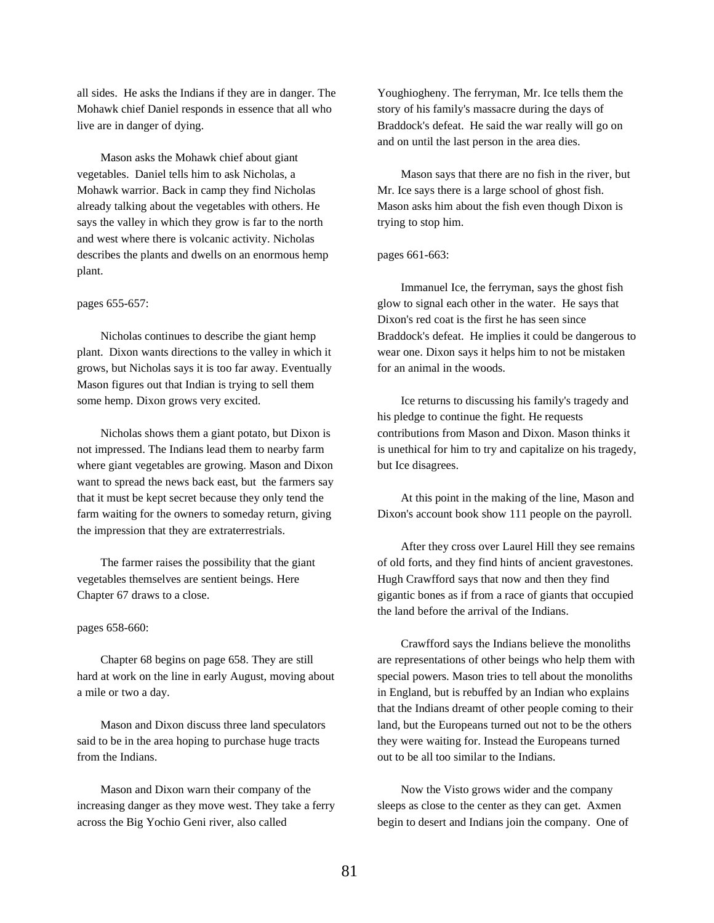all sides. He asks the Indians if they are in danger. The Mohawk chief Daniel responds in essence that all who live are in danger of dying.

Mason asks the Mohawk chief about giant vegetables. Daniel tells him to ask Nicholas, a Mohawk warrior. Back in camp they find Nicholas already talking about the vegetables with others. He says the valley in which they grow is far to the north and west where there is volcanic activity. Nicholas describes the plants and dwells on an enormous hemp plant.

#### pages 655-657:

Nicholas continues to describe the giant hemp plant. Dixon wants directions to the valley in which it grows, but Nicholas says it is too far away. Eventually Mason figures out that Indian is trying to sell them some hemp. Dixon grows very excited.

Nicholas shows them a giant potato, but Dixon is not impressed. The Indians lead them to nearby farm where giant vegetables are growing. Mason and Dixon want to spread the news back east, but the farmers say that it must be kept secret because they only tend the farm waiting for the owners to someday return, giving the impression that they are extraterrestrials.

The farmer raises the possibility that the giant vegetables themselves are sentient beings. Here Chapter 67 draws to a close.

### pages 658-660:

Chapter 68 begins on page 658. They are still hard at work on the line in early August, moving about a mile or two a day.

Mason and Dixon discuss three land speculators said to be in the area hoping to purchase huge tracts from the Indians.

Mason and Dixon warn their company of the increasing danger as they move west. They take a ferry across the Big Yochio Geni river, also called

Youghiogheny. The ferryman, Mr. Ice tells them the story of his family's massacre during the days of Braddock's defeat. He said the war really will go on and on until the last person in the area dies.

Mason says that there are no fish in the river, but Mr. Ice says there is a large school of ghost fish. Mason asks him about the fish even though Dixon is trying to stop him.

# pages 661-663:

Immanuel Ice, the ferryman, says the ghost fish glow to signal each other in the water. He says that Dixon's red coat is the first he has seen since Braddock's defeat. He implies it could be dangerous to wear one. Dixon says it helps him to not be mistaken for an animal in the woods.

Ice returns to discussing his family's tragedy and his pledge to continue the fight. He requests contributions from Mason and Dixon. Mason thinks it is unethical for him to try and capitalize on his tragedy, but Ice disagrees.

At this point in the making of the line, Mason and Dixon's account book show 111 people on the payroll.

After they cross over Laurel Hill they see remains of old forts, and they find hints of ancient gravestones. Hugh Crawfford says that now and then they find gigantic bones as if from a race of giants that occupied the land before the arrival of the Indians.

Crawfford says the Indians believe the monoliths are representations of other beings who help them with special powers. Mason tries to tell about the monoliths in England, but is rebuffed by an Indian who explains that the Indians dreamt of other people coming to their land, but the Europeans turned out not to be the others they were waiting for. Instead the Europeans turned out to be all too similar to the Indians.

Now the Visto grows wider and the company sleeps as close to the center as they can get. Axmen begin to desert and Indians join the company. One of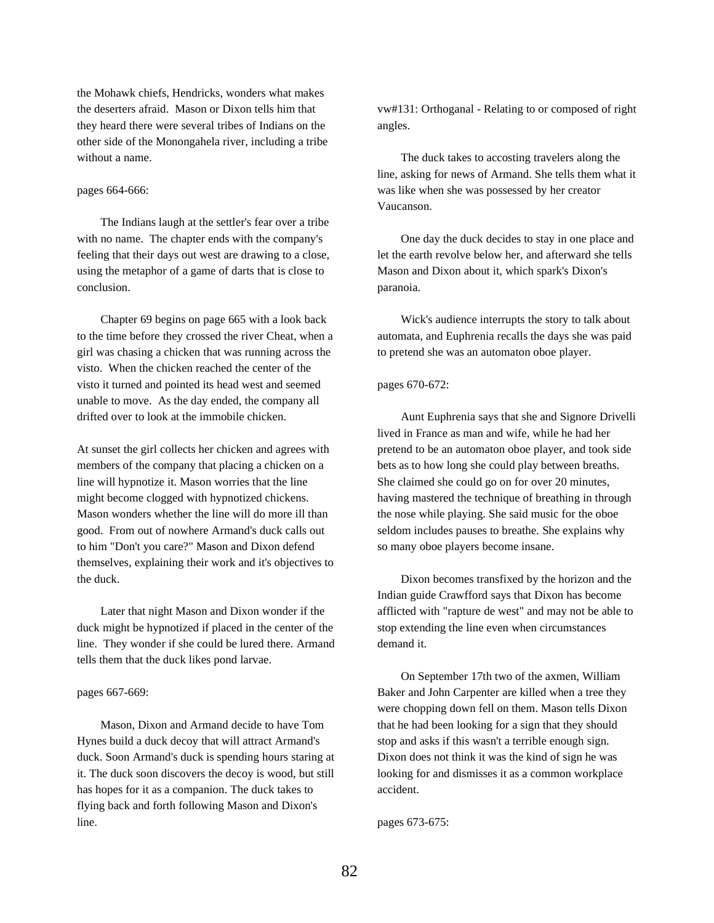the Mohawk chiefs, Hendricks, wonders what makes the deserters afraid. Mason or Dixon tells him that they heard there were several tribes of Indians on the other side of the Monongahela river, including a tribe without a name.

# pages 664-666:

The Indians laugh at the settler's fear over a tribe with no name. The chapter ends with the company's feeling that their days out west are drawing to a close, using the metaphor of a game of darts that is close to conclusion.

Chapter 69 begins on page 665 with a look back to the time before they crossed the river Cheat, when a girl was chasing a chicken that was running across the visto. When the chicken reached the center of the visto it turned and pointed its head west and seemed unable to move. As the day ended, the company all drifted over to look at the immobile chicken.

At sunset the girl collects her chicken and agrees with members of the company that placing a chicken on a line will hypnotize it. Mason worries that the line might become clogged with hypnotized chickens. Mason wonders whether the line will do more ill than good. From out of nowhere Armand's duck calls out to him "Don't you care?" Mason and Dixon defend themselves, explaining their work and it's objectives to the duck.

Later that night Mason and Dixon wonder if the duck might be hypnotized if placed in the center of the line. They wonder if she could be lured there. Armand tells them that the duck likes pond larvae.

# pages 667-669:

Mason, Dixon and Armand decide to have Tom Hynes build a duck decoy that will attract Armand's duck. Soon Armand's duck is spending hours staring at it. The duck soon discovers the decoy is wood, but still has hopes for it as a companion. The duck takes to flying back and forth following Mason and Dixon's line.

vw#131: Orthoganal - Relating to or composed of right angles.

The duck takes to accosting travelers along the line, asking for news of Armand. She tells them what it was like when she was possessed by her creator Vaucanson.

One day the duck decides to stay in one place and let the earth revolve below her, and afterward she tells Mason and Dixon about it, which spark's Dixon's paranoia.

Wick's audience interrupts the story to talk about automata, and Euphrenia recalls the days she was paid to pretend she was an automaton oboe player.

# pages 670-672:

Aunt Euphrenia says that she and Signore Drivelli lived in France as man and wife, while he had her pretend to be an automaton oboe player, and took side bets as to how long she could play between breaths. She claimed she could go on for over 20 minutes, having mastered the technique of breathing in through the nose while playing. She said music for the oboe seldom includes pauses to breathe. She explains why so many oboe players become insane.

Dixon becomes transfixed by the horizon and the Indian guide Crawfford says that Dixon has become afflicted with "rapture de west" and may not be able to stop extending the line even when circumstances demand it.

On September 17th two of the axmen, William Baker and John Carpenter are killed when a tree they were chopping down fell on them. Mason tells Dixon that he had been looking for a sign that they should stop and asks if this wasn't a terrible enough sign. Dixon does not think it was the kind of sign he was looking for and dismisses it as a common workplace accident.

pages 673-675: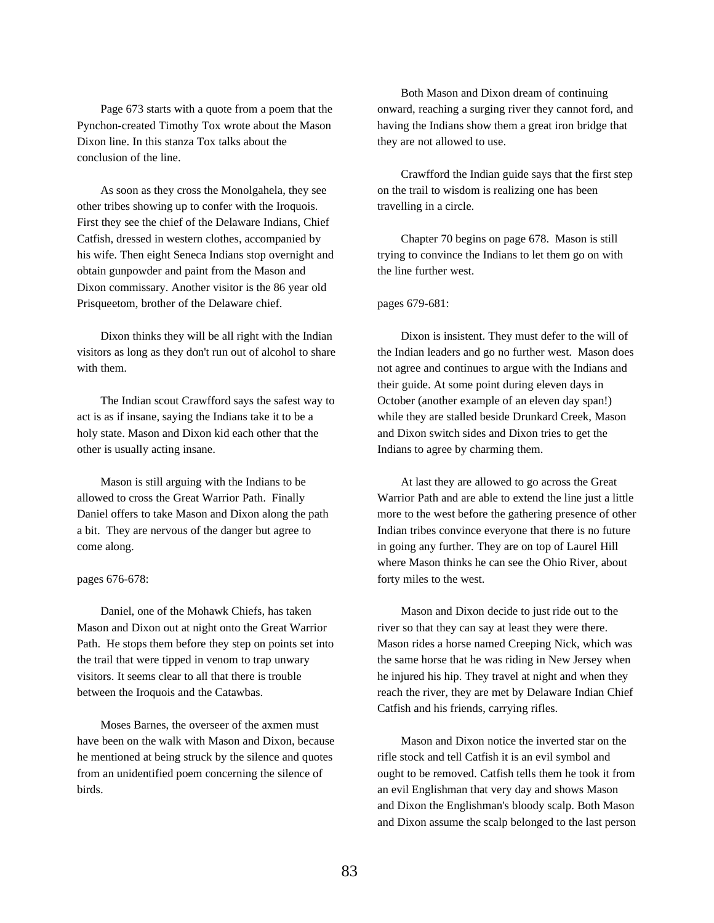Page 673 starts with a quote from a poem that the Pynchon-created Timothy Tox wrote about the Mason Dixon line. In this stanza Tox talks about the conclusion of the line.

As soon as they cross the Monolgahela, they see other tribes showing up to confer with the Iroquois. First they see the chief of the Delaware Indians, Chief Catfish, dressed in western clothes, accompanied by his wife. Then eight Seneca Indians stop overnight and obtain gunpowder and paint from the Mason and Dixon commissary. Another visitor is the 86 year old Prisqueetom, brother of the Delaware chief.

Dixon thinks they will be all right with the Indian visitors as long as they don't run out of alcohol to share with them.

The Indian scout Crawfford says the safest way to act is as if insane, saying the Indians take it to be a holy state. Mason and Dixon kid each other that the other is usually acting insane.

Mason is still arguing with the Indians to be allowed to cross the Great Warrior Path. Finally Daniel offers to take Mason and Dixon along the path a bit. They are nervous of the danger but agree to come along.

# pages 676-678:

Daniel, one of the Mohawk Chiefs, has taken Mason and Dixon out at night onto the Great Warrior Path. He stops them before they step on points set into the trail that were tipped in venom to trap unwary visitors. It seems clear to all that there is trouble between the Iroquois and the Catawbas.

Moses Barnes, the overseer of the axmen must have been on the walk with Mason and Dixon, because he mentioned at being struck by the silence and quotes from an unidentified poem concerning the silence of birds.

Both Mason and Dixon dream of continuing onward, reaching a surging river they cannot ford, and having the Indians show them a great iron bridge that they are not allowed to use.

Crawfford the Indian guide says that the first step on the trail to wisdom is realizing one has been travelling in a circle.

Chapter 70 begins on page 678. Mason is still trying to convince the Indians to let them go on with the line further west.

### pages 679-681:

Dixon is insistent. They must defer to the will of the Indian leaders and go no further west. Mason does not agree and continues to argue with the Indians and their guide. At some point during eleven days in October (another example of an eleven day span!) while they are stalled beside Drunkard Creek, Mason and Dixon switch sides and Dixon tries to get the Indians to agree by charming them.

At last they are allowed to go across the Great Warrior Path and are able to extend the line just a little more to the west before the gathering presence of other Indian tribes convince everyone that there is no future in going any further. They are on top of Laurel Hill where Mason thinks he can see the Ohio River, about forty miles to the west.

Mason and Dixon decide to just ride out to the river so that they can say at least they were there. Mason rides a horse named Creeping Nick, which was the same horse that he was riding in New Jersey when he injured his hip. They travel at night and when they reach the river, they are met by Delaware Indian Chief Catfish and his friends, carrying rifles.

Mason and Dixon notice the inverted star on the rifle stock and tell Catfish it is an evil symbol and ought to be removed. Catfish tells them he took it from an evil Englishman that very day and shows Mason and Dixon the Englishman's bloody scalp. Both Mason and Dixon assume the scalp belonged to the last person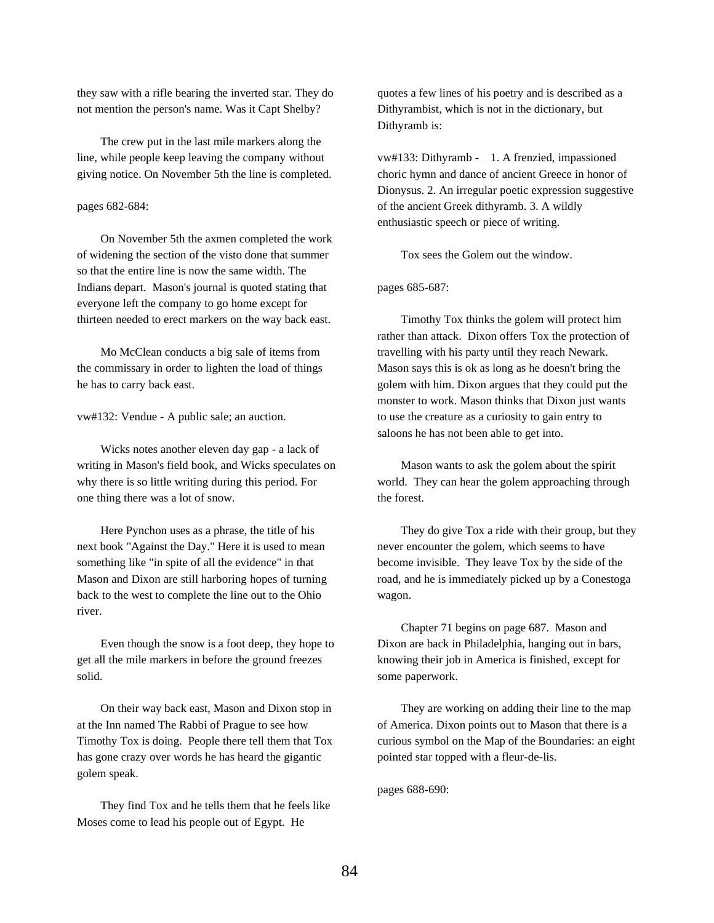they saw with a rifle bearing the inverted star. They do not mention the person's name. Was it Capt Shelby?

The crew put in the last mile markers along the line, while people keep leaving the company without giving notice. On November 5th the line is completed.

### pages 682-684:

On November 5th the axmen completed the work of widening the section of the visto done that summer so that the entire line is now the same width. The Indians depart. Mason's journal is quoted stating that everyone left the company to go home except for thirteen needed to erect markers on the way back east.

Mo McClean conducts a big sale of items from the commissary in order to lighten the load of things he has to carry back east.

vw#132: Vendue - A public sale; an auction.

Wicks notes another eleven day gap - a lack of writing in Mason's field book, and Wicks speculates on why there is so little writing during this period. For one thing there was a lot of snow.

Here Pynchon uses as a phrase, the title of his next book "Against the Day." Here it is used to mean something like "in spite of all the evidence" in that Mason and Dixon are still harboring hopes of turning back to the west to complete the line out to the Ohio river.

Even though the snow is a foot deep, they hope to get all the mile markers in before the ground freezes solid.

On their way back east, Mason and Dixon stop in at the Inn named The Rabbi of Prague to see how Timothy Tox is doing. People there tell them that Tox has gone crazy over words he has heard the gigantic golem speak.

They find Tox and he tells them that he feels like Moses come to lead his people out of Egypt. He

quotes a few lines of his poetry and is described as a Dithyrambist, which is not in the dictionary, but Dithyramb is:

vw#133: Dithyramb - 1. A frenzied, impassioned choric hymn and dance of ancient Greece in honor of Dionysus. 2. An irregular poetic expression suggestive of the ancient Greek dithyramb. 3. A wildly enthusiastic speech or piece of writing.

Tox sees the Golem out the window.

pages 685-687:

Timothy Tox thinks the golem will protect him rather than attack. Dixon offers Tox the protection of travelling with his party until they reach Newark. Mason says this is ok as long as he doesn't bring the golem with him. Dixon argues that they could put the monster to work. Mason thinks that Dixon just wants to use the creature as a curiosity to gain entry to saloons he has not been able to get into.

Mason wants to ask the golem about the spirit world. They can hear the golem approaching through the forest.

They do give Tox a ride with their group, but they never encounter the golem, which seems to have become invisible. They leave Tox by the side of the road, and he is immediately picked up by a Conestoga wagon.

Chapter 71 begins on page 687. Mason and Dixon are back in Philadelphia, hanging out in bars, knowing their job in America is finished, except for some paperwork.

They are working on adding their line to the map of America. Dixon points out to Mason that there is a curious symbol on the Map of the Boundaries: an eight pointed star topped with a fleur-de-lis.

pages 688-690: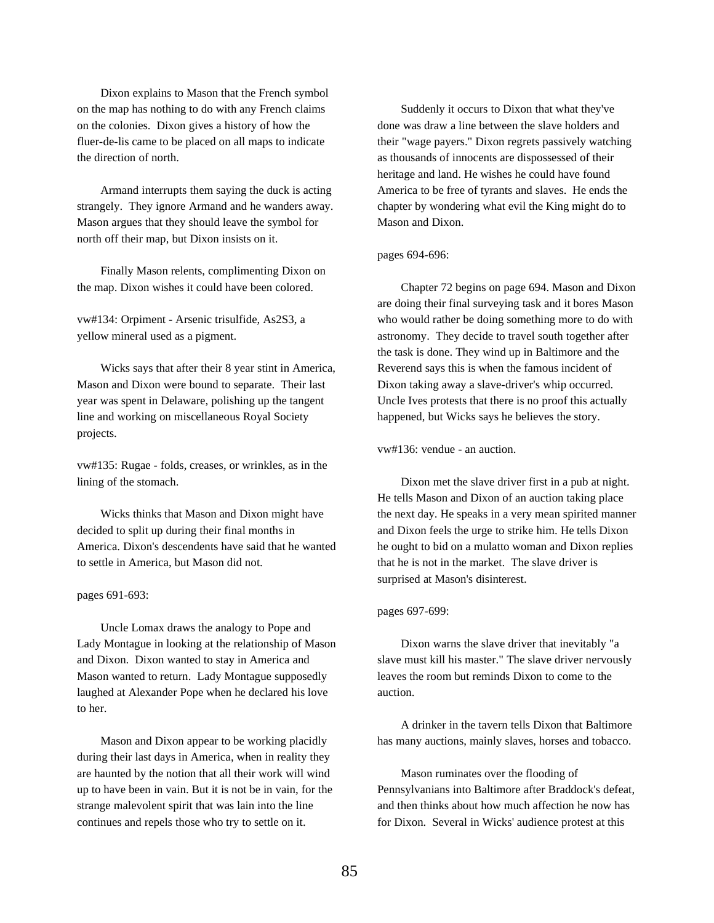Dixon explains to Mason that the French symbol on the map has nothing to do with any French claims on the colonies. Dixon gives a history of how the fluer-de-lis came to be placed on all maps to indicate the direction of north.

Armand interrupts them saying the duck is acting strangely. They ignore Armand and he wanders away. Mason argues that they should leave the symbol for north off their map, but Dixon insists on it.

Finally Mason relents, complimenting Dixon on the map. Dixon wishes it could have been colored.

vw#134: Orpiment - Arsenic trisulfide, As2S3, a yellow mineral used as a pigment.

Wicks says that after their 8 year stint in America, Mason and Dixon were bound to separate. Their last year was spent in Delaware, polishing up the tangent line and working on miscellaneous Royal Society projects.

vw#135: Rugae - folds, creases, or wrinkles, as in the lining of the stomach.

Wicks thinks that Mason and Dixon might have decided to split up during their final months in America. Dixon's descendents have said that he wanted to settle in America, but Mason did not.

# pages 691-693:

Uncle Lomax draws the analogy to Pope and Lady Montague in looking at the relationship of Mason and Dixon. Dixon wanted to stay in America and Mason wanted to return. Lady Montague supposedly laughed at Alexander Pope when he declared his love to her.

Mason and Dixon appear to be working placidly during their last days in America, when in reality they are haunted by the notion that all their work will wind up to have been in vain. But it is not be in vain, for the strange malevolent spirit that was lain into the line continues and repels those who try to settle on it.

Suddenly it occurs to Dixon that what they've done was draw a line between the slave holders and their "wage payers." Dixon regrets passively watching as thousands of innocents are dispossessed of their heritage and land. He wishes he could have found America to be free of tyrants and slaves. He ends the chapter by wondering what evil the King might do to Mason and Dixon.

### pages 694-696:

Chapter 72 begins on page 694. Mason and Dixon are doing their final surveying task and it bores Mason who would rather be doing something more to do with astronomy. They decide to travel south together after the task is done. They wind up in Baltimore and the Reverend says this is when the famous incident of Dixon taking away a slave-driver's whip occurred. Uncle Ives protests that there is no proof this actually happened, but Wicks says he believes the story.

# vw#136: vendue - an auction.

Dixon met the slave driver first in a pub at night. He tells Mason and Dixon of an auction taking place the next day. He speaks in a very mean spirited manner and Dixon feels the urge to strike him. He tells Dixon he ought to bid on a mulatto woman and Dixon replies that he is not in the market. The slave driver is surprised at Mason's disinterest.

#### pages 697-699:

Dixon warns the slave driver that inevitably "a slave must kill his master." The slave driver nervously leaves the room but reminds Dixon to come to the auction.

A drinker in the tavern tells Dixon that Baltimore has many auctions, mainly slaves, horses and tobacco.

Mason ruminates over the flooding of Pennsylvanians into Baltimore after Braddock's defeat, and then thinks about how much affection he now has for Dixon. Several in Wicks' audience protest at this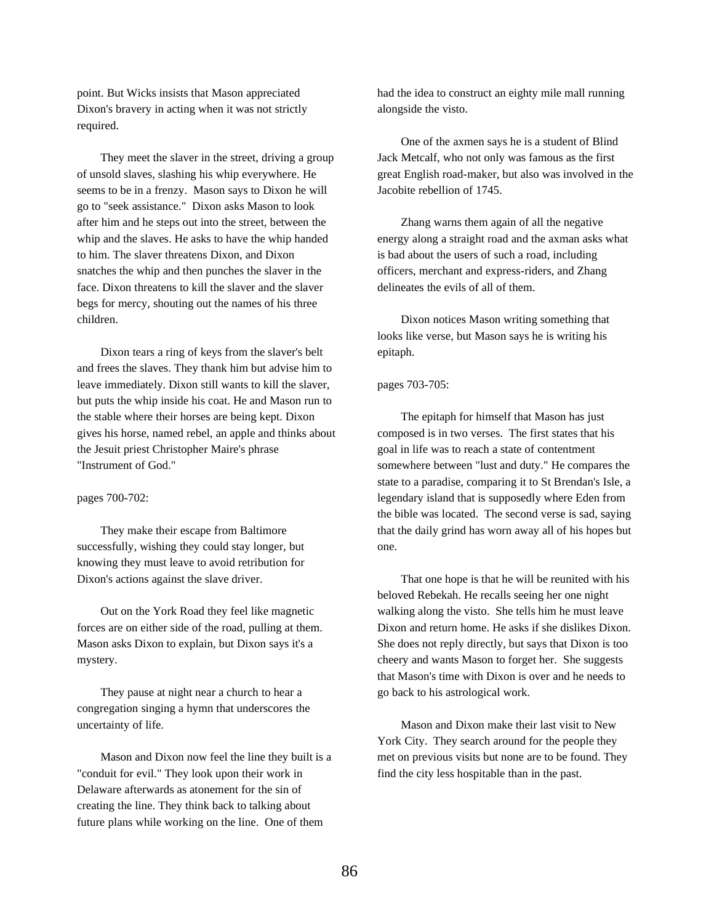point. But Wicks insists that Mason appreciated Dixon's bravery in acting when it was not strictly required.

They meet the slaver in the street, driving a group of unsold slaves, slashing his whip everywhere. He seems to be in a frenzy. Mason says to Dixon he will go to "seek assistance." Dixon asks Mason to look after him and he steps out into the street, between the whip and the slaves. He asks to have the whip handed to him. The slaver threatens Dixon, and Dixon snatches the whip and then punches the slaver in the face. Dixon threatens to kill the slaver and the slaver begs for mercy, shouting out the names of his three children.

Dixon tears a ring of keys from the slaver's belt and frees the slaves. They thank him but advise him to leave immediately. Dixon still wants to kill the slaver, but puts the whip inside his coat. He and Mason run to the stable where their horses are being kept. Dixon gives his horse, named rebel, an apple and thinks about the Jesuit priest Christopher Maire's phrase "Instrument of God."

# pages 700-702:

They make their escape from Baltimore successfully, wishing they could stay longer, but knowing they must leave to avoid retribution for Dixon's actions against the slave driver.

Out on the York Road they feel like magnetic forces are on either side of the road, pulling at them. Mason asks Dixon to explain, but Dixon says it's a mystery.

They pause at night near a church to hear a congregation singing a hymn that underscores the uncertainty of life.

Mason and Dixon now feel the line they built is a "conduit for evil." They look upon their work in Delaware afterwards as atonement for the sin of creating the line. They think back to talking about future plans while working on the line. One of them

had the idea to construct an eighty mile mall running alongside the visto.

One of the axmen says he is a student of Blind Jack Metcalf, who not only was famous as the first great English road-maker, but also was involved in the Jacobite rebellion of 1745.

Zhang warns them again of all the negative energy along a straight road and the axman asks what is bad about the users of such a road, including officers, merchant and express-riders, and Zhang delineates the evils of all of them.

Dixon notices Mason writing something that looks like verse, but Mason says he is writing his epitaph.

# pages 703-705:

The epitaph for himself that Mason has just composed is in two verses. The first states that his goal in life was to reach a state of contentment somewhere between "lust and duty." He compares the state to a paradise, comparing it to St Brendan's Isle, a legendary island that is supposedly where Eden from the bible was located. The second verse is sad, saying that the daily grind has worn away all of his hopes but one.

That one hope is that he will be reunited with his beloved Rebekah. He recalls seeing her one night walking along the visto. She tells him he must leave Dixon and return home. He asks if she dislikes Dixon. She does not reply directly, but says that Dixon is too cheery and wants Mason to forget her. She suggests that Mason's time with Dixon is over and he needs to go back to his astrological work.

Mason and Dixon make their last visit to New York City. They search around for the people they met on previous visits but none are to be found. They find the city less hospitable than in the past.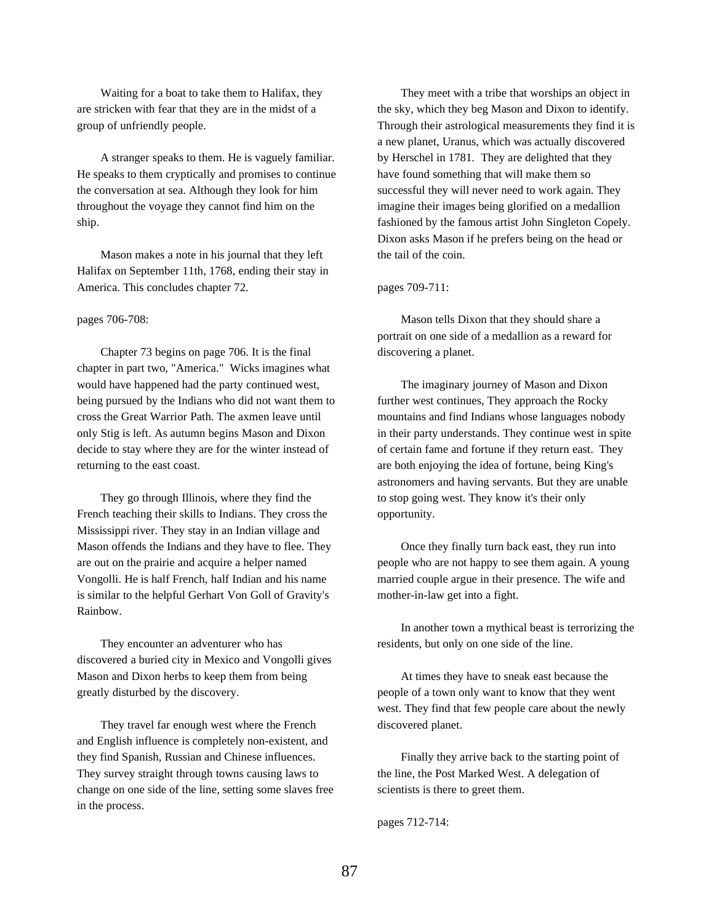Waiting for a boat to take them to Halifax, they are stricken with fear that they are in the midst of a group of unfriendly people.

A stranger speaks to them. He is vaguely familiar. He speaks to them cryptically and promises to continue the conversation at sea. Although they look for him throughout the voyage they cannot find him on the ship.

Mason makes a note in his journal that they left Halifax on September 11th, 1768, ending their stay in America. This concludes chapter 72.

### pages 706-708:

Chapter 73 begins on page 706. It is the final chapter in part two, "America." Wicks imagines what would have happened had the party continued west, being pursued by the Indians who did not want them to cross the Great Warrior Path. The axmen leave until only Stig is left. As autumn begins Mason and Dixon decide to stay where they are for the winter instead of returning to the east coast.

They go through Illinois, where they find the French teaching their skills to Indians. They cross the Mississippi river. They stay in an Indian village and Mason offends the Indians and they have to flee. They are out on the prairie and acquire a helper named Vongolli. He is half French, half Indian and his name is similar to the helpful Gerhart Von Goll of Gravity's Rainbow.

They encounter an adventurer who has discovered a buried city in Mexico and Vongolli gives Mason and Dixon herbs to keep them from being greatly disturbed by the discovery.

They travel far enough west where the French and English influence is completely non-existent, and they find Spanish, Russian and Chinese influences. They survey straight through towns causing laws to change on one side of the line, setting some slaves free in the process.

They meet with a tribe that worships an object in the sky, which they beg Mason and Dixon to identify. Through their astrological measurements they find it is a new planet, Uranus, which was actually discovered by Herschel in 1781. They are delighted that they have found something that will make them so successful they will never need to work again. They imagine their images being glorified on a medallion fashioned by the famous artist John Singleton Copely. Dixon asks Mason if he prefers being on the head or the tail of the coin.

pages 709-711:

Mason tells Dixon that they should share a portrait on one side of a medallion as a reward for discovering a planet.

The imaginary journey of Mason and Dixon further west continues, They approach the Rocky mountains and find Indians whose languages nobody in their party understands. They continue west in spite of certain fame and fortune if they return east. They are both enjoying the idea of fortune, being King's astronomers and having servants. But they are unable to stop going west. They know it's their only opportunity.

Once they finally turn back east, they run into people who are not happy to see them again. A young married couple argue in their presence. The wife and mother-in-law get into a fight.

In another town a mythical beast is terrorizing the residents, but only on one side of the line.

At times they have to sneak east because the people of a town only want to know that they went west. They find that few people care about the newly discovered planet.

Finally they arrive back to the starting point of the line, the Post Marked West. A delegation of scientists is there to greet them.

pages 712-714: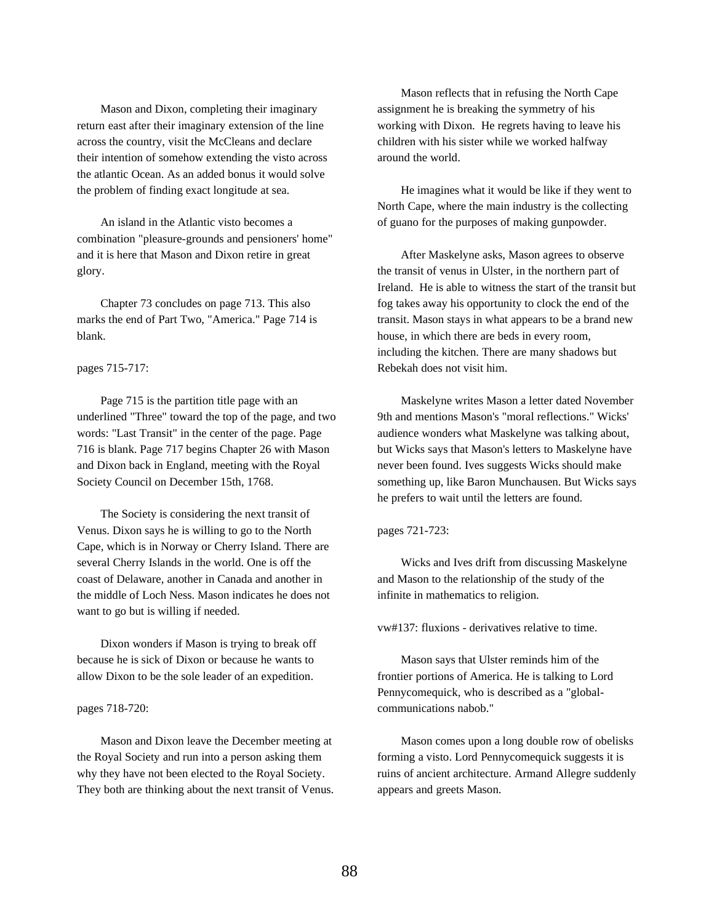Mason and Dixon, completing their imaginary return east after their imaginary extension of the line across the country, visit the McCleans and declare their intention of somehow extending the visto across the atlantic Ocean. As an added bonus it would solve the problem of finding exact longitude at sea.

An island in the Atlantic visto becomes a combination "pleasure-grounds and pensioners' home" and it is here that Mason and Dixon retire in great glory.

Chapter 73 concludes on page 713. This also marks the end of Part Two, "America." Page 714 is blank.

# pages 715-717:

Page 715 is the partition title page with an underlined "Three" toward the top of the page, and two words: "Last Transit" in the center of the page. Page 716 is blank. Page 717 begins Chapter 26 with Mason and Dixon back in England, meeting with the Royal Society Council on December 15th, 1768.

The Society is considering the next transit of Venus. Dixon says he is willing to go to the North Cape, which is in Norway or Cherry Island. There are several Cherry Islands in the world. One is off the coast of Delaware, another in Canada and another in the middle of Loch Ness. Mason indicates he does not want to go but is willing if needed.

Dixon wonders if Mason is trying to break off because he is sick of Dixon or because he wants to allow Dixon to be the sole leader of an expedition.

### pages 718-720:

Mason and Dixon leave the December meeting at the Royal Society and run into a person asking them why they have not been elected to the Royal Society. They both are thinking about the next transit of Venus.

Mason reflects that in refusing the North Cape assignment he is breaking the symmetry of his working with Dixon. He regrets having to leave his children with his sister while we worked halfway around the world.

He imagines what it would be like if they went to North Cape, where the main industry is the collecting of guano for the purposes of making gunpowder.

After Maskelyne asks, Mason agrees to observe the transit of venus in Ulster, in the northern part of Ireland. He is able to witness the start of the transit but fog takes away his opportunity to clock the end of the transit. Mason stays in what appears to be a brand new house, in which there are beds in every room, including the kitchen. There are many shadows but Rebekah does not visit him.

Maskelyne writes Mason a letter dated November 9th and mentions Mason's "moral reflections." Wicks' audience wonders what Maskelyne was talking about, but Wicks says that Mason's letters to Maskelyne have never been found. Ives suggests Wicks should make something up, like Baron Munchausen. But Wicks says he prefers to wait until the letters are found.

pages 721-723:

Wicks and Ives drift from discussing Maskelyne and Mason to the relationship of the study of the infinite in mathematics to religion.

vw#137: fluxions - derivatives relative to time.

Mason says that Ulster reminds him of the frontier portions of America. He is talking to Lord Pennycomequick, who is described as a "globalcommunications nabob."

Mason comes upon a long double row of obelisks forming a visto. Lord Pennycomequick suggests it is ruins of ancient architecture. Armand Allegre suddenly appears and greets Mason.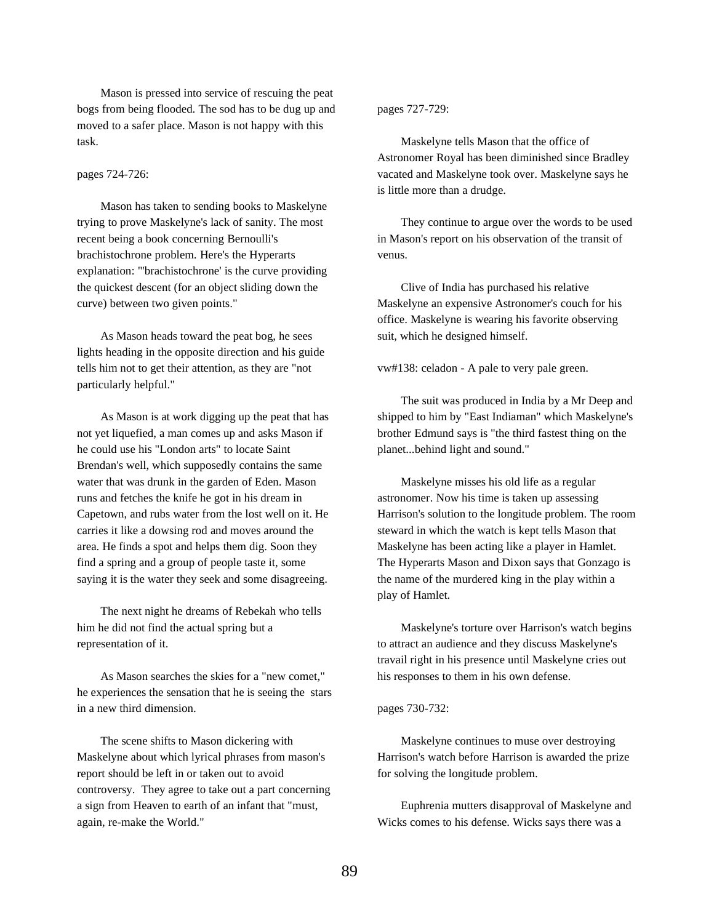Mason is pressed into service of rescuing the peat bogs from being flooded. The sod has to be dug up and moved to a safer place. Mason is not happy with this task.

# pages 724-726:

Mason has taken to sending books to Maskelyne trying to prove Maskelyne's lack of sanity. The most recent being a book concerning Bernoulli's brachistochrone problem. Here's the Hyperarts explanation: "'brachistochrone' is the curve providing the quickest descent (for an object sliding down the curve) between two given points."

As Mason heads toward the peat bog, he sees lights heading in the opposite direction and his guide tells him not to get their attention, as they are "not particularly helpful."

As Mason is at work digging up the peat that has not yet liquefied, a man comes up and asks Mason if he could use his "London arts" to locate Saint Brendan's well, which supposedly contains the same water that was drunk in the garden of Eden. Mason runs and fetches the knife he got in his dream in Capetown, and rubs water from the lost well on it. He carries it like a dowsing rod and moves around the area. He finds a spot and helps them dig. Soon they find a spring and a group of people taste it, some saying it is the water they seek and some disagreeing.

The next night he dreams of Rebekah who tells him he did not find the actual spring but a representation of it.

As Mason searches the skies for a "new comet," he experiences the sensation that he is seeing the stars in a new third dimension.

The scene shifts to Mason dickering with Maskelyne about which lyrical phrases from mason's report should be left in or taken out to avoid controversy. They agree to take out a part concerning a sign from Heaven to earth of an infant that "must, again, re-make the World."

# pages 727-729:

Maskelyne tells Mason that the office of Astronomer Royal has been diminished since Bradley vacated and Maskelyne took over. Maskelyne says he is little more than a drudge.

They continue to argue over the words to be used in Mason's report on his observation of the transit of venus.

Clive of India has purchased his relative Maskelyne an expensive Astronomer's couch for his office. Maskelyne is wearing his favorite observing suit, which he designed himself.

vw#138: celadon - A pale to very pale green.

The suit was produced in India by a Mr Deep and shipped to him by "East Indiaman" which Maskelyne's brother Edmund says is "the third fastest thing on the planet...behind light and sound."

Maskelyne misses his old life as a regular astronomer. Now his time is taken up assessing Harrison's solution to the longitude problem. The room steward in which the watch is kept tells Mason that Maskelyne has been acting like a player in Hamlet. The Hyperarts Mason and Dixon says that Gonzago is the name of the murdered king in the play within a play of Hamlet.

Maskelyne's torture over Harrison's watch begins to attract an audience and they discuss Maskelyne's travail right in his presence until Maskelyne cries out his responses to them in his own defense.

# pages 730-732:

Maskelyne continues to muse over destroying Harrison's watch before Harrison is awarded the prize for solving the longitude problem.

Euphrenia mutters disapproval of Maskelyne and Wicks comes to his defense. Wicks says there was a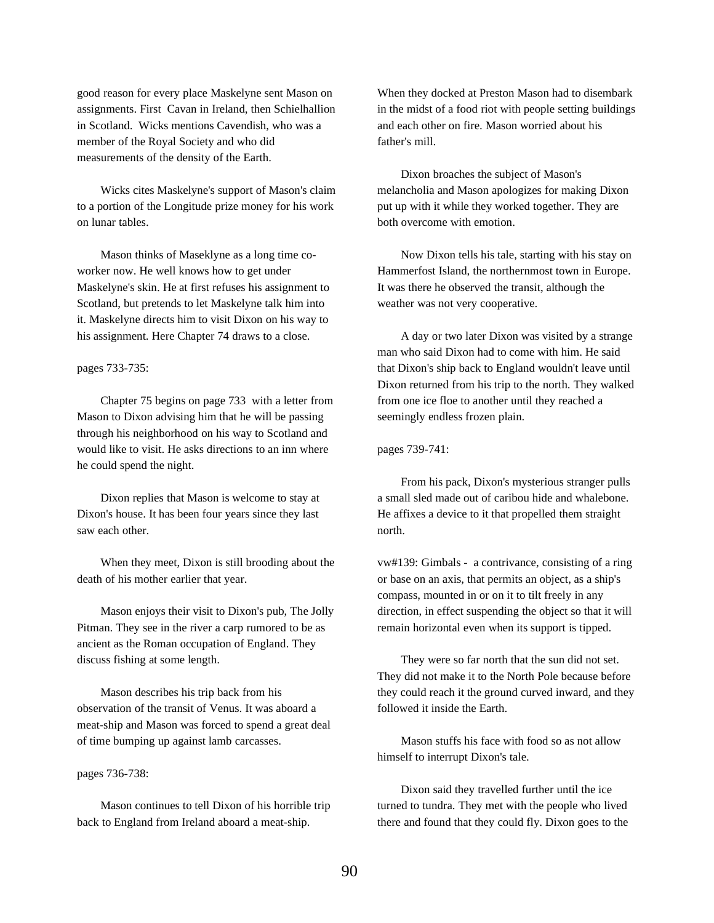good reason for every place Maskelyne sent Mason on assignments. First Cavan in Ireland, then Schielhallion in Scotland. Wicks mentions Cavendish, who was a member of the Royal Society and who did measurements of the density of the Earth.

Wicks cites Maskelyne's support of Mason's claim to a portion of the Longitude prize money for his work on lunar tables.

Mason thinks of Maseklyne as a long time coworker now. He well knows how to get under Maskelyne's skin. He at first refuses his assignment to Scotland, but pretends to let Maskelyne talk him into it. Maskelyne directs him to visit Dixon on his way to his assignment. Here Chapter 74 draws to a close.

### pages 733-735:

Chapter 75 begins on page 733 with a letter from Mason to Dixon advising him that he will be passing through his neighborhood on his way to Scotland and would like to visit. He asks directions to an inn where he could spend the night.

Dixon replies that Mason is welcome to stay at Dixon's house. It has been four years since they last saw each other.

When they meet, Dixon is still brooding about the death of his mother earlier that year.

Mason enjoys their visit to Dixon's pub, The Jolly Pitman. They see in the river a carp rumored to be as ancient as the Roman occupation of England. They discuss fishing at some length.

Mason describes his trip back from his observation of the transit of Venus. It was aboard a meat-ship and Mason was forced to spend a great deal of time bumping up against lamb carcasses.

### pages 736-738:

Mason continues to tell Dixon of his horrible trip back to England from Ireland aboard a meat-ship.

When they docked at Preston Mason had to disembark in the midst of a food riot with people setting buildings and each other on fire. Mason worried about his father's mill.

Dixon broaches the subject of Mason's melancholia and Mason apologizes for making Dixon put up with it while they worked together. They are both overcome with emotion.

Now Dixon tells his tale, starting with his stay on Hammerfost Island, the northernmost town in Europe. It was there he observed the transit, although the weather was not very cooperative.

A day or two later Dixon was visited by a strange man who said Dixon had to come with him. He said that Dixon's ship back to England wouldn't leave until Dixon returned from his trip to the north. They walked from one ice floe to another until they reached a seemingly endless frozen plain.

# pages 739-741:

From his pack, Dixon's mysterious stranger pulls a small sled made out of caribou hide and whalebone. He affixes a device to it that propelled them straight north.

vw#139: Gimbals - a contrivance, consisting of a ring or base on an axis, that permits an object, as a ship's compass, mounted in or on it to tilt freely in any direction, in effect suspending the object so that it will remain horizontal even when its support is tipped.

They were so far north that the sun did not set. They did not make it to the North Pole because before they could reach it the ground curved inward, and they followed it inside the Earth.

Mason stuffs his face with food so as not allow himself to interrupt Dixon's tale.

Dixon said they travelled further until the ice turned to tundra. They met with the people who lived there and found that they could fly. Dixon goes to the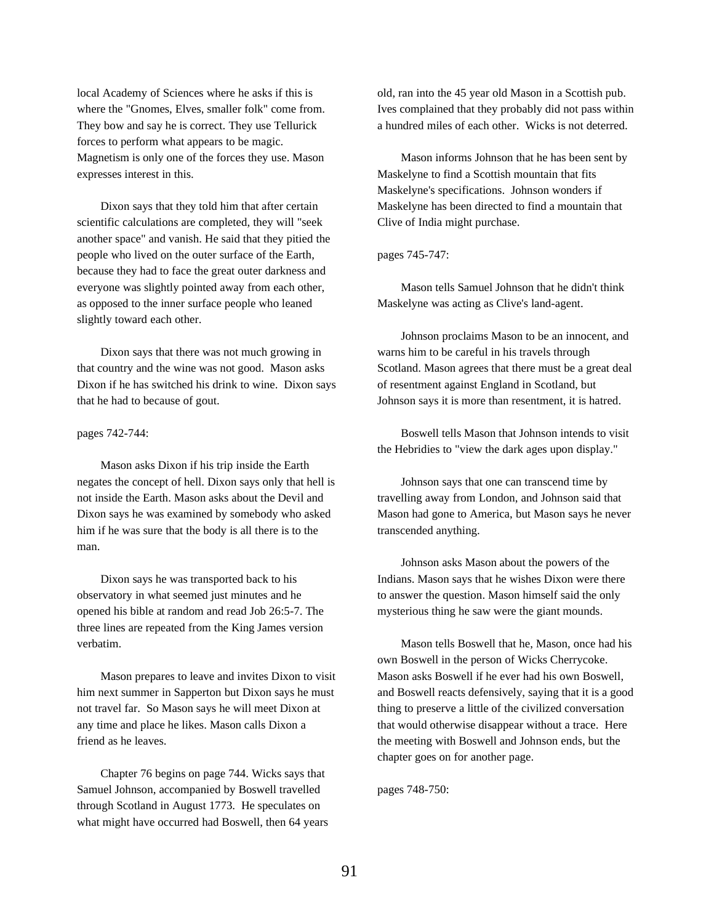local Academy of Sciences where he asks if this is where the "Gnomes, Elves, smaller folk" come from. They bow and say he is correct. They use Tellurick forces to perform what appears to be magic. Magnetism is only one of the forces they use. Mason expresses interest in this.

Dixon says that they told him that after certain scientific calculations are completed, they will "seek another space" and vanish. He said that they pitied the people who lived on the outer surface of the Earth, because they had to face the great outer darkness and everyone was slightly pointed away from each other, as opposed to the inner surface people who leaned slightly toward each other.

Dixon says that there was not much growing in that country and the wine was not good. Mason asks Dixon if he has switched his drink to wine. Dixon says that he had to because of gout.

#### pages 742-744:

Mason asks Dixon if his trip inside the Earth negates the concept of hell. Dixon says only that hell is not inside the Earth. Mason asks about the Devil and Dixon says he was examined by somebody who asked him if he was sure that the body is all there is to the man.

Dixon says he was transported back to his observatory in what seemed just minutes and he opened his bible at random and read Job 26:5-7. The three lines are repeated from the King James version verbatim.

Mason prepares to leave and invites Dixon to visit him next summer in Sapperton but Dixon says he must not travel far. So Mason says he will meet Dixon at any time and place he likes. Mason calls Dixon a friend as he leaves.

Chapter 76 begins on page 744. Wicks says that Samuel Johnson, accompanied by Boswell travelled through Scotland in August 1773. He speculates on what might have occurred had Boswell, then 64 years old, ran into the 45 year old Mason in a Scottish pub. Ives complained that they probably did not pass within a hundred miles of each other. Wicks is not deterred.

Mason informs Johnson that he has been sent by Maskelyne to find a Scottish mountain that fits Maskelyne's specifications. Johnson wonders if Maskelyne has been directed to find a mountain that Clive of India might purchase.

# pages 745-747:

Mason tells Samuel Johnson that he didn't think Maskelyne was acting as Clive's land-agent.

Johnson proclaims Mason to be an innocent, and warns him to be careful in his travels through Scotland. Mason agrees that there must be a great deal of resentment against England in Scotland, but Johnson says it is more than resentment, it is hatred.

Boswell tells Mason that Johnson intends to visit the Hebridies to "view the dark ages upon display."

Johnson says that one can transcend time by travelling away from London, and Johnson said that Mason had gone to America, but Mason says he never transcended anything.

Johnson asks Mason about the powers of the Indians. Mason says that he wishes Dixon were there to answer the question. Mason himself said the only mysterious thing he saw were the giant mounds.

Mason tells Boswell that he, Mason, once had his own Boswell in the person of Wicks Cherrycoke. Mason asks Boswell if he ever had his own Boswell, and Boswell reacts defensively, saying that it is a good thing to preserve a little of the civilized conversation that would otherwise disappear without a trace. Here the meeting with Boswell and Johnson ends, but the chapter goes on for another page.

pages 748-750: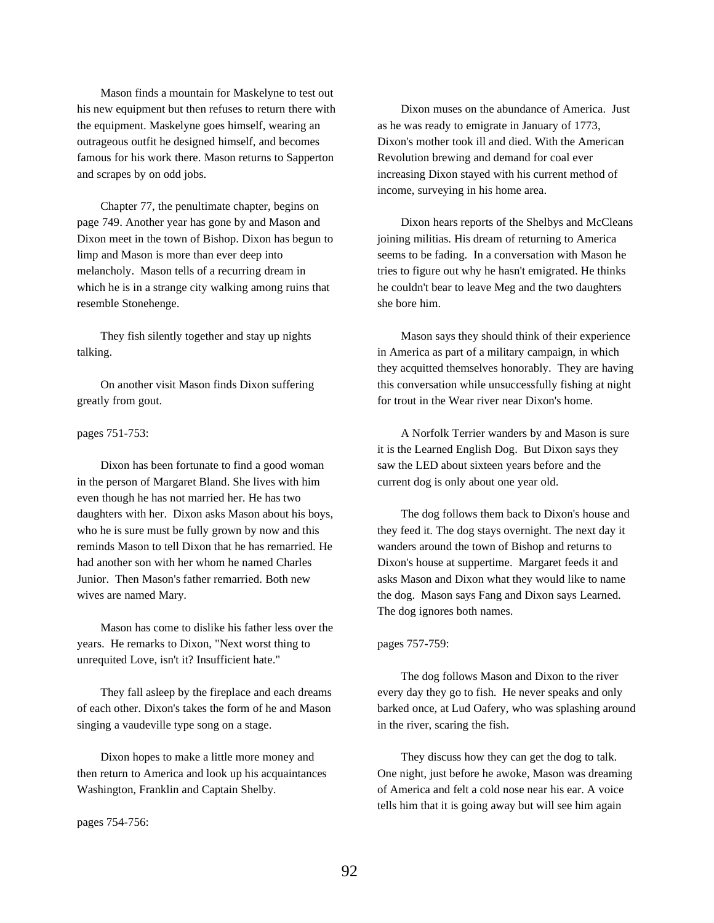Mason finds a mountain for Maskelyne to test out his new equipment but then refuses to return there with the equipment. Maskelyne goes himself, wearing an outrageous outfit he designed himself, and becomes famous for his work there. Mason returns to Sapperton and scrapes by on odd jobs.

Chapter 77, the penultimate chapter, begins on page 749. Another year has gone by and Mason and Dixon meet in the town of Bishop. Dixon has begun to limp and Mason is more than ever deep into melancholy. Mason tells of a recurring dream in which he is in a strange city walking among ruins that resemble Stonehenge.

They fish silently together and stay up nights talking.

On another visit Mason finds Dixon suffering greatly from gout.

# pages 751-753:

Dixon has been fortunate to find a good woman in the person of Margaret Bland. She lives with him even though he has not married her. He has two daughters with her. Dixon asks Mason about his boys, who he is sure must be fully grown by now and this reminds Mason to tell Dixon that he has remarried. He had another son with her whom he named Charles Junior. Then Mason's father remarried. Both new wives are named Mary.

Mason has come to dislike his father less over the years. He remarks to Dixon, "Next worst thing to unrequited Love, isn't it? Insufficient hate."

They fall asleep by the fireplace and each dreams of each other. Dixon's takes the form of he and Mason singing a vaudeville type song on a stage.

Dixon hopes to make a little more money and then return to America and look up his acquaintances Washington, Franklin and Captain Shelby.

pages 754-756:

Dixon muses on the abundance of America. Just as he was ready to emigrate in January of 1773, Dixon's mother took ill and died. With the American Revolution brewing and demand for coal ever increasing Dixon stayed with his current method of income, surveying in his home area.

Dixon hears reports of the Shelbys and McCleans joining militias. His dream of returning to America seems to be fading. In a conversation with Mason he tries to figure out why he hasn't emigrated. He thinks he couldn't bear to leave Meg and the two daughters she bore him.

Mason says they should think of their experience in America as part of a military campaign, in which they acquitted themselves honorably. They are having this conversation while unsuccessfully fishing at night for trout in the Wear river near Dixon's home.

A Norfolk Terrier wanders by and Mason is sure it is the Learned English Dog. But Dixon says they saw the LED about sixteen years before and the current dog is only about one year old.

The dog follows them back to Dixon's house and they feed it. The dog stays overnight. The next day it wanders around the town of Bishop and returns to Dixon's house at suppertime. Margaret feeds it and asks Mason and Dixon what they would like to name the dog. Mason says Fang and Dixon says Learned. The dog ignores both names.

# pages 757-759:

The dog follows Mason and Dixon to the river every day they go to fish. He never speaks and only barked once, at Lud Oafery, who was splashing around in the river, scaring the fish.

They discuss how they can get the dog to talk. One night, just before he awoke, Mason was dreaming of America and felt a cold nose near his ear. A voice tells him that it is going away but will see him again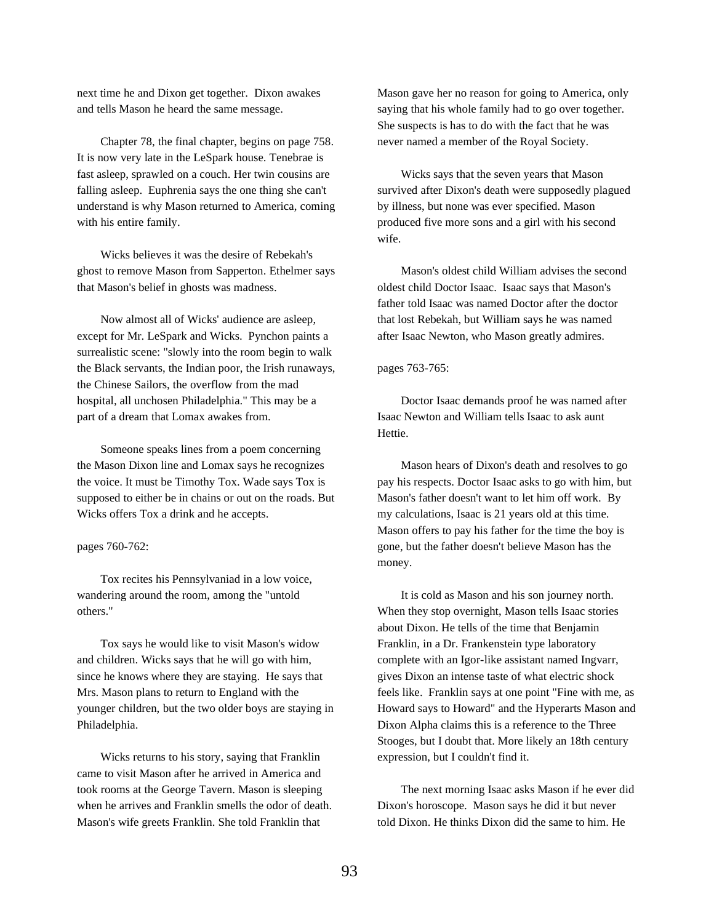next time he and Dixon get together. Dixon awakes and tells Mason he heard the same message.

Chapter 78, the final chapter, begins on page 758. It is now very late in the LeSpark house. Tenebrae is fast asleep, sprawled on a couch. Her twin cousins are falling asleep. Euphrenia says the one thing she can't understand is why Mason returned to America, coming with his entire family.

Wicks believes it was the desire of Rebekah's ghost to remove Mason from Sapperton. Ethelmer says that Mason's belief in ghosts was madness.

Now almost all of Wicks' audience are asleep, except for Mr. LeSpark and Wicks. Pynchon paints a surrealistic scene: "slowly into the room begin to walk the Black servants, the Indian poor, the Irish runaways, the Chinese Sailors, the overflow from the mad hospital, all unchosen Philadelphia." This may be a part of a dream that Lomax awakes from.

Someone speaks lines from a poem concerning the Mason Dixon line and Lomax says he recognizes the voice. It must be Timothy Tox. Wade says Tox is supposed to either be in chains or out on the roads. But Wicks offers Tox a drink and he accepts.

pages 760-762:

Tox recites his Pennsylvaniad in a low voice, wandering around the room, among the "untold others."

Tox says he would like to visit Mason's widow and children. Wicks says that he will go with him, since he knows where they are staying. He says that Mrs. Mason plans to return to England with the younger children, but the two older boys are staying in Philadelphia.

Wicks returns to his story, saying that Franklin came to visit Mason after he arrived in America and took rooms at the George Tavern. Mason is sleeping when he arrives and Franklin smells the odor of death. Mason's wife greets Franklin. She told Franklin that

Mason gave her no reason for going to America, only saying that his whole family had to go over together. She suspects is has to do with the fact that he was never named a member of the Royal Society.

Wicks says that the seven years that Mason survived after Dixon's death were supposedly plagued by illness, but none was ever specified. Mason produced five more sons and a girl with his second wife.

Mason's oldest child William advises the second oldest child Doctor Isaac. Isaac says that Mason's father told Isaac was named Doctor after the doctor that lost Rebekah, but William says he was named after Isaac Newton, who Mason greatly admires.

#### pages 763-765:

Doctor Isaac demands proof he was named after Isaac Newton and William tells Isaac to ask aunt Hettie.

Mason hears of Dixon's death and resolves to go pay his respects. Doctor Isaac asks to go with him, but Mason's father doesn't want to let him off work. By my calculations, Isaac is 21 years old at this time. Mason offers to pay his father for the time the boy is gone, but the father doesn't believe Mason has the money.

It is cold as Mason and his son journey north. When they stop overnight, Mason tells Isaac stories about Dixon. He tells of the time that Benjamin Franklin, in a Dr. Frankenstein type laboratory complete with an Igor-like assistant named Ingvarr, gives Dixon an intense taste of what electric shock feels like. Franklin says at one point "Fine with me, as Howard says to Howard" and the Hyperarts Mason and Dixon Alpha claims this is a reference to the Three Stooges, but I doubt that. More likely an 18th century expression, but I couldn't find it.

The next morning Isaac asks Mason if he ever did Dixon's horoscope. Mason says he did it but never told Dixon. He thinks Dixon did the same to him. He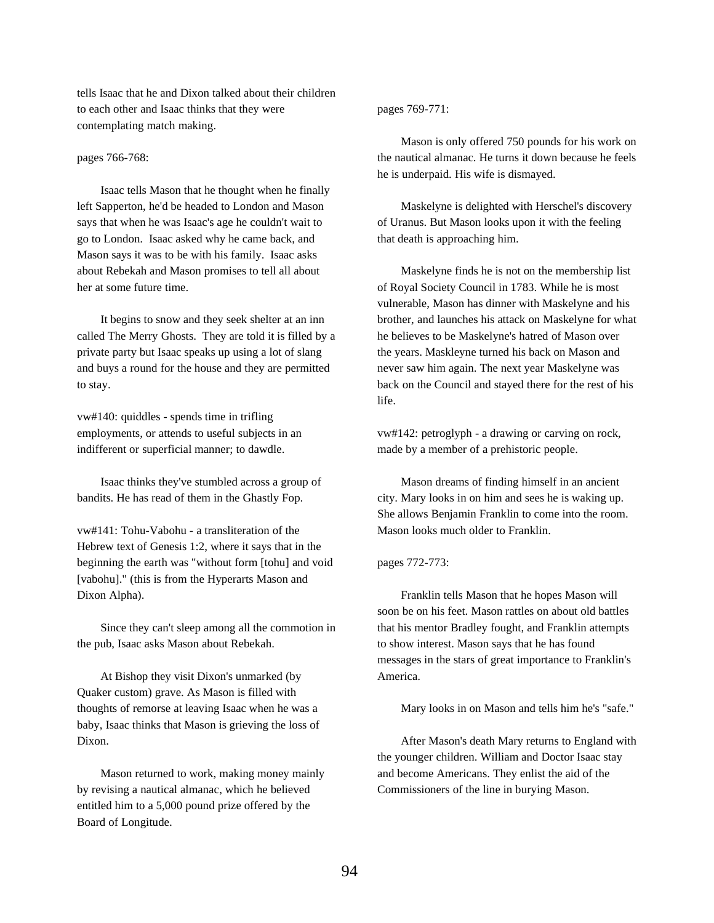tells Isaac that he and Dixon talked about their children to each other and Isaac thinks that they were contemplating match making.

# pages 766-768:

Isaac tells Mason that he thought when he finally left Sapperton, he'd be headed to London and Mason says that when he was Isaac's age he couldn't wait to go to London. Isaac asked why he came back, and Mason says it was to be with his family. Isaac asks about Rebekah and Mason promises to tell all about her at some future time.

It begins to snow and they seek shelter at an inn called The Merry Ghosts. They are told it is filled by a private party but Isaac speaks up using a lot of slang and buys a round for the house and they are permitted to stay.

vw#140: quiddles - spends time in trifling employments, or attends to useful subjects in an indifferent or superficial manner; to dawdle.

Isaac thinks they've stumbled across a group of bandits. He has read of them in the Ghastly Fop.

vw#141: Tohu-Vabohu - a transliteration of the Hebrew text of Genesis 1:2, where it says that in the beginning the earth was "without form [tohu] and void [vabohu]." (this is from the Hyperarts Mason and Dixon Alpha).

Since they can't sleep among all the commotion in the pub, Isaac asks Mason about Rebekah.

At Bishop they visit Dixon's unmarked (by Quaker custom) grave. As Mason is filled with thoughts of remorse at leaving Isaac when he was a baby, Isaac thinks that Mason is grieving the loss of Dixon.

Mason returned to work, making money mainly by revising a nautical almanac, which he believed entitled him to a 5,000 pound prize offered by the Board of Longitude.

# pages 769-771:

Mason is only offered 750 pounds for his work on the nautical almanac. He turns it down because he feels he is underpaid. His wife is dismayed.

Maskelyne is delighted with Herschel's discovery of Uranus. But Mason looks upon it with the feeling that death is approaching him.

Maskelyne finds he is not on the membership list of Royal Society Council in 1783. While he is most vulnerable, Mason has dinner with Maskelyne and his brother, and launches his attack on Maskelyne for what he believes to be Maskelyne's hatred of Mason over the years. Maskleyne turned his back on Mason and never saw him again. The next year Maskelyne was back on the Council and stayed there for the rest of his life.

vw#142: petroglyph - a drawing or carving on rock, made by a member of a prehistoric people.

Mason dreams of finding himself in an ancient city. Mary looks in on him and sees he is waking up. She allows Benjamin Franklin to come into the room. Mason looks much older to Franklin.

# pages 772-773:

Franklin tells Mason that he hopes Mason will soon be on his feet. Mason rattles on about old battles that his mentor Bradley fought, and Franklin attempts to show interest. Mason says that he has found messages in the stars of great importance to Franklin's America.

Mary looks in on Mason and tells him he's "safe."

After Mason's death Mary returns to England with the younger children. William and Doctor Isaac stay and become Americans. They enlist the aid of the Commissioners of the line in burying Mason.